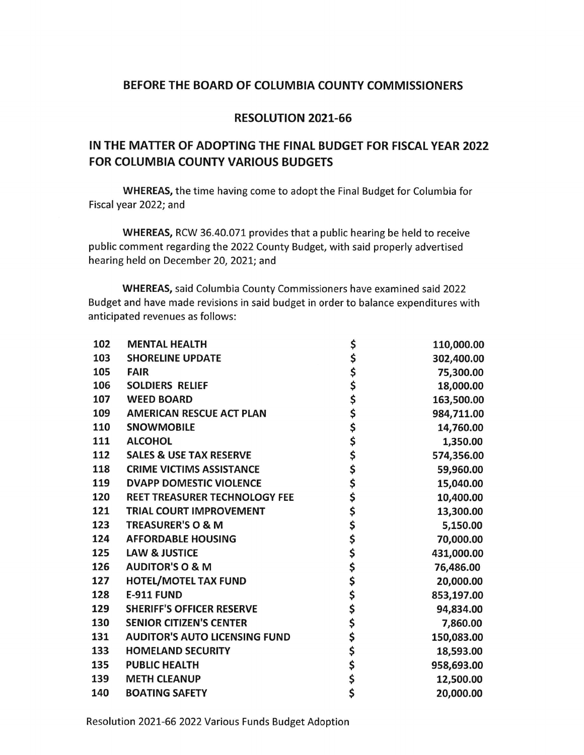## BEFORE THE BOARD OF COLUMBIA COUNTY COMMISSIONERS

## **RESOLUTION 2021-66**

# IN THE MATTER OF ADOPTING THE FINAL BUDGET FOR FISCAL YEAR 2022 **FOR COLUMBIA COUNTY VARIOUS BUDGETS**

WHEREAS, the time having come to adopt the Final Budget for Columbia for Fiscal year 2022; and

WHEREAS, RCW 36.40.071 provides that a public hearing be held to receive public comment regarding the 2022 County Budget, with said properly advertised hearing held on December 20, 2021; and

WHEREAS, said Columbia County Commissioners have examined said 2022 Budget and have made revisions in said budget in order to balance expenditures with anticipated revenues as follows:

| 102 | <b>MENTAL HEALTH</b>                 | \$            | 110,000.00 |
|-----|--------------------------------------|---------------|------------|
| 103 | <b>SHORELINE UPDATE</b>              | \$            | 302,400.00 |
| 105 | <b>FAIR</b>                          |               | 75,300.00  |
| 106 | <b>SOLDIERS RELIEF</b>               | <b>SSS かん</b> | 18,000.00  |
| 107 | <b>WEED BOARD</b>                    |               | 163,500.00 |
| 109 | <b>AMERICAN RESCUE ACT PLAN</b>      |               | 984,711.00 |
| 110 | <b>SNOWMOBILE</b>                    | \$            | 14,760.00  |
| 111 | <b>ALCOHOL</b>                       |               | 1,350.00   |
| 112 | <b>SALES &amp; USE TAX RESERVE</b>   | ややな やみ        | 574,356.00 |
| 118 | <b>CRIME VICTIMS ASSISTANCE</b>      |               | 59,960.00  |
| 119 | <b>DVAPP DOMESTIC VIOLENCE</b>       |               | 15,040.00  |
| 120 | <b>REET TREASURER TECHNOLOGY FEE</b> |               | 10,400.00  |
| 121 | <b>TRIAL COURT IMPROVEMENT</b>       |               | 13,300.00  |
| 123 | <b>TREASURER'S O &amp; M</b>         | \$            | 5,150.00   |
| 124 | <b>AFFORDABLE HOUSING</b>            | \$            | 70,000.00  |
| 125 | <b>LAW &amp; JUSTICE</b>             | \$            | 431,000.00 |
| 126 | <b>AUDITOR'S O &amp; M</b>           | \$<br>\$      | 76,486.00  |
| 127 | <b>HOTEL/MOTEL TAX FUND</b>          |               | 20,000.00  |
| 128 | <b>E-911 FUND</b>                    | ぐぐみ           | 853,197.00 |
| 129 | <b>SHERIFF'S OFFICER RESERVE</b>     |               | 94,834.00  |
| 130 | <b>SENIOR CITIZEN'S CENTER</b>       |               | 7,860.00   |
| 131 | <b>AUDITOR'S AUTO LICENSING FUND</b> |               | 150,083.00 |
| 133 | <b>HOMELAND SECURITY</b>             |               | 18,593.00  |
| 135 | <b>PUBLIC HEALTH</b>                 |               | 958,693.00 |
| 139 | <b>METH CLEANUP</b>                  | \$\$\$        | 12,500.00  |
| 140 | <b>BOATING SAFETY</b>                |               | 20,000.00  |

Resolution 2021-66 2022 Various Funds Budget Adoption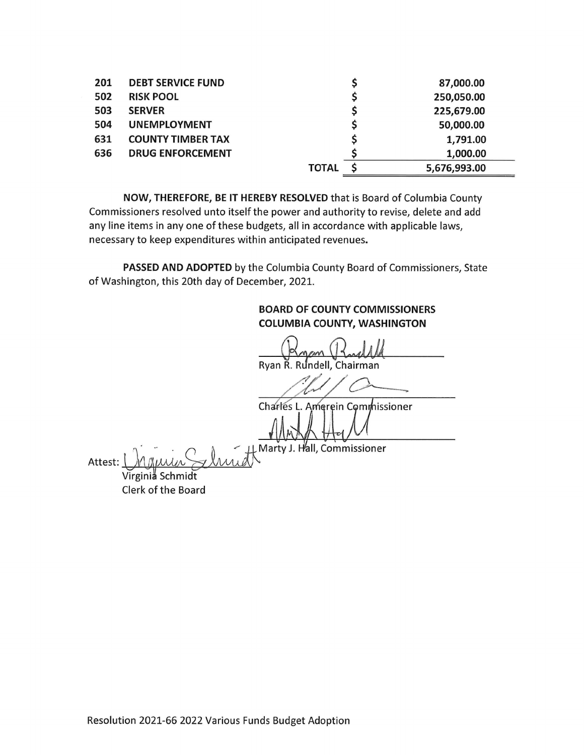| 201 | <b>DEBT SERVICE FUND</b> |              | 87,000.00      |
|-----|--------------------------|--------------|----------------|
| 502 | <b>RISK POOL</b>         |              | 250,050.00     |
| 503 | <b>SERVER</b>            |              | 225,679.00     |
| 504 | <b>UNEMPLOYMENT</b>      |              | 50,000.00      |
| 631 | <b>COUNTY TIMBER TAX</b> |              | \$<br>1,791.00 |
| 636 | <b>DRUG ENFORCEMENT</b>  |              | 1,000.00       |
|     |                          | <b>TOTAL</b> | 5,676,993.00   |

NOW, THEREFORE, BE IT HEREBY RESOLVED that is Board of Columbia County Commissioners resolved unto itself the power and authority to revise, delete and add any line items in any one of these budgets, all in accordance with applicable laws, necessary to keep expenditures within anticipated revenues.

PASSED AND ADOPTED by the Columbia County Board of Commissioners, State of Washington, this 20th day of December, 2021.

**BOARD OF COUNTY COMMISSIONERS COLUMBIA COUNTY, WASHINGTON** Ryan R. Rundell, Chairman Charles L. Amerein Commissioner 儿 Marty J. Hall, Commissioner Attest: Virginiå Schmidt

Clerk of the Board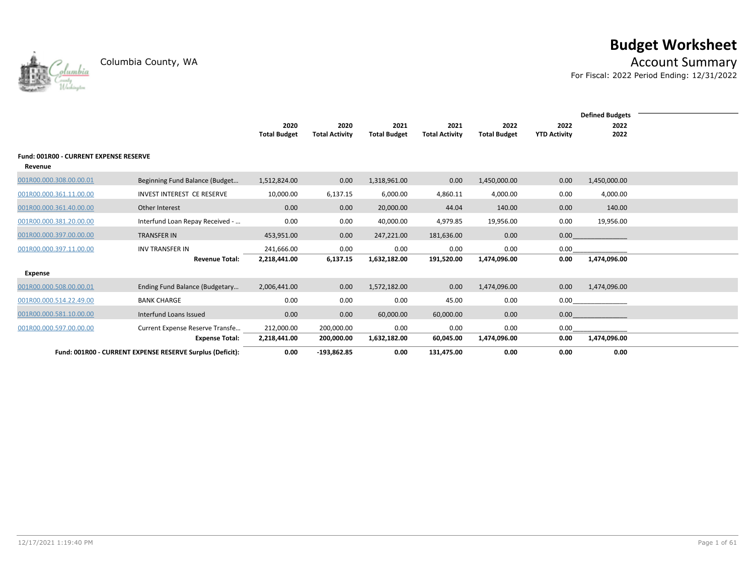lumbia



Columbia County, WA **Account Summary** 

For Fiscal: 2022 Period Ending: 12/31/2022

|                                        |                                                           |                     |                       |                     |                       |                     |                     | <b>Defined Budgets</b> |  |
|----------------------------------------|-----------------------------------------------------------|---------------------|-----------------------|---------------------|-----------------------|---------------------|---------------------|------------------------|--|
|                                        |                                                           | 2020                | 2020                  | 2021                | 2021                  | 2022                | 2022                | 2022                   |  |
|                                        |                                                           | <b>Total Budget</b> | <b>Total Activity</b> | <b>Total Budget</b> | <b>Total Activity</b> | <b>Total Budget</b> | <b>YTD Activity</b> | 2022                   |  |
|                                        |                                                           |                     |                       |                     |                       |                     |                     |                        |  |
| Fund: 001R00 - CURRENT EXPENSE RESERVE |                                                           |                     |                       |                     |                       |                     |                     |                        |  |
|                                        |                                                           |                     |                       |                     |                       |                     |                     |                        |  |
| Revenue                                |                                                           |                     |                       |                     |                       |                     |                     |                        |  |
| 001R00.000.308.00.00.01                | Beginning Fund Balance (Budget                            | 1,512,824.00        | 0.00                  | 1,318,961.00        | 0.00                  | 1,450,000.00        | 0.00                | 1,450,000.00           |  |
|                                        |                                                           |                     |                       |                     |                       |                     |                     |                        |  |
| 001R00.000.361.11.00.00                | INVEST INTEREST CE RESERVE                                | 10,000.00           | 6,137.15              | 6,000.00            | 4,860.11              | 4,000.00            | 0.00                | 4,000.00               |  |
| 001R00.000.361.40.00.00                | Other Interest                                            | 0.00                | 0.00                  | 20,000.00           | 44.04                 | 140.00              | 0.00                | 140.00                 |  |
| 001R00.000.381.20.00.00                | Interfund Loan Repay Received -                           | 0.00                | 0.00                  | 40,000.00           | 4,979.85              | 19,956.00           | 0.00                | 19,956.00              |  |
|                                        |                                                           |                     |                       |                     |                       |                     |                     |                        |  |
| 001R00.000.397.00.00.00                | <b>TRANSFER IN</b>                                        | 453,951.00          | 0.00                  | 247,221.00          | 181,636.00            | 0.00                | 0.00                |                        |  |
| 001R00.000.397.11.00.00                | <b>INV TRANSFER IN</b>                                    | 241,666.00          | 0.00                  | 0.00                | 0.00                  | 0.00                | 0.00                |                        |  |
|                                        | <b>Revenue Total:</b>                                     | 2,218,441.00        | 6,137.15              | 1,632,182.00        | 191,520.00            | 1,474,096.00        | 0.00                | 1,474,096.00           |  |
|                                        |                                                           |                     |                       |                     |                       |                     |                     |                        |  |
| <b>Expense</b>                         |                                                           |                     |                       |                     |                       |                     |                     |                        |  |
| 001R00.000.508.00.00.01                | Ending Fund Balance (Budgetary                            | 2,006,441.00        | 0.00                  | 1,572,182.00        | 0.00                  | 1,474,096.00        | 0.00                | 1,474,096.00           |  |
|                                        |                                                           | 0.00                |                       |                     |                       |                     |                     |                        |  |
| 001R00.000.514.22.49.00                | <b>BANK CHARGE</b>                                        |                     | 0.00                  | 0.00                | 45.00                 | 0.00                |                     | 0.00                   |  |
| 001R00.000.581.10.00.00                | Interfund Loans Issued                                    | 0.00                | 0.00                  | 60,000.00           | 60,000.00             | 0.00                | 0.00                |                        |  |
| 001R00.000.597.00.00.00                | Current Expense Reserve Transfe                           | 212,000.00          | 200,000.00            | 0.00                | 0.00                  | 0.00                | 0.00                |                        |  |
|                                        | <b>Expense Total:</b>                                     | 2,218,441.00        | 200,000.00            | 1,632,182.00        | 60,045.00             | 1,474,096.00        | 0.00                | 1,474,096.00           |  |
|                                        |                                                           |                     |                       |                     |                       |                     |                     |                        |  |
|                                        | Fund: 001R00 - CURRENT EXPENSE RESERVE Surplus (Deficit): | 0.00                | $-193,862.85$         | 0.00                | 131,475.00            | 0.00                | 0.00                | 0.00                   |  |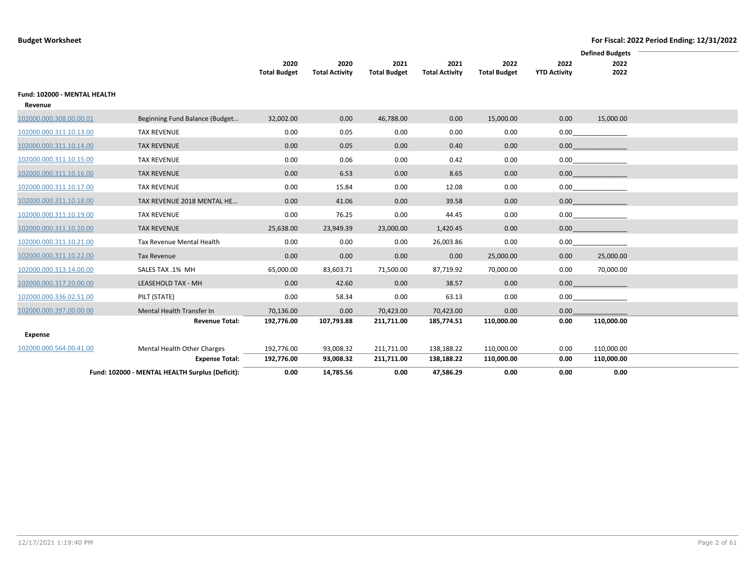|                              |                                                 |                             |                               |                             |                               |                             |                             | <b>Defined Budgets</b> |
|------------------------------|-------------------------------------------------|-----------------------------|-------------------------------|-----------------------------|-------------------------------|-----------------------------|-----------------------------|------------------------|
|                              |                                                 | 2020<br><b>Total Budget</b> | 2020<br><b>Total Activity</b> | 2021<br><b>Total Budget</b> | 2021<br><b>Total Activity</b> | 2022<br><b>Total Budget</b> | 2022<br><b>YTD Activity</b> | 2022<br>2022           |
|                              |                                                 |                             |                               |                             |                               |                             |                             |                        |
| Fund: 102000 - MENTAL HEALTH |                                                 |                             |                               |                             |                               |                             |                             |                        |
| Revenue                      |                                                 |                             |                               |                             |                               |                             |                             |                        |
| 102000.000.308.00.00.01      | Beginning Fund Balance (Budget                  | 32,002.00                   | 0.00                          | 46,788.00                   | 0.00                          | 15,000.00                   | 0.00                        | 15,000.00              |
| 102000.000.311.10.13.00      | <b>TAX REVENUE</b>                              | 0.00                        | 0.05                          | 0.00                        | 0.00                          | 0.00                        | 0.00                        |                        |
| 102000.000.311.10.14.00      | <b>TAX REVENUE</b>                              | 0.00                        | 0.05                          | 0.00                        | 0.40                          | 0.00                        | 0.00                        |                        |
| 102000.000.311.10.15.00      | <b>TAX REVENUE</b>                              | 0.00                        | 0.06                          | 0.00                        | 0.42                          | 0.00                        |                             | 0.00                   |
| 102000.000.311.10.16.00      | <b>TAX REVENUE</b>                              | 0.00                        | 6.53                          | 0.00                        | 8.65                          | 0.00                        | 0.00                        |                        |
| 102000.000.311.10.17.00      | <b>TAX REVENUE</b>                              | 0.00                        | 15.84                         | 0.00                        | 12.08                         | 0.00                        |                             | 0.00                   |
| 102000.000.311.10.18.00      | TAX REVENUE 2018 MENTAL HE                      | 0.00                        | 41.06                         | 0.00                        | 39.58                         | 0.00                        | 0.00                        |                        |
| 102000.000.311.10.19.00      | <b>TAX REVENUE</b>                              | 0.00                        | 76.25                         | 0.00                        | 44.45                         | 0.00                        |                             | 0.00                   |
| 102000.000.311.10.20.00      | <b>TAX REVENUE</b>                              | 25,638.00                   | 23,949.39                     | 23,000.00                   | 1,420.45                      | 0.00                        | 0.00                        |                        |
| 102000.000.311.10.21.00      | Tax Revenue Mental Health                       | 0.00                        | 0.00                          | 0.00                        | 26,003.86                     | 0.00                        | 0.00                        |                        |
| 102000.000.311.10.22.00      | Tax Revenue                                     | 0.00                        | 0.00                          | 0.00                        | 0.00                          | 25,000.00                   | 0.00                        | 25,000.00              |
| 102000.000.313.14.00.00      | SALES TAX .1% MH                                | 65,000.00                   | 83,603.71                     | 71,500.00                   | 87,719.92                     | 70,000.00                   | 0.00                        | 70,000.00              |
| 102000.000.317.20.00.00      | LEASEHOLD TAX - MH                              | 0.00                        | 42.60                         | 0.00                        | 38.57                         | 0.00                        | 0.00                        |                        |
| 102000.000.336.02.51.00      | PILT (STATE)                                    | 0.00                        | 58.34                         | 0.00                        | 63.13                         | 0.00                        | 0.00                        |                        |
| 102000.000.397.00.00.00      | Mental Health Transfer In                       | 70,136.00                   | 0.00                          | 70,423.00                   | 70,423.00                     | 0.00                        | 0.00                        |                        |
|                              | <b>Revenue Total:</b>                           | 192,776.00                  | 107,793.88                    | 211,711.00                  | 185,774.51                    | 110,000.00                  | 0.00                        | 110,000.00             |
| Expense                      |                                                 |                             |                               |                             |                               |                             |                             |                        |
| 102000.000.564.00.41.00      | Mental Health Other Charges                     | 192,776.00                  | 93,008.32                     | 211,711.00                  | 138,188.22                    | 110,000.00                  | 0.00                        | 110,000.00             |
|                              | <b>Expense Total:</b>                           | 192,776.00                  | 93,008.32                     | 211,711.00                  | 138,188.22                    | 110,000.00                  | 0.00                        | 110,000.00             |
|                              | Fund: 102000 - MENTAL HEALTH Surplus (Deficit): | 0.00                        | 14,785.56                     | 0.00                        | 47,586.29                     | 0.00                        | 0.00                        | 0.00                   |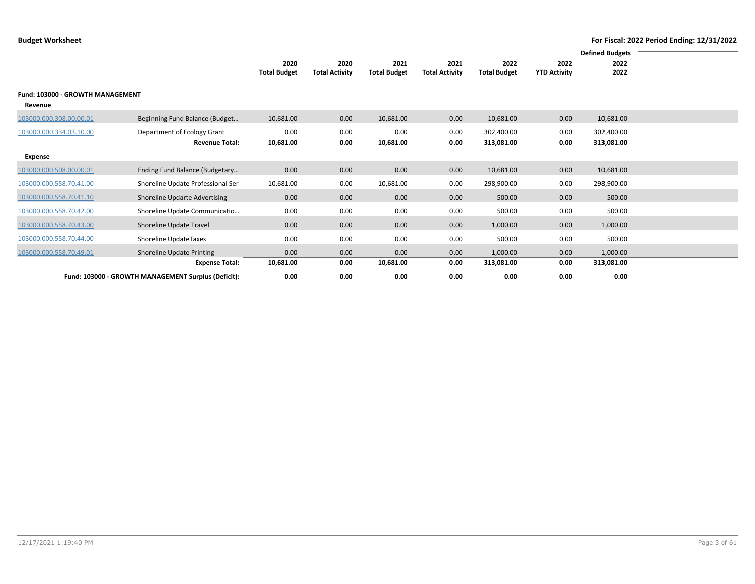|                         |                                                     |                     |                       |                     |                       |                     |                     | <b>Defined Budgets</b> |  |
|-------------------------|-----------------------------------------------------|---------------------|-----------------------|---------------------|-----------------------|---------------------|---------------------|------------------------|--|
|                         |                                                     | 2020                | 2020                  | 2021                | 2021                  | 2022                | 2022                | 2022                   |  |
|                         |                                                     | <b>Total Budget</b> | <b>Total Activity</b> | <b>Total Budget</b> | <b>Total Activity</b> | <b>Total Budget</b> | <b>YTD Activity</b> | 2022                   |  |
|                         |                                                     |                     |                       |                     |                       |                     |                     |                        |  |
|                         | Fund: 103000 - GROWTH MANAGEMENT                    |                     |                       |                     |                       |                     |                     |                        |  |
| Revenue                 |                                                     |                     |                       |                     |                       |                     |                     |                        |  |
|                         |                                                     |                     |                       |                     |                       |                     |                     |                        |  |
| 103000.000.308.00.00.01 | Beginning Fund Balance (Budget                      | 10,681.00           | 0.00                  | 10,681.00           | 0.00                  | 10,681.00           | 0.00                | 10,681.00              |  |
| 103000.000.334.03.10.00 | Department of Ecology Grant                         | 0.00                | 0.00                  | 0.00                | 0.00                  | 302,400.00          | 0.00                | 302,400.00             |  |
|                         | <b>Revenue Total:</b>                               | 10,681.00           | 0.00                  | 10,681.00           | 0.00                  | 313,081.00          | 0.00                | 313,081.00             |  |
|                         |                                                     |                     |                       |                     |                       |                     |                     |                        |  |
| Expense                 |                                                     |                     |                       |                     |                       |                     |                     |                        |  |
| 103000.000.508.00.00.01 | Ending Fund Balance (Budgetary                      | 0.00                | 0.00                  | 0.00                | 0.00                  | 10,681.00           | 0.00                | 10,681.00              |  |
| 103000.000.558.70.41.00 | Shoreline Update Professional Ser                   | 10,681.00           | 0.00                  | 10,681.00           | 0.00                  | 298,900.00          | 0.00                | 298,900.00             |  |
| 103000.000.558.70.41.10 | Shoreline Updarte Advertising                       | 0.00                | 0.00                  | 0.00                | 0.00                  | 500.00              | 0.00                | 500.00                 |  |
| 103000.000.558.70.42.00 | Shoreline Update Communicatio                       | 0.00                | 0.00                  | 0.00                | 0.00                  | 500.00              | 0.00                | 500.00                 |  |
| 103000.000.558.70.43.00 | Shoreline Update Travel                             | 0.00                | 0.00                  | 0.00                | 0.00                  | 1,000.00            | 0.00                | 1,000.00               |  |
| 103000.000.558.70.44.00 | Shoreline UpdateTaxes                               | 0.00                | 0.00                  | 0.00                | 0.00                  | 500.00              | 0.00                | 500.00                 |  |
| 103000.000.558.70.49.01 | Shoreline Update Printing                           | 0.00                | 0.00                  | 0.00                | 0.00                  | 1,000.00            | 0.00                | 1,000.00               |  |
|                         | <b>Expense Total:</b>                               | 10,681.00           | 0.00                  | 10,681.00           | 0.00                  | 313,081.00          | 0.00                | 313,081.00             |  |
|                         | Fund: 103000 - GROWTH MANAGEMENT Surplus (Deficit): | 0.00                | 0.00                  | 0.00                | 0.00                  | 0.00                | 0.00                | 0.00                   |  |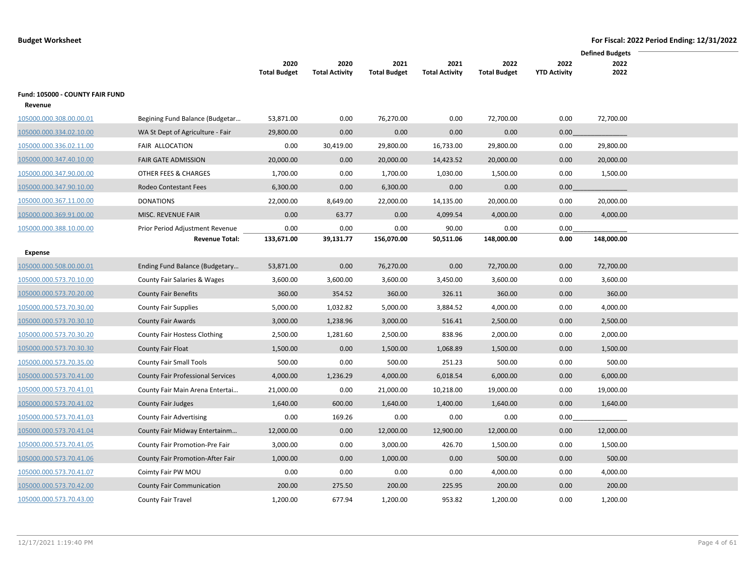|                                            |                                          |                     |                       |                     |                       |                     |                     | <b>Defined Budgets</b> |
|--------------------------------------------|------------------------------------------|---------------------|-----------------------|---------------------|-----------------------|---------------------|---------------------|------------------------|
|                                            |                                          | 2020                | 2020                  | 2021                | 2021                  | 2022                | 2022                | 2022                   |
|                                            |                                          | <b>Total Budget</b> | <b>Total Activity</b> | <b>Total Budget</b> | <b>Total Activity</b> | <b>Total Budget</b> | <b>YTD Activity</b> | 2022                   |
| Fund: 105000 - COUNTY FAIR FUND<br>Revenue |                                          |                     |                       |                     |                       |                     |                     |                        |
| 105000.000.308.00.00.01                    | Begining Fund Balance (Budgetar          | 53,871.00           | 0.00                  | 76,270.00           | 0.00                  | 72,700.00           | 0.00                | 72,700.00              |
| 105000.000.334.02.10.00                    | WA St Dept of Agriculture - Fair         | 29,800.00           | 0.00                  | 0.00                | 0.00                  | 0.00                | 0.00                |                        |
| 105000.000.336.02.11.00                    | FAIR ALLOCATION                          | 0.00                | 30,419.00             | 29,800.00           | 16,733.00             | 29,800.00           | 0.00                | 29,800.00              |
| 105000.000.347.40.10.00                    | <b>FAIR GATE ADMISSION</b>               | 20,000.00           | 0.00                  | 20,000.00           | 14,423.52             | 20,000.00           | 0.00                | 20,000.00              |
| 105000.000.347.90.00.00                    | OTHER FEES & CHARGES                     | 1,700.00            | 0.00                  | 1,700.00            | 1,030.00              | 1,500.00            | 0.00                | 1,500.00               |
| 105000.000.347.90.10.00                    | Rodeo Contestant Fees                    | 6,300.00            | 0.00                  | 6,300.00            | 0.00                  | 0.00                | 0.00                |                        |
| 105000.000.367.11.00.00                    | <b>DONATIONS</b>                         | 22,000.00           | 8,649.00              | 22,000.00           | 14,135.00             | 20,000.00           | 0.00                | 20,000.00              |
| 105000.000.369.91.00.00                    | MISC. REVENUE FAIR                       | 0.00                | 63.77                 | 0.00                | 4,099.54              | 4,000.00            | 0.00                | 4,000.00               |
| 105000.000.388.10.00.00                    | Prior Period Adjustment Revenue          | 0.00                | 0.00                  | 0.00                | 90.00                 | 0.00                | 0.00                |                        |
|                                            | <b>Revenue Total:</b>                    | 133,671.00          | 39,131.77             | 156,070.00          | 50,511.06             | 148,000.00          | 0.00                | 148,000.00             |
| Expense                                    |                                          |                     |                       |                     |                       |                     |                     |                        |
| 105000.000.508.00.00.01                    | Ending Fund Balance (Budgetary           | 53,871.00           | 0.00                  | 76,270.00           | 0.00                  | 72,700.00           | 0.00                | 72,700.00              |
| 105000.000.573.70.10.00                    | County Fair Salaries & Wages             | 3,600.00            | 3,600.00              | 3,600.00            | 3,450.00              | 3,600.00            | 0.00                | 3,600.00               |
| 105000.000.573.70.20.00                    | <b>County Fair Benefits</b>              | 360.00              | 354.52                | 360.00              | 326.11                | 360.00              | 0.00                | 360.00                 |
| 105000.000.573.70.30.00                    | <b>County Fair Supplies</b>              | 5,000.00            | 1,032.82              | 5,000.00            | 3,884.52              | 4,000.00            | 0.00                | 4,000.00               |
| 105000.000.573.70.30.10                    | <b>County Fair Awards</b>                | 3,000.00            | 1,238.96              | 3,000.00            | 516.41                | 2,500.00            | 0.00                | 2,500.00               |
| 105000.000.573.70.30.20                    | County Fair Hostess Clothing             | 2,500.00            | 1,281.60              | 2,500.00            | 838.96                | 2,000.00            | 0.00                | 2,000.00               |
| 105000.000.573.70.30.30                    | <b>County Fair Float</b>                 | 1,500.00            | 0.00                  | 1,500.00            | 1,068.89              | 1,500.00            | 0.00                | 1,500.00               |
| 105000.000.573.70.35.00                    | <b>County Fair Small Tools</b>           | 500.00              | 0.00                  | 500.00              | 251.23                | 500.00              | 0.00                | 500.00                 |
| 105000.000.573.70.41.00                    | <b>County Fair Professional Services</b> | 4,000.00            | 1,236.29              | 4,000.00            | 6,018.54              | 6,000.00            | 0.00                | 6,000.00               |
| 105000.000.573.70.41.01                    | County Fair Main Arena Entertai          | 21,000.00           | 0.00                  | 21,000.00           | 10,218.00             | 19,000.00           | 0.00                | 19,000.00              |
| 105000.000.573.70.41.02                    | County Fair Judges                       | 1,640.00            | 600.00                | 1,640.00            | 1,400.00              | 1,640.00            | 0.00                | 1,640.00               |
| 105000.000.573.70.41.03                    | <b>County Fair Advertising</b>           | 0.00                | 169.26                | 0.00                | 0.00                  | 0.00                | 0.00                |                        |
| 105000.000.573.70.41.04                    | County Fair Midway Entertainm            | 12,000.00           | 0.00                  | 12,000.00           | 12,900.00             | 12,000.00           | 0.00                | 12,000.00              |
| 105000.000.573.70.41.05                    | County Fair Promotion-Pre Fair           | 3,000.00            | 0.00                  | 3,000.00            | 426.70                | 1,500.00            | 0.00                | 1,500.00               |
| 105000.000.573.70.41.06                    | County Fair Promotion-After Fair         | 1,000.00            | 0.00                  | 1,000.00            | 0.00                  | 500.00              | 0.00                | 500.00                 |
| 105000.000.573.70.41.07                    | Coimty Fair PW MOU                       | 0.00                | 0.00                  | 0.00                | 0.00                  | 4,000.00            | 0.00                | 4,000.00               |
| 105000.000.573.70.42.00                    | <b>County Fair Communication</b>         | 200.00              | 275.50                | 200.00              | 225.95                | 200.00              | 0.00                | 200.00                 |
| 105000.000.573.70.43.00                    | County Fair Travel                       | 1,200.00            | 677.94                | 1,200.00            | 953.82                | 1,200.00            | 0.00                | 1,200.00               |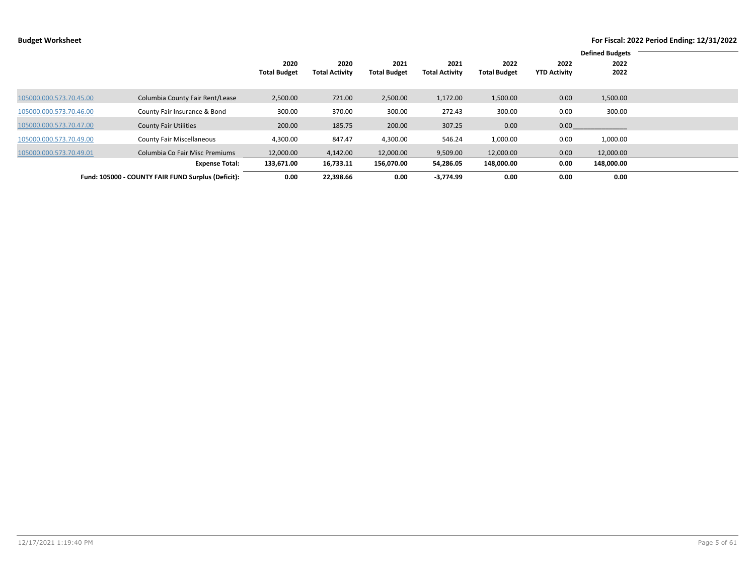|                         |                                                    |                     |                       |                     |                       |                     |                     | <b>Defined Budgets</b> |  |
|-------------------------|----------------------------------------------------|---------------------|-----------------------|---------------------|-----------------------|---------------------|---------------------|------------------------|--|
|                         |                                                    | 2020                | 2020                  | 2021                | 2021                  | 2022                | 2022                | 2022                   |  |
|                         |                                                    | <b>Total Budget</b> | <b>Total Activity</b> | <b>Total Budget</b> | <b>Total Activity</b> | <b>Total Budget</b> | <b>YTD Activity</b> | 2022                   |  |
|                         |                                                    |                     |                       |                     |                       |                     |                     |                        |  |
| 105000.000.573.70.45.00 | Columbia County Fair Rent/Lease                    | 2,500.00            | 721.00                | 2,500.00            | 1,172.00              | 1,500.00            | 0.00                | 1,500.00               |  |
|                         |                                                    |                     |                       |                     |                       |                     |                     |                        |  |
| 105000.000.573.70.46.00 | County Fair Insurance & Bond                       | 300.00              | 370.00                | 300.00              | 272.43                | 300.00              | 0.00                | 300.00                 |  |
| 105000.000.573.70.47.00 | <b>County Fair Utilities</b>                       | 200.00              | 185.75                | 200.00              | 307.25                | 0.00                | 0.00                |                        |  |
|                         |                                                    |                     |                       |                     |                       |                     |                     |                        |  |
| 105000.000.573.70.49.00 | <b>County Fair Miscellaneous</b>                   | 4,300.00            | 847.47                | 4,300.00            | 546.24                | 1,000.00            | 0.00                | 1,000.00               |  |
| 105000.000.573.70.49.01 | Columbia Co Fair Misc Premiums                     | 12,000.00           | 4,142.00              | 12,000.00           | 9,509.00              | 12,000.00           | 0.00                | 12,000.00              |  |
|                         |                                                    |                     |                       |                     |                       |                     |                     |                        |  |
|                         | <b>Expense Total:</b>                              | 133,671.00          | 16,733.11             | 156,070.00          | 54,286.05             | 148,000.00          | 0.00                | 148,000.00             |  |
|                         | Fund: 105000 - COUNTY FAIR FUND Surplus (Deficit): | 0.00                | 22,398.66             | 0.00                | $-3.774.99$           | 0.00                | 0.00                | 0.00                   |  |
|                         |                                                    |                     |                       |                     |                       |                     |                     |                        |  |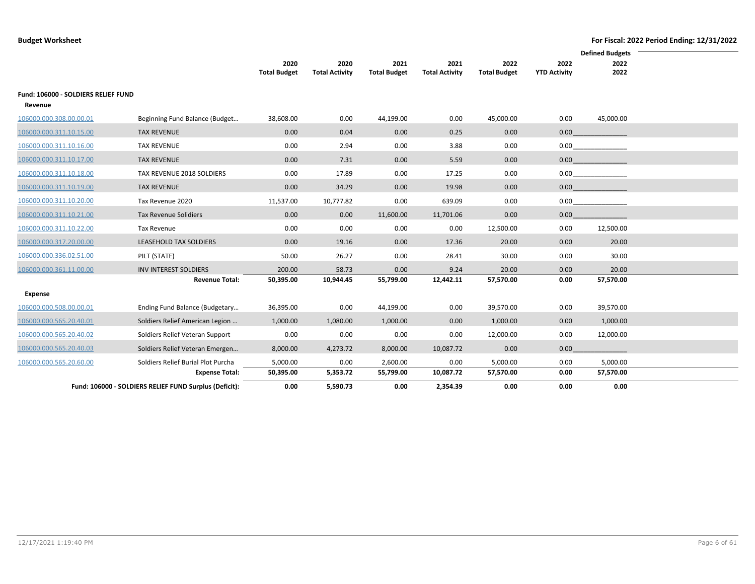|                                     |                                                        |                             |                               |                             |                               |                             |                             | <b>Defined Budgets</b>       |  |
|-------------------------------------|--------------------------------------------------------|-----------------------------|-------------------------------|-----------------------------|-------------------------------|-----------------------------|-----------------------------|------------------------------|--|
|                                     |                                                        | 2020<br><b>Total Budget</b> | 2020<br><b>Total Activity</b> | 2021<br><b>Total Budget</b> | 2021<br><b>Total Activity</b> | 2022<br><b>Total Budget</b> | 2022<br><b>YTD Activity</b> | 2022<br>2022                 |  |
| Fund: 106000 - SOLDIERS RELIEF FUND |                                                        |                             |                               |                             |                               |                             |                             |                              |  |
| Revenue                             |                                                        |                             |                               |                             |                               |                             |                             |                              |  |
| 106000.000.308.00.00.01             | Beginning Fund Balance (Budget                         | 38,608.00                   | 0.00                          | 44,199.00                   | 0.00                          | 45,000.00                   | 0.00                        | 45,000.00                    |  |
| 106000.000.311.10.15.00             | <b>TAX REVENUE</b>                                     | 0.00                        | 0.04                          | 0.00                        | 0.25                          | 0.00                        |                             |                              |  |
| 106000.000.311.10.16.00             | <b>TAX REVENUE</b>                                     | 0.00                        | 2.94                          | 0.00                        | 3.88                          | 0.00                        |                             | 0.00                         |  |
| 106000.000.311.10.17.00             | <b>TAX REVENUE</b>                                     | 0.00                        | 7.31                          | 0.00                        | 5.59                          | 0.00                        |                             | $0.00$ and $0.00$ and $0.00$ |  |
| 106000.000.311.10.18.00             | TAX REVENUE 2018 SOLDIERS                              | 0.00                        | 17.89                         | 0.00                        | 17.25                         | 0.00                        |                             | 0.00                         |  |
| 106000.000.311.10.19.00             | <b>TAX REVENUE</b>                                     | 0.00                        | 34.29                         | 0.00                        | 19.98                         | 0.00                        |                             | $0.00$ and $0.00$ and $0.00$ |  |
| 106000.000.311.10.20.00             | Tax Revenue 2020                                       | 11,537.00                   | 10,777.82                     | 0.00                        | 639.09                        | 0.00                        |                             | 0.00                         |  |
| 106000.000.311.10.21.00             | Tax Revenue Solidiers                                  | 0.00                        | 0.00                          | 11,600.00                   | 11,701.06                     | 0.00                        | 0.00                        |                              |  |
| 106000.000.311.10.22.00             | Tax Revenue                                            | 0.00                        | 0.00                          | 0.00                        | 0.00                          | 12,500.00                   | 0.00                        | 12,500.00                    |  |
| 106000.000.317.20.00.00             | LEASEHOLD TAX SOLDIERS                                 | 0.00                        | 19.16                         | 0.00                        | 17.36                         | 20.00                       | 0.00                        | 20.00                        |  |
| 106000.000.336.02.51.00             | PILT (STATE)                                           | 50.00                       | 26.27                         | 0.00                        | 28.41                         | 30.00                       | 0.00                        | 30.00                        |  |
| 106000.000.361.11.00.00             | <b>INV INTEREST SOLDIERS</b>                           | 200.00                      | 58.73                         | 0.00                        | 9.24                          | 20.00                       | 0.00                        | 20.00                        |  |
|                                     | <b>Revenue Total:</b>                                  | 50,395.00                   | 10,944.45                     | 55,799.00                   | 12,442.11                     | 57,570.00                   | 0.00                        | 57,570.00                    |  |
| Expense                             |                                                        |                             |                               |                             |                               |                             |                             |                              |  |
| 106000.000.508.00.00.01             | Ending Fund Balance (Budgetary                         | 36,395.00                   | 0.00                          | 44,199.00                   | 0.00                          | 39,570.00                   | 0.00                        | 39,570.00                    |  |
| 106000.000.565.20.40.01             | Soldiers Relief American Legion                        | 1,000.00                    | 1,080.00                      | 1,000.00                    | 0.00                          | 1,000.00                    | 0.00                        | 1,000.00                     |  |
| 106000.000.565.20.40.02             | Soldiers Relief Veteran Support                        | 0.00                        | 0.00                          | 0.00                        | 0.00                          | 12,000.00                   | 0.00                        | 12,000.00                    |  |
| 106000.000.565.20.40.03             | Soldiers Relief Veteran Emergen                        | 8,000.00                    | 4,273.72                      | 8,000.00                    | 10,087.72                     | 0.00                        | 0.00                        |                              |  |
| 106000.000.565.20.60.00             | Soldiers Relief Burial Plot Purcha                     | 5,000.00                    | 0.00                          | 2,600.00                    | 0.00                          | 5,000.00                    | 0.00                        | 5,000.00                     |  |
|                                     | <b>Expense Total:</b>                                  | 50,395.00                   | 5,353.72                      | 55,799.00                   | 10,087.72                     | 57,570.00                   | 0.00                        | 57,570.00                    |  |
|                                     | Fund: 106000 - SOLDIERS RELIEF FUND Surplus (Deficit): | 0.00                        | 5,590.73                      | 0.00                        | 2,354.39                      | 0.00                        | 0.00                        | 0.00                         |  |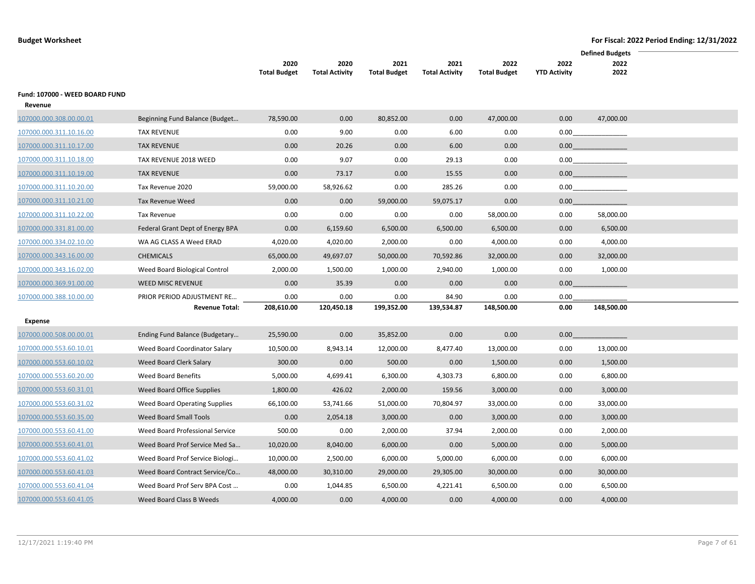|                                           |                                  |                             |                               |                             |                               |                             |                             | <b>Defined Budgets</b> |
|-------------------------------------------|----------------------------------|-----------------------------|-------------------------------|-----------------------------|-------------------------------|-----------------------------|-----------------------------|------------------------|
|                                           |                                  | 2020<br><b>Total Budget</b> | 2020<br><b>Total Activity</b> | 2021<br><b>Total Budget</b> | 2021<br><b>Total Activity</b> | 2022<br><b>Total Budget</b> | 2022<br><b>YTD Activity</b> | 2022<br>2022           |
| Fund: 107000 - WEED BOARD FUND<br>Revenue |                                  |                             |                               |                             |                               |                             |                             |                        |
| 107000.000.308.00.00.01                   | Beginning Fund Balance (Budget   | 78,590.00                   | 0.00                          | 80,852.00                   | 0.00                          | 47,000.00                   | 0.00                        | 47,000.00              |
| 107000.000.311.10.16.00                   | <b>TAX REVENUE</b>               | 0.00                        | 9.00                          | 0.00                        | 6.00                          | 0.00                        | 0.00                        |                        |
| 107000.000.311.10.17.00                   | <b>TAX REVENUE</b>               | 0.00                        | 20.26                         | 0.00                        | 6.00                          | 0.00                        | 0.00                        |                        |
| 107000.000.311.10.18.00                   | TAX REVENUE 2018 WEED            | 0.00                        | 9.07                          | 0.00                        | 29.13                         | 0.00                        | 0.00                        |                        |
| 107000.000.311.10.19.00                   | <b>TAX REVENUE</b>               | 0.00                        | 73.17                         | 0.00                        | 15.55                         | 0.00                        | 0.00                        |                        |
| 107000.000.311.10.20.00                   | Tax Revenue 2020                 | 59,000.00                   | 58,926.62                     | 0.00                        | 285.26                        | 0.00                        | 0.00                        |                        |
| 107000.000.311.10.21.00                   | <b>Tax Revenue Weed</b>          | 0.00                        | 0.00                          | 59,000.00                   | 59,075.17                     | 0.00                        | 0.00                        |                        |
| 107000.000.311.10.22.00                   | Tax Revenue                      | 0.00                        | 0.00                          | 0.00                        | 0.00                          | 58,000.00                   | 0.00                        | 58,000.00              |
| 107000.000.331.81.00.00                   | Federal Grant Dept of Energy BPA | 0.00                        | 6,159.60                      | 6,500.00                    | 6,500.00                      | 6,500.00                    | 0.00                        | 6,500.00               |
| 107000.000.334.02.10.00                   | WA AG CLASS A Weed ERAD          | 4,020.00                    | 4,020.00                      | 2,000.00                    | 0.00                          | 4,000.00                    | 0.00                        | 4,000.00               |
| 107000.000.343.16.00.00                   | <b>CHEMICALS</b>                 | 65,000.00                   | 49,697.07                     | 50,000.00                   | 70,592.86                     | 32,000.00                   | 0.00                        | 32,000.00              |
| 107000.000.343.16.02.00                   | Weed Board Biological Control    | 2,000.00                    | 1,500.00                      | 1,000.00                    | 2,940.00                      | 1,000.00                    | 0.00                        | 1,000.00               |
| 107000.000.369.91.00.00                   | WEED MISC REVENUE                | 0.00                        | 35.39                         | 0.00                        | 0.00                          | 0.00                        | 0.00                        |                        |
| 107000.000.388.10.00.00                   | PRIOR PERIOD ADJUSTMENT RE       | 0.00                        | 0.00                          | 0.00                        | 84.90                         | 0.00                        | 0.00                        |                        |
|                                           | <b>Revenue Total:</b>            | 208,610.00                  | 120,450.18                    | 199,352.00                  | 139,534.87                    | 148,500.00                  | 0.00                        | 148,500.00             |
| <b>Expense</b>                            |                                  |                             |                               |                             |                               |                             |                             |                        |
| 107000.000.508.00.00.01                   | Ending Fund Balance (Budgetary   | 25,590.00                   | 0.00                          | 35,852.00                   | 0.00                          | 0.00                        | 0.00                        |                        |
| 107000.000.553.60.10.01                   | Weed Board Coordinator Salary    | 10,500.00                   | 8,943.14                      | 12,000.00                   | 8,477.40                      | 13,000.00                   | 0.00                        | 13,000.00              |
| 107000.000.553.60.10.02                   | Weed Board Clerk Salary          | 300.00                      | 0.00                          | 500.00                      | 0.00                          | 1,500.00                    | 0.00                        | 1,500.00               |
| 107000.000.553.60.20.00                   | <b>Weed Board Benefits</b>       | 5,000.00                    | 4,699.41                      | 6,300.00                    | 4,303.73                      | 6,800.00                    | 0.00                        | 6,800.00               |
| 107000.000.553.60.31.01                   | Weed Board Office Supplies       | 1,800.00                    | 426.02                        | 2,000.00                    | 159.56                        | 3,000.00                    | 0.00                        | 3,000.00               |
| 107000.000.553.60.31.02                   | Weed Board Operating Supplies    | 66,100.00                   | 53,741.66                     | 51,000.00                   | 70,804.97                     | 33,000.00                   | 0.00                        | 33,000.00              |
| 107000.000.553.60.35.00                   | Weed Board Small Tools           | 0.00                        | 2,054.18                      | 3,000.00                    | 0.00                          | 3,000.00                    | 0.00                        | 3,000.00               |
| 107000.000.553.60.41.00                   | Weed Board Professional Service  | 500.00                      | 0.00                          | 2,000.00                    | 37.94                         | 2,000.00                    | 0.00                        | 2,000.00               |
| 107000.000.553.60.41.01                   | Weed Board Prof Service Med Sa   | 10,020.00                   | 8,040.00                      | 6,000.00                    | 0.00                          | 5,000.00                    | 0.00                        | 5,000.00               |
| 107000.000.553.60.41.02                   | Weed Board Prof Service Biologi  | 10,000.00                   | 2,500.00                      | 6,000.00                    | 5,000.00                      | 6,000.00                    | 0.00                        | 6,000.00               |
| 107000.000.553.60.41.03                   | Weed Board Contract Service/Co   | 48,000.00                   | 30,310.00                     | 29,000.00                   | 29,305.00                     | 30,000.00                   | 0.00                        | 30,000.00              |
| 107000.000.553.60.41.04                   | Weed Board Prof Serv BPA Cost    | 0.00                        | 1,044.85                      | 6,500.00                    | 4,221.41                      | 6,500.00                    | 0.00                        | 6,500.00               |
| 107000.000.553.60.41.05                   | Weed Board Class B Weeds         | 4,000.00                    | 0.00                          | 4,000.00                    | 0.00                          | 4,000.00                    | 0.00                        | 4,000.00               |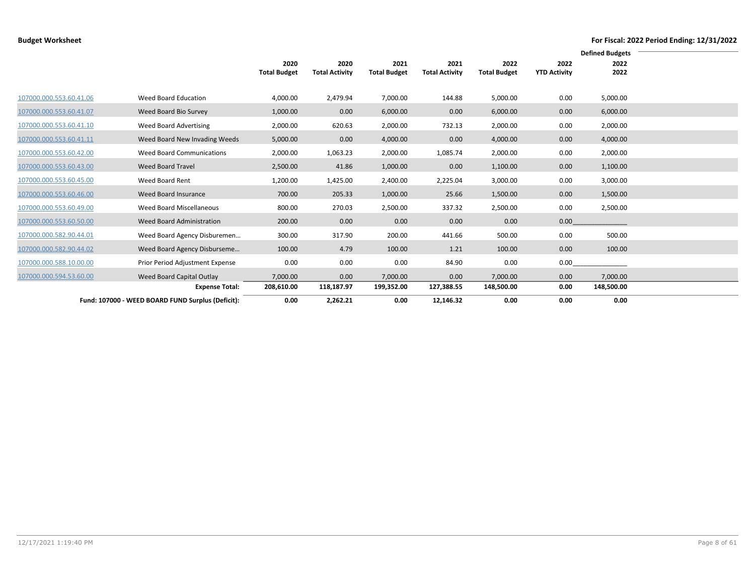|                         |                                                   |                     |                       |                     |                       |                     |                     | <b>Defined Budgets</b> |  |
|-------------------------|---------------------------------------------------|---------------------|-----------------------|---------------------|-----------------------|---------------------|---------------------|------------------------|--|
|                         |                                                   | 2020                | 2020                  | 2021                | 2021                  | 2022                | 2022                | 2022                   |  |
|                         |                                                   | <b>Total Budget</b> | <b>Total Activity</b> | <b>Total Budget</b> | <b>Total Activity</b> | <b>Total Budget</b> | <b>YTD Activity</b> | 2022                   |  |
|                         |                                                   |                     |                       |                     |                       |                     |                     |                        |  |
| 107000.000.553.60.41.06 | Weed Board Education                              | 4,000.00            | 2,479.94              | 7,000.00            | 144.88                | 5,000.00            | 0.00                | 5,000.00               |  |
| 107000.000.553.60.41.07 | Weed Board Bio Survey                             | 1,000.00            | 0.00                  | 6,000.00            | 0.00                  | 6,000.00            | 0.00                | 6,000.00               |  |
| 107000.000.553.60.41.10 | Weed Board Advertising                            | 2,000.00            | 620.63                | 2,000.00            | 732.13                | 2,000.00            | 0.00                | 2,000.00               |  |
| 107000.000.553.60.41.11 | Weed Board New Invading Weeds                     | 5,000.00            | 0.00                  | 4,000.00            | 0.00                  | 4,000.00            | 0.00                | 4,000.00               |  |
| 107000.000.553.60.42.00 | Weed Board Communications                         | 2,000.00            | 1,063.23              | 2,000.00            | 1,085.74              | 2,000.00            | 0.00                | 2,000.00               |  |
| 107000.000.553.60.43.00 | Weed Board Travel                                 | 2,500.00            | 41.86                 | 1,000.00            | 0.00                  | 1,100.00            | 0.00                | 1,100.00               |  |
| 107000.000.553.60.45.00 | Weed Board Rent                                   | 1,200.00            | 1,425.00              | 2,400.00            | 2,225.04              | 3,000.00            | 0.00                | 3,000.00               |  |
| 107000.000.553.60.46.00 | Weed Board Insurance                              | 700.00              | 205.33                | 1,000.00            | 25.66                 | 1,500.00            | 0.00                | 1,500.00               |  |
| 107000.000.553.60.49.00 | Weed Board Miscellaneous                          | 800.00              | 270.03                | 2,500.00            | 337.32                | 2,500.00            | 0.00                | 2,500.00               |  |
| 107000.000.553.60.50.00 | Weed Board Administration                         | 200.00              | 0.00                  | 0.00                | 0.00                  | 0.00                | 0.00                |                        |  |
| 107000.000.582.90.44.01 | Weed Board Agency Disburemen                      | 300.00              | 317.90                | 200.00              | 441.66                | 500.00              | 0.00                | 500.00                 |  |
| 107000.000.582.90.44.02 | Weed Board Agency Disburseme                      | 100.00              | 4.79                  | 100.00              | 1.21                  | 100.00              | 0.00                | 100.00                 |  |
| 107000.000.588.10.00.00 | Prior Period Adjustment Expense                   | 0.00                | 0.00                  | 0.00                | 84.90                 | 0.00                | 0.00                |                        |  |
| 107000.000.594.53.60.00 | Weed Board Capital Outlay                         | 7,000.00            | 0.00                  | 7,000.00            | 0.00                  | 7,000.00            | 0.00                | 7,000.00               |  |
|                         | <b>Expense Total:</b>                             | 208,610.00          | 118,187.97            | 199,352.00          | 127,388.55            | 148,500.00          | 0.00                | 148,500.00             |  |
|                         | Fund: 107000 - WEED BOARD FUND Surplus (Deficit): | 0.00                | 2,262.21              | 0.00                | 12,146.32             | 0.00                | 0.00                | 0.00                   |  |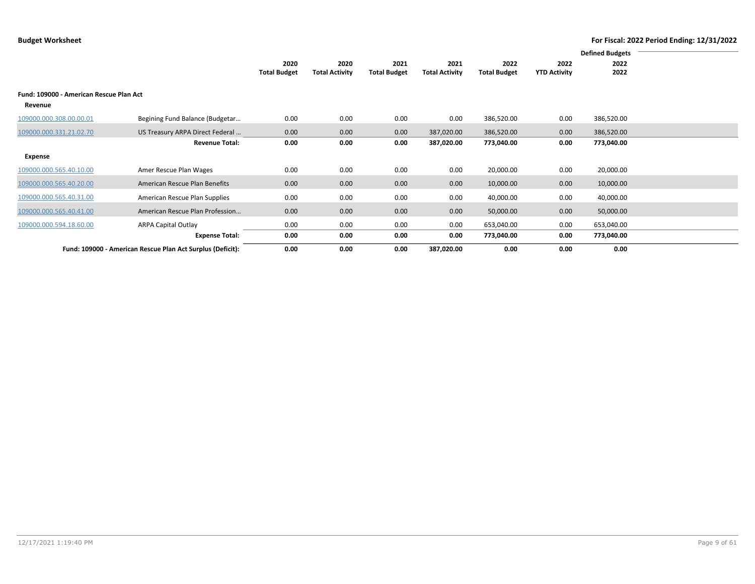|                                         |                                                            |                     |                       |                     |                       |                     |                     | <b>Defined Budgets</b> |  |
|-----------------------------------------|------------------------------------------------------------|---------------------|-----------------------|---------------------|-----------------------|---------------------|---------------------|------------------------|--|
|                                         |                                                            | 2020                | 2020                  | 2021                | 2021                  | 2022                | 2022                | 2022                   |  |
|                                         |                                                            | <b>Total Budget</b> | <b>Total Activity</b> | <b>Total Budget</b> | <b>Total Activity</b> | <b>Total Budget</b> | <b>YTD Activity</b> | 2022                   |  |
| Fund: 109000 - American Rescue Plan Act |                                                            |                     |                       |                     |                       |                     |                     |                        |  |
| Revenue                                 |                                                            |                     |                       |                     |                       |                     |                     |                        |  |
| 109000.000.308.00.00.01                 | Begining Fund Balance (Budgetar                            | 0.00                | 0.00                  | 0.00                | 0.00                  | 386,520.00          | 0.00                | 386,520.00             |  |
| 109000.000.331.21.02.70                 | US Treasury ARPA Direct Federal                            | 0.00                | 0.00                  | 0.00                | 387,020.00            | 386,520.00          | 0.00                | 386,520.00             |  |
|                                         | <b>Revenue Total:</b>                                      | 0.00                | 0.00                  | 0.00                | 387,020.00            | 773,040.00          | 0.00                | 773,040.00             |  |
| Expense                                 |                                                            |                     |                       |                     |                       |                     |                     |                        |  |
| 109000.000.565.40.10.00                 | Amer Rescue Plan Wages                                     | 0.00                | 0.00                  | 0.00                | 0.00                  | 20,000.00           | 0.00                | 20,000.00              |  |
| 109000.000.565.40.20.00                 | American Rescue Plan Benefits                              | 0.00                | 0.00                  | 0.00                | 0.00                  | 10,000.00           | 0.00                | 10,000.00              |  |
| 109000.000.565.40.31.00                 | American Rescue Plan Supplies                              | 0.00                | 0.00                  | 0.00                | 0.00                  | 40,000.00           | 0.00                | 40,000.00              |  |
| 109000.000.565.40.41.00                 | American Rescue Plan Profession                            | 0.00                | 0.00                  | 0.00                | 0.00                  | 50,000.00           | 0.00                | 50,000.00              |  |
| 109000.000.594.18.60.00                 | <b>ARPA Capital Outlay</b>                                 | 0.00                | 0.00                  | 0.00                | 0.00                  | 653,040.00          | 0.00                | 653,040.00             |  |
|                                         | <b>Expense Total:</b>                                      | 0.00                | 0.00                  | 0.00                | 0.00                  | 773,040.00          | 0.00                | 773,040.00             |  |
|                                         | Fund: 109000 - American Rescue Plan Act Surplus (Deficit): | 0.00                | 0.00                  | 0.00                | 387,020.00            | 0.00                | 0.00                | 0.00                   |  |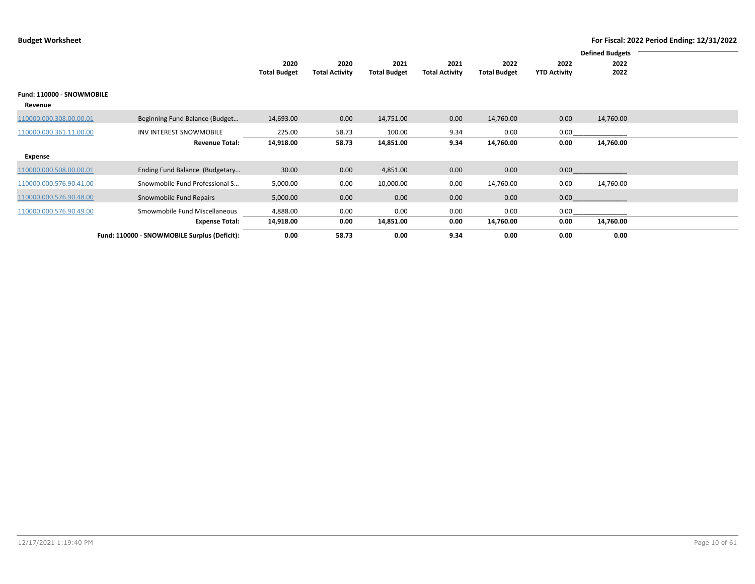|                           |                                              |                             |                               |                             |                               |                             |                             | <b>Defined Budgets</b> |  |
|---------------------------|----------------------------------------------|-----------------------------|-------------------------------|-----------------------------|-------------------------------|-----------------------------|-----------------------------|------------------------|--|
|                           |                                              | 2020<br><b>Total Budget</b> | 2020<br><b>Total Activity</b> | 2021<br><b>Total Budget</b> | 2021<br><b>Total Activity</b> | 2022<br><b>Total Budget</b> | 2022<br><b>YTD Activity</b> | 2022<br>2022           |  |
|                           |                                              |                             |                               |                             |                               |                             |                             |                        |  |
| Fund: 110000 - SNOWMOBILE |                                              |                             |                               |                             |                               |                             |                             |                        |  |
| Revenue                   |                                              |                             |                               |                             |                               |                             |                             |                        |  |
| 110000.000.308.00.00.01   | Beginning Fund Balance (Budget               | 14,693.00                   | 0.00                          | 14,751.00                   | 0.00                          | 14,760.00                   | 0.00                        | 14,760.00              |  |
| 110000.000.361.11.00.00   | <b>INV INTEREST SNOWMOBILE</b>               | 225.00                      | 58.73                         | 100.00                      | 9.34                          | 0.00                        | 0.00                        |                        |  |
|                           | <b>Revenue Total:</b>                        | 14,918.00                   | 58.73                         | 14,851.00                   | 9.34                          | 14,760.00                   | 0.00                        | 14,760.00              |  |
| Expense                   |                                              |                             |                               |                             |                               |                             |                             |                        |  |
| 110000.000.508.00.00.01   | Ending Fund Balance (Budgetary               | 30.00                       | 0.00                          | 4,851.00                    | 0.00                          | 0.00                        | 0.00                        |                        |  |
| 110000.000.576.90.41.00   | Snowmobile Fund Professional S               | 5,000.00                    | 0.00                          | 10,000.00                   | 0.00                          | 14,760.00                   | 0.00                        | 14,760.00              |  |
| 110000.000.576.90.48.00   | Snowmobile Fund Repairs                      | 5,000.00                    | 0.00                          | 0.00                        | 0.00                          | 0.00                        | 0.00                        |                        |  |
| 110000.000.576.90.49.00   | Smowmobile Fund Miscellaneous                | 4,888.00                    | 0.00                          | 0.00                        | 0.00                          | 0.00                        | 0.00                        |                        |  |
|                           | <b>Expense Total:</b>                        | 14,918.00                   | 0.00                          | 14,851.00                   | 0.00                          | 14,760.00                   | 0.00                        | 14,760.00              |  |
|                           | Fund: 110000 - SNOWMOBILE Surplus (Deficit): | 0.00                        | 58.73                         | 0.00                        | 9.34                          | 0.00                        | 0.00                        | 0.00                   |  |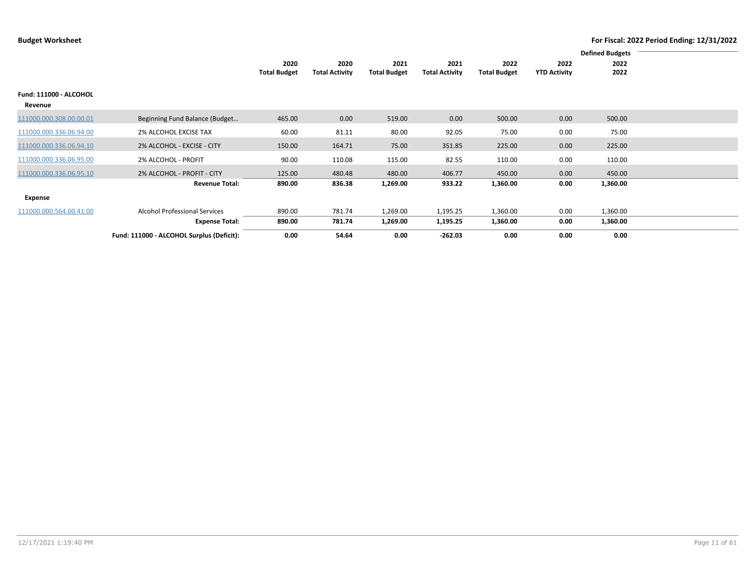|                         | <b>Defined Budgets</b>                    |                     |                       |                     |                       |                     |                     |          |  |
|-------------------------|-------------------------------------------|---------------------|-----------------------|---------------------|-----------------------|---------------------|---------------------|----------|--|
|                         |                                           | 2020                | 2020                  | 2021                | 2021                  | 2022                | 2022                | 2022     |  |
|                         |                                           | <b>Total Budget</b> | <b>Total Activity</b> | <b>Total Budget</b> | <b>Total Activity</b> | <b>Total Budget</b> | <b>YTD Activity</b> | 2022     |  |
| Fund: 111000 - ALCOHOL  |                                           |                     |                       |                     |                       |                     |                     |          |  |
| Revenue                 |                                           |                     |                       |                     |                       |                     |                     |          |  |
| 111000.000.308.00.00.01 | Beginning Fund Balance (Budget            | 465.00              | 0.00                  | 519.00              | 0.00                  | 500.00              | 0.00                | 500.00   |  |
| 111000.000.336.06.94.00 | 2% ALCOHOL EXCISE TAX                     | 60.00               | 81.11                 | 80.00               | 92.05                 | 75.00               | 0.00                | 75.00    |  |
| 111000.000.336.06.94.10 | 2% ALCOHOL - EXCISE - CITY                | 150.00              | 164.71                | 75.00               | 351.85                | 225.00              | 0.00                | 225.00   |  |
| 111000.000.336.06.95.00 | 2% ALCOHOL - PROFIT                       | 90.00               | 110.08                | 115.00              | 82.55                 | 110.00              | 0.00                | 110.00   |  |
| 111000.000.336.06.95.10 | 2% ALCOHOL - PROFIT - CITY                | 125.00              | 480.48                | 480.00              | 406.77                | 450.00              | 0.00                | 450.00   |  |
|                         | <b>Revenue Total:</b>                     | 890.00              | 836.38                | 1,269.00            | 933.22                | 1,360.00            | 0.00                | 1,360.00 |  |
| Expense                 |                                           |                     |                       |                     |                       |                     |                     |          |  |
| 111000.000.564.00.41.00 | <b>Alcohol Professional Services</b>      | 890.00              | 781.74                | 1,269.00            | 1,195.25              | 1,360.00            | 0.00                | 1,360.00 |  |
|                         | <b>Expense Total:</b>                     | 890.00              | 781.74                | 1,269.00            | 1,195.25              | 1,360.00            | 0.00                | 1,360.00 |  |
|                         | Fund: 111000 - ALCOHOL Surplus (Deficit): | 0.00                | 54.64                 | 0.00                | $-262.03$             | 0.00                | 0.00                | 0.00     |  |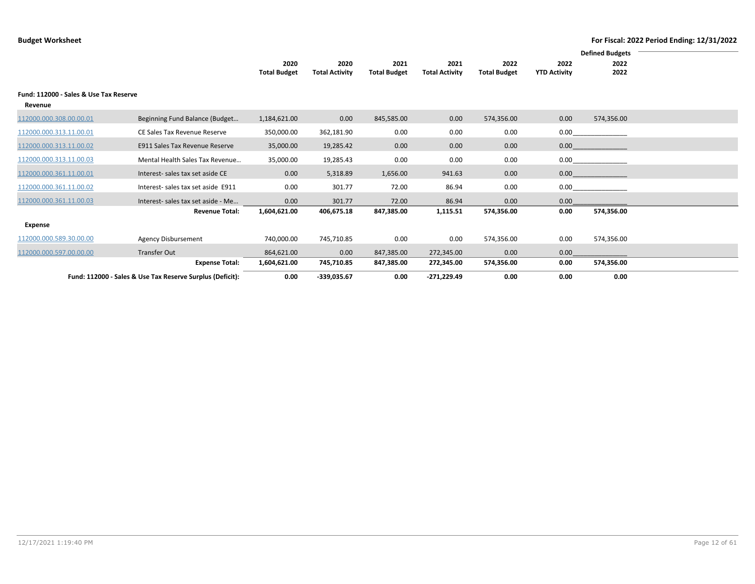|                                                   |                                                           |                     |                       |                     |                       |                     |                     | <b>Defined Budgets</b> |  |
|---------------------------------------------------|-----------------------------------------------------------|---------------------|-----------------------|---------------------|-----------------------|---------------------|---------------------|------------------------|--|
|                                                   |                                                           | 2020                | 2020                  | 2021                | 2021                  | 2022                | 2022                | 2022                   |  |
|                                                   |                                                           | <b>Total Budget</b> | <b>Total Activity</b> | <b>Total Budget</b> | <b>Total Activity</b> | <b>Total Budget</b> | <b>YTD Activity</b> | 2022                   |  |
| Fund: 112000 - Sales & Use Tax Reserve<br>Revenue |                                                           |                     |                       |                     |                       |                     |                     |                        |  |
| 112000.000.308.00.00.01                           | Beginning Fund Balance (Budget                            | 1,184,621.00        | 0.00                  | 845,585.00          | 0.00                  | 574,356.00          | 0.00                | 574,356.00             |  |
| 112000.000.313.11.00.01                           | CE Sales Tax Revenue Reserve                              | 350,000.00          | 362,181.90            | 0.00                | 0.00                  | 0.00                | 0.00                |                        |  |
| 112000.000.313.11.00.02                           | E911 Sales Tax Revenue Reserve                            | 35,000.00           | 19,285.42             | 0.00                | 0.00                  | 0.00                | 0.00                |                        |  |
| 112000.000.313.11.00.03                           | Mental Health Sales Tax Revenue                           | 35,000.00           | 19,285.43             | 0.00                | 0.00                  | 0.00                | 0.00                |                        |  |
| 112000.000.361.11.00.01                           | Interest- sales tax set aside CE                          | 0.00                | 5,318.89              | 1,656.00            | 941.63                | 0.00                | 0.00                |                        |  |
| 112000.000.361.11.00.02                           | Interest-sales tax set aside E911                         | 0.00                | 301.77                | 72.00               | 86.94                 | 0.00                | 0.00                |                        |  |
| 112000.000.361.11.00.03                           | Interest-sales tax set aside - Me                         | 0.00                | 301.77                | 72.00               | 86.94                 | 0.00                | 0.00                |                        |  |
|                                                   | <b>Revenue Total:</b>                                     | 1,604,621.00        | 406,675.18            | 847,385.00          | 1,115.51              | 574,356.00          | 0.00                | 574,356.00             |  |
| Expense                                           |                                                           |                     |                       |                     |                       |                     |                     |                        |  |
| 112000.000.589.30.00.00                           | <b>Agency Disbursement</b>                                | 740,000.00          | 745,710.85            | 0.00                | 0.00                  | 574,356.00          | 0.00                | 574,356.00             |  |
| 112000.000.597.00.00.00                           | <b>Transfer Out</b>                                       | 864,621.00          | 0.00                  | 847,385.00          | 272,345.00            | 0.00                | 0.00                |                        |  |
|                                                   | <b>Expense Total:</b>                                     | 1,604,621.00        | 745,710.85            | 847,385.00          | 272,345.00            | 574,356.00          | 0.00                | 574,356.00             |  |
|                                                   | Fund: 112000 - Sales & Use Tax Reserve Surplus (Deficit): | 0.00                | -339,035.67           | 0.00                | $-271,229.49$         | 0.00                | 0.00                | 0.00                   |  |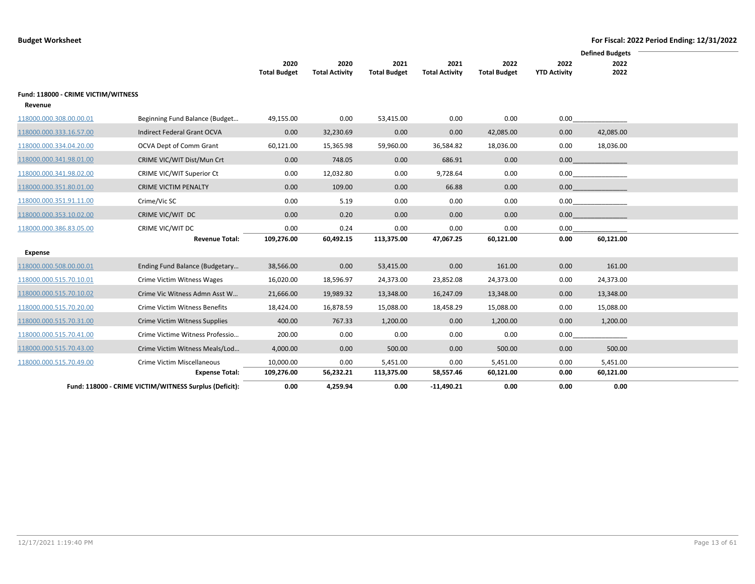|                                                |                                                        |                             |                               |                             |                               |                             |                             | <b>Defined Budgets</b> |  |
|------------------------------------------------|--------------------------------------------------------|-----------------------------|-------------------------------|-----------------------------|-------------------------------|-----------------------------|-----------------------------|------------------------|--|
|                                                |                                                        | 2020<br><b>Total Budget</b> | 2020<br><b>Total Activity</b> | 2021<br><b>Total Budget</b> | 2021<br><b>Total Activity</b> | 2022<br><b>Total Budget</b> | 2022<br><b>YTD Activity</b> | 2022<br>2022           |  |
| Fund: 118000 - CRIME VICTIM/WITNESS<br>Revenue |                                                        |                             |                               |                             |                               |                             |                             |                        |  |
| 118000.000.308.00.00.01                        | Beginning Fund Balance (Budget                         | 49,155.00                   | 0.00                          | 53,415.00                   | 0.00                          | 0.00                        | 0.00                        |                        |  |
| 118000.000.333.16.57.00                        | Indirect Federal Grant OCVA                            | 0.00                        | 32,230.69                     | 0.00                        | 0.00                          | 42,085.00                   | 0.00                        | 42,085.00              |  |
| 118000.000.334.04.20.00                        | OCVA Dept of Comm Grant                                | 60,121.00                   | 15,365.98                     | 59,960.00                   | 36,584.82                     | 18,036.00                   | 0.00                        | 18,036.00              |  |
| 118000.000.341.98.01.00                        | CRIME VIC/WIT Dist/Mun Crt                             | 0.00                        | 748.05                        | 0.00                        | 686.91                        | 0.00                        | 0.00                        |                        |  |
| 118000.000.341.98.02.00                        | CRIME VIC/WIT Superior Ct                              | 0.00                        | 12,032.80                     | 0.00                        | 9,728.64                      | 0.00                        | 0.00                        |                        |  |
| 118000.000.351.80.01.00                        | <b>CRIME VICTIM PENALTY</b>                            | 0.00                        | 109.00                        | 0.00                        | 66.88                         | 0.00                        | 0.00                        |                        |  |
| 118000.000.351.91.11.00                        | Crime/Vic SC                                           | 0.00                        | 5.19                          | 0.00                        | 0.00                          | 0.00                        | 0.00                        |                        |  |
| 118000.000.353.10.02.00                        | CRIME VIC/WIT DC                                       | 0.00                        | 0.20                          | 0.00                        | 0.00                          | 0.00                        | 0.00                        |                        |  |
| 118000.000.386.83.05.00                        | CRIME VIC/WIT DC                                       | 0.00                        | 0.24                          | 0.00                        | 0.00                          | 0.00                        | 0.00                        |                        |  |
|                                                | <b>Revenue Total:</b>                                  | 109,276.00                  | 60,492.15                     | 113,375.00                  | 47,067.25                     | 60,121.00                   | 0.00                        | 60,121.00              |  |
| <b>Expense</b>                                 |                                                        |                             |                               |                             |                               |                             |                             |                        |  |
| 118000.000.508.00.00.01                        | Ending Fund Balance (Budgetary                         | 38,566.00                   | 0.00                          | 53,415.00                   | 0.00                          | 161.00                      | 0.00                        | 161.00                 |  |
| 118000.000.515.70.10.01                        | Crime Victim Witness Wages                             | 16,020.00                   | 18,596.97                     | 24,373.00                   | 23,852.08                     | 24,373.00                   | 0.00                        | 24,373.00              |  |
| 118000.000.515.70.10.02                        | Crime Vic Witness Admn Asst W                          | 21,666.00                   | 19,989.32                     | 13,348.00                   | 16,247.09                     | 13,348.00                   | 0.00                        | 13,348.00              |  |
| 118000.000.515.70.20.00                        | Crime Victim Witness Benefits                          | 18,424.00                   | 16,878.59                     | 15,088.00                   | 18,458.29                     | 15,088.00                   | 0.00                        | 15,088.00              |  |
| 118000.000.515.70.31.00                        | Crime Victim Witness Supplies                          | 400.00                      | 767.33                        | 1,200.00                    | 0.00                          | 1,200.00                    | 0.00                        | 1,200.00               |  |
| 118000.000.515.70.41.00                        | Crime Victime Witness Professio                        | 200.00                      | 0.00                          | 0.00                        | 0.00                          | 0.00                        | 0.00                        |                        |  |
| 118000.000.515.70.43.00                        | Crime Victim Witness Meals/Lod                         | 4,000.00                    | 0.00                          | 500.00                      | 0.00                          | 500.00                      | 0.00                        | 500.00                 |  |
| 118000.000.515.70.49.00                        | Crime Victim Miscellaneous                             | 10,000.00                   | 0.00                          | 5,451.00                    | 0.00                          | 5,451.00                    | 0.00                        | 5,451.00               |  |
|                                                | <b>Expense Total:</b>                                  | 109,276.00                  | 56,232.21                     | 113,375.00                  | 58,557.46                     | 60,121.00                   | 0.00                        | 60,121.00              |  |
|                                                | Fund: 118000 - CRIME VICTIM/WITNESS Surplus (Deficit): | 0.00                        | 4,259.94                      | 0.00                        | $-11,490.21$                  | 0.00                        | 0.00                        | 0.00                   |  |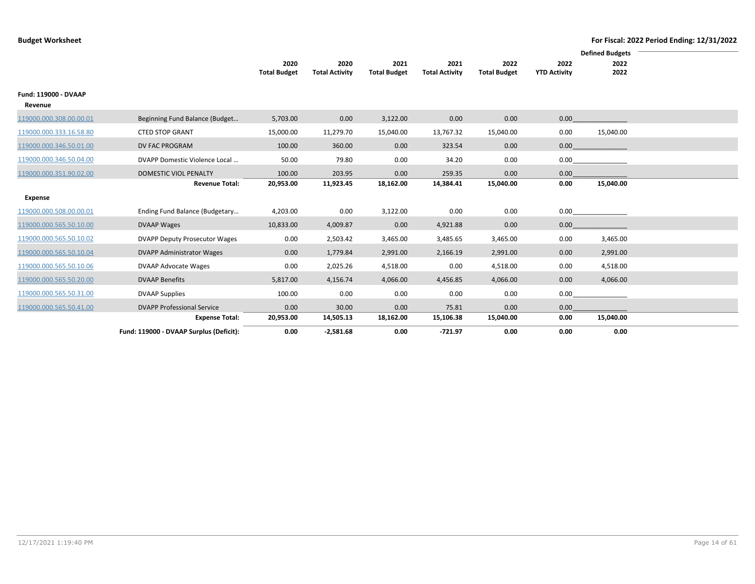|                                 |                                         |                             |                               |                             |                               |                             | <b>Defined Budgets</b>      |              |  |  |
|---------------------------------|-----------------------------------------|-----------------------------|-------------------------------|-----------------------------|-------------------------------|-----------------------------|-----------------------------|--------------|--|--|
|                                 |                                         | 2020<br><b>Total Budget</b> | 2020<br><b>Total Activity</b> | 2021<br><b>Total Budget</b> | 2021<br><b>Total Activity</b> | 2022<br><b>Total Budget</b> | 2022<br><b>YTD Activity</b> | 2022<br>2022 |  |  |
|                                 |                                         |                             |                               |                             |                               |                             |                             |              |  |  |
| Fund: 119000 - DVAAP<br>Revenue |                                         |                             |                               |                             |                               |                             |                             |              |  |  |
| 119000.000.308.00.00.01         | Beginning Fund Balance (Budget          | 5,703.00                    | 0.00                          | 3,122.00                    | 0.00                          | 0.00                        | 0.00                        |              |  |  |
| 119000.000.333.16.58.80         | <b>CTED STOP GRANT</b>                  | 15,000.00                   | 11,279.70                     | 15,040.00                   | 13,767.32                     | 15,040.00                   | 0.00                        | 15,040.00    |  |  |
| 119000.000.346.50.01.00         | DV FAC PROGRAM                          | 100.00                      | 360.00                        | 0.00                        | 323.54                        | 0.00                        | 0.00                        |              |  |  |
| 119000.000.346.50.04.00         | DVAPP Domestic Violence Local           | 50.00                       | 79.80                         | 0.00                        | 34.20                         | 0.00                        | 0.00                        |              |  |  |
| 119000.000.351.90.02.00         | DOMESTIC VIOL PENALTY                   | 100.00                      | 203.95                        | 0.00                        | 259.35                        | 0.00                        | 0.00                        |              |  |  |
|                                 | <b>Revenue Total:</b>                   | 20,953.00                   | 11,923.45                     | 18,162.00                   | 14,384.41                     | 15,040.00                   | 0.00                        | 15,040.00    |  |  |
| Expense                         |                                         |                             |                               |                             |                               |                             |                             |              |  |  |
| 119000.000.508.00.00.01         | Ending Fund Balance (Budgetary          | 4,203.00                    | 0.00                          | 3,122.00                    | 0.00                          | 0.00                        | 0.00                        |              |  |  |
| 119000.000.565.50.10.00         | <b>DVAAP Wages</b>                      | 10,833.00                   | 4,009.87                      | 0.00                        | 4,921.88                      | 0.00                        | 0.00                        |              |  |  |
| 119000.000.565.50.10.02         | <b>DVAPP Deputy Prosecutor Wages</b>    | 0.00                        | 2,503.42                      | 3,465.00                    | 3,485.65                      | 3,465.00                    | 0.00                        | 3,465.00     |  |  |
| 119000.000.565.50.10.04         | <b>DVAPP Administrator Wages</b>        | 0.00                        | 1,779.84                      | 2,991.00                    | 2,166.19                      | 2,991.00                    | 0.00                        | 2,991.00     |  |  |
| 119000.000.565.50.10.06         | DVAAP Advocate Wages                    | 0.00                        | 2,025.26                      | 4,518.00                    | 0.00                          | 4,518.00                    | 0.00                        | 4,518.00     |  |  |
| 119000.000.565.50.20.00         | <b>DVAAP Benefits</b>                   | 5,817.00                    | 4,156.74                      | 4,066.00                    | 4,456.85                      | 4,066.00                    | 0.00                        | 4,066.00     |  |  |
| 119000.000.565.50.31.00         | <b>DVAAP Supplies</b>                   | 100.00                      | 0.00                          | 0.00                        | 0.00                          | 0.00                        | 0.00                        |              |  |  |
| 119000.000.565.50.41.00         | <b>DVAPP Professional Service</b>       | 0.00                        | 30.00                         | 0.00                        | 75.81                         | 0.00                        | 0.00                        |              |  |  |
|                                 | <b>Expense Total:</b>                   | 20,953.00                   | 14,505.13                     | 18,162.00                   | 15,106.38                     | 15,040.00                   | 0.00                        | 15,040.00    |  |  |
|                                 | Fund: 119000 - DVAAP Surplus (Deficit): | 0.00                        | $-2,581.68$                   | 0.00                        | $-721.97$                     | 0.00                        | 0.00                        | 0.00         |  |  |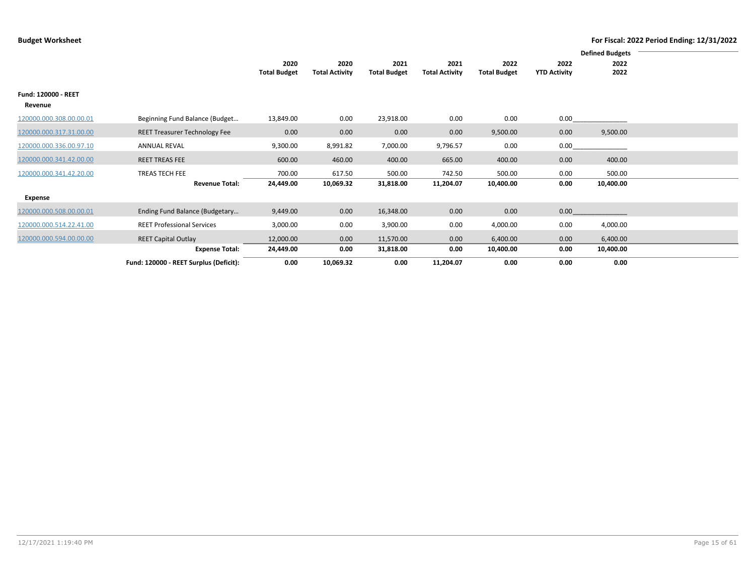|                                       |                                         |                             |                               |                             |                               |                             | <b>Defined Budgets</b>      |                     |  |
|---------------------------------------|-----------------------------------------|-----------------------------|-------------------------------|-----------------------------|-------------------------------|-----------------------------|-----------------------------|---------------------|--|
|                                       |                                         | 2020<br><b>Total Budget</b> | 2020<br><b>Total Activity</b> | 2021<br><b>Total Budget</b> | 2021<br><b>Total Activity</b> | 2022<br><b>Total Budget</b> | 2022<br><b>YTD Activity</b> | 2022<br>2022        |  |
| <b>Fund: 120000 - REET</b><br>Revenue |                                         |                             |                               |                             |                               |                             |                             |                     |  |
| 120000.000.308.00.00.01               | Beginning Fund Balance (Budget          | 13,849.00                   | 0.00                          | 23,918.00                   | 0.00                          | 0.00                        | 0.00                        |                     |  |
| 120000.000.317.31.00.00               | <b>REET Treasurer Technology Fee</b>    | 0.00                        | 0.00                          | 0.00                        | 0.00                          | 9,500.00                    | 0.00                        | 9,500.00            |  |
| 120000.000.336.00.97.10               | <b>ANNUAL REVAL</b>                     | 9,300.00                    | 8,991.82                      | 7,000.00                    | 9,796.57                      | 0.00                        | 0.00                        |                     |  |
| 120000.000.341.42.00.00               | <b>REET TREAS FEE</b>                   | 600.00                      | 460.00                        | 400.00                      | 665.00                        | 400.00                      | 0.00                        | 400.00              |  |
| 120000.000.341.42.20.00               | TREAS TECH FEE<br><b>Revenue Total:</b> | 700.00<br>24,449.00         | 617.50<br>10,069.32           | 500.00<br>31,818.00         | 742.50<br>11,204.07           | 500.00<br>10,400.00         | 0.00<br>0.00                | 500.00<br>10,400.00 |  |
| Expense                               |                                         |                             |                               |                             |                               |                             |                             |                     |  |
| 120000.000.508.00.00.01               | Ending Fund Balance (Budgetary          | 9,449.00                    | 0.00                          | 16,348.00                   | 0.00                          | 0.00                        | 0.00                        |                     |  |
| 120000.000.514.22.41.00               | <b>REET Professional Services</b>       | 3,000.00                    | 0.00                          | 3,900.00                    | 0.00                          | 4,000.00                    | 0.00                        | 4,000.00            |  |
| 120000.000.594.00.00.00               | <b>REET Capital Outlay</b>              | 12,000.00                   | 0.00                          | 11,570.00                   | 0.00                          | 6,400.00                    | 0.00                        | 6,400.00            |  |
|                                       | <b>Expense Total:</b>                   | 24,449.00                   | 0.00                          | 31,818.00                   | 0.00                          | 10,400.00                   | 0.00                        | 10,400.00           |  |
|                                       | Fund: 120000 - REET Surplus (Deficit):  | 0.00                        | 10,069.32                     | 0.00                        | 11,204.07                     | 0.00                        | 0.00                        | 0.00                |  |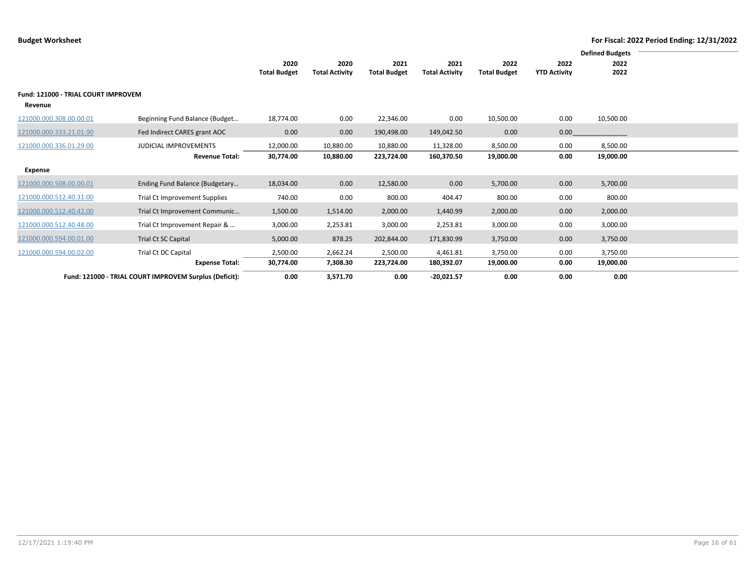|                                                |                                                        |                             |                               |                             |                               |                             |                             | <b>Defined Budgets</b> |  |
|------------------------------------------------|--------------------------------------------------------|-----------------------------|-------------------------------|-----------------------------|-------------------------------|-----------------------------|-----------------------------|------------------------|--|
|                                                |                                                        | 2020<br><b>Total Budget</b> | 2020<br><b>Total Activity</b> | 2021<br><b>Total Budget</b> | 2021<br><b>Total Activity</b> | 2022<br><b>Total Budget</b> | 2022<br><b>YTD Activity</b> | 2022<br>2022           |  |
|                                                |                                                        |                             |                               |                             |                               |                             |                             |                        |  |
| Fund: 121000 - TRIAL COURT IMPROVEM<br>Revenue |                                                        |                             |                               |                             |                               |                             |                             |                        |  |
| 121000.000.308.00.00.01                        | Beginning Fund Balance (Budget                         | 18,774.00                   | 0.00                          | 22,346.00                   | 0.00                          | 10,500.00                   | 0.00                        | 10,500.00              |  |
| 121000.000.333.21.01.90                        | Fed Indirect CARES grant AOC                           | 0.00                        | 0.00                          | 190,498.00                  | 149,042.50                    | 0.00                        | 0.00                        |                        |  |
| 121000.000.336.01.29.00                        | <b>JUDICIAL IMPROVEMENTS</b>                           | 12,000.00                   | 10,880.00                     | 10,880.00                   | 11,328.00                     | 8,500.00                    | 0.00                        | 8,500.00               |  |
|                                                | <b>Revenue Total:</b>                                  | 30,774.00                   | 10,880.00                     | 223,724.00                  | 160,370.50                    | 19,000.00                   | 0.00                        | 19,000.00              |  |
| Expense                                        |                                                        |                             |                               |                             |                               |                             |                             |                        |  |
| 121000.000.508.00.00.01                        | Ending Fund Balance (Budgetary                         | 18,034.00                   | 0.00                          | 12,580.00                   | 0.00                          | 5,700.00                    | 0.00                        | 5,700.00               |  |
| 121000.000.512.40.31.00                        | <b>Trial Ct Improvement Supplies</b>                   | 740.00                      | 0.00                          | 800.00                      | 404.47                        | 800.00                      | 0.00                        | 800.00                 |  |
| 121000.000.512.40.42.00                        | Trial Ct Improvement Communic                          | 1,500.00                    | 1,514.00                      | 2,000.00                    | 1,440.99                      | 2,000.00                    | 0.00                        | 2,000.00               |  |
| 121000.000.512.40.48.00                        | Trial Ct Improvement Repair &                          | 3,000.00                    | 2,253.81                      | 3,000.00                    | 2,253.81                      | 3,000.00                    | 0.00                        | 3,000.00               |  |
| 121000.000.594.00.01.00                        | Trial Ct SC Capital                                    | 5,000.00                    | 878.25                        | 202,844.00                  | 171,830.99                    | 3,750.00                    | 0.00                        | 3,750.00               |  |
| 121000.000.594.00.02.00                        | Trial Ct DC Capital                                    | 2,500.00                    | 2,662.24                      | 2,500.00                    | 4,461.81                      | 3,750.00                    | 0.00                        | 3,750.00               |  |
|                                                | <b>Expense Total:</b>                                  | 30,774.00                   | 7,308.30                      | 223,724.00                  | 180,392.07                    | 19,000.00                   | 0.00                        | 19,000.00              |  |
|                                                | Fund: 121000 - TRIAL COURT IMPROVEM Surplus (Deficit): | 0.00                        | 3,571.70                      | 0.00                        | $-20,021.57$                  | 0.00                        | 0.00                        | 0.00                   |  |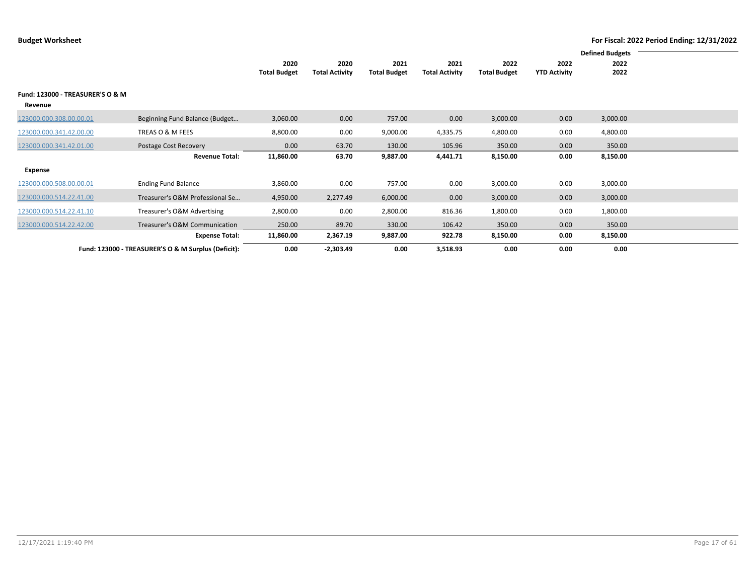|                                             |                                                     | 2020<br><b>Total Budget</b> | 2020<br><b>Total Activity</b> | 2021<br><b>Total Budget</b> | 2021<br><b>Total Activity</b> | 2022<br><b>Total Budget</b> | 2022<br><b>YTD Activity</b> | 2022<br>2022 |  |
|---------------------------------------------|-----------------------------------------------------|-----------------------------|-------------------------------|-----------------------------|-------------------------------|-----------------------------|-----------------------------|--------------|--|
| Fund: 123000 - TREASURER'S O & M<br>Revenue |                                                     |                             |                               |                             |                               |                             |                             |              |  |
| 123000.000.308.00.00.01                     | Beginning Fund Balance (Budget                      | 3,060.00                    | 0.00                          | 757.00                      | 0.00                          | 3,000.00                    | 0.00                        | 3,000.00     |  |
| 123000.000.341.42.00.00                     | TREAS O & M FEES                                    | 8,800.00                    | 0.00                          | 9,000.00                    | 4,335.75                      | 4,800.00                    | 0.00                        | 4,800.00     |  |
| 123000.000.341.42.01.00                     | Postage Cost Recovery                               | 0.00                        | 63.70                         | 130.00                      | 105.96                        | 350.00                      | 0.00                        | 350.00       |  |
|                                             | <b>Revenue Total:</b>                               | 11,860.00                   | 63.70                         | 9,887.00                    | 4,441.71                      | 8,150.00                    | 0.00                        | 8,150.00     |  |
| Expense                                     |                                                     |                             |                               |                             |                               |                             |                             |              |  |
| 123000.000.508.00.00.01                     | <b>Ending Fund Balance</b>                          | 3,860.00                    | 0.00                          | 757.00                      | 0.00                          | 3,000.00                    | 0.00                        | 3,000.00     |  |
| 123000.000.514.22.41.00                     | Treasurer's O&M Professional Se                     | 4,950.00                    | 2,277.49                      | 6,000.00                    | 0.00                          | 3,000.00                    | 0.00                        | 3,000.00     |  |
| 123000.000.514.22.41.10                     | Treasurer's O&M Advertising                         | 2,800.00                    | 0.00                          | 2,800.00                    | 816.36                        | 1,800.00                    | 0.00                        | 1,800.00     |  |
| 123000.000.514.22.42.00                     | Treasurer's O&M Communication                       | 250.00                      | 89.70                         | 330.00                      | 106.42                        | 350.00                      | 0.00                        | 350.00       |  |
|                                             | <b>Expense Total:</b>                               | 11,860.00                   | 2,367.19                      | 9,887.00                    | 922.78                        | 8,150.00                    | 0.00                        | 8,150.00     |  |
|                                             | Fund: 123000 - TREASURER'S O & M Surplus (Deficit): | 0.00                        | $-2,303.49$                   | 0.00                        | 3,518.93                      | 0.00                        | 0.00                        | 0.00         |  |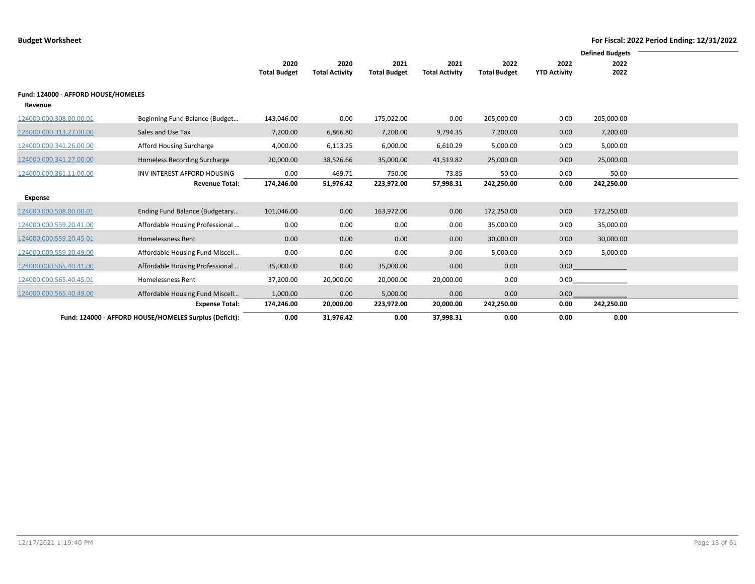|                                     |                                                        | 2020                | 2020                  | 2021                | 2021                  | 2022                | 2022                | <b>Defined Budgets</b><br>2022 |  |
|-------------------------------------|--------------------------------------------------------|---------------------|-----------------------|---------------------|-----------------------|---------------------|---------------------|--------------------------------|--|
|                                     |                                                        | <b>Total Budget</b> | <b>Total Activity</b> | <b>Total Budget</b> | <b>Total Activity</b> | <b>Total Budget</b> | <b>YTD Activity</b> | 2022                           |  |
| Fund: 124000 - AFFORD HOUSE/HOMELES |                                                        |                     |                       |                     |                       |                     |                     |                                |  |
| Revenue                             |                                                        |                     |                       |                     |                       |                     |                     |                                |  |
| 124000.000.308.00.00.01             | Beginning Fund Balance (Budget                         | 143,046.00          | 0.00                  | 175,022.00          | 0.00                  | 205,000.00          | 0.00                | 205,000.00                     |  |
| 124000.000.313.27.00.00             | Sales and Use Tax                                      | 7,200.00            | 6,866.80              | 7,200.00            | 9,794.35              | 7,200.00            | 0.00                | 7,200.00                       |  |
| 124000.000.341.26.00.00             | Afford Housing Surcharge                               | 4,000.00            | 6,113.25              | 6,000.00            | 6,610.29              | 5,000.00            | 0.00                | 5,000.00                       |  |
| 124000.000.341.27.00.00             | Homeless Recording Surcharge                           | 20,000.00           | 38,526.66             | 35,000.00           | 41,519.82             | 25,000.00           | 0.00                | 25,000.00                      |  |
| 124000.000.361.11.00.00             | INV INTEREST AFFORD HOUSING                            | 0.00                | 469.71                | 750.00              | 73.85                 | 50.00               | 0.00                | 50.00                          |  |
|                                     | <b>Revenue Total:</b>                                  | 174,246.00          | 51,976.42             | 223,972.00          | 57,998.31             | 242,250.00          | 0.00                | 242,250.00                     |  |
| Expense                             |                                                        |                     |                       |                     |                       |                     |                     |                                |  |
| 124000.000.508.00.00.01             | Ending Fund Balance (Budgetary                         | 101,046.00          | 0.00                  | 163,972.00          | 0.00                  | 172,250.00          | 0.00                | 172,250.00                     |  |
| 124000.000.559.20.41.00             | Affordable Housing Professional                        | 0.00                | 0.00                  | 0.00                | 0.00                  | 35,000.00           | 0.00                | 35,000.00                      |  |
| 124000.000.559.20.45.01             | <b>Homelessness Rent</b>                               | 0.00                | 0.00                  | 0.00                | 0.00                  | 30,000.00           | 0.00                | 30,000.00                      |  |
| 124000.000.559.20.49.00             | Affordable Housing Fund Miscell                        | 0.00                | 0.00                  | 0.00                | 0.00                  | 5,000.00            | 0.00                | 5,000.00                       |  |
| 124000.000.565.40.41.00             | Affordable Housing Professional                        | 35,000.00           | 0.00                  | 35,000.00           | 0.00                  | 0.00                | 0.00                |                                |  |
| 124000.000.565.40.45.01             | Homelessness Rent                                      | 37,200.00           | 20,000.00             | 20,000.00           | 20,000.00             | 0.00                | 0.00                |                                |  |
| 124000.000.565.40.49.00             | Affordable Housing Fund Miscell                        | 1,000.00            | 0.00                  | 5,000.00            | 0.00                  | 0.00                | 0.00                |                                |  |
|                                     | <b>Expense Total:</b>                                  | 174,246.00          | 20,000.00             | 223,972.00          | 20,000.00             | 242,250.00          | 0.00                | 242,250.00                     |  |
|                                     | Fund: 124000 - AFFORD HOUSE/HOMELES Surplus (Deficit): | 0.00                | 31,976.42             | 0.00                | 37,998.31             | 0.00                | 0.00                | 0.00                           |  |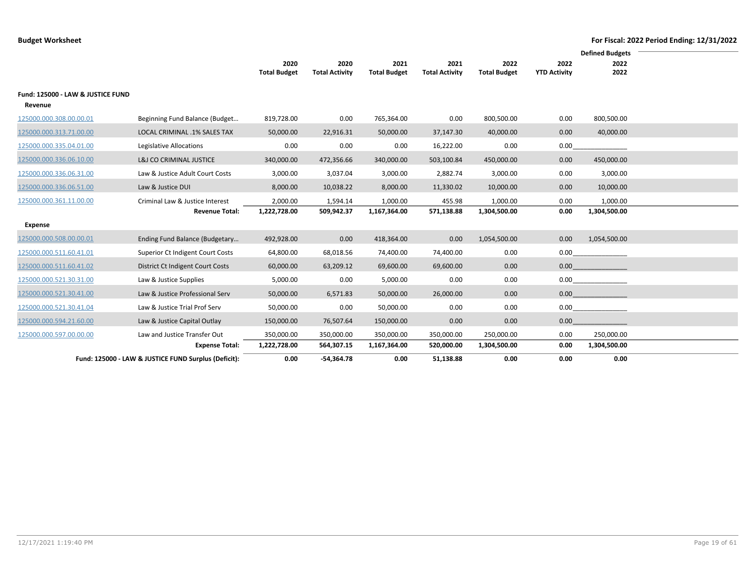|                                   |                                                      |                             |                               |                             |                               |                             |                             | <b>Defined Budgets</b>                  |  |
|-----------------------------------|------------------------------------------------------|-----------------------------|-------------------------------|-----------------------------|-------------------------------|-----------------------------|-----------------------------|-----------------------------------------|--|
|                                   |                                                      | 2020<br><b>Total Budget</b> | 2020<br><b>Total Activity</b> | 2021<br><b>Total Budget</b> | 2021<br><b>Total Activity</b> | 2022<br><b>Total Budget</b> | 2022<br><b>YTD Activity</b> | 2022<br>2022                            |  |
|                                   |                                                      |                             |                               |                             |                               |                             |                             |                                         |  |
| Fund: 125000 - LAW & JUSTICE FUND |                                                      |                             |                               |                             |                               |                             |                             |                                         |  |
| Revenue                           |                                                      |                             |                               |                             |                               |                             |                             |                                         |  |
| 125000.000.308.00.00.01           | Beginning Fund Balance (Budget                       | 819,728.00                  | 0.00                          | 765,364.00                  | 0.00                          | 800,500.00                  | 0.00                        | 800,500.00                              |  |
| 125000.000.313.71.00.00           | LOCAL CRIMINAL .1% SALES TAX                         | 50,000.00                   | 22,916.31                     | 50,000.00                   | 37,147.30                     | 40,000.00                   | 0.00                        | 40,000.00                               |  |
| 125000.000.335.04.01.00           | Legislative Allocations                              | 0.00                        | 0.00                          | 0.00                        | 16,222.00                     | 0.00                        | 0.00                        |                                         |  |
| 125000.000.336.06.10.00           | L&J CO CRIMINAL JUSTICE                              | 340,000.00                  | 472,356.66                    | 340,000.00                  | 503,100.84                    | 450,000.00                  | 0.00                        | 450,000.00                              |  |
| 125000.000.336.06.31.00           | Law & Justice Adult Court Costs                      | 3,000.00                    | 3,037.04                      | 3,000.00                    | 2,882.74                      | 3,000.00                    | 0.00                        | 3,000.00                                |  |
| 125000.000.336.06.51.00           | Law & Justice DUI                                    | 8,000.00                    | 10,038.22                     | 8,000.00                    | 11,330.02                     | 10,000.00                   | 0.00                        | 10,000.00                               |  |
| 125000.000.361.11.00.00           | Criminal Law & Justice Interest                      | 2,000.00                    | 1,594.14                      | 1,000.00                    | 455.98                        | 1,000.00                    | 0.00                        | 1,000.00                                |  |
|                                   | <b>Revenue Total:</b>                                | 1,222,728.00                | 509,942.37                    | 1,167,364.00                | 571,138.88                    | 1,304,500.00                | 0.00                        | 1,304,500.00                            |  |
| <b>Expense</b>                    |                                                      |                             |                               |                             |                               |                             |                             |                                         |  |
| 125000.000.508.00.00.01           | Ending Fund Balance (Budgetary                       | 492,928.00                  | 0.00                          | 418,364.00                  | 0.00                          | 1,054,500.00                | 0.00                        | 1,054,500.00                            |  |
| 125000.000.511.60.41.01           | Superior Ct Indigent Court Costs                     | 64,800.00                   | 68,018.56                     | 74,400.00                   | 74,400.00                     | 0.00                        |                             | 0.00                                    |  |
| 125000.000.511.60.41.02           | District Ct Indigent Court Costs                     | 60,000.00                   | 63,209.12                     | 69,600.00                   | 69,600.00                     | 0.00                        |                             | $0.00$ and $0.00$ and $0.00$ and $0.00$ |  |
| 125000.000.521.30.31.00           | Law & Justice Supplies                               | 5,000.00                    | 0.00                          | 5,000.00                    | 0.00                          | 0.00                        |                             | 0.00                                    |  |
| 125000.000.521.30.41.00           | Law & Justice Professional Serv                      | 50,000.00                   | 6,571.83                      | 50,000.00                   | 26,000.00                     | 0.00                        |                             | $0.00$ and $0.00$ and $0.00$ and $0.00$ |  |
| 125000.000.521.30.41.04           | Law & Justice Trial Prof Serv                        | 50,000.00                   | 0.00                          | 50,000.00                   | 0.00                          | 0.00                        |                             | 0.00                                    |  |
| 125000.000.594.21.60.00           | Law & Justice Capital Outlay                         | 150,000.00                  | 76,507.64                     | 150,000.00                  | 0.00                          | 0.00                        | 0.00                        |                                         |  |
| 125000.000.597.00.00.00           | Law and Justice Transfer Out                         | 350,000.00                  | 350,000.00                    | 350,000.00                  | 350,000.00                    | 250,000.00                  | 0.00                        | 250,000.00                              |  |
|                                   | <b>Expense Total:</b>                                | 1,222,728.00                | 564,307.15                    | 1,167,364.00                | 520,000.00                    | 1,304,500.00                | 0.00                        | 1,304,500.00                            |  |
|                                   | Fund: 125000 - LAW & JUSTICE FUND Surplus (Deficit): | 0.00                        | $-54,364.78$                  | 0.00                        | 51,138.88                     | 0.00                        | 0.00                        | 0.00                                    |  |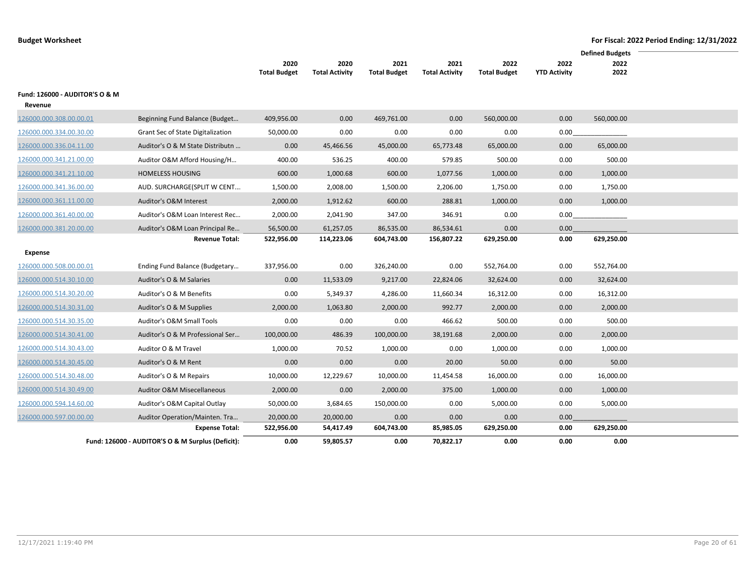|                                |                                                   |                     |                       |                     |                       |                     |                     | <b>Defined Budgets</b> |  |
|--------------------------------|---------------------------------------------------|---------------------|-----------------------|---------------------|-----------------------|---------------------|---------------------|------------------------|--|
|                                |                                                   | 2020                | 2020                  | 2021                | 2021                  | 2022                | 2022                | 2022                   |  |
|                                |                                                   | <b>Total Budget</b> | <b>Total Activity</b> | <b>Total Budget</b> | <b>Total Activity</b> | <b>Total Budget</b> | <b>YTD Activity</b> | 2022                   |  |
| Fund: 126000 - AUDITOR'S O & M |                                                   |                     |                       |                     |                       |                     |                     |                        |  |
| Revenue                        |                                                   |                     |                       |                     |                       |                     |                     |                        |  |
| 126000.000.308.00.00.01        | Beginning Fund Balance (Budget                    | 409,956.00          | 0.00                  | 469,761.00          | 0.00                  | 560,000.00          | 0.00                | 560,000.00             |  |
| 126000.000.334.00.30.00        | Grant Sec of State Digitalization                 | 50,000.00           | 0.00                  | 0.00                | 0.00                  | 0.00                | 0.00                |                        |  |
| 126000.000.336.04.11.00        | Auditor's O & M State Distributn                  | 0.00                | 45,466.56             | 45,000.00           | 65,773.48             | 65,000.00           | 0.00                | 65,000.00              |  |
| 126000.000.341.21.00.00        | Auditor O&M Afford Housing/H                      | 400.00              | 536.25                | 400.00              | 579.85                | 500.00              | 0.00                | 500.00                 |  |
| 126000.000.341.21.10.00        | <b>HOMELESS HOUSING</b>                           | 600.00              | 1,000.68              | 600.00              | 1,077.56              | 1,000.00            | 0.00                | 1,000.00               |  |
| 126000.000.341.36.00.00        | AUD. SURCHARGE(SPLIT W CENT                       | 1,500.00            | 2,008.00              | 1,500.00            | 2,206.00              | 1,750.00            | 0.00                | 1,750.00               |  |
| 126000.000.361.11.00.00        | Auditor's O&M Interest                            | 2,000.00            | 1,912.62              | 600.00              | 288.81                | 1,000.00            | 0.00                | 1,000.00               |  |
| 126000.000.361.40.00.00        | Auditor's O&M Loan Interest Rec                   | 2,000.00            | 2,041.90              | 347.00              | 346.91                | 0.00                | 0.00                |                        |  |
| 126000.000.381.20.00.00        | Auditor's O&M Loan Principal Re                   | 56,500.00           | 61,257.05             | 86,535.00           | 86,534.61             | 0.00                | 0.00                |                        |  |
|                                | <b>Revenue Total:</b>                             | 522,956.00          | 114,223.06            | 604,743.00          | 156,807.22            | 629,250.00          | 0.00                | 629,250.00             |  |
| Expense                        |                                                   |                     |                       |                     |                       |                     |                     |                        |  |
| 126000.000.508.00.00.01        | Ending Fund Balance (Budgetary                    | 337,956.00          | 0.00                  | 326,240.00          | 0.00                  | 552,764.00          | 0.00                | 552,764.00             |  |
| 126000.000.514.30.10.00        | Auditor's O & M Salaries                          | 0.00                | 11,533.09             | 9,217.00            | 22,824.06             | 32,624.00           | 0.00                | 32,624.00              |  |
| 126000.000.514.30.20.00        | Auditor's O & M Benefits                          | 0.00                | 5,349.37              | 4,286.00            | 11,660.34             | 16,312.00           | 0.00                | 16,312.00              |  |
| 126000.000.514.30.31.00        | Auditor's O & M Supplies                          | 2,000.00            | 1,063.80              | 2,000.00            | 992.77                | 2,000.00            | 0.00                | 2,000.00               |  |
| 126000.000.514.30.35.00        | Auditor's O&M Small Tools                         | 0.00                | 0.00                  | 0.00                | 466.62                | 500.00              | 0.00                | 500.00                 |  |
| 126000.000.514.30.41.00        | Auditor's O & M Professional Ser                  | 100,000.00          | 486.39                | 100,000.00          | 38,191.68             | 2,000.00            | 0.00                | 2,000.00               |  |
| 126000.000.514.30.43.00        | Auditor O & M Travel                              | 1,000.00            | 70.52                 | 1,000.00            | 0.00                  | 1,000.00            | 0.00                | 1,000.00               |  |
| 126000.000.514.30.45.00        | Auditor's O & M Rent                              | 0.00                | 0.00                  | 0.00                | 20.00                 | 50.00               | 0.00                | 50.00                  |  |
| 126000.000.514.30.48.00        | Auditor's O & M Repairs                           | 10,000.00           | 12,229.67             | 10,000.00           | 11,454.58             | 16,000.00           | 0.00                | 16,000.00              |  |
| 126000.000.514.30.49.00        | <b>Auditor O&amp;M Misecellaneous</b>             | 2,000.00            | 0.00                  | 2,000.00            | 375.00                | 1,000.00            | 0.00                | 1,000.00               |  |
| 126000.000.594.14.60.00        | Auditor's O&M Capital Outlay                      | 50,000.00           | 3,684.65              | 150,000.00          | 0.00                  | 5,000.00            | 0.00                | 5,000.00               |  |
| 126000.000.597.00.00.00        | Auditor Operation/Mainten. Tra                    | 20,000.00           | 20,000.00             | 0.00                | 0.00                  | 0.00                | 0.00                |                        |  |
|                                | <b>Expense Total:</b>                             | 522,956.00          | 54,417.49             | 604,743.00          | 85,985.05             | 629,250.00          | 0.00                | 629,250.00             |  |
|                                | Fund: 126000 - AUDITOR'S O & M Surplus (Deficit): | 0.00                | 59,805.57             | 0.00                | 70,822.17             | 0.00                | 0.00                | 0.00                   |  |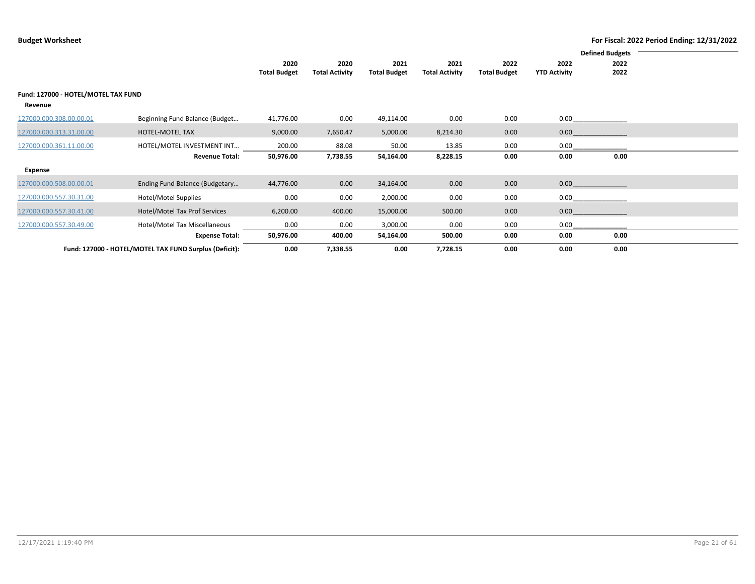|                                     | <b>Defined Budgets</b>                                 |                     |                       |                     |                       |                     |                     |      |  |
|-------------------------------------|--------------------------------------------------------|---------------------|-----------------------|---------------------|-----------------------|---------------------|---------------------|------|--|
|                                     |                                                        | 2020                | 2020                  | 2021                | 2021                  | 2022                | 2022                | 2022 |  |
|                                     |                                                        | <b>Total Budget</b> | <b>Total Activity</b> | <b>Total Budget</b> | <b>Total Activity</b> | <b>Total Budget</b> | <b>YTD Activity</b> | 2022 |  |
| Fund: 127000 - HOTEL/MOTEL TAX FUND |                                                        |                     |                       |                     |                       |                     |                     |      |  |
| Revenue                             |                                                        |                     |                       |                     |                       |                     |                     |      |  |
| 127000.000.308.00.00.01             | Beginning Fund Balance (Budget                         | 41,776.00           | 0.00                  | 49,114.00           | 0.00                  | 0.00                | 0.00                |      |  |
| 127000.000.313.31.00.00             | HOTEL-MOTEL TAX                                        | 9,000.00            | 7,650.47              | 5,000.00            | 8,214.30              | 0.00                | 0.00                |      |  |
| 127000.000.361.11.00.00             | HOTEL/MOTEL INVESTMENT INT                             | 200.00              | 88.08                 | 50.00               | 13.85                 | 0.00                | 0.00                |      |  |
|                                     | <b>Revenue Total:</b>                                  | 50,976.00           | 7,738.55              | 54,164.00           | 8,228.15              | 0.00                | 0.00                | 0.00 |  |
| Expense                             |                                                        |                     |                       |                     |                       |                     |                     |      |  |
| 127000.000.508.00.00.01             | Ending Fund Balance (Budgetary                         | 44,776.00           | 0.00                  | 34,164.00           | 0.00                  | 0.00                | 0.00                |      |  |
| 127000.000.557.30.31.00             | Hotel/Motel Supplies                                   | 0.00                | 0.00                  | 2,000.00            | 0.00                  | 0.00                | 0.00                |      |  |
| 127000.000.557.30.41.00             | Hotel/Motel Tax Prof Services                          | 6,200.00            | 400.00                | 15,000.00           | 500.00                | 0.00                | 0.00                |      |  |
| 127000.000.557.30.49.00             | Hotel/Motel Tax Miscellaneous                          | 0.00                | 0.00                  | 3,000.00            | 0.00                  | 0.00                | 0.00                |      |  |
|                                     | <b>Expense Total:</b>                                  | 50,976.00           | 400.00                | 54,164.00           | 500.00                | 0.00                | 0.00                | 0.00 |  |
|                                     | Fund: 127000 - HOTEL/MOTEL TAX FUND Surplus (Deficit): | 0.00                | 7,338.55              | 0.00                | 7,728.15              | 0.00                | 0.00                | 0.00 |  |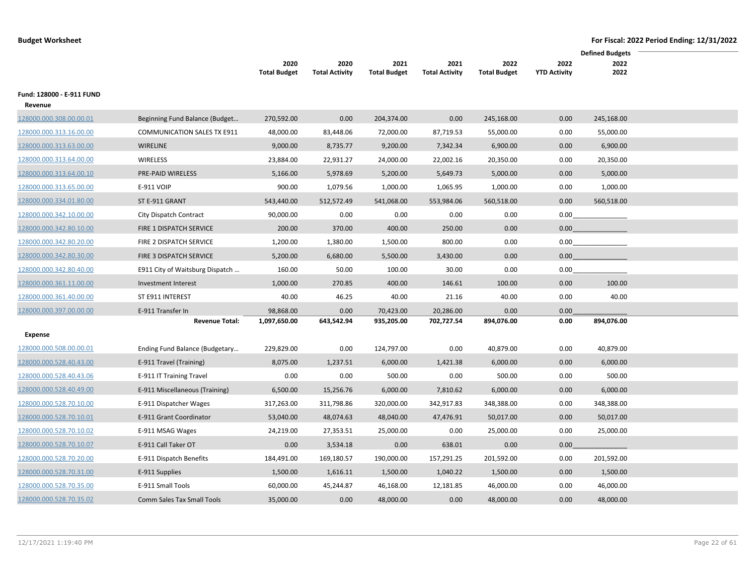|                           |                                    |                     |                       |                     |                       |                     |                     | <b>Defined Budgets</b> |  |
|---------------------------|------------------------------------|---------------------|-----------------------|---------------------|-----------------------|---------------------|---------------------|------------------------|--|
|                           |                                    | 2020                | 2020                  | 2021                | 2021                  | 2022                | 2022                | 2022                   |  |
|                           |                                    | <b>Total Budget</b> | <b>Total Activity</b> | <b>Total Budget</b> | <b>Total Activity</b> | <b>Total Budget</b> | <b>YTD Activity</b> | 2022                   |  |
| Fund: 128000 - E-911 FUND |                                    |                     |                       |                     |                       |                     |                     |                        |  |
| Revenue                   |                                    |                     |                       |                     |                       |                     |                     |                        |  |
| 128000.000.308.00.00.01   | Beginning Fund Balance (Budget     | 270,592.00          | 0.00                  | 204,374.00          | 0.00                  | 245,168.00          | 0.00                | 245,168.00             |  |
| 128000.000.313.16.00.00   | <b>COMMUNICATION SALES TX E911</b> | 48,000.00           | 83,448.06             | 72,000.00           | 87,719.53             | 55,000.00           | 0.00                | 55,000.00              |  |
| 128000.000.313.63.00.00   | WIRELINE                           | 9,000.00            | 8,735.77              | 9,200.00            | 7,342.34              | 6,900.00            | 0.00                | 6,900.00               |  |
| 128000.000.313.64.00.00   | WIRELESS                           | 23,884.00           | 22,931.27             | 24,000.00           | 22,002.16             | 20,350.00           | 0.00                | 20,350.00              |  |
| 128000.000.313.64.00.10   | PRE-PAID WIRELESS                  | 5,166.00            | 5,978.69              | 5,200.00            | 5,649.73              | 5,000.00            | 0.00                | 5,000.00               |  |
| 128000.000.313.65.00.00   | E-911 VOIP                         | 900.00              | 1,079.56              | 1,000.00            | 1,065.95              | 1,000.00            | 0.00                | 1,000.00               |  |
| 128000.000.334.01.80.00   | ST E-911 GRANT                     | 543,440.00          | 512,572.49            | 541,068.00          | 553,984.06            | 560,518.00          | 0.00                | 560,518.00             |  |
| 128000.000.342.10.00.00   | City Dispatch Contract             | 90,000.00           | 0.00                  | 0.00                | 0.00                  | 0.00                | 0.00                |                        |  |
| 128000.000.342.80.10.00   | FIRE 1 DISPATCH SERVICE            | 200.00              | 370.00                | 400.00              | 250.00                | 0.00                | 0.00                |                        |  |
| 128000.000.342.80.20.00   | FIRE 2 DISPATCH SERVICE            | 1,200.00            | 1,380.00              | 1,500.00            | 800.00                | 0.00                | 0.00                |                        |  |
| 128000.000.342.80.30.00   | FIRE 3 DISPATCH SERVICE            | 5,200.00            | 6,680.00              | 5,500.00            | 3,430.00              | 0.00                | 0.00 <sub>1</sub>   |                        |  |
| 128000.000.342.80.40.00   | E911 City of Waitsburg Dispatch    | 160.00              | 50.00                 | 100.00              | 30.00                 | 0.00                | 0.00                |                        |  |
| 128000.000.361.11.00.00   | Investment Interest                | 1,000.00            | 270.85                | 400.00              | 146.61                | 100.00              | 0.00                | 100.00                 |  |
| 128000.000.361.40.00.00   | ST E911 INTEREST                   | 40.00               | 46.25                 | 40.00               | 21.16                 | 40.00               | 0.00                | 40.00                  |  |
| 128000.000.397.00.00.00   | E-911 Transfer In                  | 98,868.00           | 0.00                  | 70,423.00           | 20,286.00             | 0.00                | 0.00                |                        |  |
|                           | <b>Revenue Total:</b>              | 1,097,650.00        | 643,542.94            | 935,205.00          | 702,727.54            | 894,076.00          | 0.00                | 894,076.00             |  |
| Expense                   |                                    |                     |                       |                     |                       |                     |                     |                        |  |
| 128000.000.508.00.00.01   | Ending Fund Balance (Budgetary     | 229,829.00          | 0.00                  | 124,797.00          | 0.00                  | 40,879.00           | 0.00                | 40,879.00              |  |
| 128000.000.528.40.43.00   | E-911 Travel (Training)            | 8,075.00            | 1,237.51              | 6,000.00            | 1,421.38              | 6,000.00            | 0.00                | 6,000.00               |  |
| 128000.000.528.40.43.06   | E-911 IT Training Travel           | 0.00                | 0.00                  | 500.00              | 0.00                  | 500.00              | 0.00                | 500.00                 |  |
| 128000.000.528.40.49.00   | E-911 Miscellaneous (Training)     | 6,500.00            | 15,256.76             | 6,000.00            | 7,810.62              | 6,000.00            | 0.00                | 6,000.00               |  |
| 128000.000.528.70.10.00   | E-911 Dispatcher Wages             | 317,263.00          | 311,798.86            | 320,000.00          | 342,917.83            | 348,388.00          | 0.00                | 348,388.00             |  |
| 128000.000.528.70.10.01   | E-911 Grant Coordinator            | 53,040.00           | 48,074.63             | 48,040.00           | 47,476.91             | 50,017.00           | 0.00                | 50,017.00              |  |
| 128000.000.528.70.10.02   | E-911 MSAG Wages                   | 24,219.00           | 27,353.51             | 25,000.00           | 0.00                  | 25,000.00           | 0.00                | 25,000.00              |  |
| 128000.000.528.70.10.07   | E-911 Call Taker OT                | 0.00                | 3,534.18              | 0.00                | 638.01                | 0.00                | 0.00                |                        |  |
| 128000.000.528.70.20.00   | E-911 Dispatch Benefits            | 184,491.00          | 169,180.57            | 190,000.00          | 157,291.25            | 201,592.00          | 0.00                | 201,592.00             |  |
| 128000.000.528.70.31.00   | E-911 Supplies                     | 1,500.00            | 1,616.11              | 1,500.00            | 1,040.22              | 1,500.00            | 0.00                | 1,500.00               |  |
| 128000.000.528.70.35.00   | E-911 Small Tools                  | 60,000.00           | 45,244.87             | 46,168.00           | 12,181.85             | 46,000.00           | 0.00                | 46,000.00              |  |
| 128000.000.528.70.35.02   | <b>Comm Sales Tax Small Tools</b>  | 35,000.00           | 0.00                  | 48,000.00           | 0.00                  | 48,000.00           | 0.00                | 48,000.00              |  |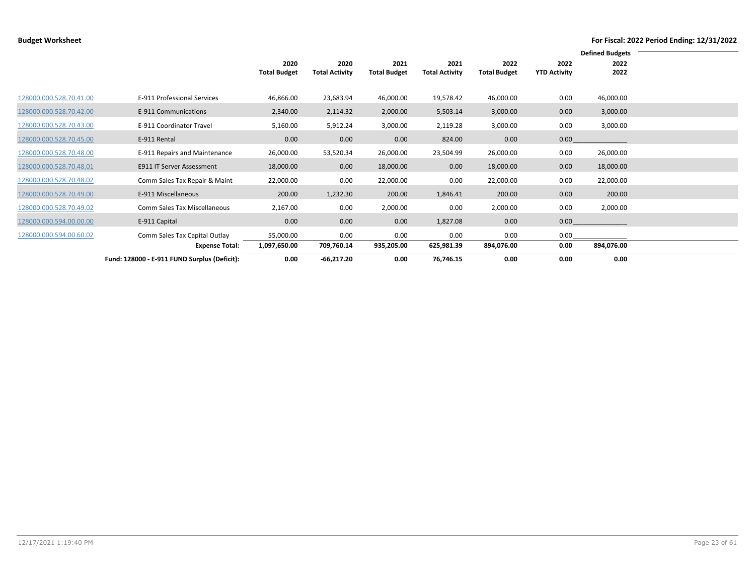|                         |                                              |                     |                       |                     |                       |                     |                     | <b>Defined Budgets</b> |  |
|-------------------------|----------------------------------------------|---------------------|-----------------------|---------------------|-----------------------|---------------------|---------------------|------------------------|--|
|                         |                                              | 2020                | 2020                  | 2021                | 2021                  | 2022                | 2022                | 2022                   |  |
|                         |                                              | <b>Total Budget</b> | <b>Total Activity</b> | <b>Total Budget</b> | <b>Total Activity</b> | <b>Total Budget</b> | <b>YTD Activity</b> | 2022                   |  |
|                         |                                              |                     |                       |                     |                       |                     |                     |                        |  |
| 128000.000.528.70.41.00 | E-911 Professional Services                  | 46,866.00           | 23,683.94             | 46,000.00           | 19,578.42             | 46,000.00           | 0.00                | 46,000.00              |  |
| 128000.000.528.70.42.00 | E-911 Communications                         | 2,340.00            | 2,114.32              | 2,000.00            | 5,503.14              | 3,000.00            | 0.00                | 3,000.00               |  |
| 128000.000.528.70.43.00 | E-911 Coordinator Travel                     | 5,160.00            | 5,912.24              | 3,000.00            | 2,119.28              | 3,000.00            | 0.00                | 3,000.00               |  |
| 128000.000.528.70.45.00 | E-911 Rental                                 | 0.00                | 0.00                  | 0.00                | 824.00                | 0.00                | 0.00                |                        |  |
| 128000.000.528.70.48.00 | E-911 Repairs and Maintenance                | 26,000.00           | 53,520.34             | 26,000.00           | 23,504.99             | 26,000.00           | 0.00                | 26,000.00              |  |
| 128000.000.528.70.48.01 | <b>E911 IT Server Assessment</b>             | 18,000.00           | 0.00                  | 18,000.00           | 0.00                  | 18,000.00           | 0.00                | 18,000.00              |  |
| 128000.000.528.70.48.02 | Comm Sales Tax Repair & Maint                | 22,000.00           | 0.00                  | 22,000.00           | 0.00                  | 22,000.00           | 0.00                | 22,000.00              |  |
| 128000.000.528.70.49.00 | E-911 Miscellaneous                          | 200.00              | 1,232.30              | 200.00              | 1,846.41              | 200.00              | 0.00                | 200.00                 |  |
| 128000.000.528.70.49.02 | Comm Sales Tax Miscellaneous                 | 2,167.00            | 0.00                  | 2,000.00            | 0.00                  | 2,000.00            | 0.00                | 2,000.00               |  |
| 128000.000.594.00.00.00 | E-911 Capital                                | 0.00                | 0.00                  | 0.00                | 1,827.08              | 0.00                | 0.00                |                        |  |
| 128000.000.594.00.60.02 | Comm Sales Tax Capital Outlay                | 55,000.00           | 0.00                  | 0.00                | 0.00                  | 0.00                | 0.00                |                        |  |
|                         | <b>Expense Total:</b>                        | 1,097,650.00        | 709,760.14            | 935,205.00          | 625,981.39            | 894,076.00          | 0.00                | 894,076.00             |  |
|                         | Fund: 128000 - E-911 FUND Surplus (Deficit): | 0.00                | $-66,217.20$          | 0.00                | 76,746.15             | 0.00                | 0.00                | 0.00                   |  |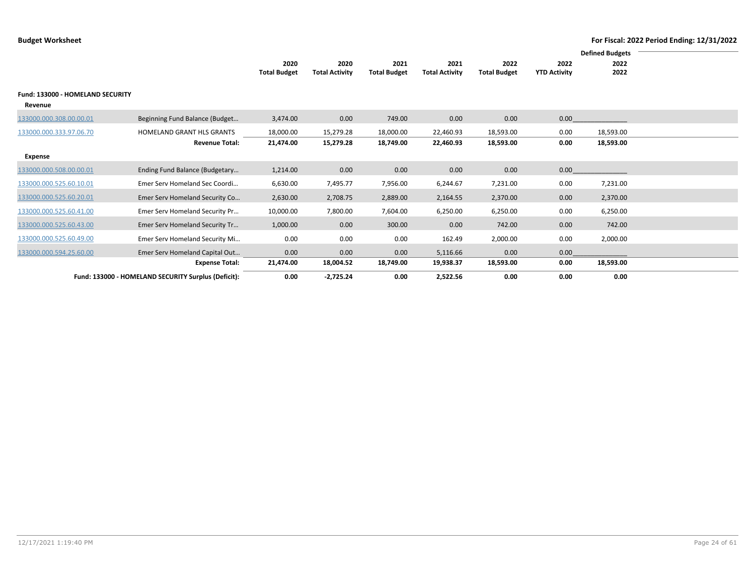|                                             |                                                     |                     |                       |                     |                       |                     |                     | <b>Defined Budgets</b> |  |
|---------------------------------------------|-----------------------------------------------------|---------------------|-----------------------|---------------------|-----------------------|---------------------|---------------------|------------------------|--|
|                                             |                                                     | 2020                | 2020                  | 2021                | 2021                  | 2022                | 2022                | 2022                   |  |
|                                             |                                                     | <b>Total Budget</b> | <b>Total Activity</b> | <b>Total Budget</b> | <b>Total Activity</b> | <b>Total Budget</b> | <b>YTD Activity</b> | 2022                   |  |
| Fund: 133000 - HOMELAND SECURITY<br>Revenue |                                                     |                     |                       |                     |                       |                     |                     |                        |  |
| 133000.000.308.00.00.01                     | Beginning Fund Balance (Budget                      | 3,474.00            | 0.00                  | 749.00              | 0.00                  | 0.00                | 0.00                |                        |  |
| 133000.000.333.97.06.70                     | <b>HOMELAND GRANT HLS GRANTS</b>                    | 18,000.00           | 15,279.28             | 18,000.00           | 22,460.93             | 18,593.00           | 0.00                | 18,593.00              |  |
|                                             | <b>Revenue Total:</b>                               | 21,474.00           | 15,279.28             | 18,749.00           | 22,460.93             | 18,593.00           | 0.00                | 18,593.00              |  |
| Expense                                     |                                                     |                     |                       |                     |                       |                     |                     |                        |  |
| 133000.000.508.00.00.01                     | Ending Fund Balance (Budgetary                      | 1,214.00            | 0.00                  | 0.00                | 0.00                  | 0.00                | 0.00                |                        |  |
| 133000.000.525.60.10.01                     | Emer Serv Homeland Sec Coordi                       | 6,630.00            | 7,495.77              | 7,956.00            | 6,244.67              | 7,231.00            | 0.00                | 7,231.00               |  |
| 133000.000.525.60.20.01                     | Emer Serv Homeland Security Co                      | 2,630.00            | 2,708.75              | 2,889.00            | 2,164.55              | 2,370.00            | 0.00                | 2,370.00               |  |
| 133000.000.525.60.41.00                     | Emer Serv Homeland Security Pr                      | 10,000.00           | 7,800.00              | 7,604.00            | 6,250.00              | 6,250.00            | 0.00                | 6,250.00               |  |
| 133000.000.525.60.43.00                     | Emer Serv Homeland Security Tr                      | 1,000.00            | 0.00                  | 300.00              | 0.00                  | 742.00              | 0.00                | 742.00                 |  |
| 133000.000.525.60.49.00                     | Emer Serv Homeland Security Mi                      | 0.00                | 0.00                  | 0.00                | 162.49                | 2,000.00            | 0.00                | 2,000.00               |  |
| 133000.000.594.25.60.00                     | Emer Serv Homeland Capital Out                      | 0.00                | 0.00                  | 0.00                | 5,116.66              | 0.00                | 0.00                |                        |  |
|                                             | <b>Expense Total:</b>                               | 21,474.00           | 18,004.52             | 18,749.00           | 19,938.37             | 18,593.00           | 0.00                | 18,593.00              |  |
|                                             | Fund: 133000 - HOMELAND SECURITY Surplus (Deficit): | 0.00                | $-2,725.24$           | 0.00                | 2,522.56              | 0.00                | 0.00                | 0.00                   |  |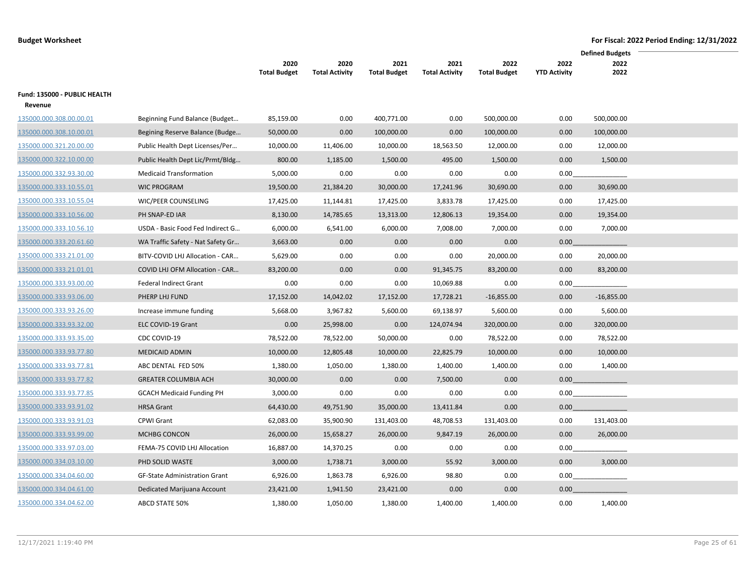|                              |                                      |                     |                       |                     |                       |                     |                     | <b>Defined Budgets</b> |
|------------------------------|--------------------------------------|---------------------|-----------------------|---------------------|-----------------------|---------------------|---------------------|------------------------|
|                              |                                      | 2020                | 2020                  | 2021                | 2021                  | 2022                | 2022                | 2022                   |
|                              |                                      | <b>Total Budget</b> | <b>Total Activity</b> | <b>Total Budget</b> | <b>Total Activity</b> | <b>Total Budget</b> | <b>YTD Activity</b> | 2022                   |
| Fund: 135000 - PUBLIC HEALTH |                                      |                     |                       |                     |                       |                     |                     |                        |
| Revenue                      |                                      |                     |                       |                     |                       |                     |                     |                        |
| 135000.000.308.00.00.01      | Beginning Fund Balance (Budget       | 85,159.00           | 0.00                  | 400,771.00          | 0.00                  | 500,000.00          | 0.00                | 500,000.00             |
| 135000.000.308.10.00.01      | Begining Reserve Balance (Budge      | 50,000.00           | 0.00                  | 100,000.00          | 0.00                  | 100,000.00          | 0.00                | 100,000.00             |
| 135000.000.321.20.00.00      | Public Health Dept Licenses/Per      | 10,000.00           | 11,406.00             | 10,000.00           | 18,563.50             | 12,000.00           | 0.00                | 12,000.00              |
| 135000.000.322.10.00.00      | Public Health Dept Lic/Prmt/Bldg     | 800.00              | 1,185.00              | 1,500.00            | 495.00                | 1,500.00            | 0.00                | 1,500.00               |
| 135000.000.332.93.30.00      | <b>Medicaid Transformation</b>       | 5,000.00            | 0.00                  | 0.00                | 0.00                  | 0.00                | 0.00                |                        |
| 135000.000.333.10.55.01      | <b>WIC PROGRAM</b>                   | 19,500.00           | 21,384.20             | 30,000.00           | 17,241.96             | 30,690.00           | 0.00                | 30,690.00              |
| 135000.000.333.10.55.04      | WIC/PEER COUNSELING                  | 17,425.00           | 11,144.81             | 17,425.00           | 3,833.78              | 17,425.00           | 0.00                | 17,425.00              |
| 135000.000.333.10.56.00      | PH SNAP-ED IAR                       | 8,130.00            | 14,785.65             | 13,313.00           | 12,806.13             | 19,354.00           | 0.00                | 19,354.00              |
| 135000.000.333.10.56.10      | USDA - Basic Food Fed Indirect G     | 6,000.00            | 6,541.00              | 6,000.00            | 7,008.00              | 7,000.00            | 0.00                | 7,000.00               |
| 135000.000.333.20.61.60      | WA Traffic Safety - Nat Safety Gr    | 3,663.00            | 0.00                  | 0.00                | 0.00                  | 0.00                | 0.00 <sub>1</sub>   |                        |
| 135000.000.333.21.01.00      | BITV-COVID LHJ Allocation - CAR      | 5,629.00            | 0.00                  | 0.00                | 0.00                  | 20,000.00           | 0.00                | 20,000.00              |
| 135000.000.333.21.01.01      | COVID LHJ OFM Allocation - CAR       | 83,200.00           | 0.00                  | 0.00                | 91,345.75             | 83,200.00           | 0.00                | 83,200.00              |
| 135000.000.333.93.00.00      | Federal Indirect Grant               | 0.00                | 0.00                  | 0.00                | 10,069.88             | 0.00                | 0.00                |                        |
| 135000.000.333.93.06.00      | PHERP LHJ FUND                       | 17,152.00           | 14,042.02             | 17,152.00           | 17,728.21             | $-16,855.00$        | 0.00                | $-16,855.00$           |
| 135000.000.333.93.26.00      | Increase immune funding              | 5,668.00            | 3,967.82              | 5,600.00            | 69,138.97             | 5,600.00            | 0.00                | 5,600.00               |
| 135000.000.333.93.32.00      | ELC COVID-19 Grant                   | 0.00                | 25,998.00             | 0.00                | 124,074.94            | 320,000.00          | 0.00                | 320,000.00             |
| 135000.000.333.93.35.00      | CDC COVID-19                         | 78,522.00           | 78,522.00             | 50,000.00           | 0.00                  | 78,522.00           | 0.00                | 78,522.00              |
| 135000.000.333.93.77.80      | <b>MEDICAID ADMIN</b>                | 10,000.00           | 12,805.48             | 10,000.00           | 22,825.79             | 10,000.00           | 0.00                | 10,000.00              |
| 135000.000.333.93.77.81      | ABC DENTAL FED 50%                   | 1,380.00            | 1,050.00              | 1,380.00            | 1,400.00              | 1,400.00            | 0.00                | 1,400.00               |
| 135000.000.333.93.77.82      | <b>GREATER COLUMBIA ACH</b>          | 30,000.00           | 0.00                  | 0.00                | 7,500.00              | 0.00                | 0.00                |                        |
| 135000.000.333.93.77.85      | <b>GCACH Medicaid Funding PH</b>     | 3,000.00            | 0.00                  | 0.00                | 0.00                  | 0.00                |                     | $0.00$                 |
| 135000.000.333.93.91.02      | <b>HRSA Grant</b>                    | 64,430.00           | 49,751.90             | 35,000.00           | 13,411.84             | 0.00                | 0.00                |                        |
| 135000.000.333.93.91.03      | CPWI Grant                           | 62,083.00           | 35,900.90             | 131,403.00          | 48,708.53             | 131,403.00          | 0.00                | 131,403.00             |
| 135000.000.333.93.99.00      | MCHBG CONCON                         | 26,000.00           | 15,658.27             | 26,000.00           | 9,847.19              | 26,000.00           | 0.00                | 26,000.00              |
| 135000.000.333.97.03.00      | FEMA-75 COVID LHJ Allocation         | 16,887.00           | 14,370.25             | 0.00                | 0.00                  | 0.00                | 0.00                |                        |
| 135000.000.334.03.10.00      | PHD SOLID WASTE                      | 3,000.00            | 1,738.71              | 3,000.00            | 55.92                 | 3,000.00            | 0.00                | 3,000.00               |
| 135000.000.334.04.60.00      | <b>GF-State Administration Grant</b> | 6,926.00            | 1,863.78              | 6,926.00            | 98.80                 | 0.00                | 0.00                |                        |
| 135000.000.334.04.61.00      | Dedicated Marijuana Account          | 23,421.00           | 1,941.50              | 23,421.00           | 0.00                  | 0.00                | 0.00                |                        |
| 135000.000.334.04.62.00      | ABCD STATE 50%                       | 1,380.00            | 1,050.00              | 1,380.00            | 1,400.00              | 1,400.00            | 0.00                | 1,400.00               |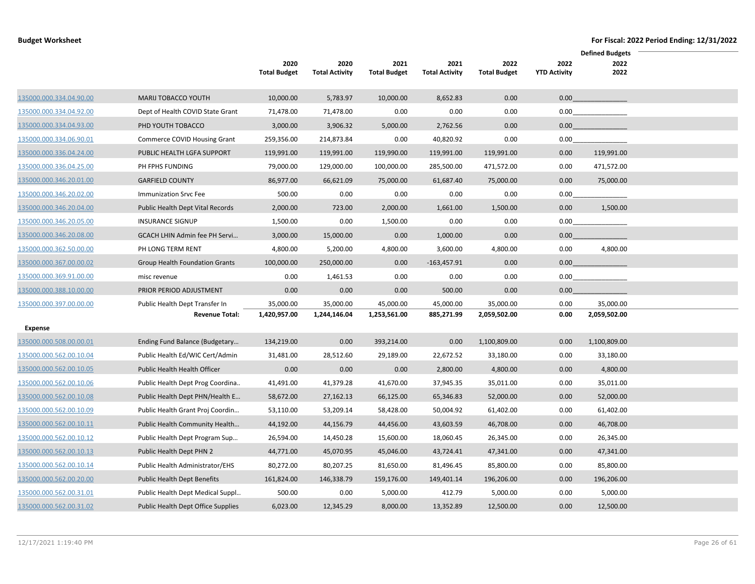|                         |                                           |                     |                       |                     |                       |                     |                     | <b>Defined Budgets</b> |
|-------------------------|-------------------------------------------|---------------------|-----------------------|---------------------|-----------------------|---------------------|---------------------|------------------------|
|                         |                                           | 2020                | 2020                  | 2021                | 2021                  | 2022                | 2022                | 2022                   |
|                         |                                           | <b>Total Budget</b> | <b>Total Activity</b> | <b>Total Budget</b> | <b>Total Activity</b> | <b>Total Budget</b> | <b>YTD Activity</b> | 2022                   |
| 135000.000.334.04.90.00 | <b>MARIJ TOBACCO YOUTH</b>                | 10,000.00           | 5,783.97              | 10,000.00           | 8,652.83              | 0.00                | 0.00                |                        |
| 135000.000.334.04.92.00 | Dept of Health COVID State Grant          | 71,478.00           | 71,478.00             | 0.00                | 0.00                  | 0.00                |                     | $0.00$                 |
| 135000.000.334.04.93.00 | PHD YOUTH TOBACCO                         | 3,000.00            | 3,906.32              | 5,000.00            | 2,762.56              | 0.00                | 0.00                |                        |
| 135000.000.334.06.90.01 | Commerce COVID Housing Grant              | 259,356.00          | 214,873.84            | 0.00                | 40,820.92             | 0.00                |                     | 0.00                   |
| 135000.000.336.04.24.00 | PUBLIC HEALTH LGFA SUPPORT                | 119,991.00          | 119,991.00            | 119,990.00          | 119,991.00            | 119,991.00          | 0.00                | 119,991.00             |
| 135000.000.336.04.25.00 | PH FPHS FUNDING                           | 79,000.00           | 129,000.00            | 100,000.00          | 285,500.00            | 471,572.00          | 0.00                | 471,572.00             |
| 135000.000.346.20.01.00 | <b>GARFIELD COUNTY</b>                    | 86,977.00           | 66,621.09             | 75,000.00           | 61,687.40             | 75,000.00           | 0.00                | 75,000.00              |
| 135000.000.346.20.02.00 | <b>Immunization Srvc Fee</b>              | 500.00              | 0.00                  | 0.00                | 0.00                  | 0.00                | 0.00                |                        |
| 135000.000.346.20.04.00 | Public Health Dept Vital Records          | 2,000.00            | 723.00                | 2,000.00            | 1,661.00              | 1,500.00            | 0.00                | 1,500.00               |
| 135000.000.346.20.05.00 | <b>INSURANCE SIGNUP</b>                   | 1,500.00            | 0.00                  | 1,500.00            | 0.00                  | 0.00                | 0.00                |                        |
| 135000.000.346.20.08.00 | GCACH LHIN Admin fee PH Servi             | 3,000.00            | 15,000.00             | 0.00                | 1,000.00              | 0.00                | 0.00                |                        |
| 135000.000.362.50.00.00 | PH LONG TERM RENT                         | 4,800.00            | 5,200.00              | 4,800.00            | 3,600.00              | 4,800.00            | 0.00                | 4,800.00               |
| 135000.000.367.00.00.02 | Group Health Foundation Grants            | 100,000.00          | 250,000.00            | 0.00                | $-163,457.91$         | 0.00                | 0.00                |                        |
| 135000.000.369.91.00.00 | misc revenue                              | 0.00                | 1,461.53              | 0.00                | 0.00                  | 0.00                |                     | 0.00                   |
| 135000.000.388.10.00.00 | PRIOR PERIOD ADJUSTMENT                   | 0.00                | 0.00                  | 0.00                | 500.00                | 0.00                | 0.00                |                        |
| 135000.000.397.00.00.00 | Public Health Dept Transfer In            | 35,000.00           | 35,000.00             | 45,000.00           | 45,000.00             | 35,000.00           | 0.00                | 35,000.00              |
|                         | <b>Revenue Total:</b>                     | 1,420,957.00        | 1,244,146.04          | 1,253,561.00        | 885,271.99            | 2,059,502.00        | 0.00                | 2,059,502.00           |
| <b>Expense</b>          |                                           |                     |                       |                     |                       |                     |                     |                        |
| 135000.000.508.00.00.01 | Ending Fund Balance (Budgetary            | 134,219.00          | 0.00                  | 393,214.00          | 0.00                  | 1,100,809.00        | 0.00                | 1,100,809.00           |
| 135000.000.562.00.10.04 | Public Health Ed/WIC Cert/Admin           | 31,481.00           | 28,512.60             | 29,189.00           | 22,672.52             | 33,180.00           | 0.00                | 33,180.00              |
| 135000.000.562.00.10.05 | Public Health Health Officer              | 0.00                | 0.00                  | 0.00                | 2,800.00              | 4,800.00            | 0.00                | 4,800.00               |
| 135000.000.562.00.10.06 | Public Health Dept Prog Coordina          | 41,491.00           | 41,379.28             | 41,670.00           | 37,945.35             | 35,011.00           | 0.00                | 35,011.00              |
| 135000.000.562.00.10.08 | Public Health Dept PHN/Health E           | 58,672.00           | 27,162.13             | 66,125.00           | 65,346.83             | 52,000.00           | 0.00                | 52,000.00              |
| 135000.000.562.00.10.09 | Public Health Grant Proj Coordin          | 53,110.00           | 53,209.14             | 58,428.00           | 50,004.92             | 61,402.00           | 0.00                | 61,402.00              |
| 135000.000.562.00.10.11 | Public Health Community Health            | 44,192.00           | 44,156.79             | 44,456.00           | 43,603.59             | 46,708.00           | 0.00                | 46,708.00              |
| 135000.000.562.00.10.12 | Public Health Dept Program Sup            | 26,594.00           | 14,450.28             | 15,600.00           | 18,060.45             | 26,345.00           | 0.00                | 26,345.00              |
| 135000.000.562.00.10.13 | Public Health Dept PHN 2                  | 44,771.00           | 45,070.95             | 45,046.00           | 43,724.41             | 47,341.00           | 0.00                | 47,341.00              |
| 135000.000.562.00.10.14 | Public Health Administrator/EHS           | 80,272.00           | 80,207.25             | 81,650.00           | 81,496.45             | 85,800.00           | 0.00                | 85,800.00              |
| 135000.000.562.00.20.00 | Public Health Dept Benefits               | 161,824.00          | 146,338.79            | 159,176.00          | 149,401.14            | 196,206.00          | 0.00                | 196,206.00             |
| 135000.000.562.00.31.01 | Public Health Dept Medical Suppl          | 500.00              | 0.00                  | 5,000.00            | 412.79                | 5,000.00            | 0.00                | 5,000.00               |
| 135000.000.562.00.31.02 | <b>Public Health Dept Office Supplies</b> | 6,023.00            | 12,345.29             | 8,000.00            | 13,352.89             | 12,500.00           | 0.00                | 12,500.00              |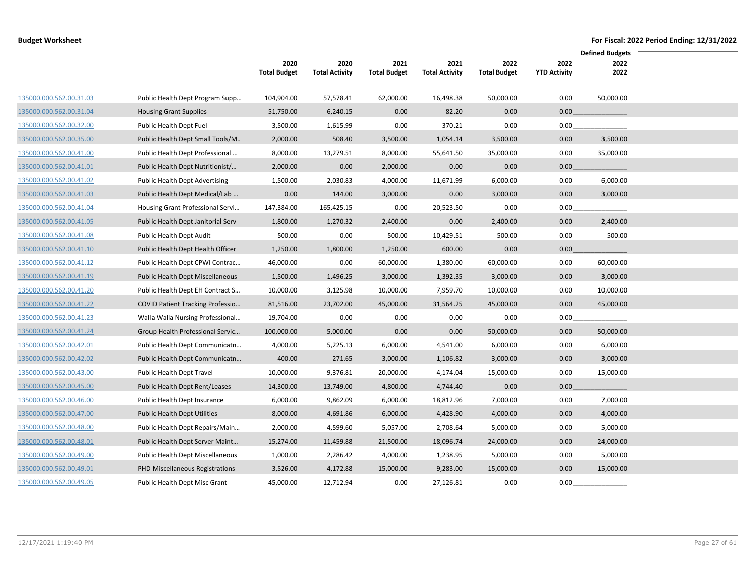|                         |                                         |                     |                       |                     |                       |                     |                     | <b>Defined Budgets</b> |
|-------------------------|-----------------------------------------|---------------------|-----------------------|---------------------|-----------------------|---------------------|---------------------|------------------------|
|                         |                                         | 2020                | 2020                  | 2021                | 2021                  | 2022                | 2022                | 2022                   |
|                         |                                         | <b>Total Budget</b> | <b>Total Activity</b> | <b>Total Budget</b> | <b>Total Activity</b> | <b>Total Budget</b> | <b>YTD Activity</b> | 2022                   |
| 135000.000.562.00.31.03 | Public Health Dept Program Supp         | 104,904.00          | 57,578.41             | 62,000.00           | 16,498.38             | 50,000.00           | 0.00                | 50,000.00              |
| 135000.000.562.00.31.04 | <b>Housing Grant Supplies</b>           | 51,750.00           | 6,240.15              | 0.00                | 82.20                 | 0.00                | 0.00                |                        |
| 135000.000.562.00.32.00 | Public Health Dept Fuel                 | 3,500.00            | 1,615.99              | 0.00                | 370.21                | 0.00                | 0.00                |                        |
| 135000.000.562.00.35.00 | Public Health Dept Small Tools/M        | 2,000.00            | 508.40                | 3,500.00            | 1,054.14              | 3,500.00            | 0.00                | 3,500.00               |
| 135000.000.562.00.41.00 | Public Health Dept Professional         | 8,000.00            | 13,279.51             | 8,000.00            | 55,641.50             | 35,000.00           | 0.00                | 35,000.00              |
| 135000.000.562.00.41.01 | Public Health Dept Nutritionist/        | 2,000.00            | 0.00                  | 2,000.00            | 0.00                  | 0.00                | 0.00                |                        |
| 135000.000.562.00.41.02 | <b>Public Health Dept Advertising</b>   | 1,500.00            | 2,030.83              | 4,000.00            | 11,671.99             | 6,000.00            | 0.00                | 6,000.00               |
| 135000.000.562.00.41.03 | Public Health Dept Medical/Lab          | 0.00                | 144.00                | 3,000.00            | 0.00                  | 3,000.00            | 0.00                | 3,000.00               |
| 135000.000.562.00.41.04 | Housing Grant Professional Servi        | 147,384.00          | 165,425.15            | 0.00                | 20,523.50             | 0.00                | 0.00                |                        |
| 135000.000.562.00.41.05 | Public Health Dept Janitorial Serv      | 1,800.00            | 1,270.32              | 2,400.00            | 0.00                  | 2,400.00            | 0.00                | 2,400.00               |
| 135000.000.562.00.41.08 | Public Health Dept Audit                | 500.00              | 0.00                  | 500.00              | 10,429.51             | 500.00              | 0.00                | 500.00                 |
| 135000.000.562.00.41.10 | Public Health Dept Health Officer       | 1,250.00            | 1,800.00              | 1,250.00            | 600.00                | 0.00                | 0.00                |                        |
| 135000.000.562.00.41.12 | Public Health Dept CPWI Contrac         | 46,000.00           | 0.00                  | 60,000.00           | 1,380.00              | 60,000.00           | 0.00                | 60,000.00              |
| 135000.000.562.00.41.19 | Public Health Dept Miscellaneous        | 1,500.00            | 1,496.25              | 3,000.00            | 1,392.35              | 3,000.00            | 0.00                | 3,000.00               |
| 135000.000.562.00.41.20 | Public Health Dept EH Contract S        | 10,000.00           | 3,125.98              | 10,000.00           | 7,959.70              | 10,000.00           | 0.00                | 10,000.00              |
| 135000.000.562.00.41.22 | <b>COVID Patient Tracking Professio</b> | 81,516.00           | 23,702.00             | 45,000.00           | 31,564.25             | 45,000.00           | 0.00                | 45,000.00              |
| 135000.000.562.00.41.23 | Walla Walla Nursing Professional        | 19,704.00           | 0.00                  | 0.00                | 0.00                  | 0.00                | 0.00                |                        |
| 135000.000.562.00.41.24 | Group Health Professional Servic        | 100,000.00          | 5,000.00              | 0.00                | 0.00                  | 50,000.00           | 0.00                | 50,000.00              |
| 135000.000.562.00.42.01 | Public Health Dept Communicatn          | 4,000.00            | 5,225.13              | 6,000.00            | 4,541.00              | 6,000.00            | 0.00                | 6,000.00               |
| 135000.000.562.00.42.02 | Public Health Dept Communicatn          | 400.00              | 271.65                | 3,000.00            | 1,106.82              | 3,000.00            | 0.00                | 3,000.00               |
| 135000.000.562.00.43.00 | Public Health Dept Travel               | 10,000.00           | 9,376.81              | 20,000.00           | 4,174.04              | 15,000.00           | 0.00                | 15,000.00              |
| 135000.000.562.00.45.00 | Public Health Dept Rent/Leases          | 14,300.00           | 13,749.00             | 4,800.00            | 4,744.40              | 0.00                | 0.00                |                        |
| 135000.000.562.00.46.00 | Public Health Dept Insurance            | 6,000.00            | 9,862.09              | 6,000.00            | 18,812.96             | 7,000.00            | 0.00                | 7,000.00               |
| 135000.000.562.00.47.00 | <b>Public Health Dept Utilities</b>     | 8,000.00            | 4,691.86              | 6,000.00            | 4,428.90              | 4,000.00            | 0.00                | 4,000.00               |
| 135000.000.562.00.48.00 | Public Health Dept Repairs/Main         | 2,000.00            | 4,599.60              | 5,057.00            | 2,708.64              | 5,000.00            | 0.00                | 5,000.00               |
| 135000.000.562.00.48.01 | Public Health Dept Server Maint         | 15,274.00           | 11,459.88             | 21,500.00           | 18,096.74             | 24,000.00           | 0.00                | 24,000.00              |
| 135000.000.562.00.49.00 | Public Health Dept Miscellaneous        | 1,000.00            | 2,286.42              | 4,000.00            | 1,238.95              | 5,000.00            | 0.00                | 5,000.00               |
| 135000.000.562.00.49.01 | PHD Miscellaneous Registrations         | 3,526.00            | 4,172.88              | 15,000.00           | 9,283.00              | 15,000.00           | 0.00                | 15,000.00              |
| 135000.000.562.00.49.05 | <b>Public Health Dept Misc Grant</b>    | 45,000.00           | 12,712.94             | 0.00                | 27,126.81             | 0.00                | 0.00                |                        |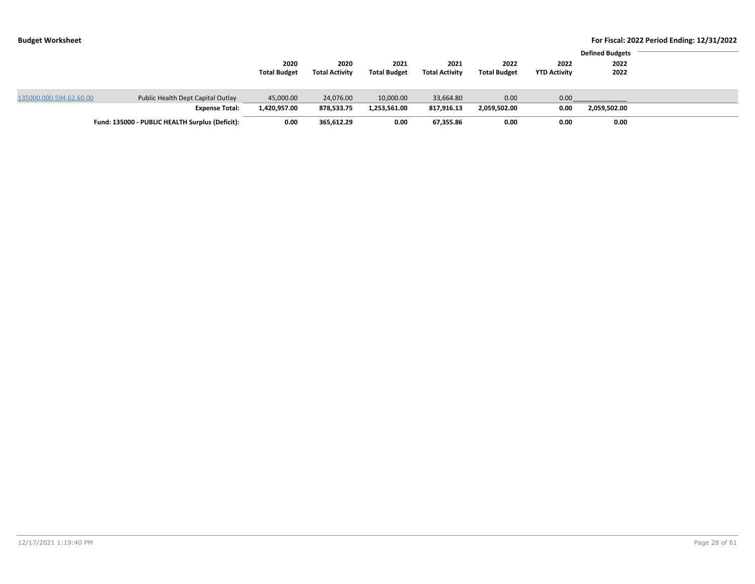|                         |                                                 |                     |                       |                     |                       |                     |                     | <b>Defined Budgets</b> |  |
|-------------------------|-------------------------------------------------|---------------------|-----------------------|---------------------|-----------------------|---------------------|---------------------|------------------------|--|
|                         |                                                 |                     |                       |                     |                       |                     |                     |                        |  |
|                         |                                                 | 2020                | 2020                  | 2021                | 2021                  | 2022                | 2022                | 2022                   |  |
|                         |                                                 | <b>Total Budget</b> | <b>Total Activity</b> | <b>Total Budget</b> | <b>Total Activity</b> | <b>Total Budget</b> | <b>YTD Activity</b> | 2022                   |  |
|                         |                                                 |                     |                       |                     |                       |                     |                     |                        |  |
| 135000.000.594.62.60.00 | Public Health Dept Capital Outlay               | 45,000.00           | 24,076.00             | 10,000.00           | 33,664.80             | 0.00                | 0.00                |                        |  |
|                         | <b>Expense Total:</b>                           | 1,420,957.00        | 878,533.75            | 1.253.561.00        | 817.916.13            | 2,059,502.00        | 0.00                | 2,059,502.00           |  |
|                         | Fund: 135000 - PUBLIC HEALTH Surplus (Deficit): | 0.00                | 365,612.29            | 0.00                | 67,355.86             | 0.00                | 0.00                | 0.00                   |  |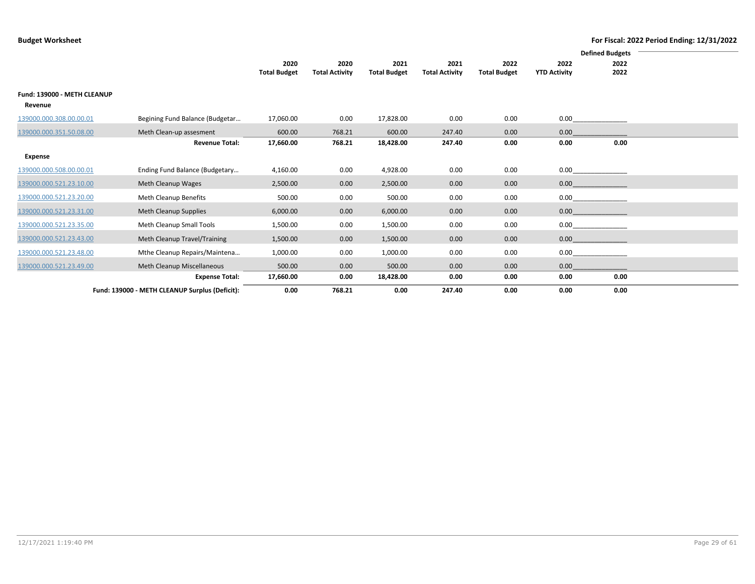|                             |                                                |                     |                       |                     |                       |                     |                     | <b>Defined Budgets</b> |  |
|-----------------------------|------------------------------------------------|---------------------|-----------------------|---------------------|-----------------------|---------------------|---------------------|------------------------|--|
|                             |                                                | 2020                | 2020                  | 2021                | 2021                  | 2022                | 2022                | 2022                   |  |
|                             |                                                | <b>Total Budget</b> | <b>Total Activity</b> | <b>Total Budget</b> | <b>Total Activity</b> | <b>Total Budget</b> | <b>YTD Activity</b> | 2022                   |  |
| Fund: 139000 - METH CLEANUP |                                                |                     |                       |                     |                       |                     |                     |                        |  |
| Revenue                     |                                                |                     |                       |                     |                       |                     |                     |                        |  |
| 139000.000.308.00.00.01     | Begining Fund Balance (Budgetar                | 17,060.00           | 0.00                  | 17,828.00           | 0.00                  | 0.00                | 0.00                |                        |  |
| 139000.000.351.50.08.00     | Meth Clean-up assesment                        | 600.00              | 768.21                | 600.00              | 247.40                | 0.00                | 0.00                |                        |  |
|                             | <b>Revenue Total:</b>                          | 17,660.00           | 768.21                | 18,428.00           | 247.40                | 0.00                | 0.00                | 0.00                   |  |
| Expense                     |                                                |                     |                       |                     |                       |                     |                     |                        |  |
| 139000.000.508.00.00.01     | Ending Fund Balance (Budgetary                 | 4,160.00            | 0.00                  | 4,928.00            | 0.00                  | 0.00                | 0.00                |                        |  |
| 139000.000.521.23.10.00     | Meth Cleanup Wages                             | 2,500.00            | 0.00                  | 2,500.00            | 0.00                  | 0.00                | 0.00                |                        |  |
| 139000.000.521.23.20.00     | Meth Cleanup Benefits                          | 500.00              | 0.00                  | 500.00              | 0.00                  | 0.00                | 0.00                |                        |  |
| 139000.000.521.23.31.00     | Meth Cleanup Supplies                          | 6,000.00            | 0.00                  | 6,000.00            | 0.00                  | 0.00                | 0.00                |                        |  |
| 139000.000.521.23.35.00     | Meth Cleanup Small Tools                       | 1,500.00            | 0.00                  | 1,500.00            | 0.00                  | 0.00                | 0.00                |                        |  |
| 139000.000.521.23.43.00     | Meth Cleanup Travel/Training                   | 1,500.00            | 0.00                  | 1,500.00            | 0.00                  | 0.00                | 0.00                |                        |  |
| 139000.000.521.23.48.00     | Mthe Cleanup Repairs/Maintena                  | 1,000.00            | 0.00                  | 1,000.00            | 0.00                  | 0.00                | 0.00                |                        |  |
| 139000.000.521.23.49.00     | Meth Cleanup Miscellaneous                     | 500.00              | 0.00                  | 500.00              | 0.00                  | 0.00                | 0.00                |                        |  |
|                             | <b>Expense Total:</b>                          | 17,660.00           | 0.00                  | 18,428.00           | 0.00                  | 0.00                | 0.00                | 0.00                   |  |
|                             | Fund: 139000 - METH CLEANUP Surplus (Deficit): | 0.00                | 768.21                | 0.00                | 247.40                | 0.00                | 0.00                | 0.00                   |  |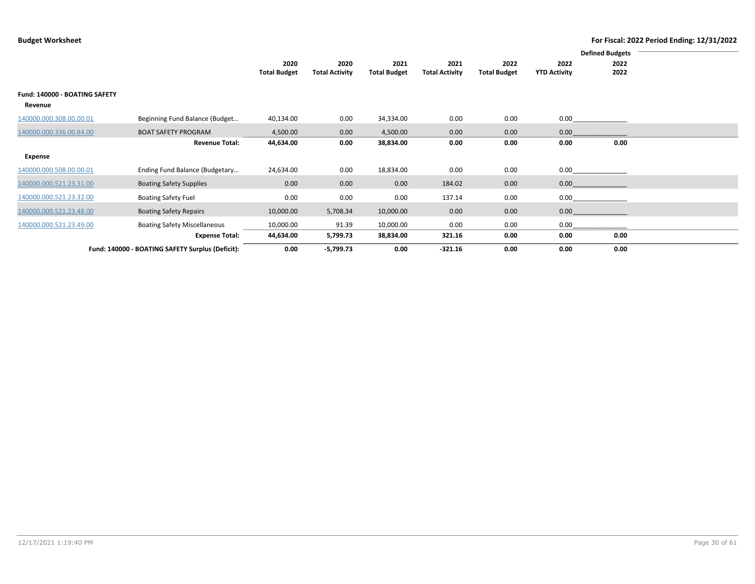|                                          |                                                  |                             |                               |                             |                               |                             |                             | <b>Defined Budgets</b> |  |
|------------------------------------------|--------------------------------------------------|-----------------------------|-------------------------------|-----------------------------|-------------------------------|-----------------------------|-----------------------------|------------------------|--|
|                                          |                                                  | 2020<br><b>Total Budget</b> | 2020<br><b>Total Activity</b> | 2021<br><b>Total Budget</b> | 2021<br><b>Total Activity</b> | 2022<br><b>Total Budget</b> | 2022<br><b>YTD Activity</b> | 2022<br>2022           |  |
| Fund: 140000 - BOATING SAFETY<br>Revenue |                                                  |                             |                               |                             |                               |                             |                             |                        |  |
| 140000.000.308.00.00.01                  | Beginning Fund Balance (Budget                   | 40,134.00                   | 0.00                          | 34,334.00                   | 0.00                          | 0.00                        | 0.00                        |                        |  |
| 140000.000.336.00.84.00                  | <b>BOAT SAFETY PROGRAM</b>                       | 4,500.00                    | 0.00                          | 4,500.00                    | 0.00                          | 0.00                        | 0.00                        |                        |  |
|                                          | <b>Revenue Total:</b>                            | 44,634.00                   | 0.00                          | 38,834.00                   | 0.00                          | 0.00                        | 0.00                        | 0.00                   |  |
| Expense                                  |                                                  |                             |                               |                             |                               |                             |                             |                        |  |
| 140000.000.508.00.00.01                  | Ending Fund Balance (Budgetary                   | 24,634.00                   | 0.00                          | 18,834.00                   | 0.00                          | 0.00                        | 0.00                        |                        |  |
| 140000.000.521.23.31.00                  | <b>Boating Safety Supplies</b>                   | 0.00                        | 0.00                          | 0.00                        | 184.02                        | 0.00                        | 0.00                        |                        |  |
| 140000.000.521.23.32.00                  | <b>Boating Safety Fuel</b>                       | 0.00                        | 0.00                          | 0.00                        | 137.14                        | 0.00                        | 0.00                        |                        |  |
| 140000.000.521.23.48.00                  | <b>Boating Safety Repairs</b>                    | 10,000.00                   | 5,708.34                      | 10,000.00                   | 0.00                          | 0.00                        | 0.00                        |                        |  |
| 140000.000.521.23.49.00                  | <b>Boating Safety Miscellaneous</b>              | 10,000.00                   | 91.39                         | 10,000.00                   | 0.00                          | 0.00                        | 0.00                        |                        |  |
|                                          | <b>Expense Total:</b>                            | 44,634.00                   | 5,799.73                      | 38,834.00                   | 321.16                        | 0.00                        | 0.00                        | 0.00                   |  |
|                                          | Fund: 140000 - BOATING SAFETY Surplus (Deficit): | 0.00                        | $-5,799.73$                   | 0.00                        | $-321.16$                     | 0.00                        | 0.00                        | 0.00                   |  |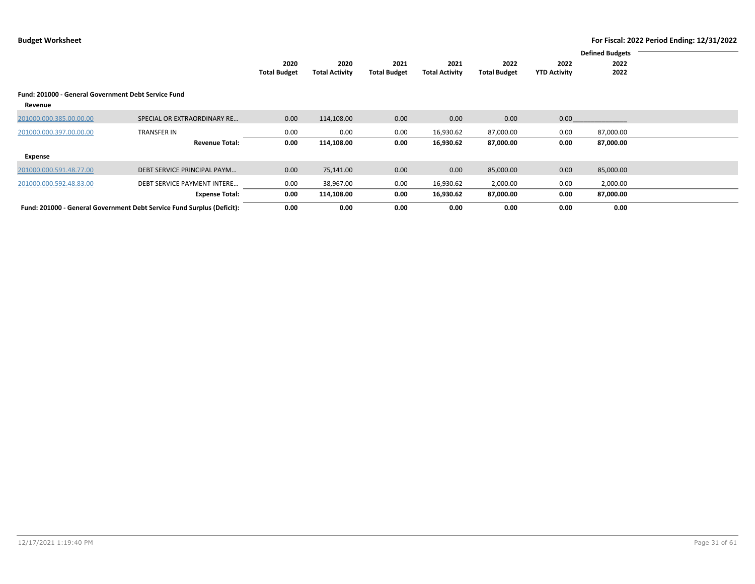|                                                     |                                                                        |                     |                       |                     |                       |                     |                     | <b>Defined Budgets</b> |  |
|-----------------------------------------------------|------------------------------------------------------------------------|---------------------|-----------------------|---------------------|-----------------------|---------------------|---------------------|------------------------|--|
|                                                     |                                                                        |                     |                       |                     |                       |                     |                     |                        |  |
|                                                     |                                                                        | 2020                | 2020                  | 2021                | 2021                  | 2022                | 2022                | 2022                   |  |
|                                                     |                                                                        | <b>Total Budget</b> | <b>Total Activity</b> | <b>Total Budget</b> | <b>Total Activity</b> | <b>Total Budget</b> | <b>YTD Activity</b> | 2022                   |  |
|                                                     |                                                                        |                     |                       |                     |                       |                     |                     |                        |  |
| Fund: 201000 - General Government Debt Service Fund |                                                                        |                     |                       |                     |                       |                     |                     |                        |  |
| Revenue                                             |                                                                        |                     |                       |                     |                       |                     |                     |                        |  |
| 201000.000.385.00.00.00                             | SPECIAL OR EXTRAORDINARY RE                                            | 0.00                | 114,108.00            | 0.00                | 0.00                  | 0.00                | 0.00                |                        |  |
|                                                     |                                                                        |                     |                       |                     |                       |                     |                     |                        |  |
| 201000.000.397.00.00.00                             | <b>TRANSFER IN</b>                                                     | 0.00                | 0.00                  | 0.00                | 16,930.62             | 87,000.00           | 0.00                | 87,000.00              |  |
|                                                     | <b>Revenue Total:</b>                                                  | 0.00                | 114,108.00            | 0.00                | 16,930.62             | 87,000.00           | 0.00                | 87,000.00              |  |
| Expense                                             |                                                                        |                     |                       |                     |                       |                     |                     |                        |  |
| 201000.000.591.48.77.00                             | DEBT SERVICE PRINCIPAL PAYM                                            | 0.00                | 75,141.00             | 0.00                | 0.00                  | 85,000.00           | 0.00                | 85,000.00              |  |
| 201000.000.592.48.83.00                             | <b>DEBT SERVICE PAYMENT INTERE</b>                                     | 0.00                | 38,967.00             | 0.00                | 16,930.62             | 2,000.00            | 0.00                | 2,000.00               |  |
|                                                     | <b>Expense Total:</b>                                                  | 0.00                | 114,108.00            | 0.00                | 16,930.62             | 87,000.00           | 0.00                | 87,000.00              |  |
|                                                     | Fund: 201000 - General Government Debt Service Fund Surplus (Deficit): | 0.00                | 0.00                  | 0.00                | 0.00                  | 0.00                | 0.00                | 0.00                   |  |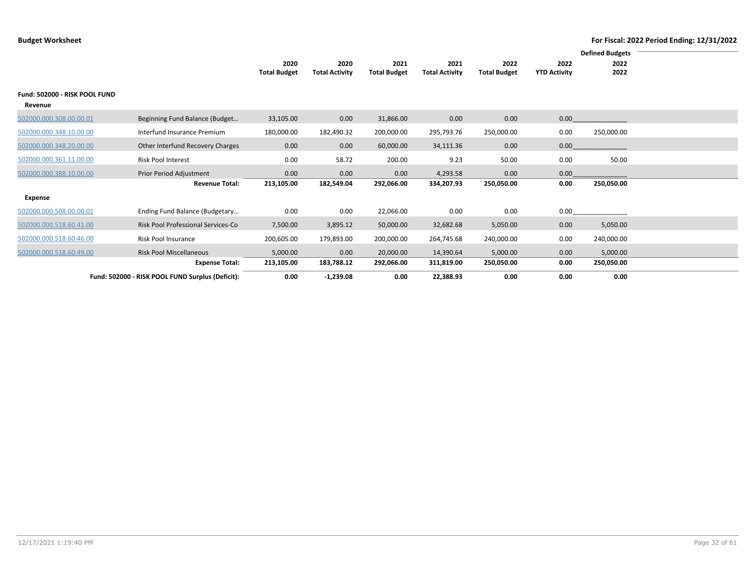|                                          |                                                  |                     |                       |                     |                       |                     |                     | <b>Defined Budgets</b> |  |
|------------------------------------------|--------------------------------------------------|---------------------|-----------------------|---------------------|-----------------------|---------------------|---------------------|------------------------|--|
|                                          |                                                  | 2020                | 2020                  | 2021                | 2021                  | 2022                | 2022                | 2022                   |  |
|                                          |                                                  | <b>Total Budget</b> | <b>Total Activity</b> | <b>Total Budget</b> | <b>Total Activity</b> | <b>Total Budget</b> | <b>YTD Activity</b> | 2022                   |  |
| Fund: 502000 - RISK POOL FUND<br>Revenue |                                                  |                     |                       |                     |                       |                     |                     |                        |  |
| 502000.000.308.00.00.01                  | Beginning Fund Balance (Budget                   | 33,105.00           | 0.00                  | 31,866.00           | 0.00                  | 0.00                | 0.00                |                        |  |
| 502000.000.348.10.00.00                  | Interfund Insurance Premium                      | 180,000.00          | 182,490.32            | 200,000.00          | 295,793.76            | 250,000.00          | 0.00                | 250,000.00             |  |
| 502000.000.348.20.00.00                  | Other Interfund Recovery Charges                 | 0.00                | 0.00                  | 60,000.00           | 34,111.36             | 0.00                | 0.00                |                        |  |
| 502000.000.361.11.00.00                  | <b>Risk Pool Interest</b>                        | 0.00                | 58.72                 | 200.00              | 9.23                  | 50.00               | 0.00                | 50.00                  |  |
| 502000.000.388.10.00.00                  | Prior Period Adjustment                          | 0.00                | 0.00                  | 0.00                | 4,293.58              | 0.00                | 0.00                |                        |  |
|                                          | <b>Revenue Total:</b>                            | 213,105.00          | 182,549.04            | 292,066.00          | 334,207.93            | 250,050.00          | 0.00                | 250,050.00             |  |
| Expense                                  |                                                  |                     |                       |                     |                       |                     |                     |                        |  |
| 502000.000.508.00.00.01                  | Ending Fund Balance (Budgetary                   | 0.00                | 0.00                  | 22,066.00           | 0.00                  | 0.00                | 0.00                |                        |  |
| 502000.000.518.60.41.00                  | Risk Pool Professional Services-Co               | 7,500.00            | 3,895.12              | 50,000.00           | 32,682.68             | 5,050.00            | 0.00                | 5,050.00               |  |
| 502000.000.518.60.46.00                  | Risk Pool Insurance                              | 200,605.00          | 179,893.00            | 200,000.00          | 264,745.68            | 240,000.00          | 0.00                | 240,000.00             |  |
| 502000.000.518.60.49.00                  | <b>Risk Pool Miscellaneous</b>                   | 5,000.00            | 0.00                  | 20,000.00           | 14,390.64             | 5,000.00            | 0.00                | 5,000.00               |  |
|                                          | <b>Expense Total:</b>                            | 213,105.00          | 183,788.12            | 292,066.00          | 311,819.00            | 250,050.00          | 0.00                | 250,050.00             |  |
|                                          | Fund: 502000 - RISK POOL FUND Surplus (Deficit): | 0.00                | $-1,239.08$           | 0.00                | 22,388.93             | 0.00                | 0.00                | 0.00                   |  |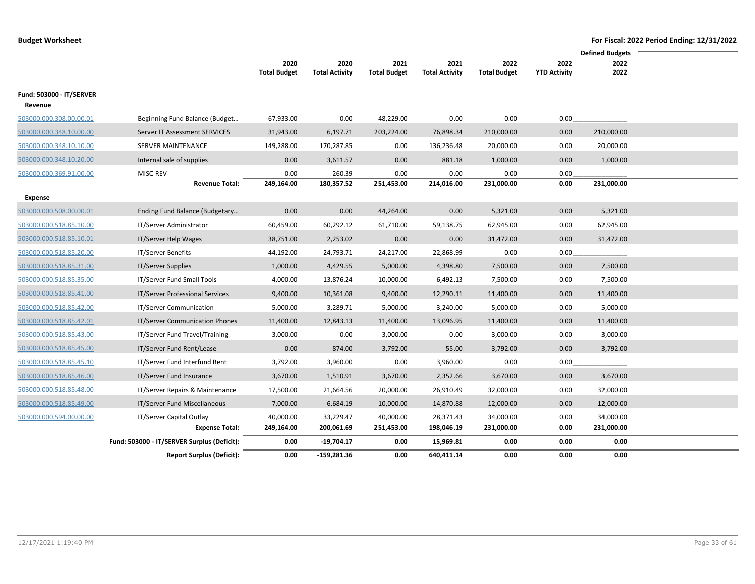|                          |                                             |                     |                       |                     |                       |                     |                     | <b>Defined Budgets</b> |  |
|--------------------------|---------------------------------------------|---------------------|-----------------------|---------------------|-----------------------|---------------------|---------------------|------------------------|--|
|                          |                                             | 2020                | 2020                  | 2021                | 2021                  | 2022                | 2022                | 2022                   |  |
|                          |                                             | <b>Total Budget</b> | <b>Total Activity</b> | <b>Total Budget</b> | <b>Total Activity</b> | <b>Total Budget</b> | <b>YTD Activity</b> | 2022                   |  |
| Fund: 503000 - IT/SERVER |                                             |                     |                       |                     |                       |                     |                     |                        |  |
| Revenue                  |                                             |                     |                       |                     |                       |                     |                     |                        |  |
| 503000.000.308.00.00.01  | Beginning Fund Balance (Budget              | 67,933.00           | 0.00                  | 48,229.00           | 0.00                  | 0.00                | 0.00                |                        |  |
| 503000.000.348.10.00.00  | Server IT Assessment SERVICES               | 31,943.00           | 6,197.71              | 203,224.00          | 76,898.34             | 210,000.00          | 0.00                | 210,000.00             |  |
| 503000.000.348.10.10.00  | SERVER MAINTENANCE                          | 149,288.00          | 170,287.85            | 0.00                | 136,236.48            | 20,000.00           | 0.00                | 20,000.00              |  |
| 503000.000.348.10.20.00  | Internal sale of supplies                   | 0.00                | 3,611.57              | 0.00                | 881.18                | 1,000.00            | 0.00                | 1,000.00               |  |
| 503000.000.369.91.00.00  | <b>MISC REV</b>                             | 0.00                | 260.39                | 0.00                | 0.00                  | 0.00                | 0.00                |                        |  |
|                          | <b>Revenue Total:</b>                       | 249,164.00          | 180,357.52            | 251,453.00          | 214,016.00            | 231,000.00          | 0.00                | 231,000.00             |  |
| Expense                  |                                             |                     |                       |                     |                       |                     |                     |                        |  |
| 503000.000.508.00.00.01  | Ending Fund Balance (Budgetary              | 0.00                | 0.00                  | 44,264.00           | 0.00                  | 5,321.00            | 0.00                | 5,321.00               |  |
| 503000.000.518.85.10.00  | IT/Server Administrator                     | 60,459.00           | 60,292.12             | 61,710.00           | 59,138.75             | 62,945.00           | 0.00                | 62,945.00              |  |
| 503000.000.518.85.10.01  | IT/Server Help Wages                        | 38,751.00           | 2,253.02              | 0.00                | 0.00                  | 31,472.00           | 0.00                | 31,472.00              |  |
| 503000.000.518.85.20.00  | IT/Server Benefits                          | 44,192.00           | 24,793.71             | 24,217.00           | 22,868.99             | 0.00                | 0.00                |                        |  |
| 503000.000.518.85.31.00  | IT/Server Supplies                          | 1,000.00            | 4,429.55              | 5,000.00            | 4,398.80              | 7,500.00            | 0.00                | 7,500.00               |  |
| 503000.000.518.85.35.00  | IT/Server Fund Small Tools                  | 4,000.00            | 13,876.24             | 10,000.00           | 6,492.13              | 7,500.00            | 0.00                | 7,500.00               |  |
| 503000.000.518.85.41.00  | IT/Server Professional Services             | 9,400.00            | 10,361.08             | 9,400.00            | 12,290.11             | 11,400.00           | 0.00                | 11,400.00              |  |
| 503000.000.518.85.42.00  | IT/Server Communication                     | 5,000.00            | 3,289.71              | 5,000.00            | 3,240.00              | 5,000.00            | 0.00                | 5,000.00               |  |
| 503000.000.518.85.42.01  | <b>IT/Server Communication Phones</b>       | 11,400.00           | 12,843.13             | 11,400.00           | 13,096.95             | 11,400.00           | 0.00                | 11,400.00              |  |
| 503000.000.518.85.43.00  | IT/Server Fund Travel/Training              | 3,000.00            | 0.00                  | 3,000.00            | 0.00                  | 3,000.00            | 0.00                | 3,000.00               |  |
| 503000.000.518.85.45.00  | IT/Server Fund Rent/Lease                   | 0.00                | 874.00                | 3,792.00            | 55.00                 | 3,792.00            | 0.00                | 3,792.00               |  |
| 503000.000.518.85.45.10  | IT/Server Fund Interfund Rent               | 3,792.00            | 3,960.00              | 0.00                | 3,960.00              | 0.00                | 0.00                |                        |  |
| 503000.000.518.85.46.00  | IT/Server Fund Insurance                    | 3,670.00            | 1,510.91              | 3,670.00            | 2,352.66              | 3,670.00            | 0.00                | 3,670.00               |  |
| 503000.000.518.85.48.00  | IT/Server Repairs & Maintenance             | 17,500.00           | 21,664.56             | 20,000.00           | 26,910.49             | 32,000.00           | 0.00                | 32,000.00              |  |
| 503000.000.518.85.49.00  | IT/Server Fund Miscellaneous                | 7,000.00            | 6,684.19              | 10,000.00           | 14,870.88             | 12,000.00           | 0.00                | 12,000.00              |  |
| 503000.000.594.00.00.00  | IT/Server Capital Outlay                    | 40,000.00           | 33,229.47             | 40,000.00           | 28,371.43             | 34,000.00           | 0.00                | 34,000.00              |  |
|                          | <b>Expense Total:</b>                       | 249,164.00          | 200,061.69            | 251,453.00          | 198,046.19            | 231,000.00          | 0.00                | 231,000.00             |  |
|                          | Fund: 503000 - IT/SERVER Surplus (Deficit): | 0.00                | $-19,704.17$          | 0.00                | 15,969.81             | 0.00                | 0.00                | 0.00                   |  |
|                          | <b>Report Surplus (Deficit):</b>            | 0.00                | -159,281.36           | 0.00                | 640,411.14            | 0.00                | 0.00                | 0.00                   |  |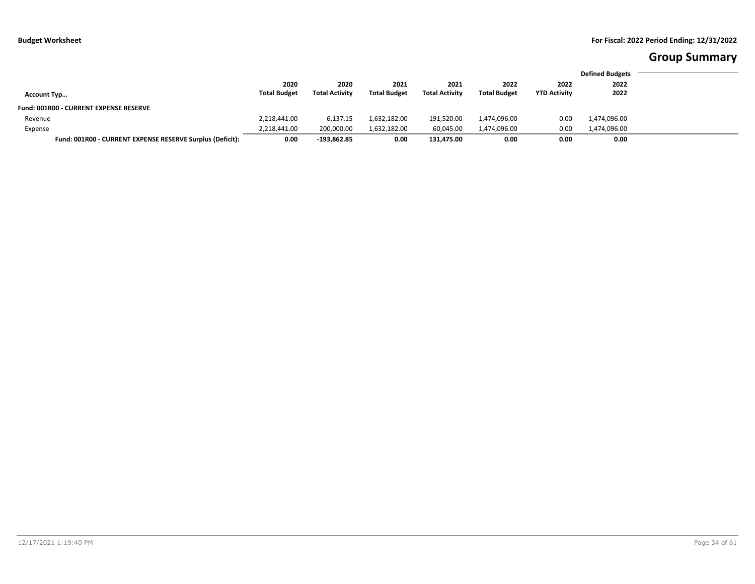# **Group Summary**

|                                                           |                             |                               |                             |                               |                             |                             | <b>Defined Budgets</b> |
|-----------------------------------------------------------|-----------------------------|-------------------------------|-----------------------------|-------------------------------|-----------------------------|-----------------------------|------------------------|
| <b>Account Typ</b>                                        | 2020<br><b>Total Budget</b> | 2020<br><b>Total Activity</b> | 2021<br><b>Total Budget</b> | 2021<br><b>Total Activity</b> | 2022<br><b>Total Budget</b> | 2022<br><b>YTD Activity</b> | 2022<br>2022           |
| <b>Fund: 001R00 - CURRENT EXPENSE RESERVE</b>             |                             |                               |                             |                               |                             |                             |                        |
| Revenue                                                   | 2,218,441.00                | 6,137.15                      | 1,632,182.00                | 191,520.00                    | 1,474,096.00                | 0.00                        | 1,474,096.00           |
| Expense                                                   | 2,218,441.00                | 200,000.00                    | 1,632,182.00                | 60.045.00                     | 1,474,096.00                | 0.00                        | 1,474,096.00           |
| Fund: 001R00 - CURRENT EXPENSE RESERVE Surplus (Deficit): | 0.00                        | $-193,862.85$                 | 0.00                        | 131.475.00                    | 0.00                        | 0.00                        | 0.00                   |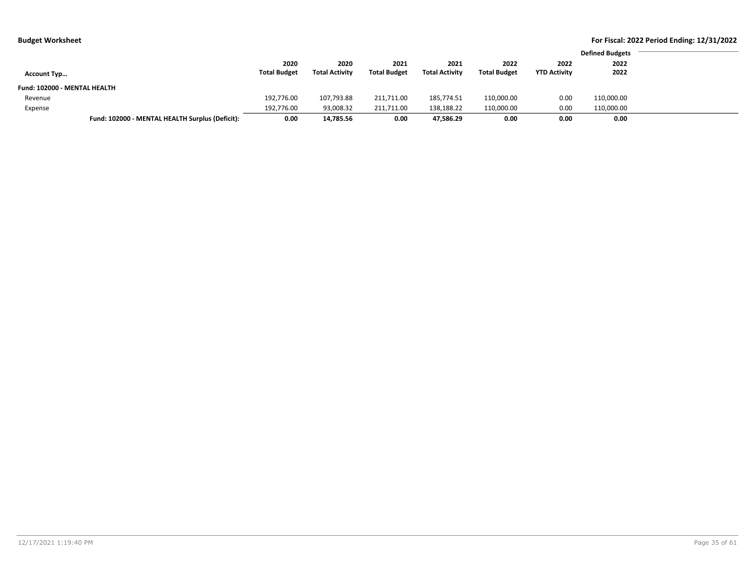| .                            |                                                 |                     |                       |                     |                       |                     |                     |                        | $\cdot$<br>. |
|------------------------------|-------------------------------------------------|---------------------|-----------------------|---------------------|-----------------------|---------------------|---------------------|------------------------|--------------|
|                              |                                                 |                     |                       |                     |                       |                     |                     | <b>Defined Budgets</b> |              |
|                              |                                                 |                     |                       |                     |                       |                     |                     |                        |              |
|                              |                                                 | 2020                | 2020                  | 2021                | 2021                  | 2022                | 2022                | 2022                   |              |
| <b>Account Typ</b>           |                                                 | <b>Total Budget</b> | <b>Total Activity</b> | <b>Total Budget</b> | <b>Total Activity</b> | <b>Total Budget</b> | <b>YTD Activity</b> | 2022                   |              |
| Fund: 102000 - MENTAL HEALTH |                                                 |                     |                       |                     |                       |                     |                     |                        |              |
| Revenue                      |                                                 | 192,776.00          | 107,793.88            | 211,711.00          | 185,774.51            | 110,000.00          | 0.00                | 110,000.00             |              |
| Expense                      |                                                 | 192,776.00          | 93,008.32             | 211,711.00          | 138,188.22            | 110,000.00          | 0.00                | 110,000.00             |              |
|                              | Fund: 102000 - MENTAL HEALTH Surplus (Deficit): | 0.00                | 14,785.56             | 0.00                | 47,586.29             | 0.00                | 0.00                | 0.00                   |              |
|                              |                                                 |                     |                       |                     |                       |                     |                     |                        |              |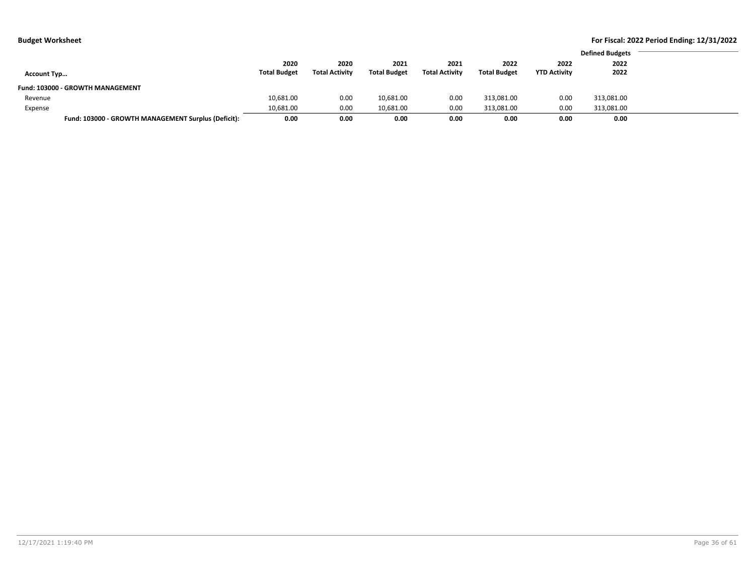|                                  |                                                             |                     |                       |                     |                     | <b>Defined Budgets</b> |  |
|----------------------------------|-------------------------------------------------------------|---------------------|-----------------------|---------------------|---------------------|------------------------|--|
| 2020                             | 2020                                                        | 2021                | 2021                  | 2022                | 2022                | 2022                   |  |
| <b>Total Budget</b>              | <b>Total Activity</b>                                       | <b>Total Budget</b> | <b>Total Activity</b> | <b>Total Budget</b> | <b>YTD Activity</b> | 2022                   |  |
|                                  |                                                             |                     |                       |                     |                     |                        |  |
| 10,681.00                        | 0.00                                                        | 10,681.00           | 0.00                  | 313,081.00          | 0.00                | 313,081.00             |  |
| 10,681.00                        | 0.00                                                        | 10,681.00           | 0.00                  | 313,081.00          | 0.00                | 313,081.00             |  |
|                                  | 0.00                                                        | 0.00                | 0.00                  | 0.00                | 0.00                | 0.00                   |  |
| Fund: 103000 - GROWTH MANAGEMENT | Fund: 103000 - GROWTH MANAGEMENT Surplus (Deficit):<br>0.00 |                     |                       |                     |                     |                        |  |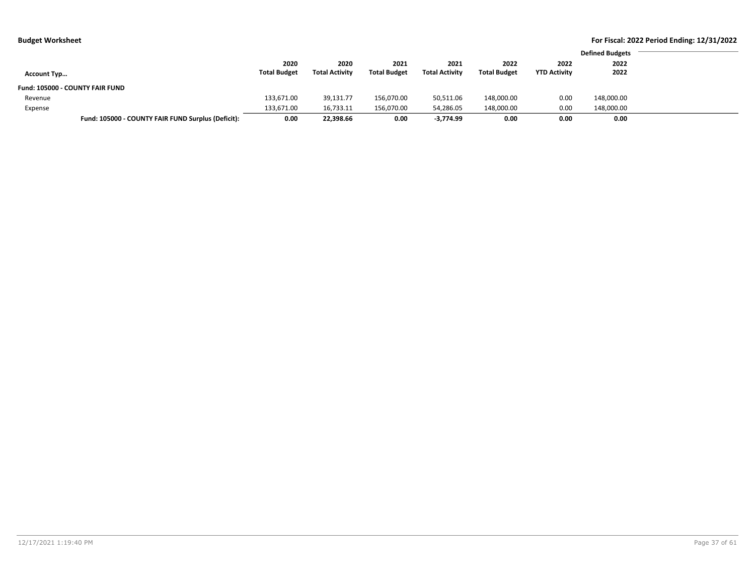| . .                |                                                    |                     |                       |                     |                       |                     |                     |                        |
|--------------------|----------------------------------------------------|---------------------|-----------------------|---------------------|-----------------------|---------------------|---------------------|------------------------|
|                    |                                                    |                     |                       |                     |                       |                     |                     | <b>Defined Budgets</b> |
|                    |                                                    | 2020                | 2020                  | 2021                | 2021                  | 2022                | 2022                | 2022                   |
| <b>Account Typ</b> |                                                    | <b>Total Budget</b> | <b>Total Activity</b> | <b>Total Budget</b> | <b>Total Activity</b> | <b>Total Budget</b> | <b>YTD Activity</b> | 2022                   |
|                    | <b>Fund: 105000 - COUNTY FAIR FUND</b>             |                     |                       |                     |                       |                     |                     |                        |
| Revenue            |                                                    | 133,671.00          | 39,131.77             | 156,070.00          | 50,511.06             | 148,000.00          | 0.00                | 148,000.00             |
| Expense            |                                                    | 133,671.00          | 16,733.11             | 156,070.00          | 54,286.05             | 148,000.00          | 0.00                | 148,000.00             |
|                    | Fund: 105000 - COUNTY FAIR FUND Surplus (Deficit): | 0.00                | 22,398.66             | 0.00                | $-3,774.99$           | 0.00                | 0.00                | 0.00                   |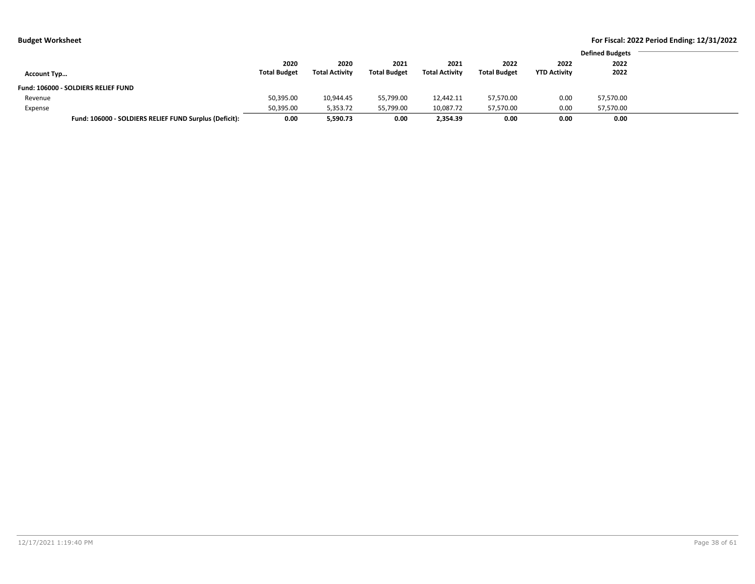| <b>Budget Worksheet</b>                    |                     |                       |                     |                       |                     |                     |                        | For Fiscal: 2022 Period Ending: 12/31/2022 |
|--------------------------------------------|---------------------|-----------------------|---------------------|-----------------------|---------------------|---------------------|------------------------|--------------------------------------------|
|                                            |                     |                       |                     |                       |                     |                     | <b>Defined Budgets</b> |                                            |
|                                            | 2020                | 2020                  | 2021                | 2021                  | 2022                | 2022                | 2022                   |                                            |
| <b>Account Typ</b>                         | <b>Total Budget</b> | <b>Total Activity</b> | <b>Total Budget</b> | <b>Total Activity</b> | <b>Total Budget</b> | <b>YTD Activity</b> | 2022                   |                                            |
| <b>Fund: 106000 - SOLDIERS RELIFE FUND</b> |                     |                       |                     |                       |                     |                     |                        |                                            |

| Fund: 106000 - SOLDIERS RELIEF FUND                    |           |           |           |           |           |      |           |
|--------------------------------------------------------|-----------|-----------|-----------|-----------|-----------|------|-----------|
| Revenue                                                | 50,395.00 | 10.944.45 | 55,799.00 | 12.442.11 | 57.570.00 | 0.00 | 57,570.00 |
| Expense                                                | 50,395.00 | 5.353.72  | 55,799.00 | 10,087.72 | 57,570.00 | 0.00 | 57,570.00 |
| Fund: 106000 - SOLDIERS RELIEF FUND Surplus (Deficit): | 0.00      | 5.590.73  | 0.00      | 2.354.39  | 0.00      | 0.00 | 0.00      |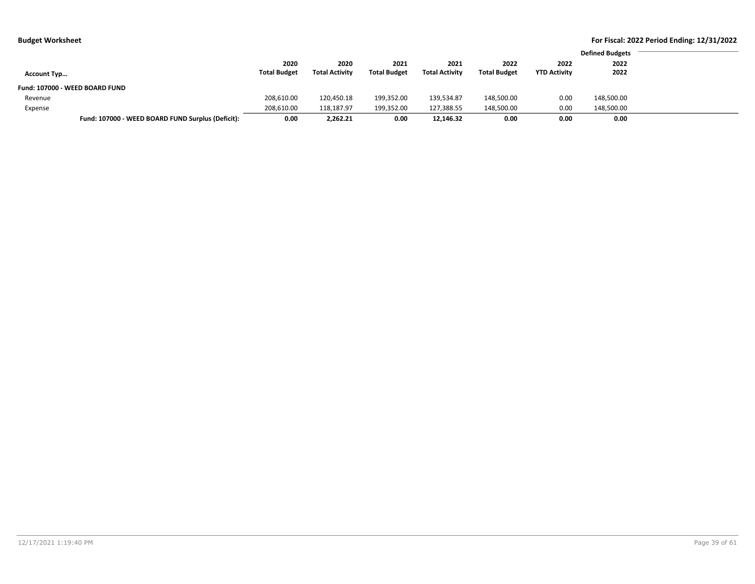| .                  |                                                   |                     |                       |                     |                       |                     |                     |                        | . |
|--------------------|---------------------------------------------------|---------------------|-----------------------|---------------------|-----------------------|---------------------|---------------------|------------------------|---|
|                    |                                                   |                     |                       |                     |                       |                     |                     | <b>Defined Budgets</b> |   |
|                    |                                                   | 2020                | 2020                  | 2021                | 2021                  | 2022                | 2022                | 2022                   |   |
| <b>Account Typ</b> |                                                   | <b>Total Budget</b> | <b>Total Activity</b> | <b>Total Budget</b> | <b>Total Activity</b> | <b>Total Budget</b> | <b>YTD Activity</b> | 2022                   |   |
|                    | Fund: 107000 - WEED BOARD FUND                    |                     |                       |                     |                       |                     |                     |                        |   |
| Revenue            |                                                   | 208,610.00          | 120,450.18            | 199,352.00          | 139.534.87            | 148,500.00          | 0.00                | 148,500.00             |   |
| Expense            |                                                   | 208,610.00          | 118,187.97            | 199,352.00          | 127,388.55            | 148,500.00          | 0.00                | 148,500.00             |   |
|                    | Fund: 107000 - WEED BOARD FUND Surplus (Deficit): | 0.00                | 2,262.21              | 0.00                | 12,146.32             | 0.00                | 0.00                | 0.00                   |   |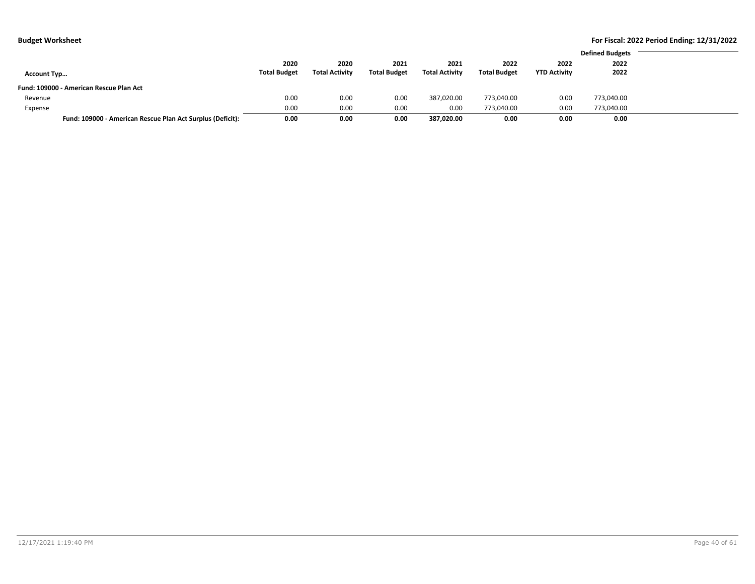|                                                            |                     |                       |                     |                       |                     |                     | <b>Defined Budgets</b> |
|------------------------------------------------------------|---------------------|-----------------------|---------------------|-----------------------|---------------------|---------------------|------------------------|
|                                                            | 2020                | 2020                  | 2021                | 2021                  | 2022                | 2022                | 2022                   |
| <b>Account Typ</b>                                         | <b>Total Budget</b> | <b>Total Activity</b> | <b>Total Budget</b> | <b>Total Activity</b> | <b>Total Budget</b> | <b>YTD Activity</b> | 2022                   |
| Fund: 109000 - American Rescue Plan Act                    |                     |                       |                     |                       |                     |                     |                        |
| Revenue                                                    | 0.00                | 0.00                  | 0.00                | 387.020.00            | 773,040.00          | 0.00                | 773,040.00             |
| Expense                                                    | 0.00                | 0.00                  | 0.00                | 0.00                  | 773.040.00          | 0.00                | 773.040.00             |
| Fund: 109000 - American Rescue Plan Act Surplus (Deficit): | 0.00                | 0.00                  | 0.00                | 387,020.00            | 0.00                | 0.00                | 0.00                   |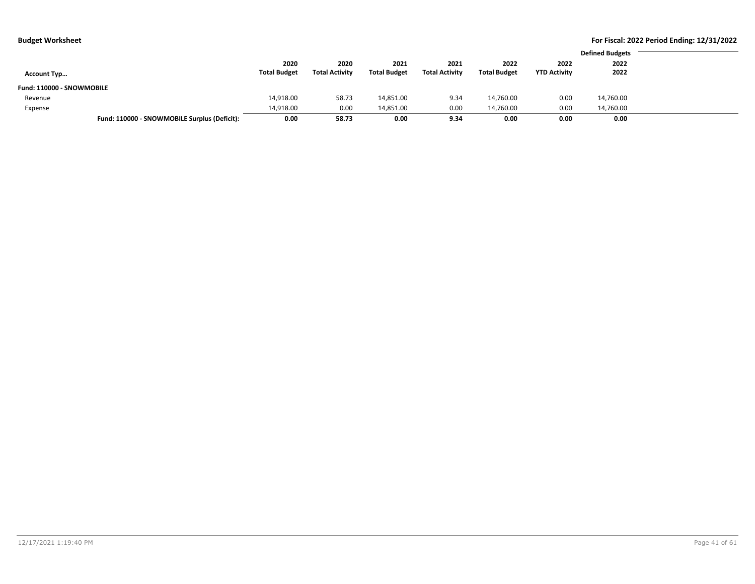|  | udget Worksheet |  |
|--|-----------------|--|
|--|-----------------|--|

|                           |                                              |                     |                       |                     |                       |                     |                     | <b>Defined Budgets</b> |
|---------------------------|----------------------------------------------|---------------------|-----------------------|---------------------|-----------------------|---------------------|---------------------|------------------------|
|                           |                                              | 2020                | 2020                  | 2021                | 2021                  | 2022                | 2022                | 2022                   |
| <b>Account Typ</b>        |                                              | <b>Total Budget</b> | <b>Total Activity</b> | <b>Total Budget</b> | <b>Total Activity</b> | <b>Total Budget</b> | <b>YTD Activity</b> | 2022                   |
| Fund: 110000 - SNOWMOBILE |                                              |                     |                       |                     |                       |                     |                     |                        |
| Revenue                   |                                              | 14,918.00           | 58.73                 | 14,851.00           | 9.34                  | 14,760.00           | 0.00                | 14,760.00              |
| Expense                   |                                              | 14,918.00           | 0.00                  | 14,851.00           | 0.00                  | 14,760.00           | 0.00                | 14.760.00              |
|                           | Fund: 110000 - SNOWMOBILE Surplus (Deficit): | 0.00                | 58.73                 | 0.00                | 9.34                  | 0.00                | 0.00                | 0.00                   |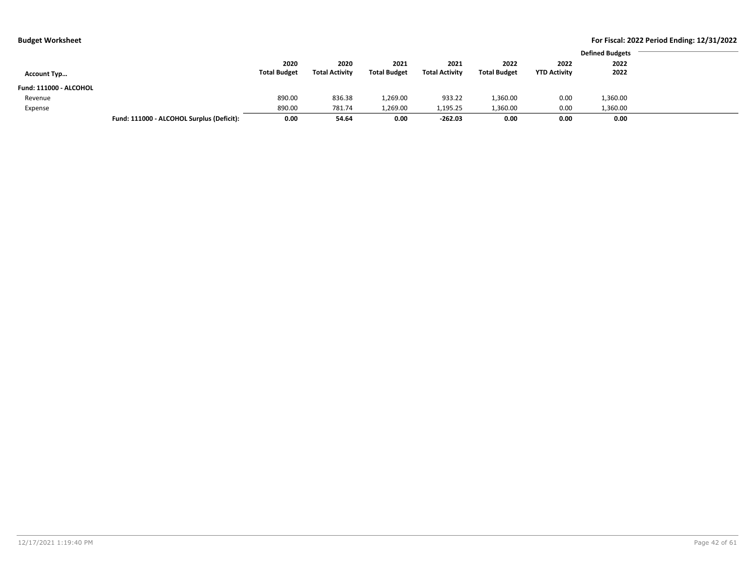| ıdget Worksheet |
|-----------------|
|-----------------|

|                        |                                           |                     |                       |                     |                       |                     |                     | <b>Defined Budgets</b> |
|------------------------|-------------------------------------------|---------------------|-----------------------|---------------------|-----------------------|---------------------|---------------------|------------------------|
|                        |                                           | 2020                | 2020                  | 2021                | 2021                  | 2022                | 2022                | 2022                   |
| <b>Account Typ</b>     |                                           | <b>Total Budget</b> | <b>Total Activity</b> | <b>Total Budget</b> | <b>Total Activity</b> | <b>Total Budget</b> | <b>YTD Activity</b> | 2022                   |
| Fund: 111000 - ALCOHOL |                                           |                     |                       |                     |                       |                     |                     |                        |
| Revenue                |                                           | 890.00              | 836.38                | 1,269.00            | 933.22                | 1,360.00            | 0.00                | 1,360.00               |
| Expense                |                                           | 890.00              | 781.74                | 1,269.00            | 1,195.25              | 1,360.00            | 0.00                | 1,360.00               |
|                        | Fund: 111000 - ALCOHOL Surplus (Deficit): | 0.00                | 54.64                 | 0.00                | $-262.03$             | 0.00                | 0.00                | 0.00                   |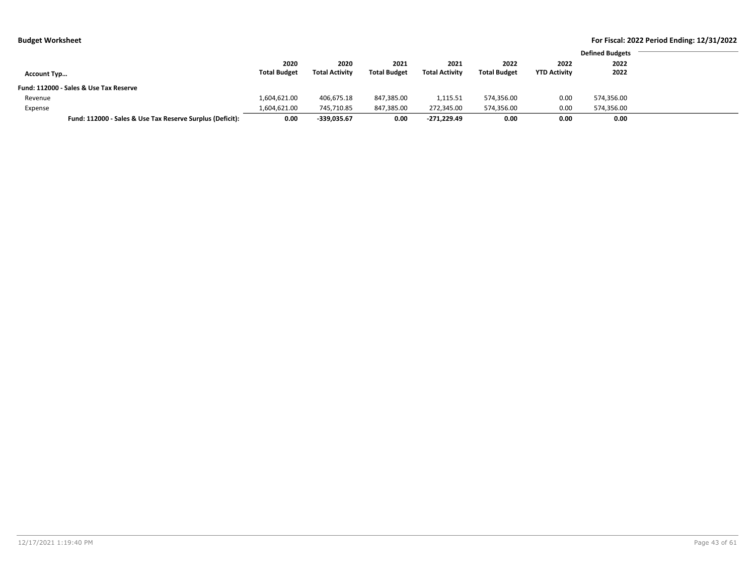|                    |                                                           |                     |                       |                     |                       |                     |                     | <b>Defined Budgets</b> |  |
|--------------------|-----------------------------------------------------------|---------------------|-----------------------|---------------------|-----------------------|---------------------|---------------------|------------------------|--|
|                    |                                                           | 2020                | 2020                  | 2021                | 2021                  | 2022                | 2022                | 2022                   |  |
| <b>Account Typ</b> |                                                           | <b>Total Budget</b> | <b>Total Activity</b> | <b>Total Budget</b> | <b>Total Activity</b> | <b>Total Budget</b> | <b>YTD Activity</b> | 2022                   |  |
|                    | Fund: 112000 - Sales & Use Tax Reserve                    |                     |                       |                     |                       |                     |                     |                        |  |
| Revenue            |                                                           | 1,604,621.00        | 406,675.18            | 847,385.00          | 1,115.51              | 574,356.00          | 0.00                | 574,356.00             |  |
| Expense            |                                                           | 1,604,621.00        | 745,710.85            | 847,385.00          | 272,345.00            | 574,356.00          | 0.00                | 574,356.00             |  |
|                    | Fund: 112000 - Sales & Use Tax Reserve Surplus (Deficit): | 0.00                | $-339,035.67$         | 0.00                | $-271.229.49$         | 0.00                | 0.00                | 0.00                   |  |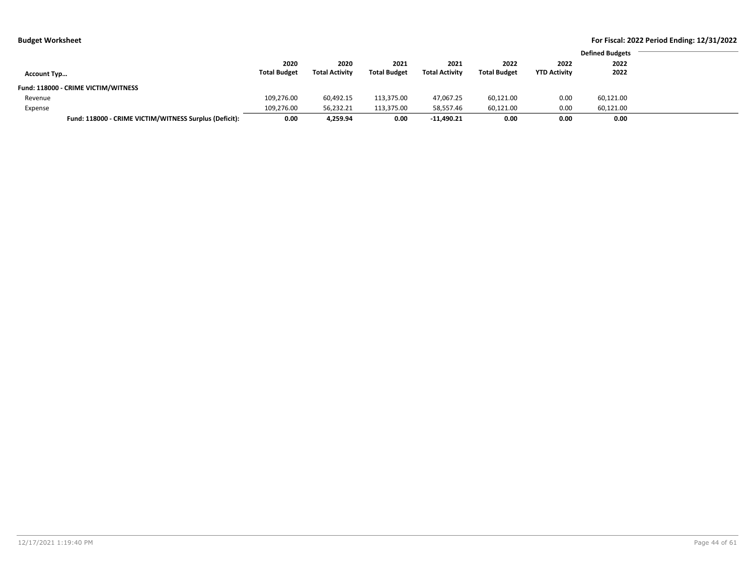|  | Budget Worksheet |
|--|------------------|
|--|------------------|

|                    |                                                        |                     |                       |                     |                       |                     |                     | <b>Defined Budgets</b> |
|--------------------|--------------------------------------------------------|---------------------|-----------------------|---------------------|-----------------------|---------------------|---------------------|------------------------|
|                    |                                                        | 2020                | 2020                  | 2021                | 2021                  | 2022                | 2022                | 2022                   |
| <b>Account Typ</b> |                                                        | <b>Total Budget</b> | <b>Total Activity</b> | <b>Total Budget</b> | <b>Total Activity</b> | <b>Total Budget</b> | <b>YTD Activity</b> | 2022                   |
|                    | Fund: 118000 - CRIME VICTIM/WITNESS                    |                     |                       |                     |                       |                     |                     |                        |
| Revenue            |                                                        | 109,276.00          | 60,492.15             | 113,375.00          | 47,067.25             | 60,121.00           | 0.00                | 60,121.00              |
| Expense            |                                                        | 109,276.00          | 56,232.21             | 113,375.00          | 58,557.46             | 60,121.00           | 0.00                | 60,121.00              |
|                    | Fund: 118000 - CRIME VICTIM/WITNESS Surplus (Deficit): | 0.00                | 4.259.94              | 0.00                | $-11.490.21$          | 0.00                | 0.00                | 0.00                   |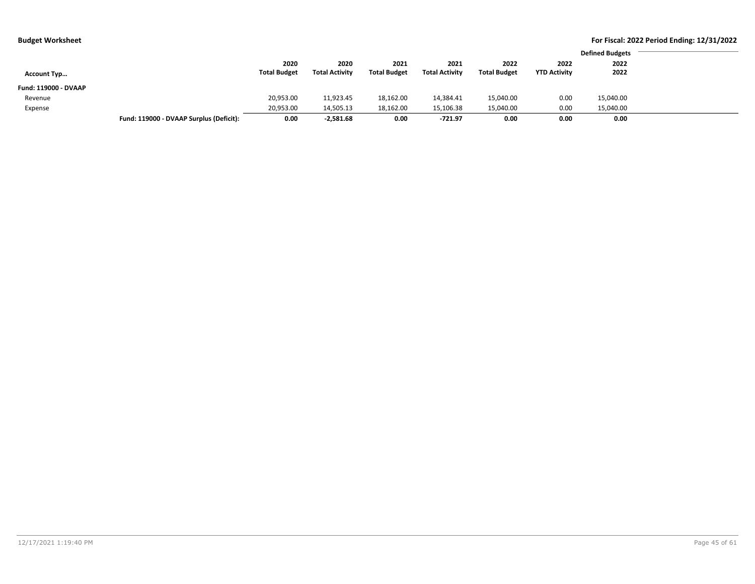| ıdget Worksheet |  |
|-----------------|--|
|-----------------|--|

|                      |                                         |                     |                       |                     |                       |                     |                     | <b>Defined Budgets</b> |
|----------------------|-----------------------------------------|---------------------|-----------------------|---------------------|-----------------------|---------------------|---------------------|------------------------|
|                      |                                         | 2020                | 2020                  | 2021                | 2021                  | 2022                | 2022                | 2022                   |
| <b>Account Typ</b>   |                                         | <b>Total Budget</b> | <b>Total Activity</b> | <b>Total Budget</b> | <b>Total Activity</b> | <b>Total Budget</b> | <b>YTD Activity</b> | 2022                   |
| Fund: 119000 - DVAAP |                                         |                     |                       |                     |                       |                     |                     |                        |
| Revenue              |                                         | 20,953.00           | 11,923.45             | 18,162.00           | 14,384.41             | 15,040.00           | 0.00                | 15,040.00              |
| Expense              |                                         | 20,953.00           | 14,505.13             | 18,162.00           | 15,106.38             | 15,040.00           | 0.00                | 15,040.00              |
|                      | Fund: 119000 - DVAAP Surplus (Deficit): | 0.00                | $-2,581.68$           | 0.00                | $-721.97$             | 0.00                | 0.00                | 0.00                   |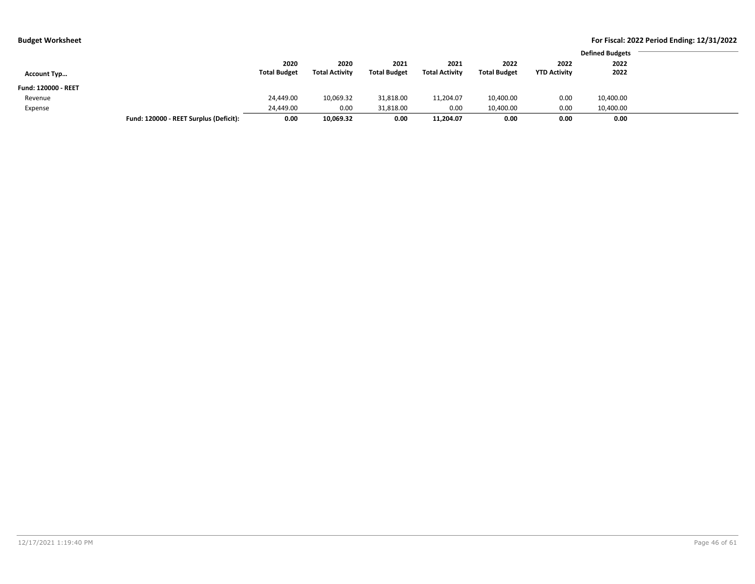|  | Budget Worksheet |
|--|------------------|
|--|------------------|

|                     |                                        |                     |                       |                     |                       |                     |                     | <b>Defined Budgets</b> |
|---------------------|----------------------------------------|---------------------|-----------------------|---------------------|-----------------------|---------------------|---------------------|------------------------|
|                     |                                        | 2020                | 2020                  | 2021                | 2021                  | 2022                | 2022                | 2022                   |
| <b>Account Typ</b>  |                                        | <b>Total Budget</b> | <b>Total Activity</b> | <b>Total Budget</b> | <b>Total Activity</b> | <b>Total Budget</b> | <b>YTD Activity</b> | 2022                   |
| Fund: 120000 - REET |                                        |                     |                       |                     |                       |                     |                     |                        |
| Revenue             |                                        | 24,449.00           | 10,069.32             | 31,818.00           | 11,204.07             | 10,400.00           | 0.00                | 10,400.00              |
| Expense             |                                        | 24.449.00           | 0.00                  | 31,818.00           | 0.00                  | 10,400.00           | 0.00                | 10,400.00              |
|                     | Fund: 120000 - REET Surplus (Deficit): | 0.00                | 10,069.32             | 0.00                | 11,204.07             | 0.00                | 0.00                | 0.00                   |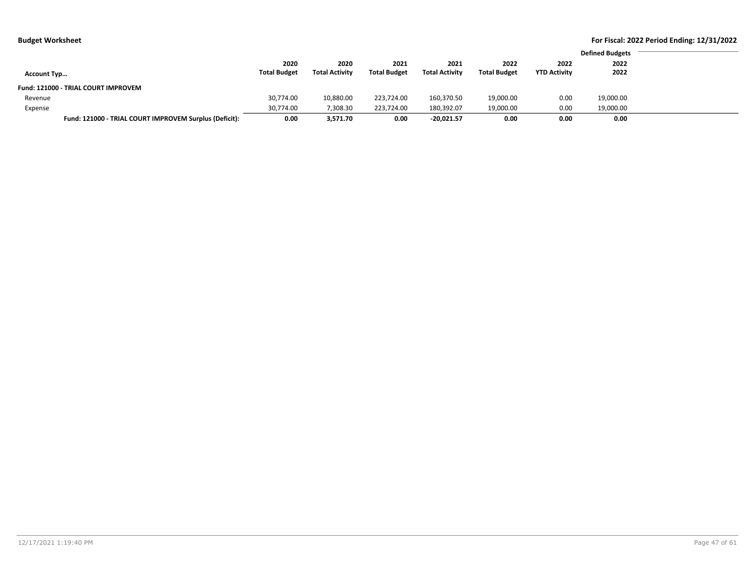|                                                        |                     |                       |                     |                       |                     |                     | <b>Defined Budgets</b> |
|--------------------------------------------------------|---------------------|-----------------------|---------------------|-----------------------|---------------------|---------------------|------------------------|
|                                                        | 2020                | 2020                  | 2021                | 2021                  | 2022                | 2022                | 2022                   |
| <b>Account Typ</b>                                     | <b>Total Budget</b> | <b>Total Activity</b> | <b>Total Budget</b> | <b>Total Activity</b> | <b>Total Budget</b> | <b>YTD Activity</b> | 2022                   |
| Fund: 121000 - TRIAL COURT IMPROVEM                    |                     |                       |                     |                       |                     |                     |                        |
| Revenue                                                | 30,774.00           | 10,880.00             | 223.724.00          | 160.370.50            | 19,000.00           | 0.00                | 19,000.00              |
| Expense                                                | 30,774.00           | 7,308.30              | 223.724.00          | 180,392.07            | 19,000.00           | 0.00                | 19,000.00              |
| Fund: 121000 - TRIAL COURT IMPROVEM Surplus (Deficit): | 0.00                | 3,571.70              | 0.00                | $-20,021.57$          | 0.00                | 0.00                | 0.00                   |
|                                                        |                     |                       |                     |                       |                     |                     |                        |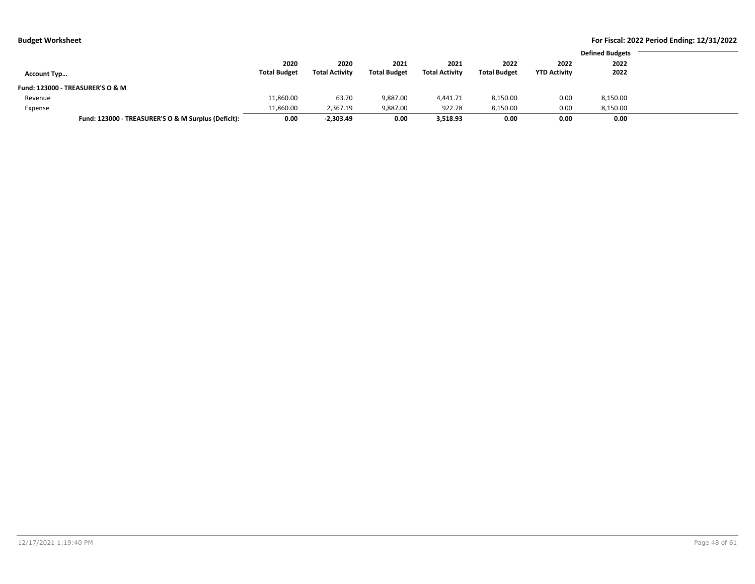|                                                     |                     |                       |                     |                       |                     |                     | <b>Defined Budgets</b> |
|-----------------------------------------------------|---------------------|-----------------------|---------------------|-----------------------|---------------------|---------------------|------------------------|
|                                                     | 2020                | 2020                  | 2021                | 2021                  | 2022                | 2022                | 2022                   |
| <b>Account Typ</b>                                  | <b>Total Budget</b> | <b>Total Activity</b> | <b>Total Budget</b> | <b>Total Activity</b> | <b>Total Budget</b> | <b>YTD Activity</b> | 2022                   |
| Fund: 123000 - TREASURER'S O & M                    |                     |                       |                     |                       |                     |                     |                        |
| Revenue                                             | 11,860.00           | 63.70                 | 9,887.00            | 4.441.71              | 8,150.00            | 0.00                | 8,150.00               |
| Expense                                             | 11,860.00           | 2,367.19              | 9,887.00            | 922.78                | 8,150.00            | 0.00                | 8,150.00               |
| Fund: 123000 - TREASURER'S O & M Surplus (Deficit): | 0.00                | $-2,303.49$           | 0.00                | 3,518.93              | 0.00                | 0.00                | 0.00                   |
|                                                     |                     |                       |                     |                       |                     |                     |                        |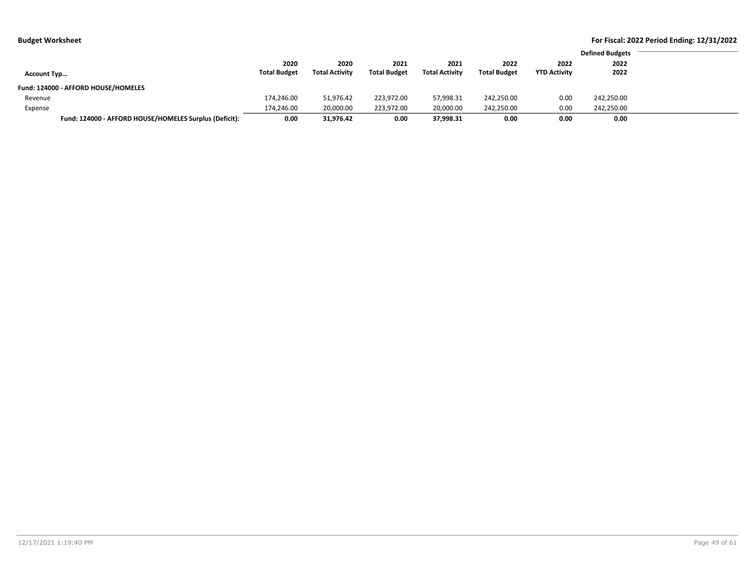|  | udget Worksheet |
|--|-----------------|
|--|-----------------|

|                                                        |                     |                       |                     |                       |                     |                     | <b>Defined Budgets</b> |
|--------------------------------------------------------|---------------------|-----------------------|---------------------|-----------------------|---------------------|---------------------|------------------------|
|                                                        | 2020                | 2020                  | 2021                | 2021                  | 2022                | 2022                | 2022                   |
| <b>Account Typ</b>                                     | <b>Total Budget</b> | <b>Total Activity</b> | <b>Total Budget</b> | <b>Total Activity</b> | <b>Total Budget</b> | <b>YTD Activity</b> | 2022                   |
| Fund: 124000 - AFFORD HOUSE/HOMELES                    |                     |                       |                     |                       |                     |                     |                        |
| Revenue                                                | 174,246.00          | 51.976.42             | 223.972.00          | 57,998.31             | 242,250.00          | 0.00                | 242,250.00             |
| Expense                                                | 174,246.00          | 20,000.00             | 223.972.00          | 20,000.00             | 242,250.00          | 0.00                | 242,250.00             |
| Fund: 124000 - AFFORD HOUSE/HOMELES Surplus (Deficit): | 0.00                | 31,976.42             | 0.00                | 37,998.31             | 0.00                | 0.00                | 0.00                   |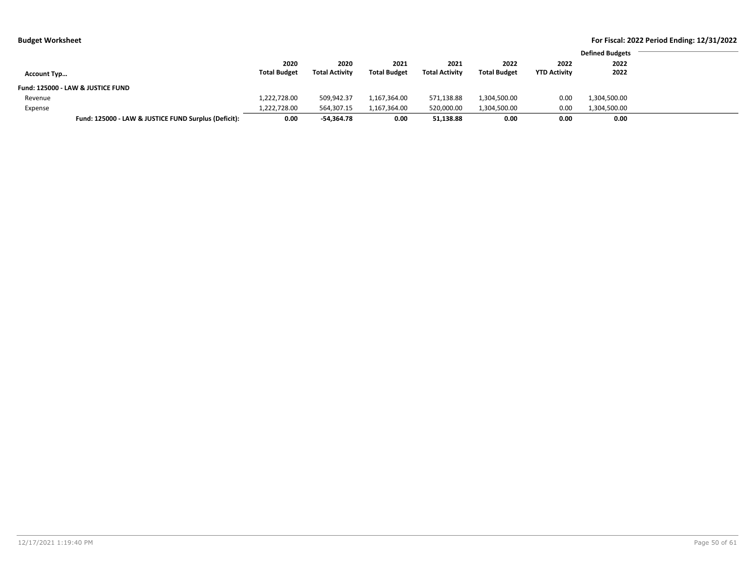| <b>Budget Worksheet</b> |                                                      |                     |                       |                     |                       |                     |                     |                        | For Fiscal: 2022 Period Ending: 12/31/2022 |
|-------------------------|------------------------------------------------------|---------------------|-----------------------|---------------------|-----------------------|---------------------|---------------------|------------------------|--------------------------------------------|
|                         |                                                      |                     |                       |                     |                       |                     |                     | <b>Defined Budgets</b> |                                            |
|                         |                                                      | 2020                | 2020                  | 2021                | 2021                  | 2022                | 2022                | 2022                   |                                            |
| <b>Account Typ</b>      |                                                      | <b>Total Budget</b> | <b>Total Activity</b> | <b>Total Budget</b> | <b>Total Activity</b> | <b>Total Budget</b> | <b>YTD Activity</b> | 2022                   |                                            |
|                         | Fund: 125000 - LAW & JUSTICE FUND                    |                     |                       |                     |                       |                     |                     |                        |                                            |
| Revenue                 |                                                      | 1,222,728.00        | 509,942.37            | 1,167,364.00        | 571,138.88            | 1,304,500.00        | 0.00                | 1,304,500.00           |                                            |
| Expense                 |                                                      | 1,222,728.00        | 564,307.15            | 1,167,364.00        | 520,000.00            | 1,304,500.00        | 0.00                | 1,304,500.00           |                                            |
|                         | Fund: 125000 - LAW & JUSTICE FUND Surplus (Deficit): | 0.00                | -54.364.78            | 0.00                | 51,138.88             | 0.00                | 0.00                | 0.00                   |                                            |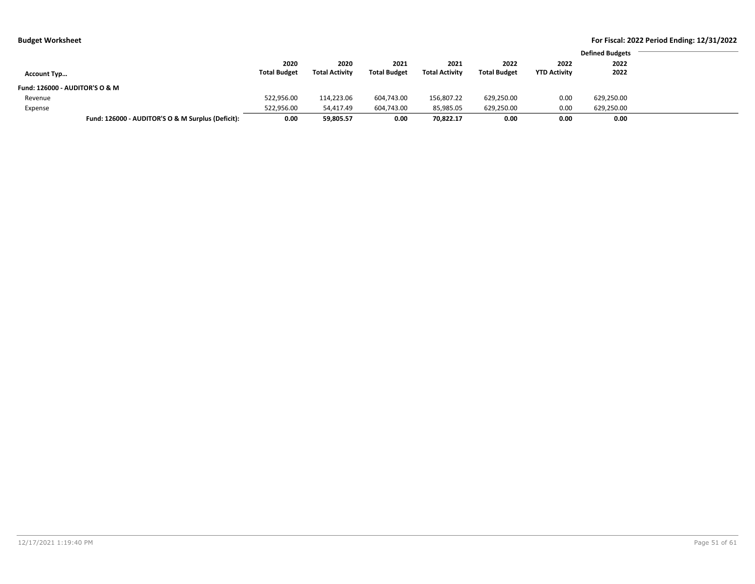| 2020<br>2020<br>2021<br>2022<br>2022<br>2022<br>2021<br><b>Total Budget</b><br><b>Total Activity</b><br><b>Total Budget</b><br><b>Total Activity</b><br><b>Total Budget</b><br>2022<br><b>YTD Activity</b><br><b>Account Typ</b><br><b>Fund: 126000 - AUDITOR'S O &amp; M</b><br>522,956.00<br>156,807.22<br>0.00<br>114,223.06<br>604,743.00<br>629,250.00<br>Revenue<br>522,956.00<br>604,743.00<br>85,985.05<br>629,250.00<br>0.00<br>629,250.00<br>54,417.49<br>Expense<br>Fund: 126000 - AUDITOR'S O & M Surplus (Deficit):<br>0.00<br>0.00<br>59,805.57<br>70,822.17<br>0.00<br>0.00<br>0.00 | . . |  |  |  |                        |
|----------------------------------------------------------------------------------------------------------------------------------------------------------------------------------------------------------------------------------------------------------------------------------------------------------------------------------------------------------------------------------------------------------------------------------------------------------------------------------------------------------------------------------------------------------------------------------------------------|-----|--|--|--|------------------------|
|                                                                                                                                                                                                                                                                                                                                                                                                                                                                                                                                                                                                    |     |  |  |  | <b>Defined Budgets</b> |
|                                                                                                                                                                                                                                                                                                                                                                                                                                                                                                                                                                                                    |     |  |  |  |                        |
|                                                                                                                                                                                                                                                                                                                                                                                                                                                                                                                                                                                                    |     |  |  |  |                        |
|                                                                                                                                                                                                                                                                                                                                                                                                                                                                                                                                                                                                    |     |  |  |  |                        |
|                                                                                                                                                                                                                                                                                                                                                                                                                                                                                                                                                                                                    |     |  |  |  | 629,250.00             |
|                                                                                                                                                                                                                                                                                                                                                                                                                                                                                                                                                                                                    |     |  |  |  |                        |
|                                                                                                                                                                                                                                                                                                                                                                                                                                                                                                                                                                                                    |     |  |  |  |                        |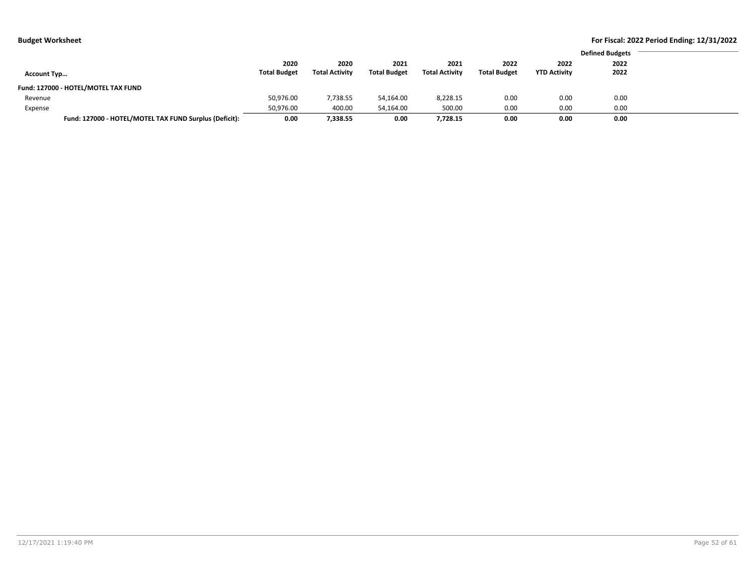|  | <b>Budget Worksheet</b> |
|--|-------------------------|
|--|-------------------------|

|                                     |                                                        |                     |                       |                     |                       |                     |                     | <b>Defined Budgets</b> |
|-------------------------------------|--------------------------------------------------------|---------------------|-----------------------|---------------------|-----------------------|---------------------|---------------------|------------------------|
|                                     |                                                        | 2020                | 2020                  | 2021                | 2021                  | 2022                | 2022                | 2022                   |
| <b>Account Typ</b>                  |                                                        | <b>Total Budget</b> | <b>Total Activity</b> | <b>Total Budget</b> | <b>Total Activity</b> | <b>Total Budget</b> | <b>YTD Activity</b> | 2022                   |
| Fund: 127000 - HOTEL/MOTEL TAX FUND |                                                        |                     |                       |                     |                       |                     |                     |                        |
| Revenue                             |                                                        | 50,976.00           | 7,738.55              | 54,164.00           | 8,228.15              | 0.00                | 0.00                | 0.00                   |
| Expense                             |                                                        | 50,976.00           | 400.00                | 54.164.00           | 500.00                | 0.00                | 0.00                | 0.00                   |
|                                     | Fund: 127000 - HOTEL/MOTEL TAX FUND Surplus (Deficit): | 0.00                | 7,338.55              | 0.00                | 7,728.15              | 0.00                | 0.00                | 0.00                   |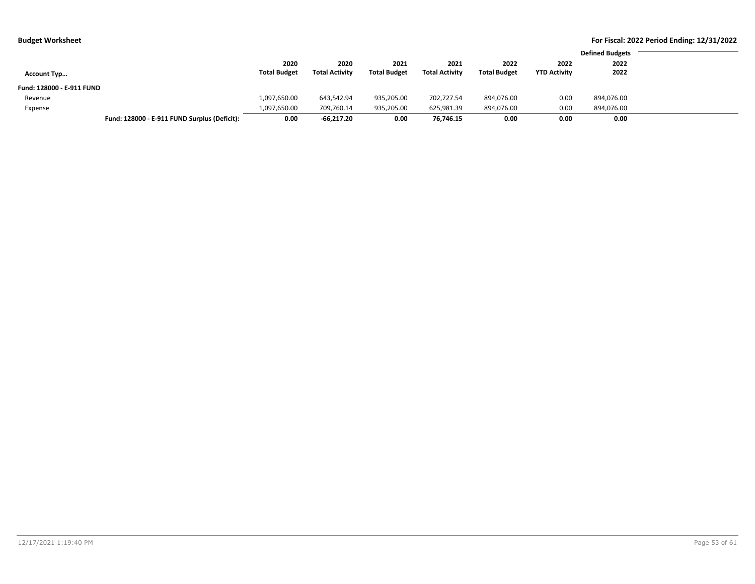| <b>Budget Worksheet</b>   |                                              |                     |                       |                     |                       |                     |                     | For Fiscal: 2022 Period Ending: 12/31/2022 |  |  |
|---------------------------|----------------------------------------------|---------------------|-----------------------|---------------------|-----------------------|---------------------|---------------------|--------------------------------------------|--|--|
|                           |                                              |                     |                       |                     |                       |                     |                     | <b>Defined Budgets</b>                     |  |  |
|                           |                                              | 2020                | 2020                  | 2021                | 2021                  | 2022                | 2022                | 2022                                       |  |  |
| <b>Account Typ</b>        |                                              | <b>Total Budget</b> | <b>Total Activity</b> | <b>Total Budget</b> | <b>Total Activity</b> | <b>Total Budget</b> | <b>YTD Activity</b> | 2022                                       |  |  |
| Fund: 128000 - E-911 FUND |                                              |                     |                       |                     |                       |                     |                     |                                            |  |  |
| Revenue                   |                                              | 1,097,650.00        | 643,542.94            | 935,205.00          | 702.727.54            | 894,076.00          | 0.00                | 894,076.00                                 |  |  |
| Expense                   |                                              | 1,097,650.00        | 709,760.14            | 935,205.00          | 625,981.39            | 894,076.00          | 0.00                | 894,076.00                                 |  |  |
|                           | Fund: 128000 - E-911 FUND Surplus (Deficit): | 0.00                | $-66.217.20$          | 0.00                | 76.746.15             | 0.00                | 0.00                | 0.00                                       |  |  |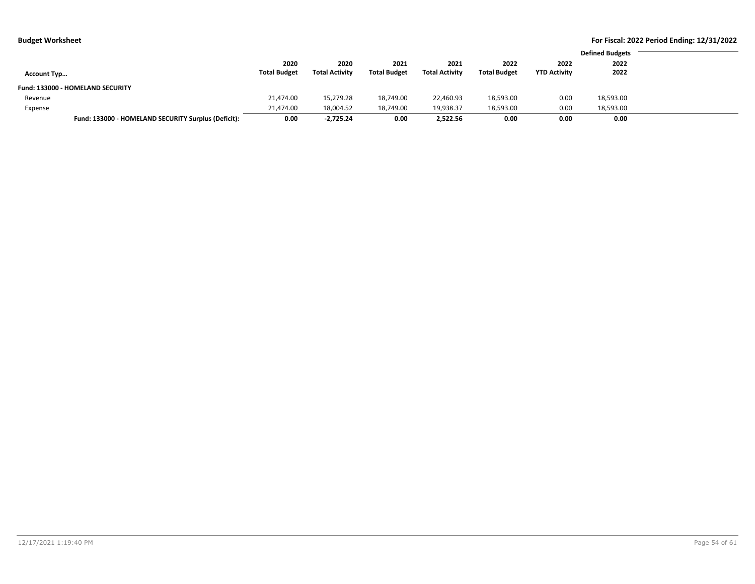| Budget Worksheet |  |  |
|------------------|--|--|
|------------------|--|--|

|                    |                                                     |                     |                       |                     |                       |                     |                     | <b>Defined Budgets</b> |
|--------------------|-----------------------------------------------------|---------------------|-----------------------|---------------------|-----------------------|---------------------|---------------------|------------------------|
|                    |                                                     | 2020                | 2020                  | 2021                | 2021                  | 2022                | 2022                | 2022                   |
| <b>Account Typ</b> |                                                     | <b>Total Budget</b> | <b>Total Activity</b> | <b>Total Budget</b> | <b>Total Activity</b> | <b>Total Budget</b> | <b>YTD Activity</b> | 2022                   |
|                    | Fund: 133000 - HOMELAND SECURITY                    |                     |                       |                     |                       |                     |                     |                        |
| Revenue            |                                                     | 21,474.00           | 15,279.28             | 18,749.00           | 22,460.93             | 18,593.00           | 0.00                | 18,593.00              |
| Expense            |                                                     | 21,474.00           | 18,004.52             | 18,749.00           | 19,938.37             | 18,593.00           | 0.00                | 18,593.00              |
|                    | Fund: 133000 - HOMELAND SECURITY Surplus (Deficit): | 0.00                | $-2.725.24$           | 0.00                | 2.522.56              | 0.00                | 0.00                | 0.00                   |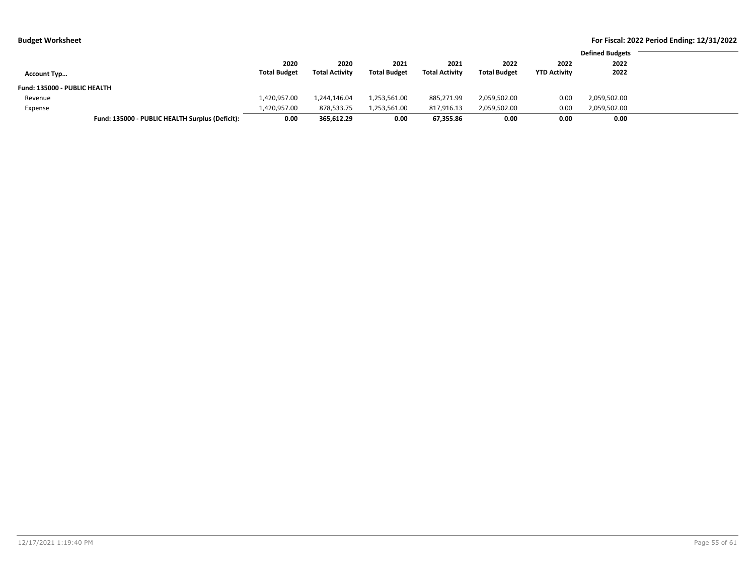| <b>Budget Worksheet</b>      |                                                 |                     |                       |                     |                       |                     |                     |                        | For Fiscal: 2022 Period Ending: 12/31/2022 |
|------------------------------|-------------------------------------------------|---------------------|-----------------------|---------------------|-----------------------|---------------------|---------------------|------------------------|--------------------------------------------|
|                              |                                                 |                     |                       |                     |                       |                     |                     | <b>Defined Budgets</b> |                                            |
|                              |                                                 | 2020                | 2020                  | 2021                | 2021                  | 2022                | 2022                | 2022                   |                                            |
| <b>Account Typ</b>           |                                                 | <b>Total Budget</b> | <b>Total Activity</b> | <b>Total Budget</b> | <b>Total Activity</b> | <b>Total Budget</b> | <b>YTD Activity</b> | 2022                   |                                            |
| Fund: 135000 - PUBLIC HEALTH |                                                 |                     |                       |                     |                       |                     |                     |                        |                                            |
| Revenue                      |                                                 | 1,420,957.00        | 1,244,146.04          | 1,253,561.00        | 885,271.99            | 2,059,502.00        | 0.00                | 2,059,502.00           |                                            |
| Expense                      |                                                 | 1,420,957.00        | 878,533.75            | 1,253,561.00        | 817,916.13            | 2,059,502.00        | 0.00                | 2,059,502.00           |                                            |
|                              | Fund: 135000 - PUBLIC HEALTH Surplus (Deficit): | 0.00                | 365.612.29            | 0.00                | 67.355.86             | 0.00                | 0.00                | 0.00                   |                                            |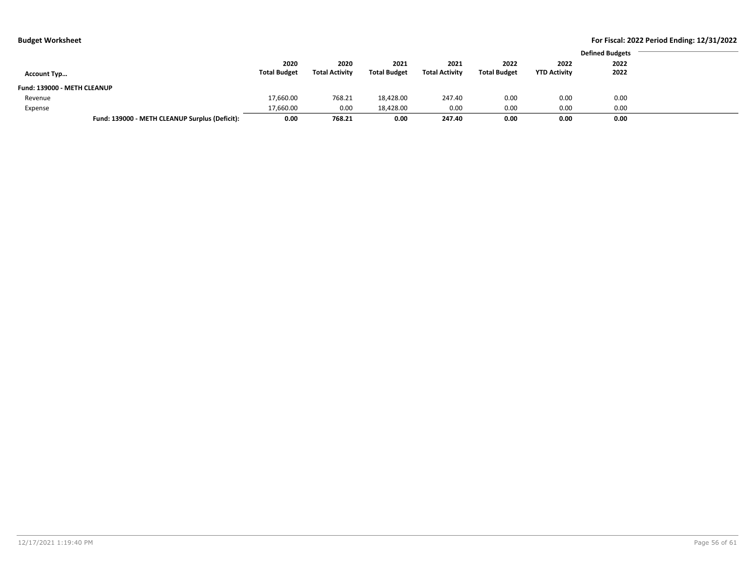| ----------------            |                                                |                     |                       |                     |                       |                     |                     | <b>Defined Budgets</b><br>2022<br>2022<br>2022<br>0.00<br>0.00 |  |  |  |
|-----------------------------|------------------------------------------------|---------------------|-----------------------|---------------------|-----------------------|---------------------|---------------------|----------------------------------------------------------------|--|--|--|
|                             |                                                |                     |                       |                     |                       |                     |                     |                                                                |  |  |  |
|                             |                                                | 2020                | 2020                  | 2021                | 2021                  | 2022                |                     |                                                                |  |  |  |
| <b>Account Typ</b>          |                                                | <b>Total Budget</b> | <b>Total Activity</b> | <b>Total Budget</b> | <b>Total Activity</b> | <b>Total Budget</b> | <b>YTD Activity</b> |                                                                |  |  |  |
| Fund: 139000 - METH CLEANUP |                                                |                     |                       |                     |                       |                     |                     |                                                                |  |  |  |
| Revenue                     |                                                | 17,660.00           | 768.21                | 18,428.00           | 247.40                | 0.00                |                     |                                                                |  |  |  |
| Expense                     |                                                | 17,660.00           | 0.00                  | 18,428.00           | 0.00                  | 0.00                | 0.00                | 0.00                                                           |  |  |  |
|                             | Fund: 139000 - METH CLEANUP Surplus (Deficit): | 0.00                | 768.21                | 0.00                | 247.40                | 0.00                | 0.00                | 0.00                                                           |  |  |  |
|                             |                                                |                     |                       |                     |                       |                     |                     |                                                                |  |  |  |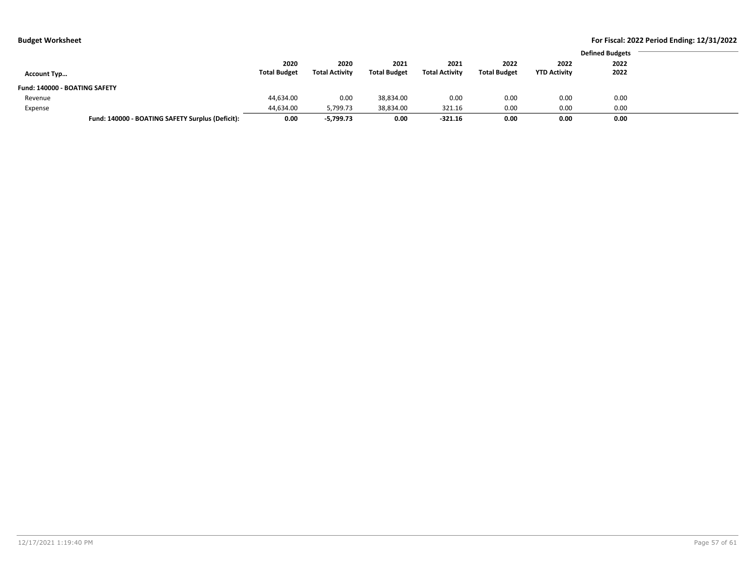| Budget Worksheet |  |
|------------------|--|
|------------------|--|

| 2020<br>2020<br>2022<br>2021<br>2021<br>2022<br><b>Total Budget</b><br><b>Total Activity</b><br><b>Total Budget</b><br><b>Total Activity</b><br><b>Total Budget</b><br><b>YTD Activity</b><br><b>Account Typ</b><br>Fund: 140000 - BOATING SAFETY<br>44,634.00<br>0.00<br>0.00<br>38,834.00<br>0.00<br>0.00<br>Revenue<br>0.00<br>44,634.00<br>5,799.73<br>38,834.00<br>321.16<br>0.00<br>Expense |                                                  |      |             |      |           |      |      | <b>Defined Budgets</b> |
|---------------------------------------------------------------------------------------------------------------------------------------------------------------------------------------------------------------------------------------------------------------------------------------------------------------------------------------------------------------------------------------------------|--------------------------------------------------|------|-------------|------|-----------|------|------|------------------------|
|                                                                                                                                                                                                                                                                                                                                                                                                   |                                                  |      |             |      |           |      |      | 2022                   |
|                                                                                                                                                                                                                                                                                                                                                                                                   |                                                  |      |             |      |           |      |      | 2022                   |
|                                                                                                                                                                                                                                                                                                                                                                                                   |                                                  |      |             |      |           |      |      |                        |
|                                                                                                                                                                                                                                                                                                                                                                                                   |                                                  |      |             |      |           |      |      | 0.00                   |
|                                                                                                                                                                                                                                                                                                                                                                                                   |                                                  |      |             |      |           |      |      | 0.00                   |
|                                                                                                                                                                                                                                                                                                                                                                                                   | Fund: 140000 - BOATING SAFETY Surplus (Deficit): | 0.00 | $-5,799.73$ | 0.00 | $-321.16$ | 0.00 | 0.00 | 0.00                   |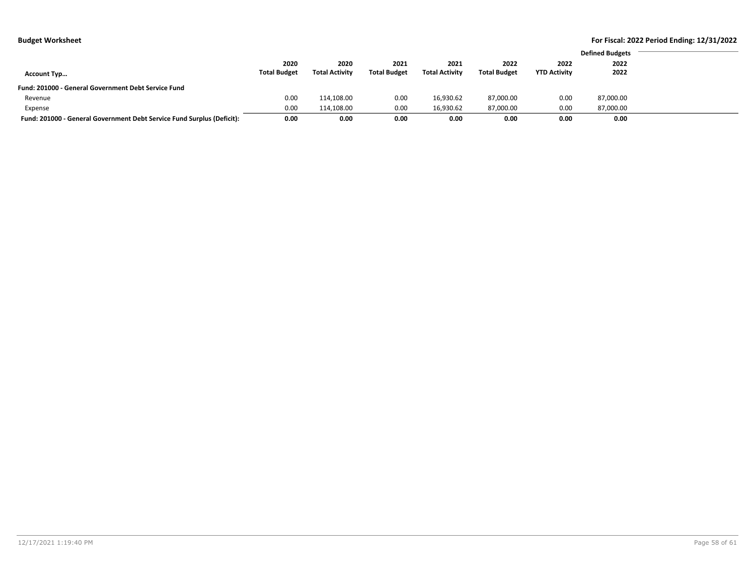|                                                                        |                     |                       |                     |                       |                     |                     | <b>Defined Budgets</b> |
|------------------------------------------------------------------------|---------------------|-----------------------|---------------------|-----------------------|---------------------|---------------------|------------------------|
|                                                                        | 2020                | 2020                  | 2021                | 2021                  | 2022                | 2022                | 2022                   |
| <b>Account Typ</b>                                                     | <b>Total Budget</b> | <b>Total Activity</b> | <b>Total Budget</b> | <b>Total Activity</b> | <b>Total Budget</b> | <b>YTD Activity</b> | 2022                   |
| Fund: 201000 - General Government Debt Service Fund                    |                     |                       |                     |                       |                     |                     |                        |
| Revenue                                                                | 0.00                | 114,108.00            | 0.00                | 16.930.62             | 87,000.00           | 0.00                | 87,000.00              |
| Expense                                                                | 0.00                | 114.108.00            | 0.00                | 16.930.62             | 87,000.00           | 0.00                | 87.000.00              |
| Fund: 201000 - General Government Debt Service Fund Surplus (Deficit): | 0.00                | 0.00                  | 0.00                | 0.00                  | 0.00                | 0.00                | 0.00                   |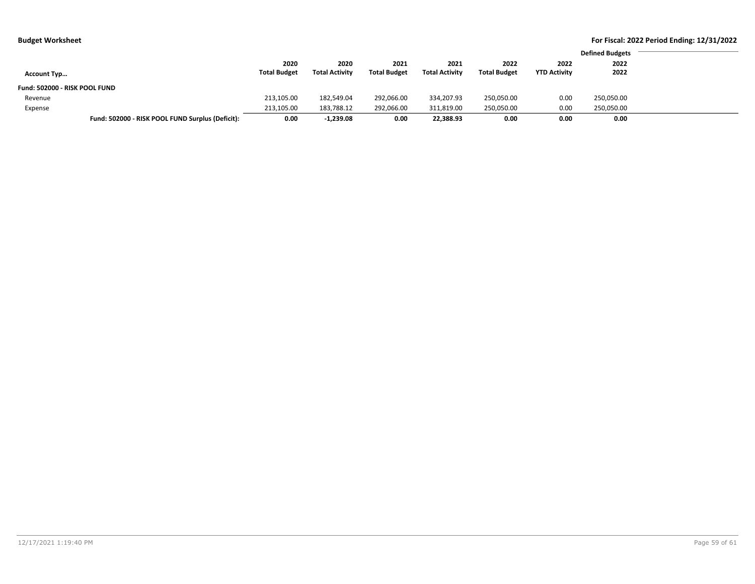| . .                                              |                     |                       |                     |                       |                     |                     |                        | $\sim$ |
|--------------------------------------------------|---------------------|-----------------------|---------------------|-----------------------|---------------------|---------------------|------------------------|--------|
|                                                  |                     |                       |                     |                       |                     |                     | <b>Defined Budgets</b> |        |
|                                                  | 2020                | 2020                  | 2021                | 2021                  | 2022                | 2022                | 2022                   |        |
| <b>Account Typ</b>                               | <b>Total Budget</b> | <b>Total Activity</b> | <b>Total Budget</b> | <b>Total Activity</b> | <b>Total Budget</b> | <b>YTD Activity</b> | 2022                   |        |
| Fund: 502000 - RISK POOL FUND                    |                     |                       |                     |                       |                     |                     |                        |        |
| Revenue                                          | 213,105.00          | 182,549.04            | 292,066.00          | 334,207.93            | 250,050.00          | 0.00                | 250,050.00             |        |
| Expense                                          | 213,105.00          | 183,788.12            | 292,066.00          | 311,819.00            | 250,050.00          | 0.00                | 250,050.00             |        |
| Fund: 502000 - RISK POOL FUND Surplus (Deficit): | 0.00                | $-1,239.08$           | 0.00                | 22,388.93             | 0.00                | 0.00                | 0.00                   |        |
|                                                  |                     |                       |                     |                       |                     |                     |                        |        |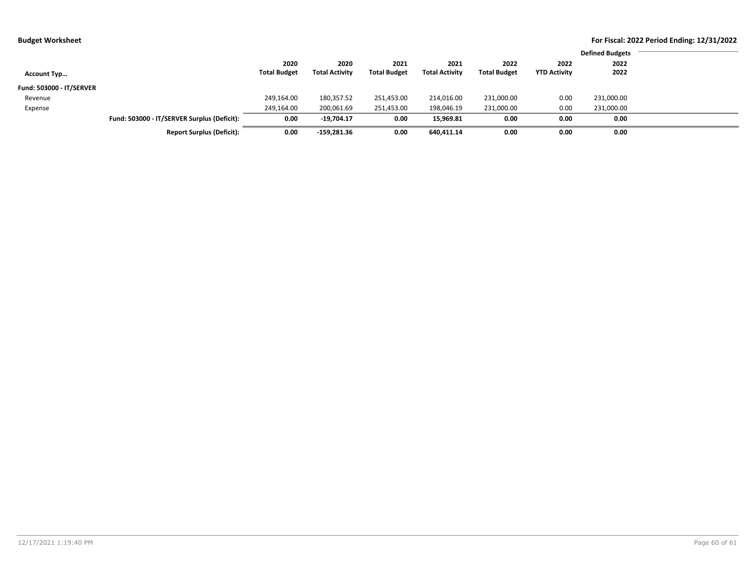|  | udget Worksheet |  |
|--|-----------------|--|
|--|-----------------|--|

|                          |                                             |                     |                       |                     |                       |                     |                     | <b>Defined Budgets</b> |
|--------------------------|---------------------------------------------|---------------------|-----------------------|---------------------|-----------------------|---------------------|---------------------|------------------------|
|                          |                                             | 2020                | 2020                  | 2021                | 2021                  | 2022                | 2022                | 2022                   |
| <b>Account Typ</b>       |                                             | <b>Total Budget</b> | <b>Total Activity</b> | <b>Total Budget</b> | <b>Total Activity</b> | <b>Total Budget</b> | <b>YTD Activity</b> | 2022                   |
| Fund: 503000 - IT/SERVER |                                             |                     |                       |                     |                       |                     |                     |                        |
| Revenue                  |                                             | 249,164.00          | 180,357.52            | 251,453.00          | 214,016.00            | 231,000.00          | 0.00                | 231,000.00             |
| Expense                  |                                             | 249,164.00          | 200,061.69            | 251,453.00          | 198,046.19            | 231,000.00          | 0.00                | 231,000.00             |
|                          | Fund: 503000 - IT/SERVER Surplus (Deficit): | 0.00                | $-19,704.17$          | 0.00                | 15,969.81             | 0.00                | 0.00                | 0.00                   |
|                          | <b>Report Surplus (Deficit):</b>            | 0.00                | $-159,281.36$         | 0.00                | 640,411.14            | 0.00                | 0.00                | 0.00                   |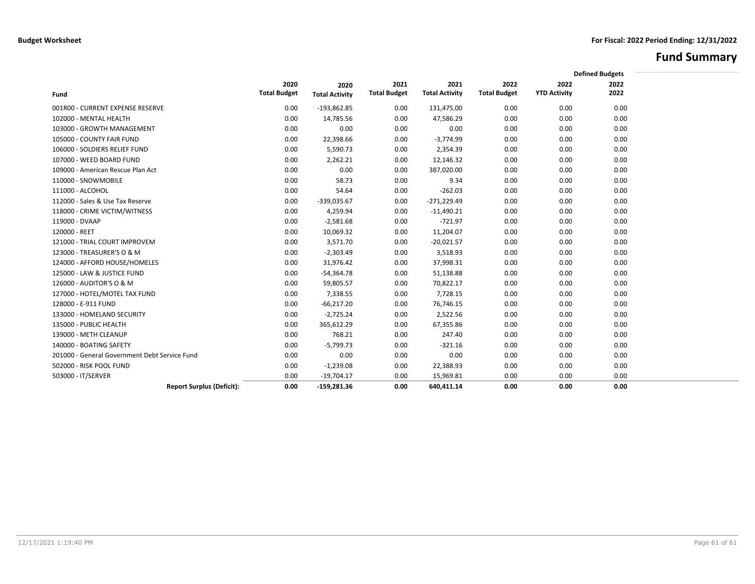# **Fund Summary**

|                                               |                             |                       |                             |                               |                             |                             | <b>Defined Budgets</b> |  |
|-----------------------------------------------|-----------------------------|-----------------------|-----------------------------|-------------------------------|-----------------------------|-----------------------------|------------------------|--|
|                                               |                             |                       |                             |                               |                             |                             |                        |  |
|                                               | 2020<br><b>Total Budget</b> | 2020                  | 2021<br><b>Total Budget</b> | 2021<br><b>Total Activity</b> | 2022<br><b>Total Budget</b> | 2022<br><b>YTD Activity</b> | 2022<br>2022           |  |
| Fund                                          |                             | <b>Total Activity</b> |                             |                               |                             |                             |                        |  |
| 001R00 - CURRENT EXPENSE RESERVE              | 0.00                        | $-193,862.85$         | 0.00                        | 131,475.00                    | 0.00                        | 0.00                        | 0.00                   |  |
| 102000 - MENTAL HEALTH                        | 0.00                        | 14,785.56             | 0.00                        | 47,586.29                     | 0.00                        | 0.00                        | 0.00                   |  |
| 103000 - GROWTH MANAGEMENT                    | 0.00                        | 0.00                  | 0.00                        | 0.00                          | 0.00                        | 0.00                        | 0.00                   |  |
| 105000 - COUNTY FAIR FUND                     | 0.00                        | 22,398.66             | 0.00                        | $-3,774.99$                   | 0.00                        | 0.00                        | 0.00                   |  |
| 106000 - SOLDIERS RELIEF FUND                 | 0.00                        | 5,590.73              | 0.00                        | 2,354.39                      | 0.00                        | 0.00                        | 0.00                   |  |
| 107000 - WEED BOARD FUND                      | 0.00                        | 2,262.21              | 0.00                        | 12,146.32                     | 0.00                        | 0.00                        | 0.00                   |  |
| 109000 - American Rescue Plan Act             | 0.00                        | 0.00                  | 0.00                        | 387,020.00                    | 0.00                        | 0.00                        | 0.00                   |  |
| 110000 - SNOWMOBILE                           | 0.00                        | 58.73                 | 0.00                        | 9.34                          | 0.00                        | 0.00                        | 0.00                   |  |
| 111000 - ALCOHOL                              | 0.00                        | 54.64                 | 0.00                        | $-262.03$                     | 0.00                        | 0.00                        | 0.00                   |  |
| 112000 - Sales & Use Tax Reserve              | 0.00                        | $-339,035.67$         | 0.00                        | $-271,229.49$                 | 0.00                        | 0.00                        | 0.00                   |  |
| 118000 - CRIME VICTIM/WITNESS                 | 0.00                        | 4,259.94              | 0.00                        | $-11,490.21$                  | 0.00                        | 0.00                        | 0.00                   |  |
| 119000 - DVAAP                                | 0.00                        | $-2,581.68$           | 0.00                        | $-721.97$                     | 0.00                        | 0.00                        | 0.00                   |  |
| 120000 - REET                                 | 0.00                        | 10,069.32             | 0.00                        | 11,204.07                     | 0.00                        | 0.00                        | 0.00                   |  |
| 121000 - TRIAL COURT IMPROVEM                 | 0.00                        | 3,571.70              | 0.00                        | $-20,021.57$                  | 0.00                        | 0.00                        | 0.00                   |  |
| 123000 - TREASURER'S O & M                    | 0.00                        | $-2,303.49$           | 0.00                        | 3,518.93                      | 0.00                        | 0.00                        | 0.00                   |  |
| 124000 - AFFORD HOUSE/HOMELES                 | 0.00                        | 31,976.42             | 0.00                        | 37,998.31                     | 0.00                        | 0.00                        | 0.00                   |  |
| 125000 - LAW & JUSTICE FUND                   | 0.00                        | $-54,364.78$          | 0.00                        | 51,138.88                     | 0.00                        | 0.00                        | 0.00                   |  |
| 126000 - AUDITOR'S O & M                      | 0.00                        | 59,805.57             | 0.00                        | 70,822.17                     | 0.00                        | 0.00                        | 0.00                   |  |
| 127000 - HOTEL/MOTEL TAX FUND                 | 0.00                        | 7,338.55              | 0.00                        | 7,728.15                      | 0.00                        | 0.00                        | 0.00                   |  |
| 128000 - E-911 FUND                           | 0.00                        | $-66,217.20$          | 0.00                        | 76,746.15                     | 0.00                        | 0.00                        | 0.00                   |  |
| 133000 - HOMELAND SECURITY                    | 0.00                        | $-2,725.24$           | 0.00                        | 2,522.56                      | 0.00                        | 0.00                        | 0.00                   |  |
| 135000 - PUBLIC HEALTH                        | 0.00                        | 365,612.29            | 0.00                        | 67,355.86                     | 0.00                        | 0.00                        | 0.00                   |  |
| 139000 - METH CLEANUP                         | 0.00                        | 768.21                | 0.00                        | 247.40                        | 0.00                        | 0.00                        | 0.00                   |  |
| 140000 - BOATING SAFETY                       | 0.00                        | $-5,799.73$           | 0.00                        | $-321.16$                     | 0.00                        | 0.00                        | 0.00                   |  |
| 201000 - General Government Debt Service Fund | 0.00                        | 0.00                  | 0.00                        | 0.00                          | 0.00                        | 0.00                        | 0.00                   |  |
| 502000 - RISK POOL FUND                       | 0.00                        | $-1,239.08$           | 0.00                        | 22,388.93                     | 0.00                        | 0.00                        | 0.00                   |  |
| 503000 - IT/SERVER                            | 0.00                        | $-19,704.17$          | 0.00                        | 15,969.81                     | 0.00                        | 0.00                        | 0.00                   |  |
| <b>Report Surplus (Deficit):</b>              | 0.00                        | $-159,281.36$         | 0.00                        | 640,411.14                    | 0.00                        | 0.00                        | 0.00                   |  |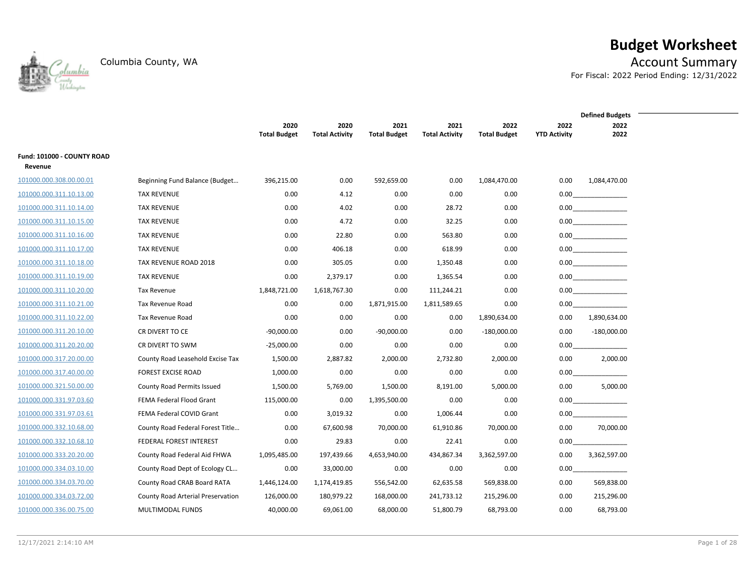

# **Budget Worksheet**

Columbia County, WA **Account Summary** For Fiscal: 2022 Period Ending: 12/31/2022

|                            |                                          |                     |                       |                     |                       |                     |                     | <b>Defined Budgets</b> |
|----------------------------|------------------------------------------|---------------------|-----------------------|---------------------|-----------------------|---------------------|---------------------|------------------------|
|                            |                                          | 2020                | 2020                  | 2021                | 2021                  | 2022                | 2022                | 2022                   |
|                            |                                          | <b>Total Budget</b> | <b>Total Activity</b> | <b>Total Budget</b> | <b>Total Activity</b> | <b>Total Budget</b> | <b>YTD Activity</b> | 2022                   |
| Fund: 101000 - COUNTY ROAD |                                          |                     |                       |                     |                       |                     |                     |                        |
| Revenue                    |                                          |                     |                       |                     |                       |                     |                     |                        |
| 101000.000.308.00.00.01    | Beginning Fund Balance (Budget           | 396,215.00          | 0.00                  | 592,659.00          | 0.00                  | 1,084,470.00        | 0.00                | 1,084,470.00           |
| 101000.000.311.10.13.00    | <b>TAX REVENUE</b>                       | 0.00                | 4.12                  | 0.00                | 0.00                  | 0.00                |                     | $0.00$                 |
| 101000.000.311.10.14.00    | <b>TAX REVENUE</b>                       | 0.00                | 4.02                  | 0.00                | 28.72                 | 0.00                |                     |                        |
| 101000.000.311.10.15.00    | <b>TAX REVENUE</b>                       | 0.00                | 4.72                  | 0.00                | 32.25                 | 0.00                |                     | $0.00$                 |
| 101000.000.311.10.16.00    | <b>TAX REVENUE</b>                       | 0.00                | 22.80                 | 0.00                | 563.80                | 0.00                |                     | 0.00                   |
| 101000.000.311.10.17.00    | <b>TAX REVENUE</b>                       | 0.00                | 406.18                | 0.00                | 618.99                | 0.00                |                     | 0.00                   |
| 101000.000.311.10.18.00    | TAX REVENUE ROAD 2018                    | 0.00                | 305.05                | 0.00                | 1,350.48              | 0.00                |                     |                        |
| 101000.000.311.10.19.00    | <b>TAX REVENUE</b>                       | 0.00                | 2,379.17              | 0.00                | 1,365.54              | 0.00                |                     | 0.00                   |
| 101000.000.311.10.20.00    | Tax Revenue                              | 1,848,721.00        | 1,618,767.30          | 0.00                | 111,244.21            | 0.00                | 0.00                |                        |
| 101000.000.311.10.21.00    | Tax Revenue Road                         | 0.00                | 0.00                  | 1,871,915.00        | 1,811,589.65          | 0.00                | 0.00                |                        |
| 101000.000.311.10.22.00    | Tax Revenue Road                         | 0.00                | 0.00                  | 0.00                | 0.00                  | 1,890,634.00        | 0.00                | 1,890,634.00           |
| 101000.000.311.20.10.00    | CR DIVERT TO CE                          | $-90,000.00$        | 0.00                  | $-90,000.00$        | 0.00                  | $-180,000.00$       | 0.00                | $-180,000.00$          |
| 101000.000.311.20.20.00    | CR DIVERT TO SWM                         | $-25,000.00$        | 0.00                  | 0.00                | 0.00                  | 0.00                | 0.00                |                        |
| 101000.000.317.20.00.00    | County Road Leasehold Excise Tax         | 1,500.00            | 2,887.82              | 2,000.00            | 2,732.80              | 2,000.00            | 0.00                | 2,000.00               |
| 101000.000.317.40.00.00    | <b>FOREST EXCISE ROAD</b>                | 1,000.00            | 0.00                  | 0.00                | 0.00                  | 0.00                | 0.00                |                        |
| 101000.000.321.50.00.00    | County Road Permits Issued               | 1,500.00            | 5,769.00              | 1,500.00            | 8,191.00              | 5,000.00            | 0.00                | 5,000.00               |
| 101000.000.331.97.03.60    | FEMA Federal Flood Grant                 | 115,000.00          | 0.00                  | 1,395,500.00        | 0.00                  | 0.00                | 0.00                |                        |
| 101000.000.331.97.03.61    | FEMA Federal COVID Grant                 | 0.00                | 3,019.32              | 0.00                | 1,006.44              | 0.00                | 0.00                |                        |
| 101000.000.332.10.68.00    | County Road Federal Forest Title         | 0.00                | 67,600.98             | 70,000.00           | 61,910.86             | 70,000.00           | 0.00                | 70,000.00              |
| 101000.000.332.10.68.10    | FEDERAL FOREST INTEREST                  | 0.00                | 29.83                 | 0.00                | 22.41                 | 0.00                | 0.00                |                        |
| 101000.000.333.20.20.00    | County Road Federal Aid FHWA             | 1,095,485.00        | 197,439.66            | 4,653,940.00        | 434,867.34            | 3,362,597.00        | 0.00                | 3,362,597.00           |
| 101000.000.334.03.10.00    | County Road Dept of Ecology CL           | 0.00                | 33,000.00             | 0.00                | 0.00                  | 0.00                | 0.00                |                        |
| 101000.000.334.03.70.00    | County Road CRAB Board RATA              | 1,446,124.00        | 1,174,419.85          | 556,542.00          | 62,635.58             | 569,838.00          | 0.00                | 569,838.00             |
| 101000.000.334.03.72.00    | <b>County Road Arterial Preservation</b> | 126,000.00          | 180,979.22            | 168,000.00          | 241,733.12            | 215,296.00          | 0.00                | 215,296.00             |
| 101000.000.336.00.75.00    | MULTIMODAL FUNDS                         | 40,000.00           | 69,061.00             | 68,000.00           | 51,800.79             | 68,793.00           | 0.00                | 68,793.00              |
|                            |                                          |                     |                       |                     |                       |                     |                     |                        |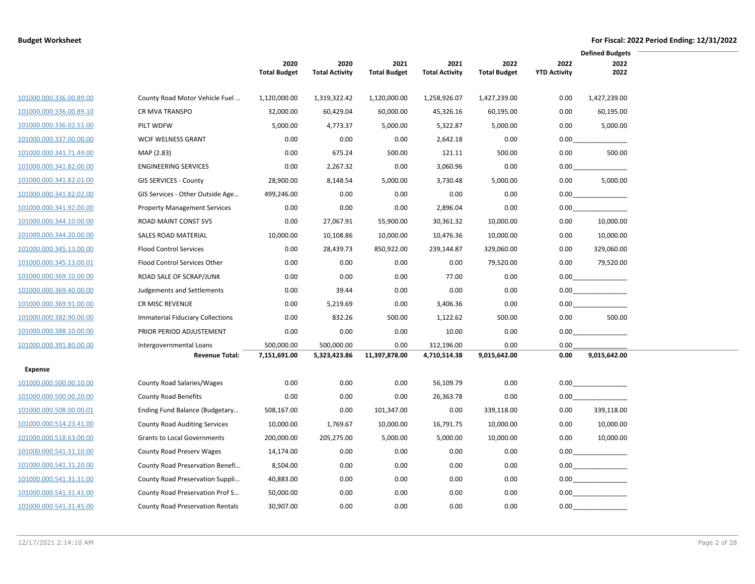|                         |                                         |                             |                               |                             |                               |                             |                             | <b>Defined Budgets</b> |  |
|-------------------------|-----------------------------------------|-----------------------------|-------------------------------|-----------------------------|-------------------------------|-----------------------------|-----------------------------|------------------------|--|
|                         |                                         | 2020<br><b>Total Budget</b> | 2020<br><b>Total Activity</b> | 2021<br><b>Total Budget</b> | 2021<br><b>Total Activity</b> | 2022<br><b>Total Budget</b> | 2022<br><b>YTD Activity</b> | 2022<br>2022           |  |
| 101000.000.336.00.89.00 | County Road Motor Vehicle Fuel          | 1,120,000.00                | 1,319,322.42                  | 1,120,000.00                | 1,258,926.07                  | 1,427,239.00                | 0.00                        | 1,427,239.00           |  |
| 101000.000.336.00.89.10 | <b>CR MVA TRANSPO</b>                   | 32,000.00                   | 60,429.04                     | 60,000.00                   | 45,326.16                     | 60,195.00                   | 0.00                        | 60,195.00              |  |
| 101000.000.336.02.51.00 | PILT WDFW                               | 5,000.00                    | 4,773.37                      | 5,000.00                    | 5,322.87                      | 5,000.00                    | 0.00                        | 5,000.00               |  |
| 101000.000.337.00.00.00 | <b>WCIF WELNESS GRANT</b>               | 0.00                        | 0.00                          | 0.00                        | 2,642.18                      | 0.00                        | 0.00                        |                        |  |
| 101000.000.341.71.49.00 | MAP (2.83)                              | 0.00                        | 675.24                        | 500.00                      | 121.11                        | 500.00                      | 0.00                        | 500.00                 |  |
| 101000.000.341.82.00.00 | <b>ENGINEERING SERVICES</b>             | 0.00                        | 2,267.32                      | 0.00                        | 3,060.96                      | 0.00                        | 0.00                        |                        |  |
| 101000.000.341.82.01.00 | GIS SERVICES - County                   | 28,900.00                   | 8,148.54                      | 5,000.00                    | 3,730.48                      | 5,000.00                    | 0.00                        | 5,000.00               |  |
| 101000.000.341.82.02.00 | GIS Services - Other Outside Age        | 499,246.00                  | 0.00                          | 0.00                        | 0.00                          | 0.00                        | 0.00                        |                        |  |
| 101000.000.341.92.00.00 | <b>Property Management Services</b>     | 0.00                        | 0.00                          | 0.00                        | 2,896.04                      | 0.00                        | 0.00                        |                        |  |
| 101000.000.344.10.00.00 | ROAD MAINT CONST SVS                    | 0.00                        | 27,067.91                     | 55,900.00                   | 30,361.32                     | 10,000.00                   | 0.00                        | 10,000.00              |  |
| 101000.000.344.20.00.00 | SALES ROAD MATERIAL                     | 10,000.00                   | 10,108.86                     | 10,000.00                   | 10,476.36                     | 10,000.00                   | 0.00                        | 10,000.00              |  |
| 101000.000.345.13.00.00 | <b>Flood Control Services</b>           | 0.00                        | 28,439.73                     | 850,922.00                  | 239,144.87                    | 329,060.00                  | 0.00                        | 329,060.00             |  |
| 101000.000.345.13.00.01 | Flood Control Services Other            | 0.00                        | 0.00                          | 0.00                        | 0.00                          | 79,520.00                   | 0.00                        | 79,520.00              |  |
| 101000.000.369.10.00.00 | ROAD SALE OF SCRAP/JUNK                 | 0.00                        | 0.00                          | 0.00                        | 77.00                         | 0.00                        |                             | 0.00                   |  |
| 101000.000.369.40.00.00 | Judgements and Settlements              | 0.00                        | 39.44                         | 0.00                        | 0.00                          | 0.00                        |                             | 0.00                   |  |
| 101000.000.369.91.00.00 | CR MISC REVENUE                         | 0.00                        | 5,219.69                      | 0.00                        | 3,406.36                      | 0.00                        | 0.00                        |                        |  |
| 101000.000.382.90.00.00 | Immaterial Fiduciary Collections        | 0.00                        | 832.26                        | 500.00                      | 1,122.62                      | 500.00                      | 0.00                        | 500.00                 |  |
| 101000.000.388.10.00.00 | PRIOR PERIOD ADJUSTEMENT                | 0.00                        | 0.00                          | 0.00                        | 10.00                         | 0.00                        | 0.00                        |                        |  |
| 101000.000.391.80.00.00 | Intergovernmental Loans                 | 500,000.00                  | 500,000.00                    | 0.00                        | 312,196.00                    | 0.00                        | 0.00                        |                        |  |
|                         | <b>Revenue Total:</b>                   | 7,151,691.00                | 5,323,423.86                  | 11,397,878.00               | 4,710,514.38                  | 9,015,642.00                | 0.00                        | 9,015,642.00           |  |
| <b>Expense</b>          |                                         |                             |                               |                             |                               |                             |                             |                        |  |
| 101000.000.500.00.10.00 | County Road Salaries/Wages              | 0.00                        | 0.00                          | 0.00                        | 56,109.79                     | 0.00                        |                             | 0.00                   |  |
| 101000.000.500.00.20.00 | <b>County Road Benefits</b>             | 0.00                        | 0.00                          | 0.00                        | 26,363.78                     | 0.00                        | 0.00                        |                        |  |
| 101000.000.508.00.00.01 | Ending Fund Balance (Budgetary          | 508,167.00                  | 0.00                          | 101,347.00                  | 0.00                          | 339,118.00                  | 0.00                        | 339,118.00             |  |
| 101000.000.514.23.41.00 | <b>County Road Auditing Services</b>    | 10,000.00                   | 1,769.67                      | 10,000.00                   | 16,791.75                     | 10,000.00                   | 0.00                        | 10,000.00              |  |
| 101000.000.518.63.00.00 | <b>Grants to Local Governments</b>      | 200,000.00                  | 205,275.00                    | 5,000.00                    | 5,000.00                      | 10,000.00                   | 0.00                        | 10,000.00              |  |
| 101000.000.541.31.10.00 | <b>County Road Preserv Wages</b>        | 14,174.00                   | 0.00                          | 0.00                        | 0.00                          | 0.00                        |                             |                        |  |
| 101000.000.541.31.20.00 | County Road Preservation Benefi         | 8,504.00                    | 0.00                          | 0.00                        | 0.00                          | 0.00                        |                             | $0.00$                 |  |
| 101000.000.541.31.31.00 | County Road Preservation Suppli         | 40,883.00                   | 0.00                          | 0.00                        | 0.00                          | 0.00                        |                             | 0.00                   |  |
| 101000.000.541.31.41.00 | County Road Preservation Prof S         | 50,000.00                   | 0.00                          | 0.00                        | 0.00                          | 0.00                        |                             | 0.00                   |  |
| 101000.000.541.31.45.00 | <b>County Road Preservation Rentals</b> | 30,907.00                   | 0.00                          | 0.00                        | 0.00                          | 0.00                        | 0.00                        |                        |  |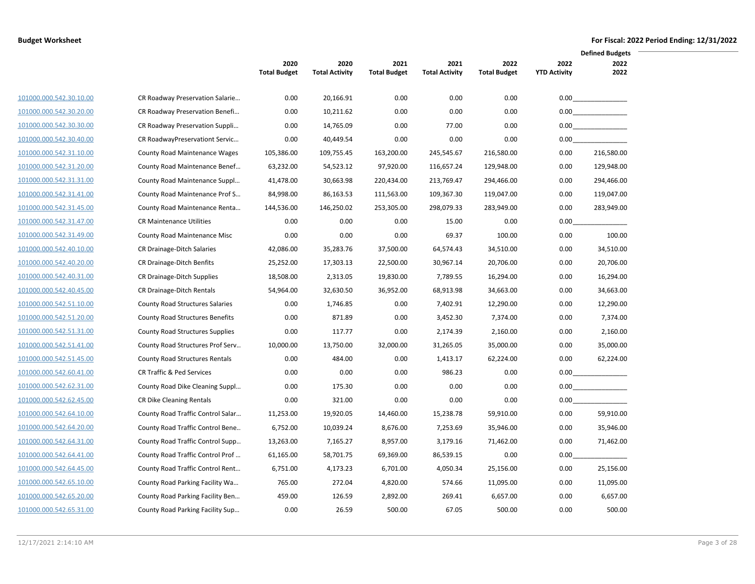|                         |                                        |                             |                               |                             |                               |                             |                             | <b>Defined Budgets</b> |  |
|-------------------------|----------------------------------------|-----------------------------|-------------------------------|-----------------------------|-------------------------------|-----------------------------|-----------------------------|------------------------|--|
|                         |                                        | 2020<br><b>Total Budget</b> | 2020<br><b>Total Activity</b> | 2021<br><b>Total Budget</b> | 2021<br><b>Total Activity</b> | 2022<br><b>Total Budget</b> | 2022<br><b>YTD Activity</b> | 2022<br>2022           |  |
|                         |                                        |                             |                               |                             |                               |                             |                             |                        |  |
| 101000.000.542.30.10.00 | CR Roadway Preservation Salarie        | 0.00                        | 20,166.91                     | 0.00                        | 0.00                          | 0.00                        |                             | 0.00                   |  |
| 101000.000.542.30.20.00 | CR Roadway Preservation Benefi         | 0.00                        | 10,211.62                     | 0.00                        | 0.00                          | 0.00                        |                             | 0.00                   |  |
| 101000.000.542.30.30.00 | CR Roadway Preservation Suppli         | 0.00                        | 14,765.09                     | 0.00                        | 77.00                         | 0.00                        |                             |                        |  |
| 101000.000.542.30.40.00 | CR RoadwayPreservationt Servic         | 0.00                        | 40,449.54                     | 0.00                        | 0.00                          | 0.00                        |                             | 0.00                   |  |
| 101000.000.542.31.10.00 | <b>County Road Maintenance Wages</b>   | 105,386.00                  | 109,755.45                    | 163,200.00                  | 245,545.67                    | 216,580.00                  | 0.00                        | 216,580.00             |  |
| 101000.000.542.31.20.00 | County Road Maintenance Benef          | 63,232.00                   | 54,523.12                     | 97,920.00                   | 116,657.24                    | 129,948.00                  | 0.00                        | 129,948.00             |  |
| 101000.000.542.31.31.00 | County Road Maintenance Suppl          | 41,478.00                   | 30,663.98                     | 220,434.00                  | 213,769.47                    | 294,466.00                  | 0.00                        | 294,466.00             |  |
| 101000.000.542.31.41.00 | County Road Maintenance Prof S         | 84,998.00                   | 86,163.53                     | 111,563.00                  | 109,367.30                    | 119,047.00                  | 0.00                        | 119,047.00             |  |
| 101000.000.542.31.45.00 | County Road Maintenance Renta          | 144,536.00                  | 146,250.02                    | 253,305.00                  | 298,079.33                    | 283,949.00                  | 0.00                        | 283,949.00             |  |
| 101000.000.542.31.47.00 | <b>CR Maintenance Utilities</b>        | 0.00                        | 0.00                          | 0.00                        | 15.00                         | 0.00                        | 0.00                        |                        |  |
| 101000.000.542.31.49.00 | <b>County Road Maintenance Misc</b>    | 0.00                        | 0.00                          | 0.00                        | 69.37                         | 100.00                      | 0.00                        | 100.00                 |  |
| 101000.000.542.40.10.00 | CR Drainage-Ditch Salaries             | 42,086.00                   | 35,283.76                     | 37,500.00                   | 64,574.43                     | 34,510.00                   | 0.00                        | 34,510.00              |  |
| 101000.000.542.40.20.00 | CR Drainage-Ditch Benfits              | 25,252.00                   | 17,303.13                     | 22,500.00                   | 30,967.14                     | 20,706.00                   | 0.00                        | 20,706.00              |  |
| 101000.000.542.40.31.00 | CR Drainage-Ditch Supplies             | 18,508.00                   | 2,313.05                      | 19,830.00                   | 7,789.55                      | 16,294.00                   | 0.00                        | 16,294.00              |  |
| 101000.000.542.40.45.00 | CR Drainage-Ditch Rentals              | 54,964.00                   | 32,630.50                     | 36,952.00                   | 68,913.98                     | 34,663.00                   | 0.00                        | 34,663.00              |  |
| 101000.000.542.51.10.00 | <b>County Road Structures Salaries</b> | 0.00                        | 1,746.85                      | 0.00                        | 7,402.91                      | 12,290.00                   | 0.00                        | 12,290.00              |  |
| 101000.000.542.51.20.00 | <b>County Road Structures Benefits</b> | 0.00                        | 871.89                        | 0.00                        | 3,452.30                      | 7,374.00                    | 0.00                        | 7,374.00               |  |
| 101000.000.542.51.31.00 | County Road Structures Supplies        | 0.00                        | 117.77                        | 0.00                        | 2,174.39                      | 2,160.00                    | 0.00                        | 2,160.00               |  |
| 101000.000.542.51.41.00 | County Road Structures Prof Serv       | 10,000.00                   | 13,750.00                     | 32,000.00                   | 31,265.05                     | 35,000.00                   | 0.00                        | 35,000.00              |  |
| 101000.000.542.51.45.00 | <b>County Road Structures Rentals</b>  | 0.00                        | 484.00                        | 0.00                        | 1,413.17                      | 62,224.00                   | 0.00                        | 62,224.00              |  |
| 101000.000.542.60.41.00 | <b>CR Traffic &amp; Ped Services</b>   | 0.00                        | 0.00                          | 0.00                        | 986.23                        | 0.00                        | 0.00                        |                        |  |
| 101000.000.542.62.31.00 | County Road Dike Cleaning Suppl        | 0.00                        | 175.30                        | 0.00                        | 0.00                          | 0.00                        |                             | 0.00                   |  |
| 101000.000.542.62.45.00 | CR Dike Cleaning Rentals               | 0.00                        | 321.00                        | 0.00                        | 0.00                          | 0.00                        | 0.00                        |                        |  |
| 101000.000.542.64.10.00 | County Road Traffic Control Salar      | 11,253.00                   | 19,920.05                     | 14,460.00                   | 15,238.78                     | 59,910.00                   | 0.00                        | 59,910.00              |  |
| 101000.000.542.64.20.00 | County Road Traffic Control Bene       | 6,752.00                    | 10,039.24                     | 8,676.00                    | 7,253.69                      | 35,946.00                   | 0.00                        | 35,946.00              |  |
| 101000.000.542.64.31.00 | County Road Traffic Control Supp       | 13,263.00                   | 7,165.27                      | 8,957.00                    | 3,179.16                      | 71,462.00                   | 0.00                        | 71,462.00              |  |
| 101000.000.542.64.41.00 | County Road Traffic Control Prof       | 61,165.00                   | 58,701.75                     | 69,369.00                   | 86,539.15                     | 0.00                        | 0.00                        |                        |  |
| 101000.000.542.64.45.00 | County Road Traffic Control Rent       | 6,751.00                    | 4,173.23                      | 6,701.00                    | 4,050.34                      | 25,156.00                   | 0.00                        | 25,156.00              |  |
| 101000.000.542.65.10.00 | County Road Parking Facility Wa        | 765.00                      | 272.04                        | 4,820.00                    | 574.66                        | 11,095.00                   | 0.00                        | 11,095.00              |  |
| 101000.000.542.65.20.00 | County Road Parking Facility Ben       | 459.00                      | 126.59                        | 2,892.00                    | 269.41                        | 6,657.00                    | 0.00                        | 6,657.00               |  |
| 101000.000.542.65.31.00 | County Road Parking Facility Sup       | 0.00                        | 26.59                         | 500.00                      | 67.05                         | 500.00                      | 0.00                        | 500.00                 |  |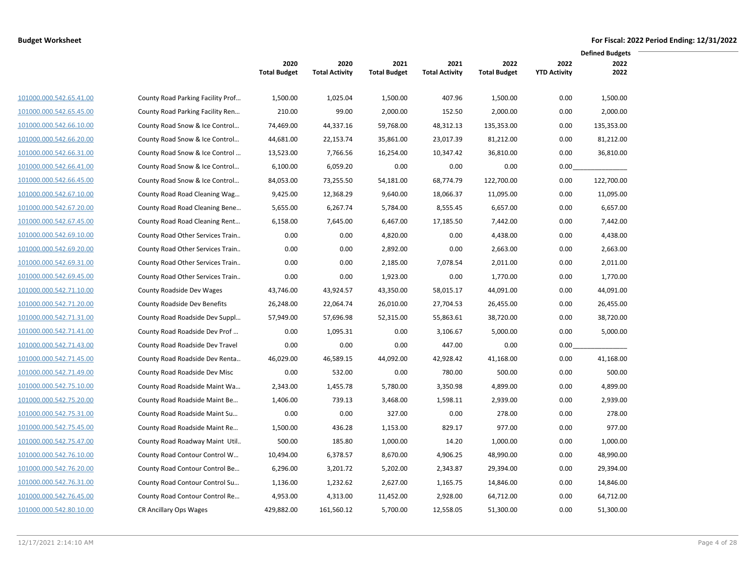|                         |                                   |                             |                               |                             |                               |                             |                             | <b>Defined Budgets</b> |  |
|-------------------------|-----------------------------------|-----------------------------|-------------------------------|-----------------------------|-------------------------------|-----------------------------|-----------------------------|------------------------|--|
|                         |                                   | 2020<br><b>Total Budget</b> | 2020<br><b>Total Activity</b> | 2021<br><b>Total Budget</b> | 2021<br><b>Total Activity</b> | 2022<br><b>Total Budget</b> | 2022<br><b>YTD Activity</b> | 2022<br>2022           |  |
|                         |                                   |                             |                               |                             |                               |                             |                             |                        |  |
| 101000.000.542.65.41.00 | County Road Parking Facility Prof | 1,500.00                    | 1,025.04                      | 1,500.00                    | 407.96                        | 1,500.00                    | 0.00                        | 1,500.00               |  |
| 101000.000.542.65.45.00 | County Road Parking Facility Ren  | 210.00                      | 99.00                         | 2,000.00                    | 152.50                        | 2,000.00                    | 0.00                        | 2,000.00               |  |
| 101000.000.542.66.10.00 | County Road Snow & Ice Control    | 74,469.00                   | 44,337.16                     | 59,768.00                   | 48,312.13                     | 135,353.00                  | 0.00                        | 135,353.00             |  |
| 101000.000.542.66.20.00 | County Road Snow & Ice Control    | 44,681.00                   | 22,153.74                     | 35,861.00                   | 23,017.39                     | 81,212.00                   | 0.00                        | 81,212.00              |  |
| 101000.000.542.66.31.00 | County Road Snow & Ice Control    | 13,523.00                   | 7,766.56                      | 16,254.00                   | 10,347.42                     | 36,810.00                   | 0.00                        | 36,810.00              |  |
| 101000.000.542.66.41.00 | County Road Snow & Ice Control    | 6,100.00                    | 6,059.20                      | 0.00                        | 0.00                          | 0.00                        | 0.00                        |                        |  |
| 101000.000.542.66.45.00 | County Road Snow & Ice Control    | 84,053.00                   | 73,255.50                     | 54,181.00                   | 68,774.79                     | 122,700.00                  | 0.00                        | 122,700.00             |  |
| 101000.000.542.67.10.00 | County Road Road Cleaning Wag     | 9,425.00                    | 12,368.29                     | 9,640.00                    | 18,066.37                     | 11,095.00                   | 0.00                        | 11,095.00              |  |
| 101000.000.542.67.20.00 | County Road Road Cleaning Bene    | 5,655.00                    | 6,267.74                      | 5,784.00                    | 8,555.45                      | 6,657.00                    | 0.00                        | 6,657.00               |  |
| 101000.000.542.67.45.00 | County Road Road Cleaning Rent    | 6,158.00                    | 7,645.00                      | 6,467.00                    | 17,185.50                     | 7,442.00                    | 0.00                        | 7,442.00               |  |
| 101000.000.542.69.10.00 | County Road Other Services Train  | 0.00                        | 0.00                          | 4,820.00                    | 0.00                          | 4,438.00                    | 0.00                        | 4,438.00               |  |
| 101000.000.542.69.20.00 | County Road Other Services Train  | 0.00                        | 0.00                          | 2,892.00                    | 0.00                          | 2,663.00                    | 0.00                        | 2,663.00               |  |
| 101000.000.542.69.31.00 | County Road Other Services Train  | 0.00                        | 0.00                          | 2,185.00                    | 7,078.54                      | 2,011.00                    | 0.00                        | 2,011.00               |  |
| 101000.000.542.69.45.00 | County Road Other Services Train  | 0.00                        | 0.00                          | 1,923.00                    | 0.00                          | 1,770.00                    | 0.00                        | 1,770.00               |  |
| 101000.000.542.71.10.00 | County Roadside Dev Wages         | 43,746.00                   | 43,924.57                     | 43,350.00                   | 58,015.17                     | 44,091.00                   | 0.00                        | 44,091.00              |  |
| 101000.000.542.71.20.00 | County Roadside Dev Benefits      | 26,248.00                   | 22,064.74                     | 26,010.00                   | 27,704.53                     | 26,455.00                   | 0.00                        | 26,455.00              |  |
| 101000.000.542.71.31.00 | County Road Roadside Dev Suppl    | 57,949.00                   | 57,696.98                     | 52,315.00                   | 55,863.61                     | 38,720.00                   | 0.00                        | 38,720.00              |  |
| 101000.000.542.71.41.00 | County Road Roadside Dev Prof     | 0.00                        | 1,095.31                      | 0.00                        | 3,106.67                      | 5,000.00                    | 0.00                        | 5,000.00               |  |
| 101000.000.542.71.43.00 | County Road Roadside Dev Travel   | 0.00                        | 0.00                          | 0.00                        | 447.00                        | 0.00                        | 0.00                        |                        |  |
| 101000.000.542.71.45.00 | County Road Roadside Dev Renta    | 46,029.00                   | 46,589.15                     | 44,092.00                   | 42,928.42                     | 41,168.00                   | 0.00                        | 41,168.00              |  |
| 101000.000.542.71.49.00 | County Road Roadside Dev Misc     | 0.00                        | 532.00                        | 0.00                        | 780.00                        | 500.00                      | 0.00                        | 500.00                 |  |
| 101000.000.542.75.10.00 | County Road Roadside Maint Wa     | 2,343.00                    | 1,455.78                      | 5,780.00                    | 3,350.98                      | 4,899.00                    | 0.00                        | 4,899.00               |  |
| 101000.000.542.75.20.00 | County Road Roadside Maint Be     | 1,406.00                    | 739.13                        | 3,468.00                    | 1,598.11                      | 2,939.00                    | 0.00                        | 2,939.00               |  |
| 101000.000.542.75.31.00 | County Road Roadside Maint Su     | 0.00                        | 0.00                          | 327.00                      | 0.00                          | 278.00                      | 0.00                        | 278.00                 |  |
| 101000.000.542.75.45.00 | County Road Roadside Maint Re     | 1,500.00                    | 436.28                        | 1,153.00                    | 829.17                        | 977.00                      | 0.00                        | 977.00                 |  |
| 101000.000.542.75.47.00 | County Road Roadway Maint Util    | 500.00                      | 185.80                        | 1,000.00                    | 14.20                         | 1,000.00                    | 0.00                        | 1,000.00               |  |
| 101000.000.542.76.10.00 | County Road Contour Control W     | 10,494.00                   | 6,378.57                      | 8,670.00                    | 4,906.25                      | 48,990.00                   | 0.00                        | 48,990.00              |  |
| 101000.000.542.76.20.00 | County Road Contour Control Be    | 6,296.00                    | 3,201.72                      | 5,202.00                    | 2,343.87                      | 29,394.00                   | 0.00                        | 29,394.00              |  |
| 101000.000.542.76.31.00 | County Road Contour Control Su    | 1,136.00                    | 1,232.62                      | 2,627.00                    | 1,165.75                      | 14,846.00                   | 0.00                        | 14,846.00              |  |
| 101000.000.542.76.45.00 | County Road Contour Control Re    | 4,953.00                    | 4,313.00                      | 11,452.00                   | 2,928.00                      | 64,712.00                   | 0.00                        | 64,712.00              |  |
| 101000.000.542.80.10.00 | CR Ancillary Ops Wages            | 429,882.00                  | 161,560.12                    | 5,700.00                    | 12,558.05                     | 51,300.00                   | 0.00                        | 51,300.00              |  |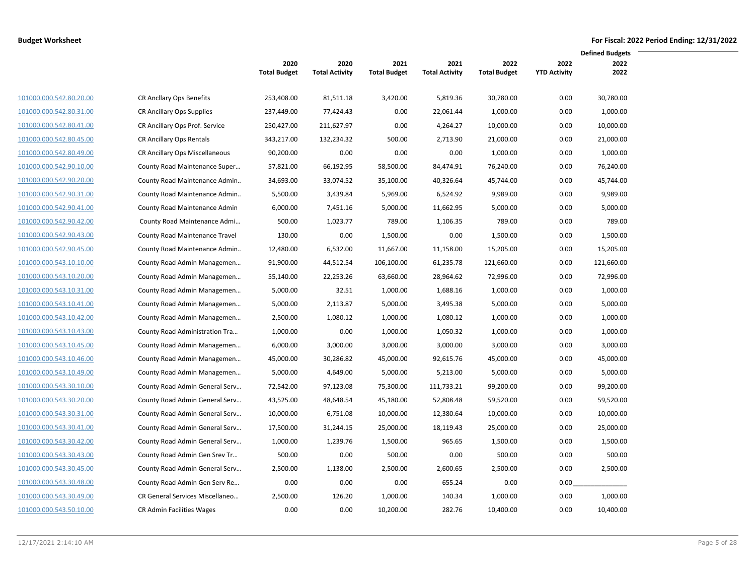|                         |                                 |                     |                       |                     |                       |                     |                     | <b>Defined Budgets</b> |  |
|-------------------------|---------------------------------|---------------------|-----------------------|---------------------|-----------------------|---------------------|---------------------|------------------------|--|
|                         |                                 | 2020                | 2020                  | 2021                | 2021                  | 2022                | 2022                | 2022                   |  |
|                         |                                 | <b>Total Budget</b> | <b>Total Activity</b> | <b>Total Budget</b> | <b>Total Activity</b> | <b>Total Budget</b> | <b>YTD Activity</b> | 2022                   |  |
| 101000.000.542.80.20.00 | <b>CR Ancllary Ops Benefits</b> | 253,408.00          | 81,511.18             | 3,420.00            | 5,819.36              | 30,780.00           | 0.00                | 30,780.00              |  |
| 101000.000.542.80.31.00 | CR Ancillary Ops Supplies       | 237,449.00          | 77,424.43             | 0.00                | 22,061.44             | 1,000.00            | 0.00                | 1,000.00               |  |
| 101000.000.542.80.41.00 | CR Ancillary Ops Prof. Service  | 250,427.00          | 211,627.97            | 0.00                | 4,264.27              | 10,000.00           | 0.00                | 10,000.00              |  |
| 101000.000.542.80.45.00 | CR Ancillary Ops Rentals        | 343,217.00          | 132,234.32            | 500.00              | 2,713.90              | 21,000.00           | 0.00                | 21,000.00              |  |
| 101000.000.542.80.49.00 | CR Ancillary Ops Miscellaneous  | 90,200.00           | 0.00                  | 0.00                | 0.00                  | 1,000.00            | 0.00                | 1,000.00               |  |
| 101000.000.542.90.10.00 | County Road Maintenance Super   | 57,821.00           | 66,192.95             | 58,500.00           | 84,474.91             | 76,240.00           | 0.00                | 76,240.00              |  |
| 101000.000.542.90.20.00 | County Road Maintenance Admin   | 34,693.00           | 33,074.52             | 35,100.00           | 40,326.64             | 45,744.00           | 0.00                | 45,744.00              |  |
| 101000.000.542.90.31.00 | County Road Maintenance Admin   | 5,500.00            | 3,439.84              | 5,969.00            | 6,524.92              | 9,989.00            | 0.00                | 9,989.00               |  |
| 101000.000.542.90.41.00 | County Road Maintenance Admin   | 6,000.00            | 7,451.16              | 5,000.00            | 11,662.95             | 5,000.00            | 0.00                | 5,000.00               |  |
| 101000.000.542.90.42.00 | County Road Maintenance Admi    | 500.00              | 1,023.77              | 789.00              | 1,106.35              | 789.00              | 0.00                | 789.00                 |  |
| 101000.000.542.90.43.00 | County Road Maintenance Travel  | 130.00              | 0.00                  | 1,500.00            | 0.00                  | 1,500.00            | 0.00                | 1,500.00               |  |
| 101000.000.542.90.45.00 | County Road Maintenance Admin   | 12,480.00           | 6,532.00              | 11,667.00           | 11,158.00             | 15,205.00           | 0.00                | 15,205.00              |  |
| 101000.000.543.10.10.00 | County Road Admin Managemen     | 91,900.00           | 44,512.54             | 106,100.00          | 61,235.78             | 121,660.00          | 0.00                | 121,660.00             |  |
| 101000.000.543.10.20.00 | County Road Admin Managemen     | 55,140.00           | 22,253.26             | 63,660.00           | 28,964.62             | 72,996.00           | 0.00                | 72,996.00              |  |
| 101000.000.543.10.31.00 | County Road Admin Managemen     | 5,000.00            | 32.51                 | 1,000.00            | 1,688.16              | 1,000.00            | 0.00                | 1,000.00               |  |
| 101000.000.543.10.41.00 | County Road Admin Managemen     | 5,000.00            | 2,113.87              | 5,000.00            | 3,495.38              | 5,000.00            | 0.00                | 5,000.00               |  |
| 101000.000.543.10.42.00 | County Road Admin Managemen     | 2,500.00            | 1,080.12              | 1,000.00            | 1,080.12              | 1,000.00            | 0.00                | 1,000.00               |  |
| 101000.000.543.10.43.00 | County Road Administration Tra  | 1,000.00            | 0.00                  | 1,000.00            | 1,050.32              | 1,000.00            | 0.00                | 1,000.00               |  |
| 101000.000.543.10.45.00 | County Road Admin Managemen     | 6,000.00            | 3,000.00              | 3,000.00            | 3,000.00              | 3,000.00            | 0.00                | 3,000.00               |  |
| 101000.000.543.10.46.00 | County Road Admin Managemen     | 45,000.00           | 30,286.82             | 45,000.00           | 92,615.76             | 45,000.00           | 0.00                | 45,000.00              |  |
| 101000.000.543.10.49.00 | County Road Admin Managemen     | 5,000.00            | 4,649.00              | 5,000.00            | 5,213.00              | 5,000.00            | 0.00                | 5,000.00               |  |
| 101000.000.543.30.10.00 | County Road Admin General Serv  | 72,542.00           | 97,123.08             | 75,300.00           | 111,733.21            | 99,200.00           | 0.00                | 99,200.00              |  |
| 101000.000.543.30.20.00 | County Road Admin General Serv  | 43,525.00           | 48,648.54             | 45,180.00           | 52,808.48             | 59,520.00           | 0.00                | 59,520.00              |  |
| 101000.000.543.30.31.00 | County Road Admin General Serv  | 10,000.00           | 6,751.08              | 10,000.00           | 12,380.64             | 10,000.00           | 0.00                | 10,000.00              |  |
| 101000.000.543.30.41.00 | County Road Admin General Serv  | 17,500.00           | 31,244.15             | 25,000.00           | 18,119.43             | 25,000.00           | 0.00                | 25,000.00              |  |
| 101000.000.543.30.42.00 | County Road Admin General Serv  | 1,000.00            | 1,239.76              | 1,500.00            | 965.65                | 1,500.00            | 0.00                | 1,500.00               |  |
| 101000.000.543.30.43.00 | County Road Admin Gen Srev Tr   | 500.00              | 0.00                  | 500.00              | 0.00                  | 500.00              | 0.00                | 500.00                 |  |
| 101000.000.543.30.45.00 | County Road Admin General Serv  | 2,500.00            | 1,138.00              | 2,500.00            | 2,600.65              | 2,500.00            | 0.00                | 2,500.00               |  |
| 101000.000.543.30.48.00 | County Road Admin Gen Serv Re   | 0.00                | 0.00                  | 0.00                | 655.24                | 0.00                | 0.00                |                        |  |
| 101000.000.543.30.49.00 | CR General Services Miscellaneo | 2,500.00            | 126.20                | 1,000.00            | 140.34                | 1,000.00            | 0.00                | 1,000.00               |  |
| 101000.000.543.50.10.00 | CR Admin Facilities Wages       | 0.00                | 0.00                  | 10,200.00           | 282.76                | 10,400.00           | 0.00                | 10,400.00              |  |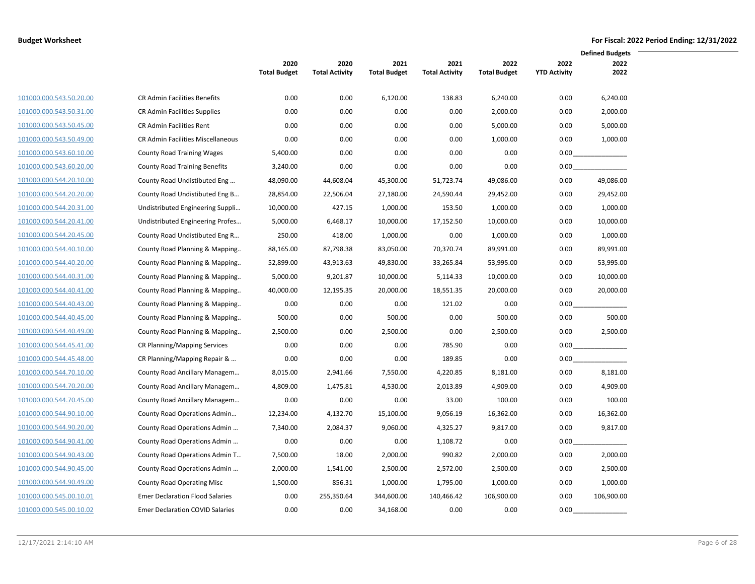|                         |                                          |                             |                               |                             |                               |                             |                             | <b>Defined Budgets</b> |
|-------------------------|------------------------------------------|-----------------------------|-------------------------------|-----------------------------|-------------------------------|-----------------------------|-----------------------------|------------------------|
|                         |                                          | 2020<br><b>Total Budget</b> | 2020<br><b>Total Activity</b> | 2021<br><b>Total Budget</b> | 2021<br><b>Total Activity</b> | 2022<br><b>Total Budget</b> | 2022<br><b>YTD Activity</b> | 2022<br>2022           |
| 101000.000.543.50.20.00 | CR Admin Facilities Benefits             | 0.00                        | 0.00                          | 6,120.00                    | 138.83                        | 6,240.00                    | 0.00                        | 6,240.00               |
| 101000.000.543.50.31.00 | CR Admin Facilities Supplies             | 0.00                        | 0.00                          | 0.00                        | 0.00                          | 2,000.00                    | 0.00                        | 2,000.00               |
| 101000.000.543.50.45.00 | CR Admin Facilities Rent                 | 0.00                        | 0.00                          | 0.00                        | 0.00                          | 5,000.00                    | 0.00                        | 5,000.00               |
| 101000.000.543.50.49.00 | <b>CR Admin Facilities Miscellaneous</b> | 0.00                        | 0.00                          | 0.00                        | 0.00                          | 1,000.00                    | 0.00                        | 1,000.00               |
| 101000.000.543.60.10.00 | <b>County Road Training Wages</b>        | 5,400.00                    | 0.00                          | 0.00                        | 0.00                          | 0.00                        | 0.00                        |                        |
| 101000.000.543.60.20.00 | <b>County Road Training Benefits</b>     | 3,240.00                    | 0.00                          | 0.00                        | 0.00                          | 0.00                        | 0.00                        |                        |
| 101000.000.544.20.10.00 | County Road Undistibuted Eng             | 48,090.00                   | 44,608.04                     | 45,300.00                   | 51,723.74                     | 49,086.00                   | 0.00                        | 49,086.00              |
| 101000.000.544.20.20.00 | County Road Undistibuted Eng B           | 28,854.00                   | 22,506.04                     | 27,180.00                   | 24,590.44                     | 29,452.00                   | 0.00                        | 29,452.00              |
| 101000.000.544.20.31.00 | Undistributed Engineering Suppli         | 10,000.00                   | 427.15                        | 1,000.00                    | 153.50                        | 1,000.00                    | 0.00                        | 1,000.00               |
| 101000.000.544.20.41.00 | Undistributed Engineering Profes         | 5,000.00                    | 6,468.17                      | 10,000.00                   | 17,152.50                     | 10,000.00                   | 0.00                        | 10,000.00              |
| 101000.000.544.20.45.00 | County Road Undistibuted Eng R           | 250.00                      | 418.00                        | 1,000.00                    | 0.00                          | 1,000.00                    | 0.00                        | 1,000.00               |
| 101000.000.544.40.10.00 | County Road Planning & Mapping           | 88,165.00                   | 87,798.38                     | 83,050.00                   | 70,370.74                     | 89,991.00                   | 0.00                        | 89,991.00              |
| 101000.000.544.40.20.00 | County Road Planning & Mapping           | 52,899.00                   | 43,913.63                     | 49,830.00                   | 33,265.84                     | 53,995.00                   | 0.00                        | 53,995.00              |
| 101000.000.544.40.31.00 | County Road Planning & Mapping           | 5,000.00                    | 9,201.87                      | 10,000.00                   | 5,114.33                      | 10,000.00                   | 0.00                        | 10,000.00              |
| 101000.000.544.40.41.00 | County Road Planning & Mapping           | 40,000.00                   | 12,195.35                     | 20,000.00                   | 18,551.35                     | 20,000.00                   | 0.00                        | 20,000.00              |
| 101000.000.544.40.43.00 | County Road Planning & Mapping           | 0.00                        | 0.00                          | 0.00                        | 121.02                        | 0.00                        | 0.00                        |                        |
| 101000.000.544.40.45.00 | County Road Planning & Mapping           | 500.00                      | 0.00                          | 500.00                      | 0.00                          | 500.00                      | 0.00                        | 500.00                 |
| 101000.000.544.40.49.00 | County Road Planning & Mapping           | 2,500.00                    | 0.00                          | 2,500.00                    | 0.00                          | 2,500.00                    | 0.00                        | 2,500.00               |
| 101000.000.544.45.41.00 | <b>CR Planning/Mapping Services</b>      | 0.00                        | 0.00                          | 0.00                        | 785.90                        | 0.00                        | 0.00                        |                        |
| 101000.000.544.45.48.00 | CR Planning/Mapping Repair &             | 0.00                        | 0.00                          | 0.00                        | 189.85                        | 0.00                        | 0.00                        |                        |
| 101000.000.544.70.10.00 | County Road Ancillary Managem            | 8,015.00                    | 2,941.66                      | 7,550.00                    | 4,220.85                      | 8,181.00                    | 0.00                        | 8,181.00               |
| 101000.000.544.70.20.00 | County Road Ancillary Managem            | 4,809.00                    | 1,475.81                      | 4,530.00                    | 2,013.89                      | 4,909.00                    | 0.00                        | 4,909.00               |
| 101000.000.544.70.45.00 | County Road Ancillary Managem            | 0.00                        | 0.00                          | 0.00                        | 33.00                         | 100.00                      | 0.00                        | 100.00                 |
| 101000.000.544.90.10.00 | County Road Operations Admin             | 12,234.00                   | 4,132.70                      | 15,100.00                   | 9,056.19                      | 16,362.00                   | 0.00                        | 16,362.00              |
| 101000.000.544.90.20.00 | County Road Operations Admin             | 7,340.00                    | 2,084.37                      | 9,060.00                    | 4,325.27                      | 9,817.00                    | 0.00                        | 9,817.00               |
| 101000.000.544.90.41.00 | County Road Operations Admin             | 0.00                        | 0.00                          | 0.00                        | 1,108.72                      | 0.00                        | 0.00                        |                        |
| 101000.000.544.90.43.00 | County Road Operations Admin T           | 7,500.00                    | 18.00                         | 2,000.00                    | 990.82                        | 2,000.00                    | 0.00                        | 2,000.00               |
| 101000.000.544.90.45.00 | County Road Operations Admin             | 2,000.00                    | 1,541.00                      | 2,500.00                    | 2,572.00                      | 2,500.00                    | 0.00                        | 2,500.00               |
| 101000.000.544.90.49.00 | <b>County Road Operating Misc</b>        | 1,500.00                    | 856.31                        | 1,000.00                    | 1,795.00                      | 1,000.00                    | 0.00                        | 1,000.00               |
| 101000.000.545.00.10.01 | <b>Emer Declaration Flood Salaries</b>   | 0.00                        | 255,350.64                    | 344,600.00                  | 140,466.42                    | 106,900.00                  | 0.00                        | 106,900.00             |
| 101000.000.545.00.10.02 | <b>Emer Declaration COVID Salaries</b>   | 0.00                        | 0.00                          | 34,168.00                   | 0.00                          | 0.00                        | 0.00                        |                        |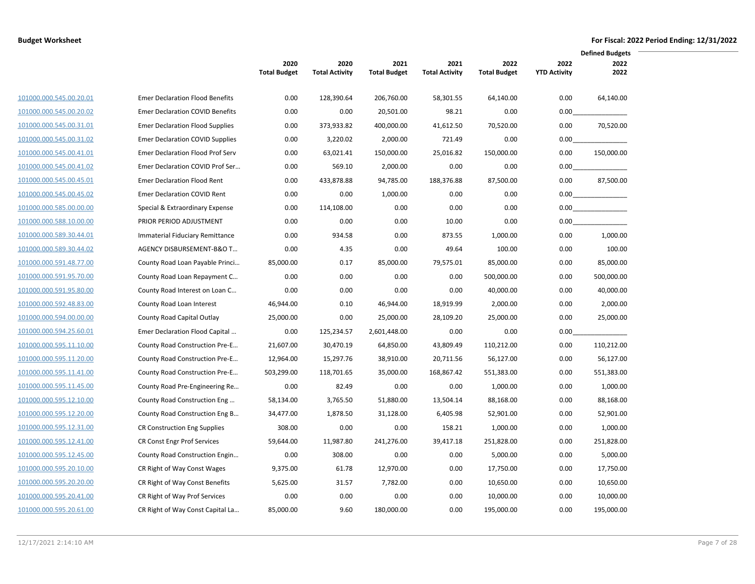|                         |                                         |                             |                               |                             |                               |                             |                             | <b>Defined Budgets</b> |  |
|-------------------------|-----------------------------------------|-----------------------------|-------------------------------|-----------------------------|-------------------------------|-----------------------------|-----------------------------|------------------------|--|
|                         |                                         | 2020<br><b>Total Budget</b> | 2020<br><b>Total Activity</b> | 2021<br><b>Total Budget</b> | 2021<br><b>Total Activity</b> | 2022<br><b>Total Budget</b> | 2022<br><b>YTD Activity</b> | 2022<br>2022           |  |
|                         |                                         |                             |                               |                             |                               |                             |                             |                        |  |
| 101000.000.545.00.20.01 | <b>Emer Declaration Flood Benefits</b>  | 0.00                        | 128,390.64                    | 206,760.00                  | 58,301.55                     | 64,140.00                   | 0.00                        | 64,140.00              |  |
| 101000.000.545.00.20.02 | <b>Emer Declaration COVID Benefits</b>  | 0.00                        | 0.00                          | 20,501.00                   | 98.21                         | 0.00                        | 0.00                        |                        |  |
| 101000.000.545.00.31.01 | <b>Emer Declaration Flood Supplies</b>  | 0.00                        | 373,933.82                    | 400,000.00                  | 41,612.50                     | 70,520.00                   | 0.00                        | 70,520.00              |  |
| 101000.000.545.00.31.02 | <b>Emer Declaration COVID Supplies</b>  | 0.00                        | 3,220.02                      | 2,000.00                    | 721.49                        | 0.00                        | 0.00                        |                        |  |
| 101000.000.545.00.41.01 | <b>Emer Declaration Flood Prof Serv</b> | 0.00                        | 63,021.41                     | 150,000.00                  | 25,016.82                     | 150,000.00                  | 0.00                        | 150.000.00             |  |
| 101000.000.545.00.41.02 | Emer Declaration COVID Prof Ser         | 0.00                        | 569.10                        | 2,000.00                    | 0.00                          | 0.00                        | 0.00                        |                        |  |
| 101000.000.545.00.45.01 | <b>Emer Declaration Flood Rent</b>      | 0.00                        | 433,878.88                    | 94,785.00                   | 188,376.88                    | 87,500.00                   | 0.00                        | 87,500.00              |  |
| 101000.000.545.00.45.02 | Emer Declaration COVID Rent             | 0.00                        | 0.00                          | 1,000.00                    | 0.00                          | 0.00                        | 0.00                        |                        |  |
| 101000.000.585.00.00.00 | Special & Extraordinary Expense         | 0.00                        | 114,108.00                    | 0.00                        | 0.00                          | 0.00                        | 0.00                        |                        |  |
| 101000.000.588.10.00.00 | PRIOR PERIOD ADJUSTMENT                 | 0.00                        | 0.00                          | 0.00                        | 10.00                         | 0.00                        | 0.00                        |                        |  |
| 101000.000.589.30.44.01 | Immaterial Fiduciary Remittance         | 0.00                        | 934.58                        | 0.00                        | 873.55                        | 1,000.00                    | 0.00                        | 1,000.00               |  |
| 101000.000.589.30.44.02 | AGENCY DISBURSEMENT-B&O T               | 0.00                        | 4.35                          | 0.00                        | 49.64                         | 100.00                      | 0.00                        | 100.00                 |  |
| 101000.000.591.48.77.00 | County Road Loan Payable Princi         | 85,000.00                   | 0.17                          | 85,000.00                   | 79,575.01                     | 85,000.00                   | 0.00                        | 85,000.00              |  |
| 101000.000.591.95.70.00 | County Road Loan Repayment C            | 0.00                        | 0.00                          | 0.00                        | 0.00                          | 500,000.00                  | 0.00                        | 500,000.00             |  |
| 101000.000.591.95.80.00 | County Road Interest on Loan C          | 0.00                        | 0.00                          | 0.00                        | 0.00                          | 40,000.00                   | 0.00                        | 40,000.00              |  |
| 101000.000.592.48.83.00 | County Road Loan Interest               | 46,944.00                   | 0.10                          | 46,944.00                   | 18,919.99                     | 2,000.00                    | 0.00                        | 2,000.00               |  |
| 101000.000.594.00.00.00 | County Road Capital Outlay              | 25,000.00                   | 0.00                          | 25,000.00                   | 28,109.20                     | 25,000.00                   | 0.00                        | 25,000.00              |  |
| 101000.000.594.25.60.01 | Emer Declaration Flood Capital          | 0.00                        | 125,234.57                    | 2,601,448.00                | 0.00                          | 0.00                        | 0.00                        |                        |  |
| 101000.000.595.11.10.00 | County Road Construction Pre-E          | 21,607.00                   | 30,470.19                     | 64,850.00                   | 43,809.49                     | 110,212.00                  | 0.00                        | 110,212.00             |  |
| 101000.000.595.11.20.00 | County Road Construction Pre-E          | 12,964.00                   | 15,297.76                     | 38,910.00                   | 20,711.56                     | 56,127.00                   | 0.00                        | 56,127.00              |  |
| 101000.000.595.11.41.00 | County Road Construction Pre-E          | 503,299.00                  | 118,701.65                    | 35,000.00                   | 168,867.42                    | 551,383.00                  | 0.00                        | 551,383.00             |  |
| 101000.000.595.11.45.00 | County Road Pre-Engineering Re          | 0.00                        | 82.49                         | 0.00                        | 0.00                          | 1,000.00                    | 0.00                        | 1,000.00               |  |
| 101000.000.595.12.10.00 | County Road Construction Eng            | 58,134.00                   | 3,765.50                      | 51,880.00                   | 13,504.14                     | 88,168.00                   | 0.00                        | 88,168.00              |  |
| 101000.000.595.12.20.00 | County Road Construction Eng B          | 34,477.00                   | 1,878.50                      | 31,128.00                   | 6,405.98                      | 52,901.00                   | 0.00                        | 52,901.00              |  |
| 101000.000.595.12.31.00 | <b>CR Construction Eng Supplies</b>     | 308.00                      | 0.00                          | 0.00                        | 158.21                        | 1,000.00                    | 0.00                        | 1,000.00               |  |
| 101000.000.595.12.41.00 | <b>CR Const Engr Prof Services</b>      | 59,644.00                   | 11,987.80                     | 241,276.00                  | 39,417.18                     | 251,828.00                  | 0.00                        | 251,828.00             |  |
| 101000.000.595.12.45.00 | County Road Construction Engin          | 0.00                        | 308.00                        | 0.00                        | 0.00                          | 5,000.00                    | 0.00                        | 5,000.00               |  |
| 101000.000.595.20.10.00 | CR Right of Way Const Wages             | 9,375.00                    | 61.78                         | 12,970.00                   | 0.00                          | 17,750.00                   | 0.00                        | 17,750.00              |  |
| 101000.000.595.20.20.00 | CR Right of Way Const Benefits          | 5,625.00                    | 31.57                         | 7,782.00                    | 0.00                          | 10,650.00                   | 0.00                        | 10,650.00              |  |
| 101000.000.595.20.41.00 | CR Right of Way Prof Services           | 0.00                        | 0.00                          | 0.00                        | 0.00                          | 10,000.00                   | 0.00                        | 10,000.00              |  |
| 101000.000.595.20.61.00 | CR Right of Way Const Capital La        | 85,000.00                   | 9.60                          | 180,000.00                  | 0.00                          | 195,000.00                  | 0.00                        | 195,000.00             |  |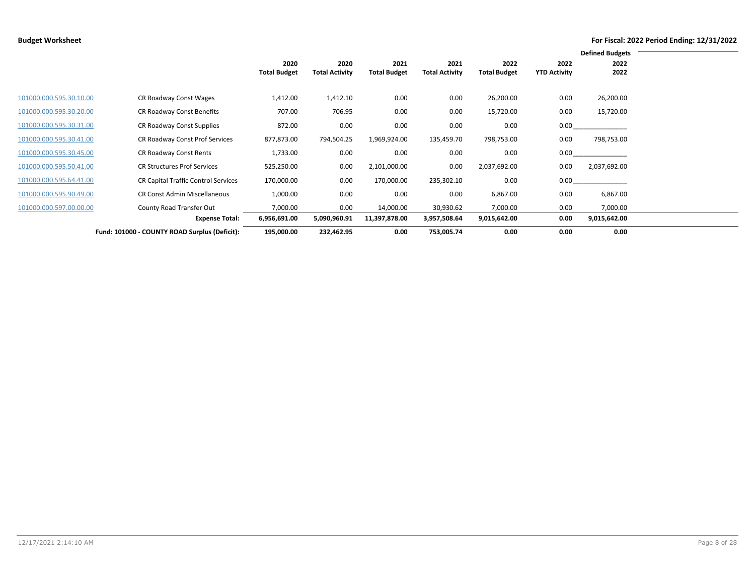|                         |                                               |                             |                               |                             |                               |                             |                             | <b>Defined Budgets</b> |  |
|-------------------------|-----------------------------------------------|-----------------------------|-------------------------------|-----------------------------|-------------------------------|-----------------------------|-----------------------------|------------------------|--|
|                         |                                               | 2020<br><b>Total Budget</b> | 2020<br><b>Total Activity</b> | 2021<br><b>Total Budget</b> | 2021<br><b>Total Activity</b> | 2022<br><b>Total Budget</b> | 2022<br><b>YTD Activity</b> | 2022<br>2022           |  |
| 101000.000.595.30.10.00 | CR Roadway Const Wages                        | 1,412.00                    | 1,412.10                      | 0.00                        | 0.00                          | 26,200.00                   | 0.00                        | 26,200.00              |  |
| 101000.000.595.30.20.00 | CR Roadway Const Benefits                     | 707.00                      | 706.95                        | 0.00                        | 0.00                          | 15,720.00                   | 0.00                        | 15,720.00              |  |
| 101000.000.595.30.31.00 | CR Roadway Const Supplies                     | 872.00                      | 0.00                          | 0.00                        | 0.00                          | 0.00                        | 0.00                        |                        |  |
| 101000.000.595.30.41.00 | CR Roadway Const Prof Services                | 877,873.00                  | 794,504.25                    | 1,969,924.00                | 135,459.70                    | 798,753.00                  | 0.00                        | 798,753.00             |  |
| 101000.000.595.30.45.00 | CR Roadway Const Rents                        | 1,733.00                    | 0.00                          | 0.00                        | 0.00                          | 0.00                        | 0.00                        |                        |  |
| 101000.000.595.50.41.00 | <b>CR Structures Prof Services</b>            | 525,250.00                  | 0.00                          | 2,101,000.00                | 0.00                          | 2,037,692.00                | 0.00                        | 2,037,692.00           |  |
| 101000.000.595.64.41.00 | <b>CR Capital Traffic Control Services</b>    | 170,000.00                  | 0.00                          | 170,000.00                  | 235,302.10                    | 0.00                        | 0.00                        |                        |  |
| 101000.000.595.90.49.00 | <b>CR Const Admin Miscellaneous</b>           | 1,000.00                    | 0.00                          | 0.00                        | 0.00                          | 6,867.00                    | 0.00                        | 6,867.00               |  |
| 101000.000.597.00.00.00 | County Road Transfer Out                      | 7,000.00                    | 0.00                          | 14,000.00                   | 30,930.62                     | 7,000.00                    | 0.00                        | 7,000.00               |  |
|                         | <b>Expense Total:</b>                         | 6,956,691.00                | 5,090,960.91                  | 11,397,878.00               | 3,957,508.64                  | 9,015,642.00                | 0.00                        | 9,015,642.00           |  |
|                         | Fund: 101000 - COUNTY ROAD Surplus (Deficit): | 195,000.00                  | 232,462.95                    | 0.00                        | 753,005.74                    | 0.00                        | 0.00                        | 0.00                   |  |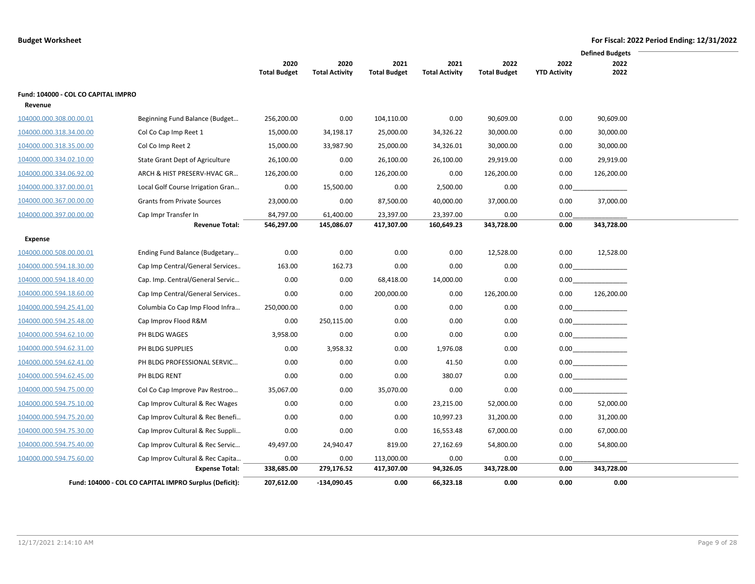|                                     |                                                        |                     |                       |                     |                       |                     |                     | <b>Defined Budgets</b> |
|-------------------------------------|--------------------------------------------------------|---------------------|-----------------------|---------------------|-----------------------|---------------------|---------------------|------------------------|
|                                     |                                                        | 2020                | 2020                  | 2021                | 2021                  | 2022                | 2022                | 2022                   |
|                                     |                                                        | <b>Total Budget</b> | <b>Total Activity</b> | <b>Total Budget</b> | <b>Total Activity</b> | <b>Total Budget</b> | <b>YTD Activity</b> | 2022                   |
| Fund: 104000 - COL CO CAPITAL IMPRO |                                                        |                     |                       |                     |                       |                     |                     |                        |
| Revenue                             |                                                        |                     |                       |                     |                       |                     |                     |                        |
| 104000.000.308.00.00.01             | Beginning Fund Balance (Budget                         | 256,200.00          | 0.00                  | 104,110.00          | 0.00                  | 90,609.00           | 0.00                | 90,609.00              |
| 104000.000.318.34.00.00             | Col Co Cap Imp Reet 1                                  | 15,000.00           | 34,198.17             | 25,000.00           | 34,326.22             | 30,000.00           | 0.00                | 30,000.00              |
| 104000.000.318.35.00.00             | Col Co Imp Reet 2                                      | 15,000.00           | 33,987.90             | 25,000.00           | 34,326.01             | 30,000.00           | 0.00                | 30,000.00              |
| 104000.000.334.02.10.00             | State Grant Dept of Agriculture                        | 26,100.00           | 0.00                  | 26,100.00           | 26,100.00             | 29,919.00           | 0.00                | 29,919.00              |
| 104000.000.334.06.92.00             | ARCH & HIST PRESERV-HVAC GR                            | 126,200.00          | 0.00                  | 126,200.00          | 0.00                  | 126,200.00          | 0.00                | 126,200.00             |
| 104000.000.337.00.00.01             | Local Golf Course Irrigation Gran                      | 0.00                | 15,500.00             | 0.00                | 2,500.00              | 0.00                | 0.00                |                        |
| 104000.000.367.00.00.00             | <b>Grants from Private Sources</b>                     | 23,000.00           | 0.00                  | 87,500.00           | 40,000.00             | 37,000.00           | 0.00                | 37,000.00              |
| 104000.000.397.00.00.00             | Cap Impr Transfer In                                   | 84,797.00           | 61,400.00             | 23,397.00           | 23,397.00             | 0.00                | 0.00                |                        |
|                                     | <b>Revenue Total:</b>                                  | 546,297.00          | 145,086.07            | 417,307.00          | 160,649.23            | 343,728.00          | 0.00                | 343,728.00             |
| Expense                             |                                                        |                     |                       |                     |                       |                     |                     |                        |
| 104000.000.508.00.00.01             | Ending Fund Balance (Budgetary                         | 0.00                | 0.00                  | 0.00                | 0.00                  | 12,528.00           | 0.00                | 12,528.00              |
| 104000.000.594.18.30.00             | Cap Imp Central/General Services                       | 163.00              | 162.73                | 0.00                | 0.00                  | 0.00                | 0.00                |                        |
| 104000.000.594.18.40.00             | Cap. Imp. Central/General Servic                       | 0.00                | 0.00                  | 68,418.00           | 14,000.00             | 0.00                | $0.00\,$            |                        |
| 104000.000.594.18.60.00             | Cap Imp Central/General Services                       | 0.00                | 0.00                  | 200,000.00          | 0.00                  | 126,200.00          | 0.00                | 126,200.00             |
| 104000.000.594.25.41.00             | Columbia Co Cap Imp Flood Infra                        | 250,000.00          | 0.00                  | 0.00                | 0.00                  | 0.00                |                     |                        |
| 104000.000.594.25.48.00             | Cap Improv Flood R&M                                   | 0.00                | 250,115.00            | 0.00                | 0.00                  | 0.00                |                     |                        |
| 104000.000.594.62.10.00             | PH BLDG WAGES                                          | 3,958.00            | 0.00                  | 0.00                | 0.00                  | 0.00                |                     | 0.00                   |
| 104000.000.594.62.31.00             | PH BLDG SUPPLIES                                       | 0.00                | 3,958.32              | 0.00                | 1,976.08              | 0.00                |                     |                        |
| 104000.000.594.62.41.00             | PH BLDG PROFESSIONAL SERVIC                            | 0.00                | 0.00                  | 0.00                | 41.50                 | 0.00                |                     |                        |
| 104000.000.594.62.45.00             | PH BLDG RENT                                           | 0.00                | 0.00                  | 0.00                | 380.07                | 0.00                |                     | 0.00                   |
| 104000.000.594.75.00.00             | Col Co Cap Improve Pav Restroo                         | 35,067.00           | 0.00                  | 35,070.00           | 0.00                  | 0.00                | 0.00                |                        |
| 104000.000.594.75.10.00             | Cap Improv Cultural & Rec Wages                        | 0.00                | 0.00                  | 0.00                | 23,215.00             | 52,000.00           | 0.00                | 52,000.00              |
| 104000.000.594.75.20.00             | Cap Improv Cultural & Rec Benefi                       | 0.00                | 0.00                  | 0.00                | 10,997.23             | 31,200.00           | 0.00                | 31,200.00              |
| 104000.000.594.75.30.00             | Cap Improv Cultural & Rec Suppli                       | 0.00                | 0.00                  | 0.00                | 16,553.48             | 67,000.00           | 0.00                | 67,000.00              |
| 104000.000.594.75.40.00             | Cap Improv Cultural & Rec Servic                       | 49,497.00           | 24,940.47             | 819.00              | 27,162.69             | 54,800.00           | 0.00                | 54,800.00              |
| 104000.000.594.75.60.00             | Cap Improv Cultural & Rec Capita                       | 0.00                | 0.00                  | 113,000.00          | 0.00                  | 0.00                | 0.00                |                        |
|                                     | <b>Expense Total:</b>                                  | 338,685.00          | 279,176.52            | 417,307.00          | 94,326.05             | 343,728.00          | 0.00                | 343,728.00             |
|                                     | Fund: 104000 - COL CO CAPITAL IMPRO Surplus (Deficit): | 207,612.00          | $-134,090.45$         | 0.00                | 66,323.18             | 0.00                | 0.00                | 0.00                   |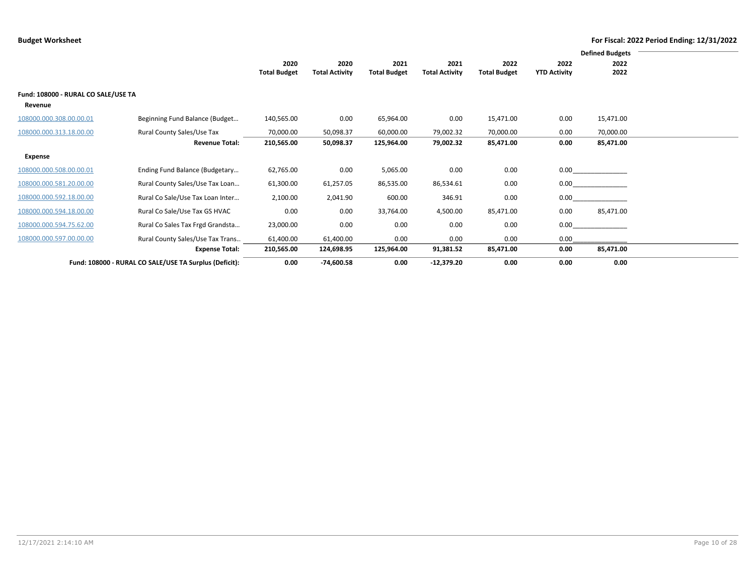|                                     |                                                        |                             |                               |                             |                               |                             |                             | <b>Defined Budgets</b> |  |
|-------------------------------------|--------------------------------------------------------|-----------------------------|-------------------------------|-----------------------------|-------------------------------|-----------------------------|-----------------------------|------------------------|--|
|                                     |                                                        | 2020<br><b>Total Budget</b> | 2020<br><b>Total Activity</b> | 2021<br><b>Total Budget</b> | 2021<br><b>Total Activity</b> | 2022<br><b>Total Budget</b> | 2022<br><b>YTD Activity</b> | 2022<br>2022           |  |
|                                     |                                                        |                             |                               |                             |                               |                             |                             |                        |  |
| Fund: 108000 - RURAL CO SALE/USE TA |                                                        |                             |                               |                             |                               |                             |                             |                        |  |
| Revenue                             |                                                        |                             |                               |                             |                               |                             |                             |                        |  |
| 108000.000.308.00.00.01             | Beginning Fund Balance (Budget                         | 140,565.00                  | 0.00                          | 65,964.00                   | 0.00                          | 15,471.00                   | 0.00                        | 15,471.00              |  |
| 108000.000.313.18.00.00             | Rural County Sales/Use Tax                             | 70,000.00                   | 50,098.37                     | 60,000.00                   | 79,002.32                     | 70,000.00                   | 0.00                        | 70,000.00              |  |
|                                     | <b>Revenue Total:</b>                                  | 210,565.00                  | 50,098.37                     | 125,964.00                  | 79,002.32                     | 85,471.00                   | 0.00                        | 85,471.00              |  |
| Expense                             |                                                        |                             |                               |                             |                               |                             |                             |                        |  |
| 108000.000.508.00.00.01             | Ending Fund Balance (Budgetary                         | 62,765.00                   | 0.00                          | 5,065.00                    | 0.00                          | 0.00                        | $0.00\,$                    |                        |  |
| 108000.000.581.20.00.00             | Rural County Sales/Use Tax Loan                        | 61,300.00                   | 61,257.05                     | 86,535.00                   | 86,534.61                     | 0.00                        | 0.00                        |                        |  |
| 108000.000.592.18.00.00             | Rural Co Sale/Use Tax Loan Inter                       | 2,100.00                    | 2,041.90                      | 600.00                      | 346.91                        | 0.00                        | 0.00                        |                        |  |
| 108000.000.594.18.00.00             | Rural Co Sale/Use Tax GS HVAC                          | 0.00                        | 0.00                          | 33,764.00                   | 4,500.00                      | 85,471.00                   | 0.00                        | 85,471.00              |  |
| 108000.000.594.75.62.00             | Rural Co Sales Tax Frgd Grandsta                       | 23,000.00                   | 0.00                          | 0.00                        | 0.00                          | 0.00                        | 0.00                        |                        |  |
| 108000.000.597.00.00.00             | Rural County Sales/Use Tax Trans                       | 61,400.00                   | 61,400.00                     | 0.00                        | 0.00                          | 0.00                        | 0.00                        |                        |  |
|                                     | <b>Expense Total:</b>                                  | 210,565.00                  | 124,698.95                    | 125,964.00                  | 91,381.52                     | 85,471.00                   | 0.00                        | 85,471.00              |  |
|                                     | Fund: 108000 - RURAL CO SALE/USE TA Surplus (Deficit): | 0.00                        | $-74,600.58$                  | 0.00                        | $-12,379.20$                  | 0.00                        | 0.00                        | 0.00                   |  |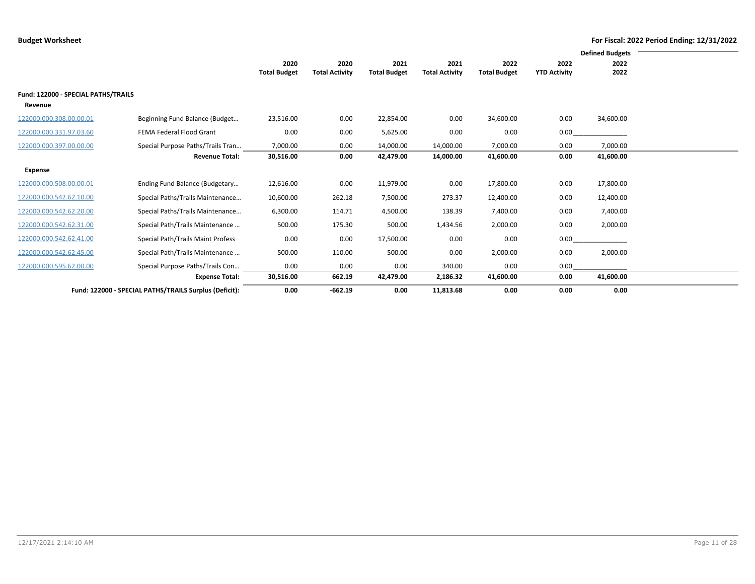|                                                |                                                        |                     |                       |                     |                       |                     |                     | <b>Defined Budgets</b> |
|------------------------------------------------|--------------------------------------------------------|---------------------|-----------------------|---------------------|-----------------------|---------------------|---------------------|------------------------|
|                                                |                                                        | 2020                | 2020                  | 2021                | 2021                  | 2022                | 2022                | 2022                   |
|                                                |                                                        | <b>Total Budget</b> | <b>Total Activity</b> | <b>Total Budget</b> | <b>Total Activity</b> | <b>Total Budget</b> | <b>YTD Activity</b> | 2022                   |
| Fund: 122000 - SPECIAL PATHS/TRAILS<br>Revenue |                                                        |                     |                       |                     |                       |                     |                     |                        |
| 122000.000.308.00.00.01                        | Beginning Fund Balance (Budget                         | 23,516.00           | 0.00                  | 22,854.00           | 0.00                  | 34,600.00           | 0.00                | 34,600.00              |
| 122000.000.331.97.03.60                        | FEMA Federal Flood Grant                               | 0.00                | 0.00                  | 5,625.00            | 0.00                  | 0.00                | 0.00                |                        |
| 122000.000.397.00.00.00                        | Special Purpose Paths/Trails Tran                      | 7,000.00            | 0.00                  | 14,000.00           | 14,000.00             | 7,000.00            | 0.00                | 7,000.00               |
|                                                | <b>Revenue Total:</b>                                  | 30,516.00           | 0.00                  | 42,479.00           | 14,000.00             | 41,600.00           | 0.00                | 41,600.00              |
| Expense                                        |                                                        |                     |                       |                     |                       |                     |                     |                        |
| 122000.000.508.00.00.01                        | Ending Fund Balance (Budgetary                         | 12,616.00           | 0.00                  | 11,979.00           | 0.00                  | 17,800.00           | 0.00                | 17,800.00              |
| 122000.000.542.62.10.00                        | Special Paths/Trails Maintenance                       | 10,600.00           | 262.18                | 7,500.00            | 273.37                | 12,400.00           | 0.00                | 12,400.00              |
| 122000.000.542.62.20.00                        | Special Paths/Trails Maintenance                       | 6,300.00            | 114.71                | 4,500.00            | 138.39                | 7,400.00            | 0.00                | 7,400.00               |
| 122000.000.542.62.31.00                        | Special Path/Trails Maintenance                        | 500.00              | 175.30                | 500.00              | 1,434.56              | 2,000.00            | 0.00                | 2,000.00               |
| 122000.000.542.62.41.00                        | Special Path/Trails Maint Profess                      | 0.00                | 0.00                  | 17,500.00           | 0.00                  | 0.00                | 0.00                |                        |
| 122000.000.542.62.45.00                        | Special Path/Trails Maintenance                        | 500.00              | 110.00                | 500.00              | 0.00                  | 2,000.00            | 0.00                | 2,000.00               |
| 122000.000.595.62.00.00                        | Special Purpose Paths/Trails Con                       | 0.00                | 0.00                  | 0.00                | 340.00                | 0.00                | 0.00                |                        |
|                                                | <b>Expense Total:</b>                                  | 30,516.00           | 662.19                | 42,479.00           | 2,186.32              | 41,600.00           | 0.00                | 41,600.00              |
|                                                | Fund: 122000 - SPECIAL PATHS/TRAILS Surplus (Deficit): | 0.00                | $-662.19$             | 0.00                | 11,813.68             | 0.00                | 0.00                | 0.00                   |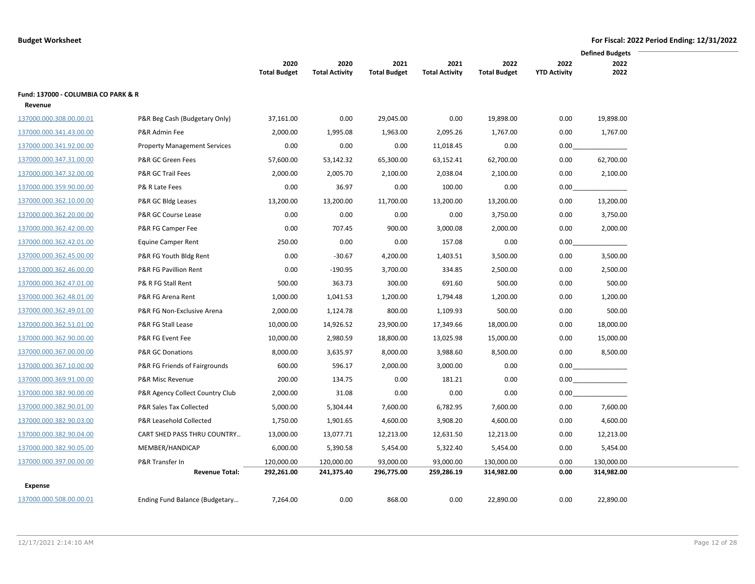|                                     |                                     |                     |                       |                     |                       |                     |                     | <b>Defined Budgets</b> |  |
|-------------------------------------|-------------------------------------|---------------------|-----------------------|---------------------|-----------------------|---------------------|---------------------|------------------------|--|
|                                     |                                     | 2020                | 2020                  | 2021                | 2021                  | 2022                | 2022                | 2022                   |  |
|                                     |                                     | <b>Total Budget</b> | <b>Total Activity</b> | <b>Total Budget</b> | <b>Total Activity</b> | <b>Total Budget</b> | <b>YTD Activity</b> | 2022                   |  |
| Fund: 137000 - COLUMBIA CO PARK & R |                                     |                     |                       |                     |                       |                     |                     |                        |  |
| Revenue                             |                                     |                     |                       |                     |                       |                     |                     |                        |  |
| 137000.000.308.00.00.01             | P&R Beg Cash (Budgetary Only)       | 37,161.00           | 0.00                  | 29,045.00           | 0.00                  | 19,898.00           | 0.00                | 19,898.00              |  |
| 137000.000.341.43.00.00             | P&R Admin Fee                       | 2,000.00            | 1,995.08              | 1,963.00            | 2,095.26              | 1,767.00            | 0.00                | 1,767.00               |  |
| 137000.000.341.92.00.00             | <b>Property Management Services</b> | 0.00                | 0.00                  | 0.00                | 11,018.45             | 0.00                | 0.00                |                        |  |
| 137000.000.347.31.00.00             | P&R GC Green Fees                   | 57,600.00           | 53,142.32             | 65,300.00           | 63,152.41             | 62,700.00           | 0.00                | 62,700.00              |  |
| 137000.000.347.32.00.00             | P&R GC Trail Fees                   | 2,000.00            | 2,005.70              | 2,100.00            | 2,038.04              | 2,100.00            | 0.00                | 2,100.00               |  |
| 137000.000.359.90.00.00             | P& R Late Fees                      | 0.00                | 36.97                 | 0.00                | 100.00                | 0.00                | $0.00\,$            |                        |  |
| 137000.000.362.10.00.00             | P&R GC Bldg Leases                  | 13,200.00           | 13,200.00             | 11,700.00           | 13,200.00             | 13,200.00           | 0.00                | 13,200.00              |  |
| 137000.000.362.20.00.00             | P&R GC Course Lease                 | 0.00                | 0.00                  | 0.00                | 0.00                  | 3,750.00            | 0.00                | 3,750.00               |  |
| 137000.000.362.42.00.00             | P&R FG Camper Fee                   | 0.00                | 707.45                | 900.00              | 3,000.08              | 2,000.00            | 0.00                | 2,000.00               |  |
| 137000.000.362.42.01.00             | Equine Camper Rent                  | 250.00              | 0.00                  | 0.00                | 157.08                | 0.00                | $0.00\,$            |                        |  |
| 137000.000.362.45.00.00             | P&R FG Youth Bldg Rent              | 0.00                | $-30.67$              | 4,200.00            | 1,403.51              | 3,500.00            | 0.00                | 3,500.00               |  |
| 137000.000.362.46.00.00             | P&R FG Pavillion Rent               | 0.00                | $-190.95$             | 3,700.00            | 334.85                | 2,500.00            | 0.00                | 2,500.00               |  |
| 137000.000.362.47.01.00             | P& R FG Stall Rent                  | 500.00              | 363.73                | 300.00              | 691.60                | 500.00              | 0.00                | 500.00                 |  |
| 137000.000.362.48.01.00             | P&R FG Arena Rent                   | 1,000.00            | 1,041.53              | 1,200.00            | 1,794.48              | 1,200.00            | 0.00                | 1,200.00               |  |
| 137000.000.362.49.01.00             | P&R FG Non-Exclusive Arena          | 2,000.00            | 1,124.78              | 800.00              | 1,109.93              | 500.00              | 0.00                | 500.00                 |  |
| 137000.000.362.51.01.00             | P&R FG Stall Lease                  | 10,000.00           | 14,926.52             | 23,900.00           | 17,349.66             | 18,000.00           | 0.00                | 18,000.00              |  |
| 137000.000.362.90.00.00             | P&R FG Event Fee                    | 10,000.00           | 2,980.59              | 18,800.00           | 13,025.98             | 15,000.00           | 0.00                | 15,000.00              |  |
| 137000.000.367.00.00.00             | <b>P&amp;R GC Donations</b>         | 8,000.00            | 3,635.97              | 8,000.00            | 3,988.60              | 8,500.00            | 0.00                | 8,500.00               |  |
| 137000.000.367.10.00.00             | P&R FG Friends of Fairgrounds       | 600.00              | 596.17                | 2,000.00            | 3,000.00              | 0.00                |                     | $0.00$                 |  |
| 137000.000.369.91.00.00             | P&R Misc Revenue                    | 200.00              | 134.75                | 0.00                | 181.21                | 0.00                |                     |                        |  |
| 137000.000.382.90.00.00             | P&R Agency Collect Country Club     | 2,000.00            | 31.08                 | 0.00                | 0.00                  | 0.00                | 0.00                |                        |  |
| 137000.000.382.90.01.00             | P&R Sales Tax Collected             | 5,000.00            | 5,304.44              | 7,600.00            | 6,782.95              | 7,600.00            | 0.00                | 7,600.00               |  |
| 137000.000.382.90.03.00             | P&R Leasehold Collected             | 1,750.00            | 1,901.65              | 4,600.00            | 3,908.20              | 4,600.00            | 0.00                | 4,600.00               |  |
| 137000.000.382.90.04.00             | CART SHED PASS THRU COUNTRY         | 13,000.00           | 13,077.71             | 12,213.00           | 12,631.50             | 12,213.00           | 0.00                | 12,213.00              |  |
| 137000.000.382.90.05.00             | MEMBER/HANDICAP                     | 6,000.00            | 5,390.58              | 5,454.00            | 5,322.40              | 5,454.00            | 0.00                | 5,454.00               |  |
| 137000.000.397.00.00.00             | P&R Transfer In                     | 120,000.00          | 120,000.00            | 93,000.00           | 93,000.00             | 130,000.00          | 0.00                | 130,000.00             |  |
|                                     | <b>Revenue Total:</b>               | 292,261.00          | 241,375.40            | 296,775.00          | 259,286.19            | 314,982.00          | 0.00                | 314,982.00             |  |
| <b>Expense</b>                      |                                     |                     |                       |                     |                       |                     |                     |                        |  |
| 137000.000.508.00.00.01             | Ending Fund Balance (Budgetary      | 7,264.00            | 0.00                  | 868.00              | 0.00                  | 22,890.00           | 0.00                | 22,890.00              |  |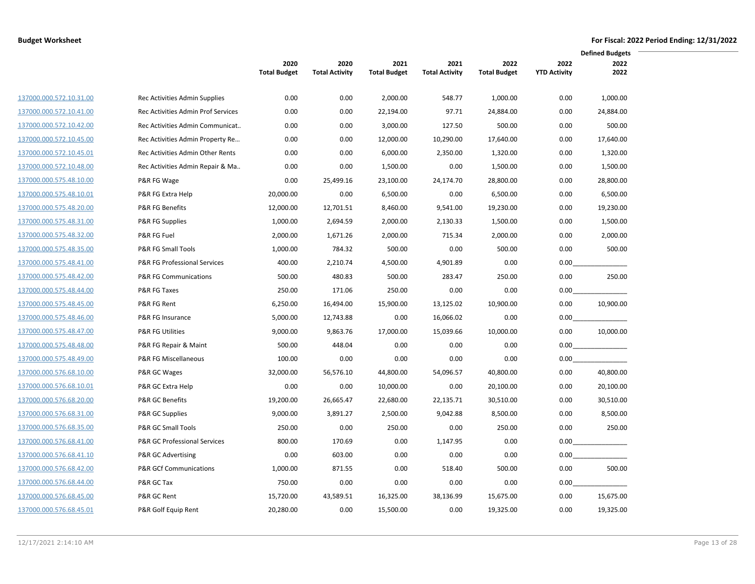|                         |                                    |                     |                       |                     |                       |                     |                     | <b>Defined Budgets</b> |  |
|-------------------------|------------------------------------|---------------------|-----------------------|---------------------|-----------------------|---------------------|---------------------|------------------------|--|
|                         |                                    | 2020                | 2020                  | 2021                | 2021                  | 2022                | 2022                | 2022                   |  |
|                         |                                    | <b>Total Budget</b> | <b>Total Activity</b> | <b>Total Budget</b> | <b>Total Activity</b> | <b>Total Budget</b> | <b>YTD Activity</b> | 2022                   |  |
| 137000.000.572.10.31.00 | Rec Activities Admin Supplies      | 0.00                | 0.00                  | 2,000.00            | 548.77                | 1,000.00            | 0.00                | 1,000.00               |  |
| 137000.000.572.10.41.00 | Rec Activities Admin Prof Services | 0.00                | 0.00                  | 22,194.00           | 97.71                 | 24,884.00           | 0.00                | 24,884.00              |  |
| 137000.000.572.10.42.00 | Rec Activities Admin Communicat    | 0.00                | 0.00                  | 3,000.00            | 127.50                | 500.00              | 0.00                | 500.00                 |  |
| 137000.000.572.10.45.00 | Rec Activities Admin Property Re   | 0.00                | 0.00                  | 12,000.00           | 10,290.00             | 17,640.00           | 0.00                | 17,640.00              |  |
| 137000.000.572.10.45.01 | Rec Activities Admin Other Rents   | 0.00                | 0.00                  | 6,000.00            | 2,350.00              | 1,320.00            | 0.00                | 1,320.00               |  |
| 137000.000.572.10.48.00 | Rec Activities Admin Repair & Ma   | 0.00                | 0.00                  | 1,500.00            | 0.00                  | 1,500.00            | 0.00                | 1,500.00               |  |
| 137000.000.575.48.10.00 | P&R FG Wage                        | 0.00                | 25,499.16             | 23,100.00           | 24,174.70             | 28,800.00           | 0.00                | 28,800.00              |  |
| 137000.000.575.48.10.01 | P&R FG Extra Help                  | 20,000.00           | 0.00                  | 6,500.00            | 0.00                  | 6,500.00            | 0.00                | 6,500.00               |  |
| 137000.000.575.48.20.00 | <b>P&amp;R FG Benefits</b>         | 12,000.00           | 12,701.51             | 8,460.00            | 9,541.00              | 19,230.00           | 0.00                | 19,230.00              |  |
| 137000.000.575.48.31.00 | P&R FG Supplies                    | 1,000.00            | 2,694.59              | 2,000.00            | 2,130.33              | 1,500.00            | 0.00                | 1,500.00               |  |
| 137000.000.575.48.32.00 | P&R FG Fuel                        | 2,000.00            | 1,671.26              | 2,000.00            | 715.34                | 2,000.00            | 0.00                | 2,000.00               |  |
| 137000.000.575.48.35.00 | P&R FG Small Tools                 | 1,000.00            | 784.32                | 500.00              | 0.00                  | 500.00              | 0.00                | 500.00                 |  |
| 137000.000.575.48.41.00 | P&R FG Professional Services       | 400.00              | 2,210.74              | 4,500.00            | 4,901.89              | 0.00                | 0.00                |                        |  |
| 137000.000.575.48.42.00 | <b>P&amp;R FG Communications</b>   | 500.00              | 480.83                | 500.00              | 283.47                | 250.00              | 0.00                | 250.00                 |  |
| 137000.000.575.48.44.00 | P&R FG Taxes                       | 250.00              | 171.06                | 250.00              | 0.00                  | 0.00                | 0.00                |                        |  |
| 137000.000.575.48.45.00 | P&R FG Rent                        | 6,250.00            | 16,494.00             | 15,900.00           | 13,125.02             | 10,900.00           | 0.00                | 10,900.00              |  |
| 137000.000.575.48.46.00 | P&R FG Insurance                   | 5,000.00            | 12,743.88             | 0.00                | 16,066.02             | 0.00                | 0.00                |                        |  |
| 137000.000.575.48.47.00 | <b>P&amp;R FG Utilities</b>        | 9,000.00            | 9,863.76              | 17,000.00           | 15,039.66             | 10,000.00           | 0.00                | 10,000.00              |  |
| 137000.000.575.48.48.00 | P&R FG Repair & Maint              | 500.00              | 448.04                | 0.00                | 0.00                  | 0.00                | 0.00                |                        |  |
| 137000.000.575.48.49.00 | P&R FG Miscellaneous               | 100.00              | 0.00                  | 0.00                | 0.00                  | 0.00                | 0.00                |                        |  |
| 137000.000.576.68.10.00 | P&R GC Wages                       | 32,000.00           | 56,576.10             | 44,800.00           | 54,096.57             | 40,800.00           | 0.00                | 40,800.00              |  |
| 137000.000.576.68.10.01 | P&R GC Extra Help                  | 0.00                | 0.00                  | 10,000.00           | 0.00                  | 20,100.00           | 0.00                | 20,100.00              |  |
| 137000.000.576.68.20.00 | <b>P&amp;R GC Benefits</b>         | 19,200.00           | 26,665.47             | 22,680.00           | 22,135.71             | 30,510.00           | 0.00                | 30,510.00              |  |
| 137000.000.576.68.31.00 | P&R GC Supplies                    | 9,000.00            | 3,891.27              | 2,500.00            | 9,042.88              | 8,500.00            | 0.00                | 8,500.00               |  |
| 137000.000.576.68.35.00 | P&R GC Small Tools                 | 250.00              | 0.00                  | 250.00              | 0.00                  | 250.00              | 0.00                | 250.00                 |  |
| 137000.000.576.68.41.00 | P&R GC Professional Services       | 800.00              | 170.69                | 0.00                | 1,147.95              | 0.00                | 0.00                |                        |  |
| 137000.000.576.68.41.10 | P&R GC Advertising                 | 0.00                | 603.00                | 0.00                | 0.00                  | 0.00                | 0.00                |                        |  |
| 137000.000.576.68.42.00 | <b>P&amp;R GCf Communications</b>  | 1,000.00            | 871.55                | 0.00                | 518.40                | 500.00              | 0.00                | 500.00                 |  |
| 137000.000.576.68.44.00 | P&R GC Tax                         | 750.00              | 0.00                  | 0.00                | 0.00                  | 0.00                | 0.00                |                        |  |
| 137000.000.576.68.45.00 | P&R GC Rent                        | 15,720.00           | 43,589.51             | 16,325.00           | 38,136.99             | 15,675.00           | 0.00                | 15,675.00              |  |
| 137000.000.576.68.45.01 | P&R Golf Equip Rent                | 20,280.00           | 0.00                  | 15,500.00           | 0.00                  | 19,325.00           | 0.00                | 19,325.00              |  |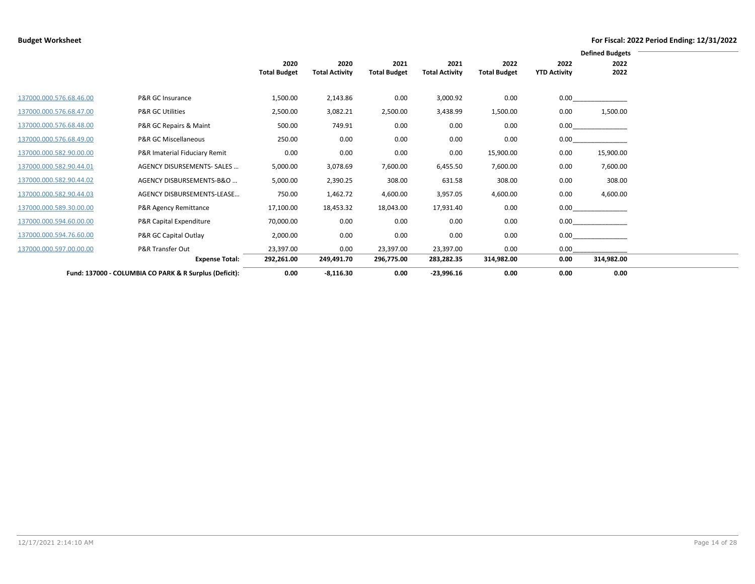|                         |                                                        |                     |                       |                     |                       |                     |                     | <b>Defined Budgets</b> |
|-------------------------|--------------------------------------------------------|---------------------|-----------------------|---------------------|-----------------------|---------------------|---------------------|------------------------|
|                         |                                                        | 2020                | 2020                  | 2021                | 2021                  | 2022                | 2022                | 2022                   |
|                         |                                                        | <b>Total Budget</b> | <b>Total Activity</b> | <b>Total Budget</b> | <b>Total Activity</b> | <b>Total Budget</b> | <b>YTD Activity</b> | 2022                   |
|                         |                                                        |                     |                       |                     |                       |                     |                     |                        |
| 137000.000.576.68.46.00 | P&R GC Insurance                                       | 1,500.00            | 2,143.86              | 0.00                | 3,000.92              | 0.00                | 0.00                |                        |
| 137000.000.576.68.47.00 | <b>P&amp;R GC Utilities</b>                            | 2,500.00            | 3,082.21              | 2,500.00            | 3,438.99              | 1,500.00            | 0.00                | 1,500.00               |
| 137000.000.576.68.48.00 | P&R GC Repairs & Maint                                 | 500.00              | 749.91                | 0.00                | 0.00                  | 0.00                | 0.00                |                        |
| 137000.000.576.68.49.00 | P&R GC Miscellaneous                                   | 250.00              | 0.00                  | 0.00                | 0.00                  | 0.00                | 0.00                |                        |
| 137000.000.582.90.00.00 | P&R Imaterial Fiduciary Remit                          | 0.00                | 0.00                  | 0.00                | 0.00                  | 15,900.00           | 0.00                | 15,900.00              |
| 137000.000.582.90.44.01 | AGENCY DISURSEMENTS- SALES                             | 5,000.00            | 3,078.69              | 7,600.00            | 6,455.50              | 7,600.00            | 0.00                | 7,600.00               |
| 137000.000.582.90.44.02 | AGENCY DISBURSEMENTS-B&O                               | 5,000.00            | 2,390.25              | 308.00              | 631.58                | 308.00              | 0.00                | 308.00                 |
| 137000.000.582.90.44.03 | AGENCY DISBURSEMENTS-LEASE                             | 750.00              | 1,462.72              | 4,600.00            | 3,957.05              | 4,600.00            | 0.00                | 4,600.00               |
| 137000.000.589.30.00.00 | P&R Agency Remittance                                  | 17,100.00           | 18,453.32             | 18,043.00           | 17,931.40             | 0.00                | 0.00                |                        |
| 137000.000.594.60.00.00 | P&R Capital Expenditure                                | 70,000.00           | 0.00                  | 0.00                | 0.00                  | 0.00                |                     | 0.00                   |
| 137000.000.594.76.60.00 | P&R GC Capital Outlay                                  | 2,000.00            | 0.00                  | 0.00                | 0.00                  | 0.00                | 0.00                |                        |
| 137000.000.597.00.00.00 | P&R Transfer Out                                       | 23,397.00           | 0.00                  | 23,397.00           | 23,397.00             | 0.00                | 0.00                |                        |
|                         | <b>Expense Total:</b>                                  | 292,261.00          | 249,491.70            | 296,775.00          | 283,282.35            | 314,982.00          | 0.00                | 314,982.00             |
|                         | Fund: 137000 - COLUMBIA CO PARK & R Surplus (Deficit): | 0.00                | $-8,116.30$           | 0.00                | $-23,996.16$          | 0.00                | 0.00                | 0.00                   |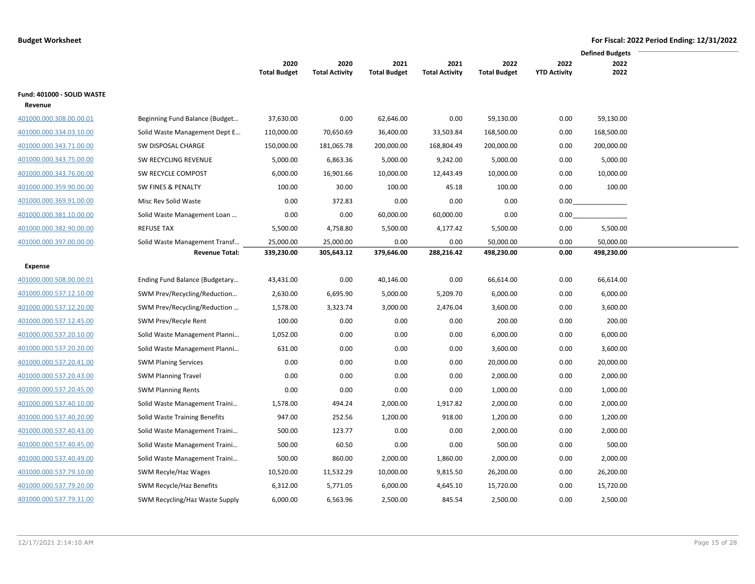|                            |                                 |                     |                       |                     |                       |                     |                     | <b>Defined Budgets</b> |
|----------------------------|---------------------------------|---------------------|-----------------------|---------------------|-----------------------|---------------------|---------------------|------------------------|
|                            |                                 | 2020                | 2020                  | 2021                | 2021                  | 2022                | 2022                | 2022                   |
|                            |                                 | <b>Total Budget</b> | <b>Total Activity</b> | <b>Total Budget</b> | <b>Total Activity</b> | <b>Total Budget</b> | <b>YTD Activity</b> | 2022                   |
| Fund: 401000 - SOLID WASTE |                                 |                     |                       |                     |                       |                     |                     |                        |
| Revenue                    |                                 |                     |                       |                     |                       |                     |                     |                        |
| 401000.000.308.00.00.01    | Beginning Fund Balance (Budget  | 37,630.00           | 0.00                  | 62,646.00           | 0.00                  | 59,130.00           | 0.00                | 59,130.00              |
| 401000.000.334.03.10.00    | Solid Waste Management Dept E   | 110,000.00          | 70,650.69             | 36,400.00           | 33,503.84             | 168,500.00          | 0.00                | 168,500.00             |
| 401000.000.343.71.00.00    | SW DISPOSAL CHARGE              | 150,000.00          | 181,065.78            | 200,000.00          | 168,804.49            | 200,000.00          | 0.00                | 200,000.00             |
| 401000.000.343.75.00.00    | SW RECYCLING REVENUE            | 5,000.00            | 6,863.36              | 5,000.00            | 9,242.00              | 5,000.00            | 0.00                | 5,000.00               |
| 401000.000.343.76.00.00    | SW RECYCLE COMPOST              | 6,000.00            | 16,901.66             | 10,000.00           | 12,443.49             | 10,000.00           | 0.00                | 10,000.00              |
| 401000.000.359.90.00.00    | SW FINES & PENALTY              | 100.00              | 30.00                 | 100.00              | 45.18                 | 100.00              | 0.00                | 100.00                 |
| 401000.000.369.91.00.00    | Misc Rev Solid Waste            | 0.00                | 372.83                | 0.00                | 0.00                  | 0.00                | 0.00                |                        |
| 401000.000.381.10.00.00    | Solid Waste Management Loan     | 0.00                | 0.00                  | 60,000.00           | 60,000.00             | 0.00                | 0.00                |                        |
| 401000.000.382.90.00.00    | <b>REFUSE TAX</b>               | 5,500.00            | 4,758.80              | 5,500.00            | 4,177.42              | 5,500.00            | 0.00                | 5,500.00               |
| 401000.000.397.00.00.00    | Solid Waste Management Transf   | 25,000.00           | 25,000.00             | 0.00                | 0.00                  | 50,000.00           | 0.00                | 50,000.00              |
|                            | <b>Revenue Total:</b>           | 339,230.00          | 305,643.12            | 379,646.00          | 288,216.42            | 498,230.00          | 0.00                | 498,230.00             |
| Expense                    |                                 |                     |                       |                     |                       |                     |                     |                        |
| 401000.000.508.00.00.01    | Ending Fund Balance (Budgetary  | 43,431.00           | 0.00                  | 40,146.00           | 0.00                  | 66,614.00           | 0.00                | 66,614.00              |
| 401000.000.537.12.10.00    | SWM Prev/Recycling/Reduction    | 2,630.00            | 6,695.90              | 5,000.00            | 5,209.70              | 6,000.00            | 0.00                | 6,000.00               |
| 401000.000.537.12.20.00    | SWM Prev/Recycling/Reduction    | 1,578.00            | 3,323.74              | 3,000.00            | 2,476.04              | 3,600.00            | 0.00                | 3,600.00               |
| 401000.000.537.12.45.00    | SWM Prev/Recyle Rent            | 100.00              | 0.00                  | 0.00                | 0.00                  | 200.00              | 0.00                | 200.00                 |
| 401000.000.537.20.10.00    | Solid Waste Management Planni   | 1,052.00            | 0.00                  | 0.00                | 0.00                  | 6,000.00            | 0.00                | 6,000.00               |
| 401000.000.537.20.20.00    | Solid Waste Management Planni   | 631.00              | 0.00                  | 0.00                | 0.00                  | 3,600.00            | 0.00                | 3,600.00               |
| 401000.000.537.20.41.00    | <b>SWM Planing Services</b>     | 0.00                | 0.00                  | 0.00                | 0.00                  | 20,000.00           | 0.00                | 20,000.00              |
| 401000.000.537.20.43.00    | <b>SWM Planning Travel</b>      | 0.00                | 0.00                  | 0.00                | 0.00                  | 2,000.00            | 0.00                | 2,000.00               |
| 401000.000.537.20.45.00    | <b>SWM Planning Rents</b>       | 0.00                | 0.00                  | 0.00                | 0.00                  | 1,000.00            | 0.00                | 1,000.00               |
| 401000.000.537.40.10.00    | Solid Waste Management Traini   | 1,578.00            | 494.24                | 2,000.00            | 1,917.82              | 2,000.00            | 0.00                | 2,000.00               |
| 401000.000.537.40.20.00    | Solid Waste Training Benefits   | 947.00              | 252.56                | 1,200.00            | 918.00                | 1,200.00            | 0.00                | 1,200.00               |
| 401000.000.537.40.43.00    | Solid Waste Management Traini   | 500.00              | 123.77                | 0.00                | 0.00                  | 2,000.00            | 0.00                | 2,000.00               |
| 401000.000.537.40.45.00    | Solid Waste Management Traini   | 500.00              | 60.50                 | 0.00                | 0.00                  | 500.00              | 0.00                | 500.00                 |
| 401000.000.537.40.49.00    | Solid Waste Management Traini   | 500.00              | 860.00                | 2,000.00            | 1,860.00              | 2,000.00            | 0.00                | 2,000.00               |
| 401000.000.537.79.10.00    | SWM Recyle/Haz Wages            | 10,520.00           | 11,532.29             | 10,000.00           | 9,815.50              | 26,200.00           | 0.00                | 26,200.00              |
| 401000.000.537.79.20.00    | <b>SWM Recycle/Haz Benefits</b> | 6,312.00            | 5,771.05              | 6,000.00            | 4,645.10              | 15,720.00           | 0.00                | 15,720.00              |
| 401000.000.537.79.31.00    | SWM Recycling/Haz Waste Supply  | 6,000.00            | 6,563.96              | 2,500.00            | 845.54                | 2,500.00            | 0.00                | 2,500.00               |

 $\overline{\phantom{0}}$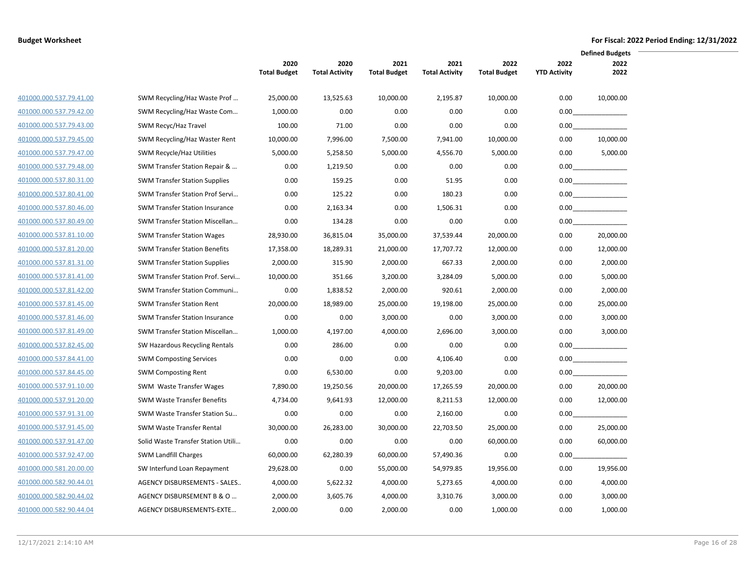|                         |                                       |                             |                               |                             |                               |                             |                             | <b>Defined Budgets</b> |
|-------------------------|---------------------------------------|-----------------------------|-------------------------------|-----------------------------|-------------------------------|-----------------------------|-----------------------------|------------------------|
|                         |                                       | 2020<br><b>Total Budget</b> | 2020<br><b>Total Activity</b> | 2021<br><b>Total Budget</b> | 2021<br><b>Total Activity</b> | 2022<br><b>Total Budget</b> | 2022<br><b>YTD Activity</b> | 2022<br>2022           |
| 401000.000.537.79.41.00 | SWM Recycling/Haz Waste Prof          | 25,000.00                   | 13,525.63                     | 10,000.00                   | 2,195.87                      | 10,000.00                   | 0.00                        | 10,000.00              |
| 401000.000.537.79.42.00 | SWM Recycling/Haz Waste Com           | 1,000.00                    | 0.00                          | 0.00                        | 0.00                          | 0.00                        | 0.00                        |                        |
| 401000.000.537.79.43.00 | SWM Recyc/Haz Travel                  | 100.00                      | 71.00                         | 0.00                        | 0.00                          | 0.00                        |                             | 0.00                   |
| 401000.000.537.79.45.00 | SWM Recycling/Haz Waster Rent         | 10,000.00                   | 7,996.00                      | 7,500.00                    | 7,941.00                      | 10,000.00                   | 0.00                        | 10,000.00              |
| 401000.000.537.79.47.00 | SWM Recycle/Haz Utilities             | 5,000.00                    | 5,258.50                      | 5,000.00                    | 4,556.70                      | 5,000.00                    | 0.00                        | 5,000.00               |
| 401000.000.537.79.48.00 | SWM Transfer Station Repair &         | 0.00                        | 1,219.50                      | 0.00                        | 0.00                          | 0.00                        |                             | $0.00$                 |
| 401000.000.537.80.31.00 | <b>SWM Transfer Station Supplies</b>  | 0.00                        | 159.25                        | 0.00                        | 51.95                         | 0.00                        |                             |                        |
| 401000.000.537.80.41.00 | SWM Transfer Station Prof Servi       | 0.00                        | 125.22                        | 0.00                        | 180.23                        | 0.00                        |                             | 0.00                   |
| 401000.000.537.80.46.00 | <b>SWM Transfer Station Insurance</b> | 0.00                        | 2,163.34                      | 0.00                        | 1,506.31                      | 0.00                        |                             | 0.00                   |
| 401000.000.537.80.49.00 | SWM Transfer Station Miscellan        | 0.00                        | 134.28                        | 0.00                        | 0.00                          | 0.00                        | 0.00                        |                        |
| 401000.000.537.81.10.00 | <b>SWM Transfer Station Wages</b>     | 28,930.00                   | 36,815.04                     | 35,000.00                   | 37,539.44                     | 20,000.00                   | 0.00                        | 20,000.00              |
| 401000.000.537.81.20.00 | <b>SWM Transfer Station Benefits</b>  | 17,358.00                   | 18,289.31                     | 21,000.00                   | 17,707.72                     | 12,000.00                   | 0.00                        | 12,000.00              |
| 401000.000.537.81.31.00 | <b>SWM Transfer Station Supplies</b>  | 2,000.00                    | 315.90                        | 2,000.00                    | 667.33                        | 2,000.00                    | 0.00                        | 2,000.00               |
| 401000.000.537.81.41.00 | SWM Transfer Station Prof. Servi      | 10,000.00                   | 351.66                        | 3,200.00                    | 3,284.09                      | 5,000.00                    | 0.00                        | 5,000.00               |
| 401000.000.537.81.42.00 | SWM Transfer Station Communi          | 0.00                        | 1,838.52                      | 2,000.00                    | 920.61                        | 2,000.00                    | 0.00                        | 2,000.00               |
| 401000.000.537.81.45.00 | <b>SWM Transfer Station Rent</b>      | 20,000.00                   | 18,989.00                     | 25,000.00                   | 19,198.00                     | 25,000.00                   | 0.00                        | 25,000.00              |
| 401000.000.537.81.46.00 | <b>SWM Transfer Station Insurance</b> | 0.00                        | 0.00                          | 3,000.00                    | 0.00                          | 3,000.00                    | 0.00                        | 3,000.00               |
| 401000.000.537.81.49.00 | SWM Transfer Station Miscellan        | 1,000.00                    | 4,197.00                      | 4,000.00                    | 2,696.00                      | 3,000.00                    | 0.00                        | 3,000.00               |
| 401000.000.537.82.45.00 | SW Hazardous Recycling Rentals        | 0.00                        | 286.00                        | 0.00                        | 0.00                          | 0.00                        | 0.00                        |                        |
| 401000.000.537.84.41.00 | <b>SWM Composting Services</b>        | 0.00                        | 0.00                          | 0.00                        | 4,106.40                      | 0.00                        | $0.00\,$                    |                        |
| 401000.000.537.84.45.00 | <b>SWM Composting Rent</b>            | 0.00                        | 6,530.00                      | 0.00                        | 9,203.00                      | 0.00                        | 0.00                        |                        |
| 401000.000.537.91.10.00 | SWM Waste Transfer Wages              | 7,890.00                    | 19,250.56                     | 20,000.00                   | 17,265.59                     | 20,000.00                   | 0.00                        | 20,000.00              |
| 401000.000.537.91.20.00 | <b>SWM Waste Transfer Benefits</b>    | 4,734.00                    | 9,641.93                      | 12,000.00                   | 8,211.53                      | 12,000.00                   | 0.00                        | 12,000.00              |
| 401000.000.537.91.31.00 | SWM Waste Transfer Station Su         | 0.00                        | 0.00                          | 0.00                        | 2,160.00                      | 0.00                        | 0.00                        |                        |
| 401000.000.537.91.45.00 | <b>SWM Waste Transfer Rental</b>      | 30,000.00                   | 26,283.00                     | 30,000.00                   | 22,703.50                     | 25,000.00                   | 0.00                        | 25,000.00              |
| 401000.000.537.91.47.00 | Solid Waste Transfer Station Utili    | 0.00                        | 0.00                          | 0.00                        | 0.00                          | 60,000.00                   | 0.00                        | 60,000.00              |
| 401000.000.537.92.47.00 | <b>SWM Landfill Charges</b>           | 60,000.00                   | 62,280.39                     | 60,000.00                   | 57,490.36                     | 0.00                        | 0.00                        |                        |
| 401000.000.581.20.00.00 | SW Interfund Loan Repayment           | 29,628.00                   | 0.00                          | 55,000.00                   | 54,979.85                     | 19,956.00                   | 0.00                        | 19,956.00              |
| 401000.000.582.90.44.01 | AGENCY DISBURSEMENTS - SALES          | 4,000.00                    | 5,622.32                      | 4,000.00                    | 5,273.65                      | 4,000.00                    | 0.00                        | 4,000.00               |
| 401000.000.582.90.44.02 | AGENCY DISBURSEMENT B & O             | 2,000.00                    | 3,605.76                      | 4,000.00                    | 3,310.76                      | 3,000.00                    | 0.00                        | 3,000.00               |
| 401000.000.582.90.44.04 | AGENCY DISBURSEMENTS-EXTE             | 2,000.00                    | 0.00                          | 2,000.00                    | 0.00                          | 1,000.00                    | 0.00                        | 1,000.00               |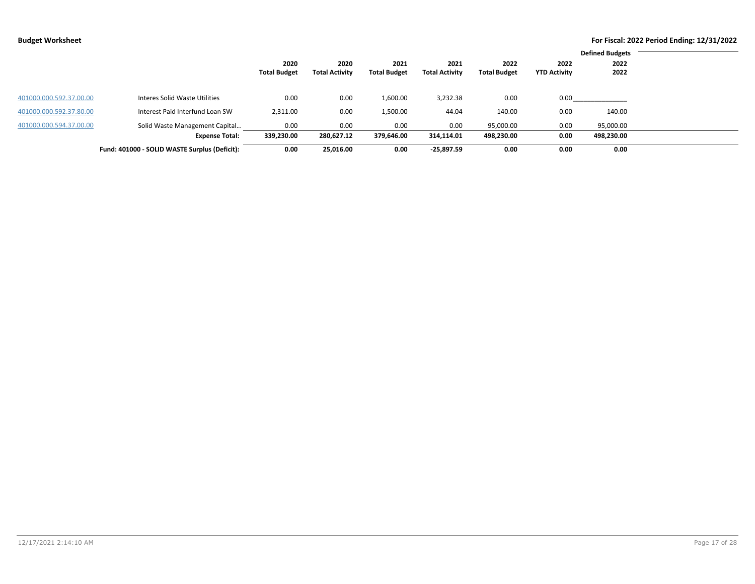|                         |                                               |                     |                       |                     |                       |                     |                     | <b>Defined Budgets</b> |
|-------------------------|-----------------------------------------------|---------------------|-----------------------|---------------------|-----------------------|---------------------|---------------------|------------------------|
|                         |                                               | 2020                | 2020                  | 2021                | 2021                  | 2022                | 2022                | 2022                   |
|                         |                                               | <b>Total Budget</b> | <b>Total Activity</b> | <b>Total Budget</b> | <b>Total Activity</b> | <b>Total Budget</b> | <b>YTD Activity</b> | 2022                   |
|                         |                                               |                     |                       |                     |                       |                     |                     |                        |
| 401000.000.592.37.00.00 | Interes Solid Waste Utilities                 | 0.00                | 0.00                  | 1,600.00            | 3,232.38              | 0.00                | 0.00                |                        |
|                         |                                               |                     |                       |                     |                       |                     |                     |                        |
| 401000.000.592.37.80.00 | Interest Paid Interfund Loan SW               | 2,311.00            | 0.00                  | 1,500.00            | 44.04                 | 140.00              | 0.00                | 140.00                 |
| 401000.000.594.37.00.00 | Solid Waste Management Capital                | 0.00                | 0.00                  | 0.00                | 0.00                  | 95,000.00           | 0.00                | 95,000.00              |
|                         | <b>Expense Total:</b>                         | 339,230.00          | 280,627.12            | 379,646.00          | 314,114.01            | 498,230.00          | 0.00                | 498,230.00             |
|                         | Fund: 401000 - SOLID WASTE Surplus (Deficit): | 0.00                | 25.016.00             | 0.00                | $-25,897.59$          | 0.00                | 0.00                | 0.00                   |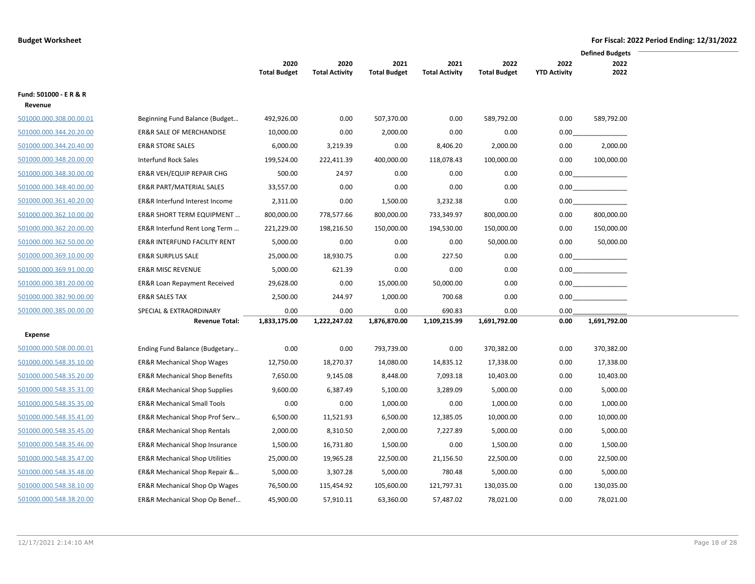|                         |                                           |                             |                               |                             |                               |                             |                             | <b>Defined Budgets</b> |  |
|-------------------------|-------------------------------------------|-----------------------------|-------------------------------|-----------------------------|-------------------------------|-----------------------------|-----------------------------|------------------------|--|
|                         |                                           | 2020<br><b>Total Budget</b> | 2020<br><b>Total Activity</b> | 2021<br><b>Total Budget</b> | 2021<br><b>Total Activity</b> | 2022<br><b>Total Budget</b> | 2022<br><b>YTD Activity</b> | 2022<br>2022           |  |
|                         |                                           |                             |                               |                             |                               |                             |                             |                        |  |
| Fund: 501000 - E R & R  |                                           |                             |                               |                             |                               |                             |                             |                        |  |
| Revenue                 |                                           |                             |                               |                             |                               |                             |                             |                        |  |
| 501000.000.308.00.00.01 | Beginning Fund Balance (Budget            | 492,926.00                  | 0.00                          | 507,370.00                  | 0.00                          | 589,792.00                  | 0.00                        | 589,792.00             |  |
| 501000.000.344.20.20.00 | <b>ER&amp;R SALE OF MERCHANDISE</b>       | 10,000.00                   | 0.00                          | 2,000.00                    | 0.00                          | 0.00                        | 0.00                        |                        |  |
| 501000.000.344.20.40.00 | <b>ER&amp;R STORE SALES</b>               | 6,000.00                    | 3,219.39                      | 0.00                        | 8,406.20                      | 2,000.00                    | 0.00                        | 2,000.00               |  |
| 501000.000.348.20.00.00 | <b>Interfund Rock Sales</b>               | 199,524.00                  | 222,411.39                    | 400,000.00                  | 118,078.43                    | 100,000.00                  | 0.00                        | 100,000.00             |  |
| 501000.000.348.30.00.00 | ER&R VEH/EQUIP REPAIR CHG                 | 500.00                      | 24.97                         | 0.00                        | 0.00                          | 0.00                        | 0.00                        |                        |  |
| 501000.000.348.40.00.00 | ER&R PART/MATERIAL SALES                  | 33,557.00                   | 0.00                          | 0.00                        | 0.00                          | 0.00                        |                             | 0.00                   |  |
| 501000.000.361.40.20.00 | <b>ER&amp;R Interfund Interest Income</b> | 2,311.00                    | 0.00                          | 1,500.00                    | 3,232.38                      | 0.00                        | 0.00                        |                        |  |
| 501000.000.362.10.00.00 | ER&R SHORT TERM EQUIPMENT                 | 800,000.00                  | 778,577.66                    | 800,000.00                  | 733,349.97                    | 800,000.00                  | 0.00                        | 800,000.00             |  |
| 501000.000.362.20.00.00 | ER&R Interfund Rent Long Term             | 221,229.00                  | 198,216.50                    | 150,000.00                  | 194,530.00                    | 150,000.00                  | 0.00                        | 150,000.00             |  |
| 501000.000.362.50.00.00 | ER&R INTERFUND FACILITY RENT              | 5,000.00                    | 0.00                          | 0.00                        | 0.00                          | 50,000.00                   | 0.00                        | 50,000.00              |  |
| 501000.000.369.10.00.00 | <b>ER&amp;R SURPLUS SALE</b>              | 25,000.00                   | 18,930.75                     | 0.00                        | 227.50                        | 0.00                        |                             |                        |  |
| 501000.000.369.91.00.00 | <b>ER&amp;R MISC REVENUE</b>              | 5,000.00                    | 621.39                        | 0.00                        | 0.00                          | 0.00                        |                             | 0.00                   |  |
| 501000.000.381.20.00.00 | ER&R Loan Repayment Received              | 29,628.00                   | 0.00                          | 15,000.00                   | 50,000.00                     | 0.00                        |                             | 0.00                   |  |
| 501000.000.382.90.00.00 | <b>ER&amp;R SALES TAX</b>                 | 2,500.00                    | 244.97                        | 1,000.00                    | 700.68                        | 0.00                        | 0.00                        |                        |  |
| 501000.000.385.00.00.00 | SPECIAL & EXTRAORDINARY                   | 0.00                        | 0.00                          | 0.00                        | 690.83                        | 0.00                        | 0.00                        |                        |  |
|                         | <b>Revenue Total:</b>                     | 1,833,175.00                | 1,222,247.02                  | 1,876,870.00                | 1,109,215.99                  | 1,691,792.00                | 0.00                        | 1,691,792.00           |  |
| Expense                 |                                           |                             |                               |                             |                               |                             |                             |                        |  |
| 501000.000.508.00.00.01 | Ending Fund Balance (Budgetary            | 0.00                        | 0.00                          | 793,739.00                  | 0.00                          | 370,382.00                  | 0.00                        | 370,382.00             |  |
| 501000.000.548.35.10.00 | <b>ER&amp;R Mechanical Shop Wages</b>     | 12,750.00                   | 18,270.37                     | 14,080.00                   | 14,835.12                     | 17,338.00                   | 0.00                        | 17,338.00              |  |
| 501000.000.548.35.20.00 | <b>ER&amp;R Mechanical Shop Benefits</b>  | 7,650.00                    | 9,145.08                      | 8,448.00                    | 7,093.18                      | 10,403.00                   | 0.00                        | 10,403.00              |  |
| 501000.000.548.35.31.00 | <b>ER&amp;R Mechanical Shop Supplies</b>  | 9,600.00                    | 6,387.49                      | 5,100.00                    | 3,289.09                      | 5,000.00                    | 0.00                        | 5,000.00               |  |
| 501000.000.548.35.35.00 | <b>ER&amp;R Mechanical Small Tools</b>    | 0.00                        | 0.00                          | 1,000.00                    | 0.00                          | 1,000.00                    | 0.00                        | 1,000.00               |  |
| 501000.000.548.35.41.00 | ER&R Mechanical Shop Prof Serv            | 6,500.00                    | 11,521.93                     | 6,500.00                    | 12,385.05                     | 10,000.00                   | 0.00                        | 10,000.00              |  |
| 501000.000.548.35.45.00 | <b>ER&amp;R Mechanical Shop Rentals</b>   | 2,000.00                    | 8,310.50                      | 2,000.00                    | 7,227.89                      | 5,000.00                    | 0.00                        | 5,000.00               |  |
| 501000.000.548.35.46.00 | <b>ER&amp;R Mechanical Shop Insurance</b> | 1,500.00                    | 16,731.80                     | 1,500.00                    | 0.00                          | 1,500.00                    | 0.00                        | 1,500.00               |  |
| 501000.000.548.35.47.00 | <b>ER&amp;R Mechanical Shop Utilities</b> | 25,000.00                   | 19,965.28                     | 22,500.00                   | 21,156.50                     | 22,500.00                   | 0.00                        | 22,500.00              |  |
| 501000.000.548.35.48.00 | ER&R Mechanical Shop Repair &             | 5,000.00                    | 3,307.28                      | 5,000.00                    | 780.48                        | 5,000.00                    | 0.00                        | 5,000.00               |  |
| 501000.000.548.38.10.00 | <b>ER&amp;R Mechanical Shop Op Wages</b>  | 76,500.00                   | 115,454.92                    | 105,600.00                  | 121,797.31                    | 130,035.00                  | 0.00                        | 130,035.00             |  |
| 501000.000.548.38.20.00 | ER&R Mechanical Shop Op Benef             | 45,900.00                   | 57,910.11                     | 63,360.00                   | 57,487.02                     | 78,021.00                   | 0.00                        | 78,021.00              |  |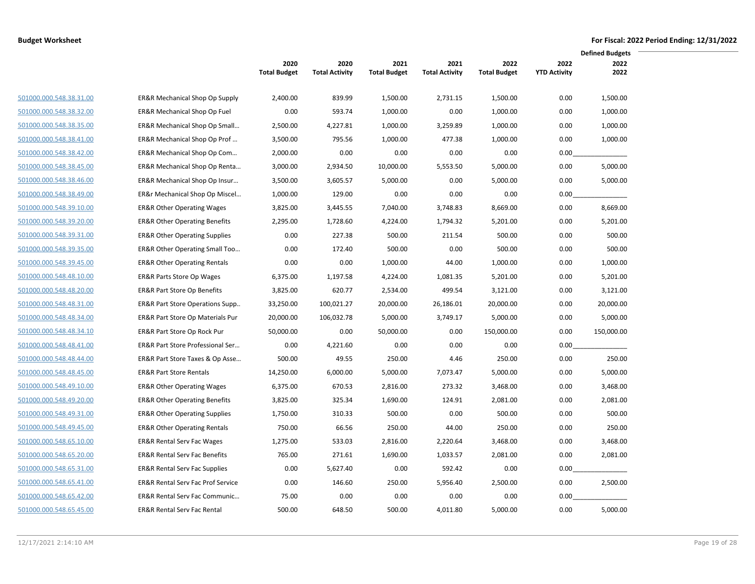|                         |                                              |                             |                               |                             |                               |                             |                             | <b>Defined Budgets</b> |  |
|-------------------------|----------------------------------------------|-----------------------------|-------------------------------|-----------------------------|-------------------------------|-----------------------------|-----------------------------|------------------------|--|
|                         |                                              | 2020<br><b>Total Budget</b> | 2020<br><b>Total Activity</b> | 2021<br><b>Total Budget</b> | 2021<br><b>Total Activity</b> | 2022<br><b>Total Budget</b> | 2022<br><b>YTD Activity</b> | 2022<br>2022           |  |
|                         |                                              |                             | 839.99                        |                             |                               |                             | 0.00                        |                        |  |
| 501000.000.548.38.31.00 | ER&R Mechanical Shop Op Supply               | 2,400.00                    |                               | 1,500.00                    | 2,731.15                      | 1,500.00                    |                             | 1,500.00               |  |
| 501000.000.548.38.32.00 | <b>ER&amp;R Mechanical Shop Op Fuel</b>      | 0.00                        | 593.74                        | 1,000.00                    | 0.00                          | 1,000.00                    | 0.00                        | 1,000.00               |  |
| 501000.000.548.38.35.00 | ER&R Mechanical Shop Op Small                | 2,500.00                    | 4,227.81                      | 1,000.00                    | 3,259.89                      | 1,000.00                    | 0.00                        | 1,000.00               |  |
| 501000.000.548.38.41.00 | ER&R Mechanical Shop Op Prof                 | 3,500.00                    | 795.56                        | 1,000.00                    | 477.38                        | 1,000.00                    | 0.00                        | 1,000.00               |  |
| 501000.000.548.38.42.00 | ER&R Mechanical Shop Op Com                  | 2,000.00                    | 0.00                          | 0.00                        | 0.00                          | 0.00                        | 0.00                        |                        |  |
| 501000.000.548.38.45.00 | ER&R Mechanical Shop Op Renta                | 3,000.00                    | 2,934.50                      | 10,000.00                   | 5,553.50                      | 5,000.00                    | 0.00                        | 5,000.00               |  |
| 501000.000.548.38.46.00 | ER&R Mechanical Shop Op Insur                | 3,500.00                    | 3,605.57                      | 5,000.00                    | 0.00                          | 5,000.00                    | 0.00                        | 5,000.00               |  |
| 501000.000.548.38.49.00 | ER&r Mechanical Shop Op Miscel               | 1,000.00                    | 129.00                        | 0.00                        | 0.00                          | 0.00                        | 0.00                        |                        |  |
| 501000.000.548.39.10.00 | <b>ER&amp;R Other Operating Wages</b>        | 3,825.00                    | 3,445.55                      | 7,040.00                    | 3,748.83                      | 8,669.00                    | 0.00                        | 8,669.00               |  |
| 501000.000.548.39.20.00 | <b>ER&amp;R Other Operating Benefits</b>     | 2,295.00                    | 1,728.60                      | 4,224.00                    | 1,794.32                      | 5,201.00                    | 0.00                        | 5,201.00               |  |
| 501000.000.548.39.31.00 | <b>ER&amp;R Other Operating Supplies</b>     | 0.00                        | 227.38                        | 500.00                      | 211.54                        | 500.00                      | 0.00                        | 500.00                 |  |
| 501000.000.548.39.35.00 | ER&R Other Operating Small Too               | 0.00                        | 172.40                        | 500.00                      | 0.00                          | 500.00                      | 0.00                        | 500.00                 |  |
| 501000.000.548.39.45.00 | <b>ER&amp;R Other Operating Rentals</b>      | 0.00                        | 0.00                          | 1,000.00                    | 44.00                         | 1,000.00                    | 0.00                        | 1,000.00               |  |
| 501000.000.548.48.10.00 | <b>ER&amp;R Parts Store Op Wages</b>         | 6,375.00                    | 1,197.58                      | 4,224.00                    | 1,081.35                      | 5,201.00                    | 0.00                        | 5,201.00               |  |
| 501000.000.548.48.20.00 | <b>ER&amp;R Part Store Op Benefits</b>       | 3,825.00                    | 620.77                        | 2,534.00                    | 499.54                        | 3,121.00                    | 0.00                        | 3,121.00               |  |
| 501000.000.548.48.31.00 | ER&R Part Store Operations Supp              | 33,250.00                   | 100,021.27                    | 20,000.00                   | 26,186.01                     | 20,000.00                   | 0.00                        | 20,000.00              |  |
| 501000.000.548.48.34.00 | ER&R Part Store Op Materials Pur             | 20,000.00                   | 106,032.78                    | 5,000.00                    | 3,749.17                      | 5,000.00                    | 0.00                        | 5,000.00               |  |
| 501000.000.548.48.34.10 | ER&R Part Store Op Rock Pur                  | 50,000.00                   | 0.00                          | 50,000.00                   | 0.00                          | 150,000.00                  | 0.00                        | 150,000.00             |  |
| 501000.000.548.48.41.00 | ER&R Part Store Professional Ser             | 0.00                        | 4,221.60                      | 0.00                        | 0.00                          | 0.00                        | 0.00                        |                        |  |
| 501000.000.548.48.44.00 | ER&R Part Store Taxes & Op Asse              | 500.00                      | 49.55                         | 250.00                      | 4.46                          | 250.00                      | 0.00                        | 250.00                 |  |
| 501000.000.548.48.45.00 | <b>ER&amp;R Part Store Rentals</b>           | 14,250.00                   | 6,000.00                      | 5,000.00                    | 7,073.47                      | 5,000.00                    | 0.00                        | 5,000.00               |  |
| 501000.000.548.49.10.00 | <b>ER&amp;R Other Operating Wages</b>        | 6,375.00                    | 670.53                        | 2,816.00                    | 273.32                        | 3,468.00                    | 0.00                        | 3,468.00               |  |
| 501000.000.548.49.20.00 | <b>ER&amp;R Other Operating Benefits</b>     | 3,825.00                    | 325.34                        | 1,690.00                    | 124.91                        | 2,081.00                    | 0.00                        | 2,081.00               |  |
| 501000.000.548.49.31.00 | <b>ER&amp;R Other Operating Supplies</b>     | 1,750.00                    | 310.33                        | 500.00                      | 0.00                          | 500.00                      | 0.00                        | 500.00                 |  |
| 501000.000.548.49.45.00 | <b>ER&amp;R Other Operating Rentals</b>      | 750.00                      | 66.56                         | 250.00                      | 44.00                         | 250.00                      | 0.00                        | 250.00                 |  |
| 501000.000.548.65.10.00 | <b>ER&amp;R Rental Serv Fac Wages</b>        | 1,275.00                    | 533.03                        | 2,816.00                    | 2,220.64                      | 3,468.00                    | 0.00                        | 3,468.00               |  |
| 501000.000.548.65.20.00 | <b>ER&amp;R Rental Serv Fac Benefits</b>     | 765.00                      | 271.61                        | 1,690.00                    | 1,033.57                      | 2,081.00                    | 0.00                        | 2,081.00               |  |
| 501000.000.548.65.31.00 | <b>ER&amp;R Rental Serv Fac Supplies</b>     | 0.00                        | 5,627.40                      | 0.00                        | 592.42                        | 0.00                        | 0.00                        |                        |  |
| 501000.000.548.65.41.00 | <b>ER&amp;R Rental Serv Fac Prof Service</b> | 0.00                        | 146.60                        | 250.00                      | 5,956.40                      | 2,500.00                    | 0.00                        | 2,500.00               |  |
| 501000.000.548.65.42.00 | ER&R Rental Serv Fac Communic                | 75.00                       | 0.00                          | 0.00                        | 0.00                          | 0.00                        | 0.00                        |                        |  |
| 501000.000.548.65.45.00 | <b>ER&amp;R Rental Serv Fac Rental</b>       | 500.00                      | 648.50                        | 500.00                      | 4,011.80                      | 5,000.00                    | 0.00                        | 5,000.00               |  |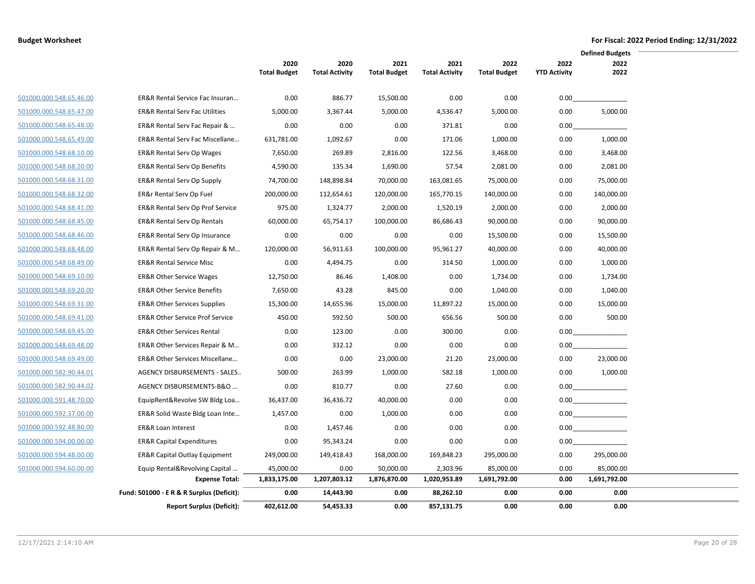|                         |                                            |                             |                               |                             |                               |                             |                             | <b>Defined Budgets</b> |  |
|-------------------------|--------------------------------------------|-----------------------------|-------------------------------|-----------------------------|-------------------------------|-----------------------------|-----------------------------|------------------------|--|
|                         |                                            | 2020<br><b>Total Budget</b> | 2020<br><b>Total Activity</b> | 2021<br><b>Total Budget</b> | 2021<br><b>Total Activity</b> | 2022<br><b>Total Budget</b> | 2022<br><b>YTD Activity</b> | 2022<br>2022           |  |
| 501000.000.548.65.46.00 | ER&R Rental Service Fac Insuran            | 0.00                        | 886.77                        | 15,500.00                   | 0.00                          | 0.00                        | 0.00                        |                        |  |
| 501000.000.548.65.47.00 | <b>ER&amp;R Rental Serv Fac Utilities</b>  | 5,000.00                    | 3,367.44                      | 5,000.00                    | 4,536.47                      | 5,000.00                    | 0.00                        | 5,000.00               |  |
| 501000.000.548.65.48.00 | ER&R Rental Serv Fac Repair &              | 0.00                        | 0.00                          | 0.00                        | 371.81                        | 0.00                        | 0.00                        |                        |  |
| 501000.000.548.65.49.00 | ER&R Rental Serv Fac Miscellane            | 631,781.00                  | 1,092.67                      | 0.00                        | 171.06                        | 1,000.00                    | 0.00                        | 1,000.00               |  |
| 501000.000.548.68.10.00 | <b>ER&amp;R Rental Serv Op Wages</b>       | 7,650.00                    | 269.89                        | 2,816.00                    | 122.56                        | 3,468.00                    | 0.00                        | 3,468.00               |  |
| 501000.000.548.68.20.00 | <b>ER&amp;R Rental Serv Op Benefits</b>    | 4,590.00                    | 135.34                        | 1,690.00                    | 57.54                         | 2,081.00                    | 0.00                        | 2,081.00               |  |
| 501000.000.548.68.31.00 | <b>ER&amp;R Rental Serv Op Supply</b>      | 74,700.00                   | 148,898.84                    | 70,000.00                   | 163,081.65                    | 75,000.00                   | 0.00                        | 75,000.00              |  |
| 501000.000.548.68.32.00 | ER&r Rental Serv Op Fuel                   | 200,000.00                  | 112,654.61                    | 120,000.00                  | 165,770.15                    | 140,000.00                  | 0.00                        | 140,000.00             |  |
| 501000.000.548.68.41.00 | ER&R Rental Serv Op Prof Service           | 975.00                      | 1,324.77                      | 2,000.00                    | 1,520.19                      | 2,000.00                    | 0.00                        | 2,000.00               |  |
| 501000.000.548.68.45.00 | ER&R Rental Serv Op Rentals                | 60,000.00                   | 65,754.17                     | 100,000.00                  | 86,686.43                     | 90,000.00                   | 0.00                        | 90,000.00              |  |
| 501000.000.548.68.46.00 | <b>ER&amp;R Rental Serv Op Insurance</b>   | 0.00                        | 0.00                          | 0.00                        | 0.00                          | 15,500.00                   | 0.00                        | 15,500.00              |  |
| 501000.000.548.68.48.00 | ER&R Rental Serv Op Repair & M             | 120,000.00                  | 56,911.63                     | 100,000.00                  | 95,961.27                     | 40,000.00                   | 0.00                        | 40,000.00              |  |
| 501000.000.548.68.49.00 | <b>ER&amp;R Rental Service Misc</b>        | 0.00                        | 4,494.75                      | 0.00                        | 314.50                        | 1,000.00                    | 0.00                        | 1,000.00               |  |
| 501000.000.548.69.10.00 | <b>ER&amp;R Other Service Wages</b>        | 12,750.00                   | 86.46                         | 1,408.00                    | 0.00                          | 1,734.00                    | 0.00                        | 1,734.00               |  |
| 501000.000.548.69.20.00 | <b>ER&amp;R Other Service Benefits</b>     | 7,650.00                    | 43.28                         | 845.00                      | 0.00                          | 1,040.00                    | 0.00                        | 1,040.00               |  |
| 501000.000.548.69.31.00 | <b>ER&amp;R Other Services Supplies</b>    | 15,300.00                   | 14,655.96                     | 15,000.00                   | 11,897.22                     | 15,000.00                   | 0.00                        | 15,000.00              |  |
| 501000.000.548.69.41.00 | <b>ER&amp;R Other Service Prof Service</b> | 450.00                      | 592.50                        | 500.00                      | 656.56                        | 500.00                      | 0.00                        | 500.00                 |  |
| 501000.000.548.69.45.00 | <b>ER&amp;R Other Services Rental</b>      | 0.00                        | 123.00                        | 0.00                        | 300.00                        | 0.00                        | 0.00                        |                        |  |
| 501000.000.548.69.48.00 | ER&R Other Services Repair & M             | 0.00                        | 332.12                        | 0.00                        | 0.00                          | 0.00                        | 0.00                        |                        |  |
| 501000.000.548.69.49.00 | ER&R Other Services Miscellane             | 0.00                        | 0.00                          | 23,000.00                   | 21.20                         | 23,000.00                   | 0.00                        | 23,000.00              |  |
| 501000.000.582.90.44.01 | AGENCY DISBURSEMENTS - SALES               | 500.00                      | 263.99                        | 1,000.00                    | 582.18                        | 1,000.00                    | 0.00                        | 1,000.00               |  |
| 501000.000.582.90.44.02 | AGENCY DISBURSEMENTS-B&O                   | 0.00                        | 810.77                        | 0.00                        | 27.60                         | 0.00                        |                             | 0.00                   |  |
| 501000.000.591.48.70.00 | EquipRent&Revolve SW Bldg Loa              | 36,437.00                   | 36,436.72                     | 40,000.00                   | 0.00                          | 0.00                        |                             | 0.00                   |  |
| 501000.000.592.37.00.00 | ER&R Solid Waste Bldg Loan Inte            | 1,457.00                    | 0.00                          | 1,000.00                    | 0.00                          | 0.00                        |                             | 0.00                   |  |
| 501000.000.592.48.80.00 | <b>ER&amp;R Loan Interest</b>              | 0.00                        | 1,457.46                      | 0.00                        | 0.00                          | 0.00                        |                             |                        |  |
| 501000.000.594.00.00.00 | <b>ER&amp;R Capital Expenditures</b>       | 0.00                        | 95,343.24                     | 0.00                        | 0.00                          | 0.00                        | 0.00                        |                        |  |
| 501000.000.594.48.00.00 | ER&R Capital Outlay Equipment              | 249,000.00                  | 149,418.43                    | 168,000.00                  | 169,848.23                    | 295,000.00                  | 0.00                        | 295.000.00             |  |
| 501000.000.594.60.00.00 | Equip Rental&Revolving Capital             | 45,000.00                   | 0.00                          | 50,000.00                   | 2,303.96                      | 85,000.00                   | 0.00                        | 85,000.00              |  |
|                         | <b>Expense Total:</b>                      | 1,833,175.00                | 1,207,803.12                  | 1,876,870.00                | 1,020,953.89                  | 1,691,792.00                | 0.00                        | 1,691,792.00           |  |
|                         | Fund: 501000 - E R & R Surplus (Deficit):  | 0.00                        | 14,443.90                     | 0.00                        | 88,262.10                     | 0.00                        | 0.00                        | 0.00                   |  |
|                         | <b>Report Surplus (Deficit):</b>           | 402,612.00                  | 54,453.33                     | 0.00                        | 857,131.75                    | 0.00                        | 0.00                        | 0.00                   |  |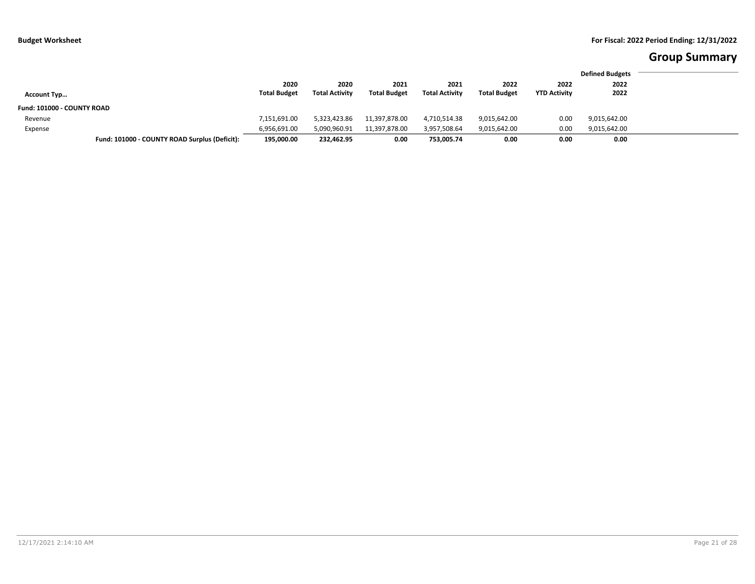# **Group Summary**

|                            |                                               |                             |                               |                             |                               |                             |                             | <b>Defined Budgets</b> |
|----------------------------|-----------------------------------------------|-----------------------------|-------------------------------|-----------------------------|-------------------------------|-----------------------------|-----------------------------|------------------------|
|                            |                                               | 2020<br><b>Total Budget</b> | 2020<br><b>Total Activity</b> | 2021<br><b>Total Budget</b> | 2021<br><b>Total Activity</b> | 2022<br><b>Total Budget</b> | 2022<br><b>YTD Activity</b> | 2022<br>2022           |
| <b>Account Typ</b>         |                                               |                             |                               |                             |                               |                             |                             |                        |
| Fund: 101000 - COUNTY ROAD |                                               |                             |                               |                             |                               |                             |                             |                        |
| Revenue                    |                                               | 7,151,691.00                | 5,323,423.86                  | 11,397,878.00               | 4,710,514.38                  | 9,015,642.00                | 0.00                        | 9,015,642.00           |
| Expense                    |                                               | 6,956,691.00                | 5,090,960.91                  | 11,397,878.00               | 3,957,508.64                  | 9,015,642.00                | 0.00                        | 9,015,642.00           |
|                            | Fund: 101000 - COUNTY ROAD Surplus (Deficit): | 195,000.00                  | 232,462.95                    | 0.00                        | 753,005.74                    | 0.00                        | 0.00                        | 0.00                   |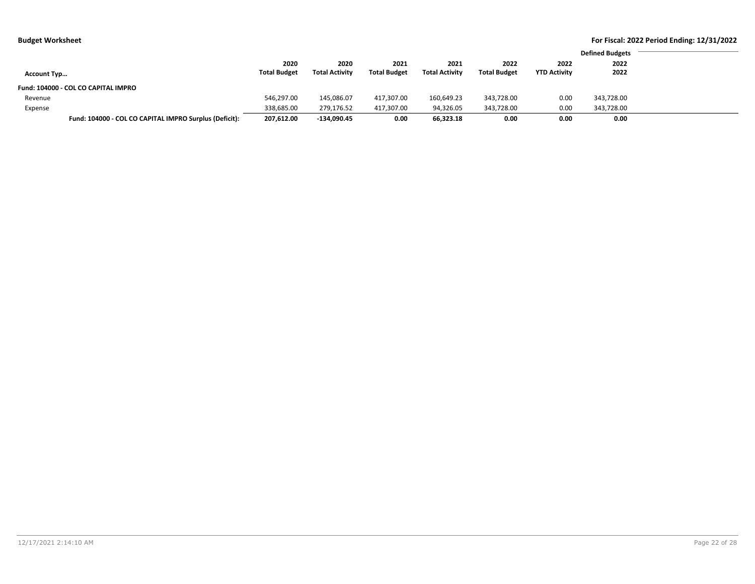| .                                                      |                     |                       |                     |                       |                     |                     |                        |  |
|--------------------------------------------------------|---------------------|-----------------------|---------------------|-----------------------|---------------------|---------------------|------------------------|--|
|                                                        |                     |                       |                     |                       |                     |                     | <b>Defined Budgets</b> |  |
|                                                        | 2020                | 2020                  | 2021                | 2021                  | 2022                | 2022                | 2022                   |  |
| Account Typ                                            | <b>Total Budget</b> | <b>Total Activity</b> | <b>Total Budget</b> | <b>Total Activity</b> | <b>Total Budget</b> | <b>YTD Activity</b> | 2022                   |  |
| Fund: 104000 - COL CO CAPITAL IMPRO                    |                     |                       |                     |                       |                     |                     |                        |  |
| Revenue                                                | 546,297.00          | 145,086.07            | 417,307.00          | 160,649.23            | 343,728.00          | 0.00                | 343,728.00             |  |
| Expense                                                | 338,685.00          | 279,176.52            | 417,307.00          | 94,326.05             | 343,728.00          | 0.00                | 343,728.00             |  |
| Fund: 104000 - COL CO CAPITAL IMPRO Surplus (Deficit): | 207,612.00          | -134,090.45           | 0.00                | 66,323.18             | 0.00                | 0.00                | 0.00                   |  |
|                                                        |                     |                       |                     |                       |                     |                     |                        |  |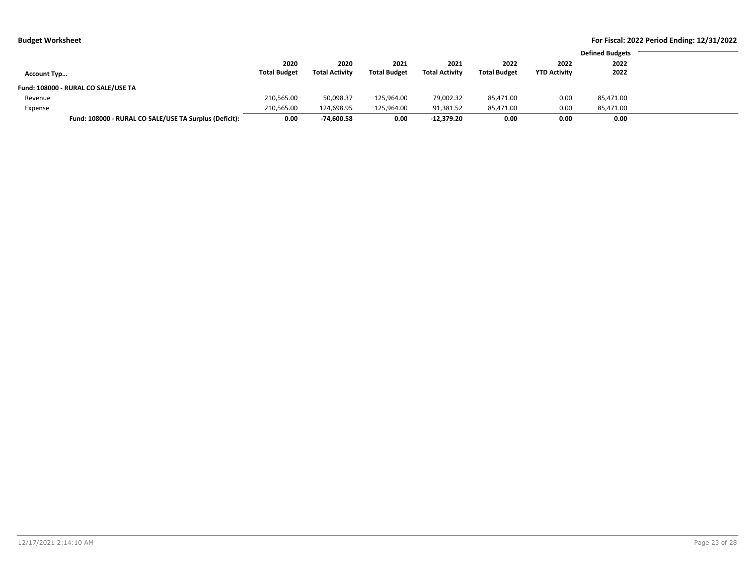|  | Budget Worksheet |  |
|--|------------------|--|
|--|------------------|--|

| 2020<br>2020<br>2021<br>2022<br>2022<br>2021<br><b>Total Budget</b><br><b>Total Activity</b><br><b>Total Activity</b><br><b>Total Budget</b><br><b>Total Budget</b><br><b>YTD Activity</b><br><b>Account Typ</b><br>Fund: 108000 - RURAL CO SALE/USE TA<br>79,002.32<br>210,565.00<br>50,098.37<br>125,964.00<br>0.00<br>85,471.00<br>Revenue<br>210,565.00<br>124,698.95<br>91,381.52<br>0.00<br>125,964.00<br>85,471.00<br>Expense |                                                        |      |            |      |              |      |      | <b>Defined Budgets</b> |
|--------------------------------------------------------------------------------------------------------------------------------------------------------------------------------------------------------------------------------------------------------------------------------------------------------------------------------------------------------------------------------------------------------------------------------------|--------------------------------------------------------|------|------------|------|--------------|------|------|------------------------|
|                                                                                                                                                                                                                                                                                                                                                                                                                                      |                                                        |      |            |      |              |      |      | 2022                   |
|                                                                                                                                                                                                                                                                                                                                                                                                                                      |                                                        |      |            |      |              |      |      | 2022                   |
|                                                                                                                                                                                                                                                                                                                                                                                                                                      |                                                        |      |            |      |              |      |      |                        |
|                                                                                                                                                                                                                                                                                                                                                                                                                                      |                                                        |      |            |      |              |      |      | 85,471.00              |
|                                                                                                                                                                                                                                                                                                                                                                                                                                      |                                                        |      |            |      |              |      |      | 85,471.00              |
|                                                                                                                                                                                                                                                                                                                                                                                                                                      | Fund: 108000 - RURAL CO SALE/USE TA Surplus (Deficit): | 0.00 | -74,600.58 | 0.00 | $-12.379.20$ | 0.00 | 0.00 | 0.00                   |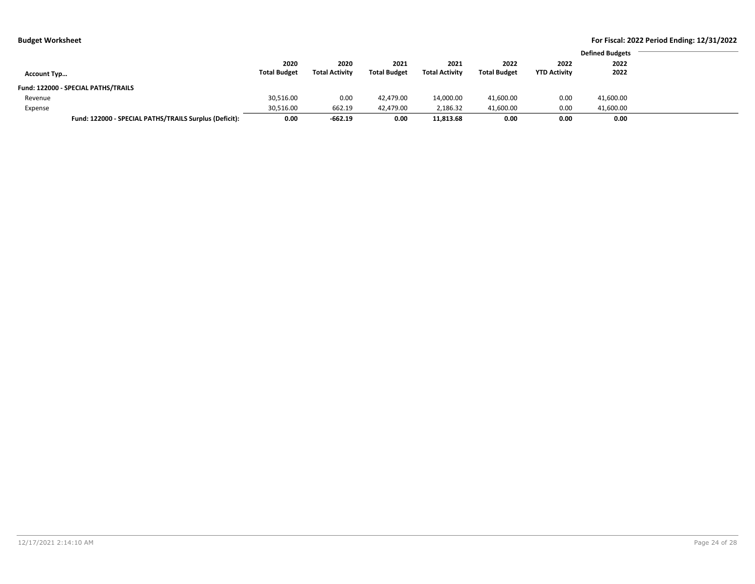| ıdget Worksheet |  |
|-----------------|--|
|-----------------|--|

|                    |                                                        |                     |                       |                     |                       |                     |                     | <b>Defined Budgets</b> |
|--------------------|--------------------------------------------------------|---------------------|-----------------------|---------------------|-----------------------|---------------------|---------------------|------------------------|
|                    |                                                        | 2020                | 2020                  | 2021                | 2021                  | 2022                | 2022                | 2022                   |
| <b>Account Typ</b> |                                                        | <b>Total Budget</b> | <b>Total Activity</b> | <b>Total Budget</b> | <b>Total Activity</b> | <b>Total Budget</b> | <b>YTD Activity</b> | 2022                   |
|                    | Fund: 122000 - SPECIAL PATHS/TRAILS                    |                     |                       |                     |                       |                     |                     |                        |
| Revenue            |                                                        | 30,516.00           | 0.00                  | 42,479.00           | 14,000.00             | 41,600.00           | 0.00                | 41,600.00              |
| Expense            |                                                        | 30,516.00           | 662.19                | 42,479.00           | 2,186.32              | 41,600.00           | 0.00                | 41,600.00              |
|                    | Fund: 122000 - SPECIAL PATHS/TRAILS Surplus (Deficit): | 0.00                | $-662.19$             | 0.00                | 11,813.68             | 0.00                | 0.00                | 0.00                   |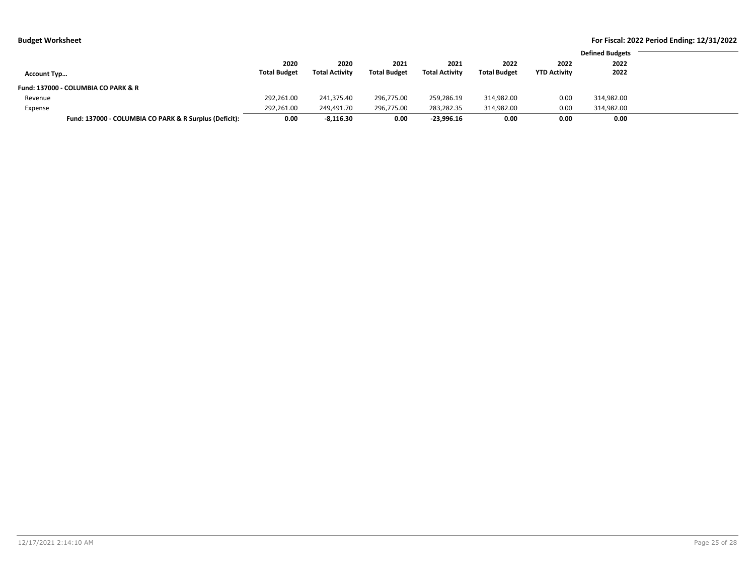|  | Budget Worksheet |
|--|------------------|
|--|------------------|

|                                     |                                                        |                     |                       |                     |                       |                     |                     | <b>Defined Budgets</b> |
|-------------------------------------|--------------------------------------------------------|---------------------|-----------------------|---------------------|-----------------------|---------------------|---------------------|------------------------|
|                                     |                                                        | 2020                | 2020                  | 2021                | 2021                  | 2022                | 2022                | 2022                   |
| <b>Account Typ</b>                  |                                                        | <b>Total Budget</b> | <b>Total Activity</b> | <b>Total Budget</b> | <b>Total Activity</b> | <b>Total Budget</b> | <b>YTD Activity</b> | 2022                   |
| Fund: 137000 - COLUMBIA CO PARK & R |                                                        |                     |                       |                     |                       |                     |                     |                        |
| Revenue                             |                                                        | 292,261.00          | 241,375.40            | 296,775.00          | 259,286.19            | 314,982.00          | 0.00                | 314,982.00             |
| Expense                             |                                                        | 292,261.00          | 249,491.70            | 296,775.00          | 283,282.35            | 314,982.00          | 0.00                | 314,982.00             |
|                                     | Fund: 137000 - COLUMBIA CO PARK & R Surplus (Deficit): | 0.00                | $-8.116.30$           | 0.00                | $-23.996.16$          | 0.00                | 0.00                | 0.00                   |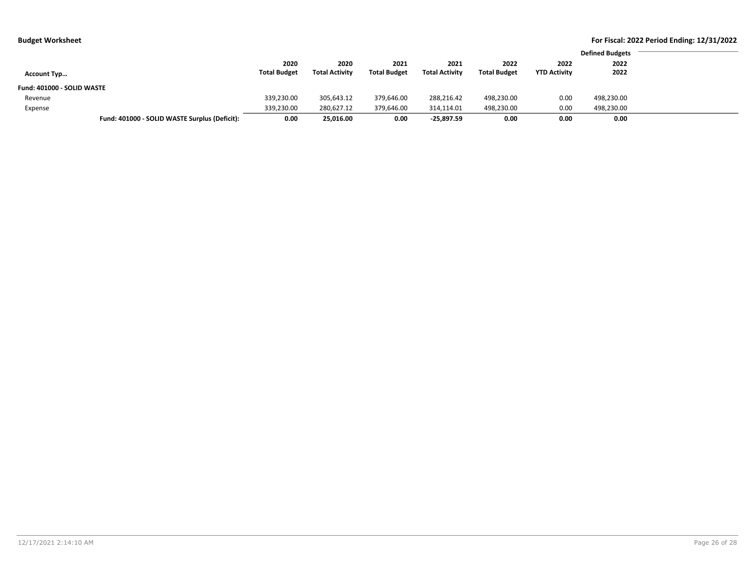|                            |                                               |                     |                       |                     |                       |                     |                     | <b>Defined Budgets</b> |
|----------------------------|-----------------------------------------------|---------------------|-----------------------|---------------------|-----------------------|---------------------|---------------------|------------------------|
|                            |                                               | 2020                | 2020                  | 2021                | 2021                  | 2022                | 2022                | 2022                   |
| <b>Account Typ</b>         |                                               | <b>Total Budget</b> | <b>Total Activity</b> | <b>Total Budget</b> | <b>Total Activity</b> | <b>Total Budget</b> | <b>YTD Activity</b> | 2022                   |
| Fund: 401000 - SOLID WASTE |                                               |                     |                       |                     |                       |                     |                     |                        |
| Revenue                    |                                               | 339,230.00          | 305,643.12            | 379,646.00          | 288,216.42            | 498,230.00          | 0.00                | 498,230.00             |
| Expense                    |                                               | 339,230.00          | 280,627.12            | 379,646.00          | 314,114.01            | 498,230.00          | 0.00                | 498,230.00             |
|                            | Fund: 401000 - SOLID WASTE Surplus (Deficit): | 0.00                | 25,016.00             | 0.00                | -25,897.59            | 0.00                | 0.00                | 0.00                   |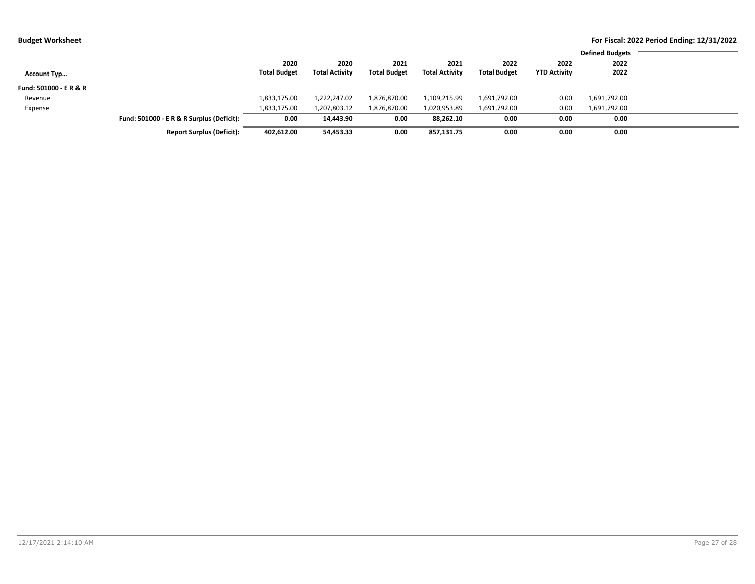|                        |                                           |                     |                       |                     |                       |                     |                     | <b>Defined Budgets</b> |  |
|------------------------|-------------------------------------------|---------------------|-----------------------|---------------------|-----------------------|---------------------|---------------------|------------------------|--|
|                        |                                           | 2020                | 2020                  | 2021                | 2021                  | 2022                | 2022                | 2022                   |  |
| <b>Account Typ</b>     |                                           | <b>Total Budget</b> | <b>Total Activity</b> | <b>Total Budget</b> | <b>Total Activity</b> | <b>Total Budget</b> | <b>YTD Activity</b> | 2022                   |  |
| Fund: 501000 - E R & R |                                           |                     |                       |                     |                       |                     |                     |                        |  |
| Revenue                |                                           | 1,833,175.00        | 1,222,247.02          | 1,876,870.00        | 1,109,215.99          | 1,691,792.00        | 0.00                | 1,691,792.00           |  |
| Expense                |                                           | 1,833,175.00        | 1,207,803.12          | 1,876,870.00        | 1,020,953.89          | 1,691,792.00        | 0.00                | 1,691,792.00           |  |
|                        | Fund: 501000 - E R & R Surplus (Deficit): | 0.00                | 14,443.90             | 0.00                | 88,262.10             | 0.00                | 0.00                | 0.00                   |  |
|                        | <b>Report Surplus (Deficit):</b>          | 402,612.00          | 54,453.33             | 0.00                | 857,131.75            | 0.00                | 0.00                | 0.00                   |  |